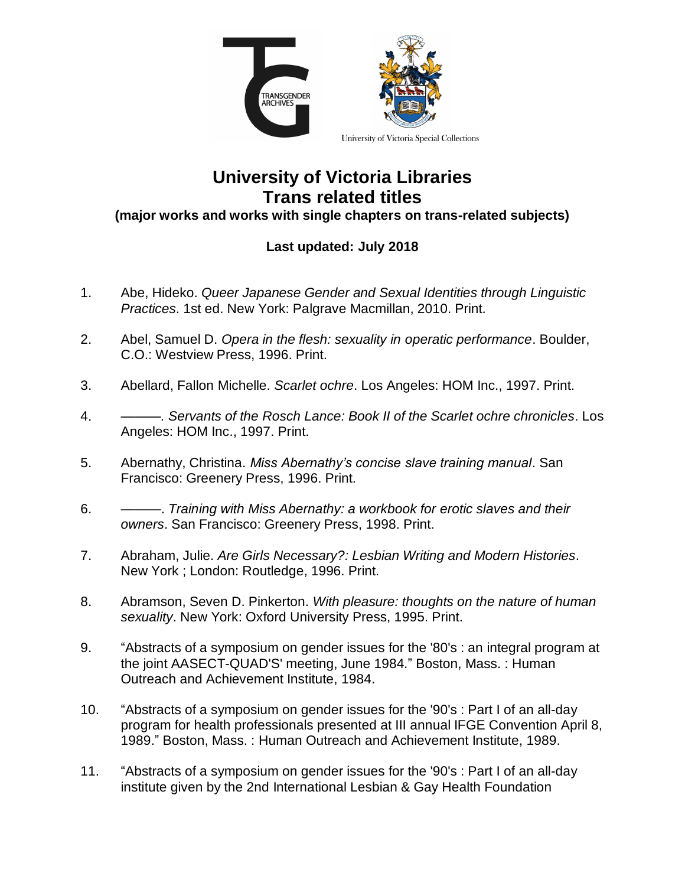

## **University of Victoria Libraries Trans related titles**

## **(major works and works with single chapters on trans-related subjects)**

## **Last updated: July 2018**

- 1. Abe, Hideko. *Queer Japanese Gender and Sexual Identities through Linguistic Practices*. 1st ed. New York: Palgrave Macmillan, 2010. Print.
- 2. Abel, Samuel D. *Opera in the flesh: sexuality in operatic performance*. Boulder, C.O.: Westview Press, 1996. Print.
- 3. Abellard, Fallon Michelle. *Scarlet ochre*. Los Angeles: HOM Inc., 1997. Print.
- 4. *———. Servants of the Rosch Lance: Book II of the Scarlet ochre chronicles*. Los Angeles: HOM Inc., 1997. Print.
- 5. Abernathy, Christina. *Miss Abernathy's concise slave training manual*. San Francisco: Greenery Press, 1996. Print.
- 6. ———. *Training with Miss Abernathy: a workbook for erotic slaves and their owners*. San Francisco: Greenery Press, 1998. Print.
- 7. Abraham, Julie. *Are Girls Necessary?: Lesbian Writing and Modern Histories*. New York ; London: Routledge, 1996. Print.
- 8. Abramson, Seven D. Pinkerton. *With pleasure: thoughts on the nature of human sexuality*. New York: Oxford University Press, 1995. Print.
- 9. "Abstracts of a symposium on gender issues for the '80's : an integral program at the joint AASECT-QUAD'S' meeting, June 1984." Boston, Mass. : Human Outreach and Achievement Institute, 1984.
- 10. "Abstracts of a symposium on gender issues for the '90's : Part I of an all-day program for health professionals presented at III annual IFGE Convention April 8, 1989." Boston, Mass. : Human Outreach and Achievement Institute, 1989.
- 11. "Abstracts of a symposium on gender issues for the '90's : Part I of an all-day institute given by the 2nd International Lesbian & Gay Health Foundation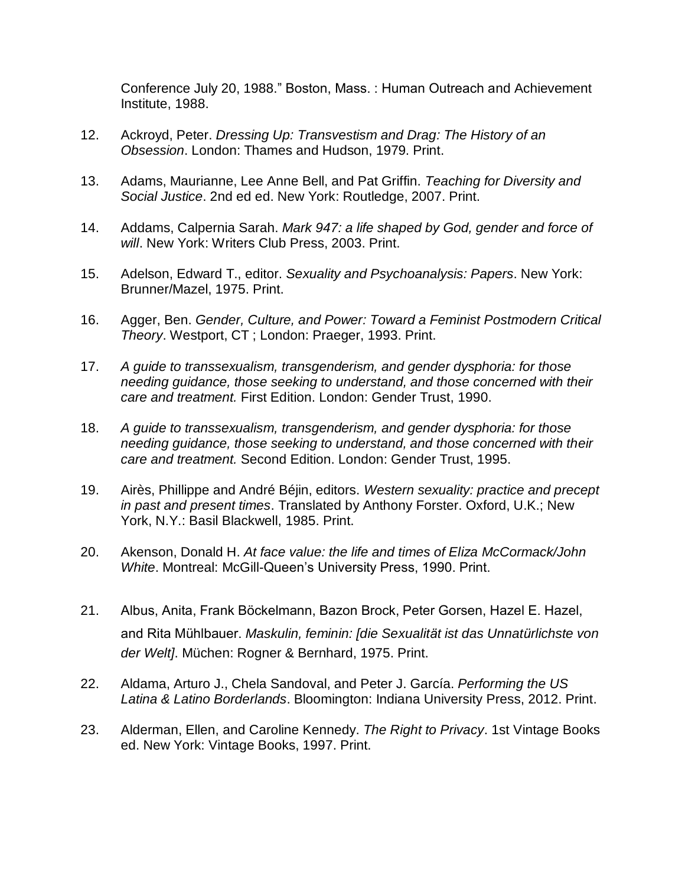Conference July 20, 1988." Boston, Mass. : Human Outreach and Achievement Institute, 1988.

- 12. Ackroyd, Peter. *Dressing Up: Transvestism and Drag: The History of an Obsession*. London: Thames and Hudson, 1979. Print.
- 13. Adams, Maurianne, Lee Anne Bell, and Pat Griffin. *Teaching for Diversity and Social Justice*. 2nd ed ed. New York: Routledge, 2007. Print.
- 14. Addams, Calpernia Sarah. *Mark 947: a life shaped by God, gender and force of will*. New York: Writers Club Press, 2003. Print.
- 15. Adelson, Edward T., editor. *Sexuality and Psychoanalysis: Papers*. New York: Brunner/Mazel, 1975. Print.
- 16. Agger, Ben. *Gender, Culture, and Power: Toward a Feminist Postmodern Critical Theory*. Westport, CT ; London: Praeger, 1993. Print.
- 17. *A guide to transsexualism, transgenderism, and gender dysphoria: for those needing guidance, those seeking to understand, and those concerned with their care and treatment.* First Edition. London: Gender Trust, 1990.
- 18. *A guide to transsexualism, transgenderism, and gender dysphoria: for those needing guidance, those seeking to understand, and those concerned with their care and treatment.* Second Edition. London: Gender Trust, 1995.
- 19. Airès, Phillippe and André Béjin, editors. *Western sexuality: practice and precept in past and present times*. Translated by Anthony Forster. Oxford, U.K.; New York, N.Y.: Basil Blackwell, 1985. Print.
- 20. Akenson, Donald H. *At face value: the life and times of Eliza McCormack/John White*. Montreal: McGill-Queen's University Press, 1990. Print.
- 21. Albus, Anita, Frank Böckelmann, Bazon Brock, Peter Gorsen, Hazel E. Hazel, and Rita Mühlbauer. *Maskulin, feminin: [die Sexualität ist das Unnatürlichste von der Welt]*. Müchen: Rogner & Bernhard, 1975. Print.
- 22. Aldama, Arturo J., Chela Sandoval, and Peter J. García. *Performing the US Latina & Latino Borderlands*. Bloomington: Indiana University Press, 2012. Print.
- 23. Alderman, Ellen, and Caroline Kennedy. *The Right to Privacy*. 1st Vintage Books ed. New York: Vintage Books, 1997. Print.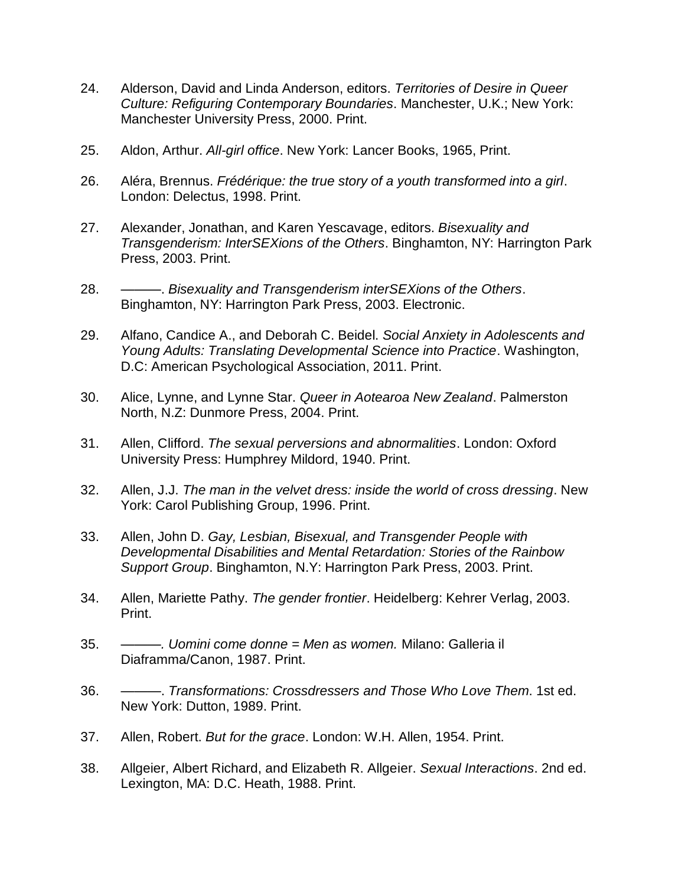- 24. Alderson, David and Linda Anderson, editors. *Territories of Desire in Queer Culture: Refiguring Contemporary Boundaries*. Manchester, U.K.; New York: Manchester University Press, 2000. Print.
- 25. Aldon, Arthur. *All-girl office*. New York: Lancer Books, 1965, Print.
- 26. Aléra, Brennus. *Frédérique: the true story of a youth transformed into a girl*. London: Delectus, 1998. Print.
- 27. Alexander, Jonathan, and Karen Yescavage, editors. *Bisexuality and Transgenderism: InterSEXions of the Others*. Binghamton, NY: Harrington Park Press, 2003. Print.
- 28. ———. *Bisexuality and Transgenderism interSEXions of the Others*. Binghamton, NY: Harrington Park Press, 2003. Electronic.
- 29. Alfano, Candice A., and Deborah C. Beidel. *Social Anxiety in Adolescents and Young Adults: Translating Developmental Science into Practice*. Washington, D.C: American Psychological Association, 2011. Print.
- 30. Alice, Lynne, and Lynne Star. *Queer in Aotearoa New Zealand*. Palmerston North, N.Z: Dunmore Press, 2004. Print.
- 31. Allen, Clifford. *The sexual perversions and abnormalities*. London: Oxford University Press: Humphrey Mildord, 1940. Print.
- 32. Allen, J.J. *The man in the velvet dress: inside the world of cross dressing*. New York: Carol Publishing Group, 1996. Print.
- 33. Allen, John D. *Gay, Lesbian, Bisexual, and Transgender People with Developmental Disabilities and Mental Retardation: Stories of the Rainbow Support Group*. Binghamton, N.Y: Harrington Park Press, 2003. Print.
- 34. Allen, Mariette Pathy. *The gender frontier*. Heidelberg: Kehrer Verlag, 2003. Print.
- 35. *———. Uomini come donne = Men as women.* Milano: Galleria il Diaframma/Canon, 1987. Print.
- 36. ———. *Transformations: Crossdressers and Those Who Love Them*. 1st ed. New York: Dutton, 1989. Print.
- 37. Allen, Robert. *But for the grace*. London: W.H. Allen, 1954. Print.
- 38. Allgeier, Albert Richard, and Elizabeth R. Allgeier. *Sexual Interactions*. 2nd ed. Lexington, MA: D.C. Heath, 1988. Print.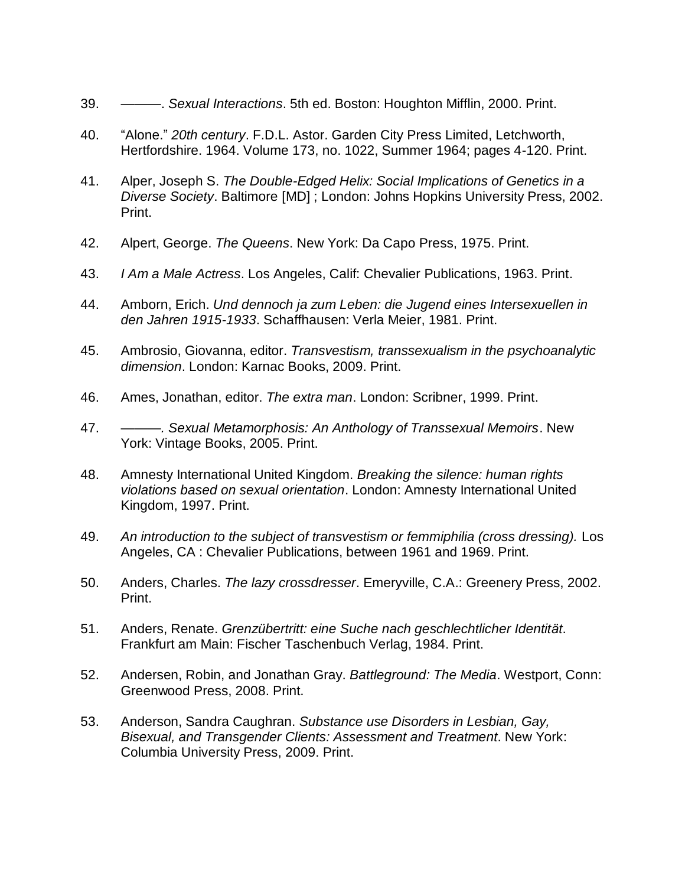- 39. ———. *Sexual Interactions*. 5th ed. Boston: Houghton Mifflin, 2000. Print.
- 40. "Alone." *20th century*. F.D.L. Astor. Garden City Press Limited, Letchworth, Hertfordshire. 1964. Volume 173, no. 1022, Summer 1964; pages 4-120. Print.
- 41. Alper, Joseph S. *The Double-Edged Helix: Social Implications of Genetics in a Diverse Society*. Baltimore [MD] ; London: Johns Hopkins University Press, 2002. Print.
- 42. Alpert, George. *The Queens*. New York: Da Capo Press, 1975. Print.
- 43. *I Am a Male Actress*. Los Angeles, Calif: Chevalier Publications, 1963. Print.
- 44. Amborn, Erich. *Und dennoch ja zum Leben: die Jugend eines Intersexuellen in den Jahren 1915-1933*. Schaffhausen: Verla Meier, 1981. Print.
- 45. Ambrosio, Giovanna, editor. *Transvestism, transsexualism in the psychoanalytic dimension*. London: Karnac Books, 2009. Print.
- 46. Ames, Jonathan, editor. *The extra man*. London: Scribner, 1999. Print.
- 47. *———. Sexual Metamorphosis: An Anthology of Transsexual Memoirs*. New York: Vintage Books, 2005. Print.
- 48. Amnesty International United Kingdom. *Breaking the silence: human rights violations based on sexual orientation*. London: Amnesty International United Kingdom, 1997. Print.
- 49. *An introduction to the subject of transvestism or femmiphilia (cross dressing).* Los Angeles, CA : Chevalier Publications, between 1961 and 1969. Print.
- 50. Anders, Charles. *The lazy crossdresser*. Emeryville, C.A.: Greenery Press, 2002. Print.
- 51. Anders, Renate. *Grenzübertritt: eine Suche nach geschlechtlicher Identität*. Frankfurt am Main: Fischer Taschenbuch Verlag, 1984. Print.
- 52. Andersen, Robin, and Jonathan Gray. *Battleground: The Media*. Westport, Conn: Greenwood Press, 2008. Print.
- 53. Anderson, Sandra Caughran. *Substance use Disorders in Lesbian, Gay, Bisexual, and Transgender Clients: Assessment and Treatment*. New York: Columbia University Press, 2009. Print.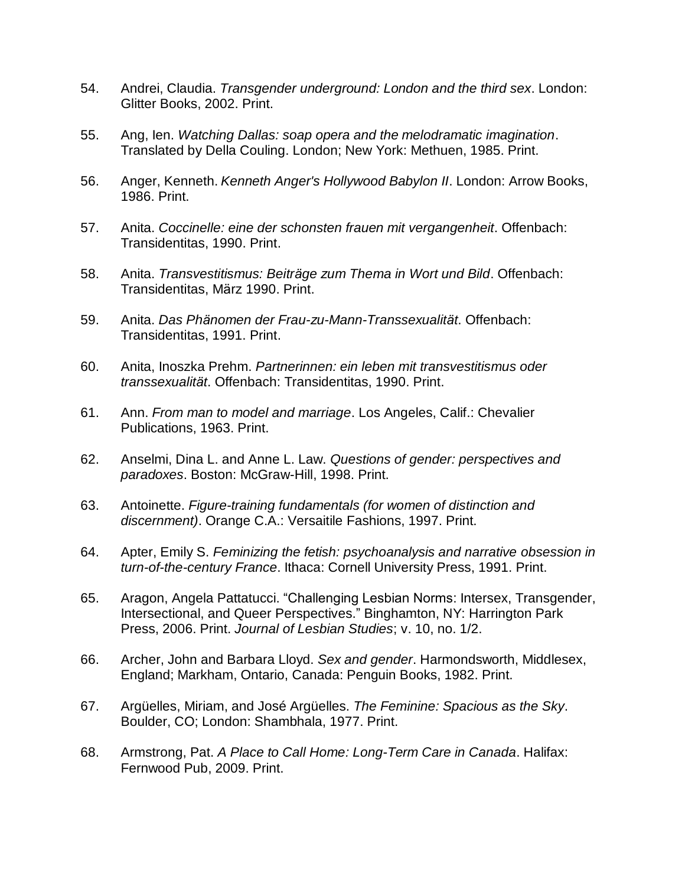- 54. Andrei, Claudia. *Transgender underground: London and the third sex*. London: Glitter Books, 2002. Print.
- 55. Ang, Ien. *Watching Dallas: soap opera and the melodramatic imagination*. Translated by Della Couling. London; New York: Methuen, 1985. Print.
- 56. Anger, Kenneth. *Kenneth Anger's Hollywood Babylon II*. London: Arrow Books, 1986. Print.
- 57. Anita. *Coccinelle: eine der schonsten frauen mit vergangenheit*. Offenbach: Transidentitas, 1990. Print.
- 58. Anita. *Transvestitismus: Beiträge zum Thema in Wort und Bild*. Offenbach: Transidentitas, März 1990. Print.
- 59. Anita. *Das Phänomen der Frau-zu-Mann-Transsexualität*. Offenbach: Transidentitas, 1991. Print.
- 60. Anita, Inoszka Prehm. *Partnerinnen: ein leben mit transvestitismus oder transsexualität*. Offenbach: Transidentitas, 1990. Print.
- 61. Ann. *From man to model and marriage*. Los Angeles, Calif.: Chevalier Publications, 1963. Print.
- 62. Anselmi, Dina L. and Anne L. Law. *Questions of gender: perspectives and paradoxes*. Boston: McGraw-Hill, 1998. Print.
- 63. Antoinette. *Figure-training fundamentals (for women of distinction and discernment)*. Orange C.A.: Versaitile Fashions, 1997. Print.
- 64. Apter, Emily S. *Feminizing the fetish: psychoanalysis and narrative obsession in turn-of-the-century France*. Ithaca: Cornell University Press, 1991. Print.
- 65. Aragon, Angela Pattatucci. "Challenging Lesbian Norms: Intersex, Transgender, Intersectional, and Queer Perspectives." Binghamton, NY: Harrington Park Press, 2006. Print. *Journal of Lesbian Studies*; v. 10, no. 1/2.
- 66. Archer, John and Barbara Lloyd. *Sex and gender*. Harmondsworth, Middlesex, England; Markham, Ontario, Canada: Penguin Books, 1982. Print.
- 67. Argüelles, Miriam, and José Argüelles. *The Feminine: Spacious as the Sky*. Boulder, CO; London: Shambhala, 1977. Print.
- 68. Armstrong, Pat. *A Place to Call Home: Long-Term Care in Canada*. Halifax: Fernwood Pub, 2009. Print.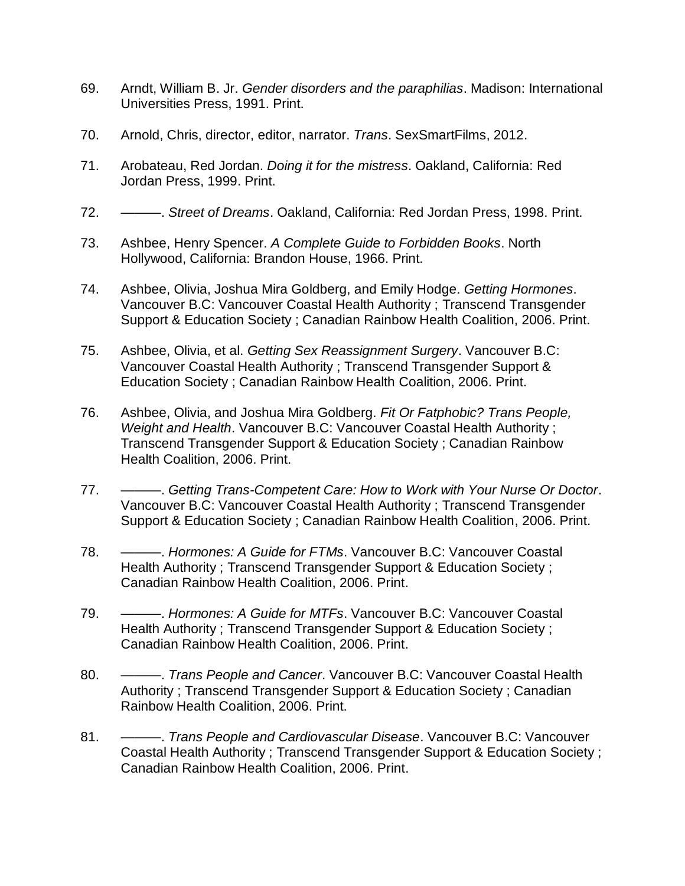- 69. Arndt, William B. Jr. *Gender disorders and the paraphilias*. Madison: International Universities Press, 1991. Print.
- 70. Arnold, Chris, director, editor, narrator. *Trans*. SexSmartFilms, 2012.
- 71. Arobateau, Red Jordan. *Doing it for the mistress*. Oakland, California: Red Jordan Press, 1999. Print.
- 72. ———. *Street of Dreams*. Oakland, California: Red Jordan Press, 1998. Print.
- 73. Ashbee, Henry Spencer. *A Complete Guide to Forbidden Books*. North Hollywood, California: Brandon House, 1966. Print.
- 74. Ashbee, Olivia, Joshua Mira Goldberg, and Emily Hodge. *Getting Hormones*. Vancouver B.C: Vancouver Coastal Health Authority ; Transcend Transgender Support & Education Society ; Canadian Rainbow Health Coalition, 2006. Print.
- 75. Ashbee, Olivia, et al. *Getting Sex Reassignment Surgery*. Vancouver B.C: Vancouver Coastal Health Authority ; Transcend Transgender Support & Education Society ; Canadian Rainbow Health Coalition, 2006. Print.
- 76. Ashbee, Olivia, and Joshua Mira Goldberg. *Fit Or Fatphobic? Trans People, Weight and Health*. Vancouver B.C: Vancouver Coastal Health Authority ; Transcend Transgender Support & Education Society ; Canadian Rainbow Health Coalition, 2006. Print.
- 77. ———. *Getting Trans-Competent Care: How to Work with Your Nurse Or Doctor*. Vancouver B.C: Vancouver Coastal Health Authority ; Transcend Transgender Support & Education Society ; Canadian Rainbow Health Coalition, 2006. Print.
- 78. ———. *Hormones: A Guide for FTMs*. Vancouver B.C: Vancouver Coastal Health Authority ; Transcend Transgender Support & Education Society ; Canadian Rainbow Health Coalition, 2006. Print.
- 79. ———. *Hormones: A Guide for MTFs*. Vancouver B.C: Vancouver Coastal Health Authority ; Transcend Transgender Support & Education Society ; Canadian Rainbow Health Coalition, 2006. Print.
- 80. ———. *Trans People and Cancer*. Vancouver B.C: Vancouver Coastal Health Authority ; Transcend Transgender Support & Education Society ; Canadian Rainbow Health Coalition, 2006. Print.
- 81. ———. *Trans People and Cardiovascular Disease*. Vancouver B.C: Vancouver Coastal Health Authority ; Transcend Transgender Support & Education Society ; Canadian Rainbow Health Coalition, 2006. Print.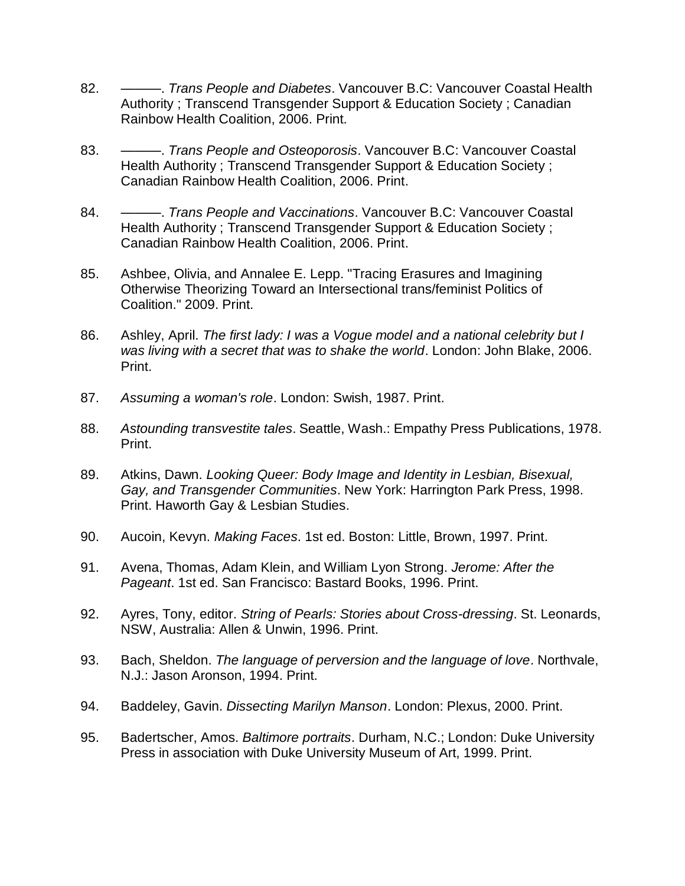- 82. ———. *Trans People and Diabetes*. Vancouver B.C: Vancouver Coastal Health Authority ; Transcend Transgender Support & Education Society ; Canadian Rainbow Health Coalition, 2006. Print.
- 83. ———. *Trans People and Osteoporosis*. Vancouver B.C: Vancouver Coastal Health Authority ; Transcend Transgender Support & Education Society ; Canadian Rainbow Health Coalition, 2006. Print.
- 84. ———. *Trans People and Vaccinations*. Vancouver B.C: Vancouver Coastal Health Authority ; Transcend Transgender Support & Education Society ; Canadian Rainbow Health Coalition, 2006. Print.
- 85. Ashbee, Olivia, and Annalee E. Lepp. "Tracing Erasures and Imagining Otherwise Theorizing Toward an Intersectional trans/feminist Politics of Coalition." 2009. Print.
- 86. Ashley, April. *The first lady: I was a Vogue model and a national celebrity but I was living with a secret that was to shake the world*. London: John Blake, 2006. Print.
- 87. *Assuming a woman's role*. London: Swish, 1987. Print.
- 88. *Astounding transvestite tales*. Seattle, Wash.: Empathy Press Publications, 1978. Print.
- 89. Atkins, Dawn. *Looking Queer: Body Image and Identity in Lesbian, Bisexual, Gay, and Transgender Communities*. New York: Harrington Park Press, 1998. Print. Haworth Gay & Lesbian Studies.
- 90. Aucoin, Kevyn. *Making Faces*. 1st ed. Boston: Little, Brown, 1997. Print.
- 91. Avena, Thomas, Adam Klein, and William Lyon Strong. *Jerome: After the Pageant*. 1st ed. San Francisco: Bastard Books, 1996. Print.
- 92. Ayres, Tony, editor. *String of Pearls: Stories about Cross-dressing*. St. Leonards, NSW, Australia: Allen & Unwin, 1996. Print.
- 93. Bach, Sheldon. *The language of perversion and the language of love*. Northvale, N.J.: Jason Aronson, 1994. Print.
- 94. Baddeley, Gavin. *Dissecting Marilyn Manson*. London: Plexus, 2000. Print.
- 95. Badertscher, Amos. *Baltimore portraits*. Durham, N.C.; London: Duke University Press in association with Duke University Museum of Art, 1999. Print.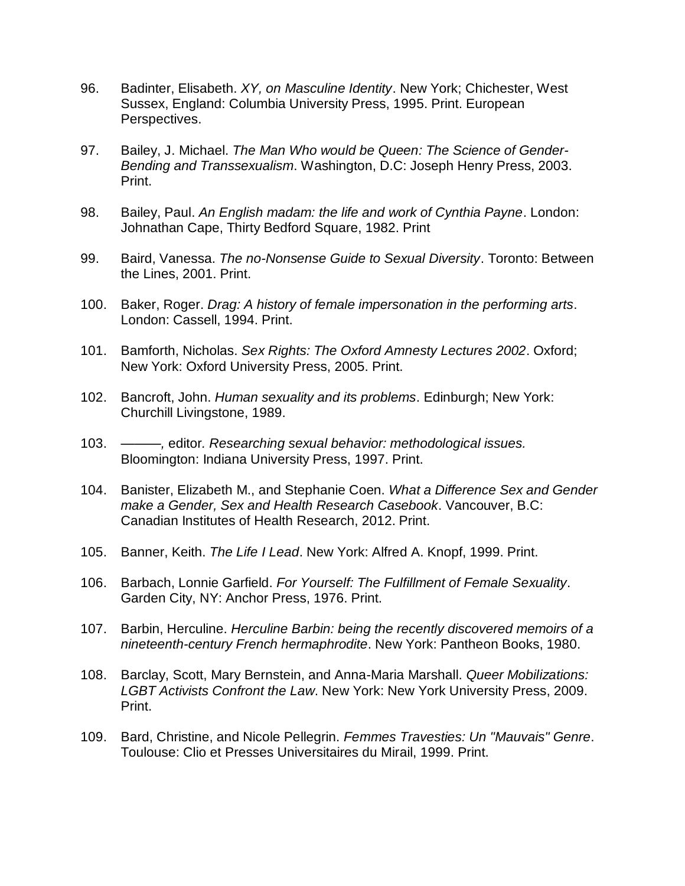- 96. Badinter, Elisabeth. *XY, on Masculine Identity*. New York; Chichester, West Sussex, England: Columbia University Press, 1995. Print. European Perspectives.
- 97. Bailey, J. Michael. *The Man Who would be Queen: The Science of Gender-Bending and Transsexualism*. Washington, D.C: Joseph Henry Press, 2003. Print.
- 98. Bailey, Paul. *An English madam: the life and work of Cynthia Payne*. London: Johnathan Cape, Thirty Bedford Square, 1982. Print
- 99. Baird, Vanessa. *The no-Nonsense Guide to Sexual Diversity*. Toronto: Between the Lines, 2001. Print.
- 100. Baker, Roger. *Drag: A history of female impersonation in the performing arts*. London: Cassell, 1994. Print.
- 101. Bamforth, Nicholas. *Sex Rights: The Oxford Amnesty Lectures 2002*. Oxford; New York: Oxford University Press, 2005. Print.
- 102. Bancroft, John. *Human sexuality and its problems*. Edinburgh; New York: Churchill Livingstone, 1989.
- 103. *———,* editor*. Researching sexual behavior: methodological issues.*  Bloomington: Indiana University Press, 1997. Print.
- 104. Banister, Elizabeth M., and Stephanie Coen. *What a Difference Sex and Gender make a Gender, Sex and Health Research Casebook*. Vancouver, B.C: Canadian Institutes of Health Research, 2012. Print.
- 105. Banner, Keith. *The Life I Lead*. New York: Alfred A. Knopf, 1999. Print.
- 106. Barbach, Lonnie Garfield. *For Yourself: The Fulfillment of Female Sexuality*. Garden City, NY: Anchor Press, 1976. Print.
- 107. Barbin, Herculine. *Herculine Barbin: being the recently discovered memoirs of a nineteenth-century French hermaphrodite*. New York: Pantheon Books, 1980.
- 108. Barclay, Scott, Mary Bernstein, and Anna-Maria Marshall. *Queer Mobilizations: LGBT Activists Confront the Law*. New York: New York University Press, 2009. Print.
- 109. Bard, Christine, and Nicole Pellegrin. *Femmes Travesties: Un "Mauvais" Genre*. Toulouse: Clio et Presses Universitaires du Mirail, 1999. Print.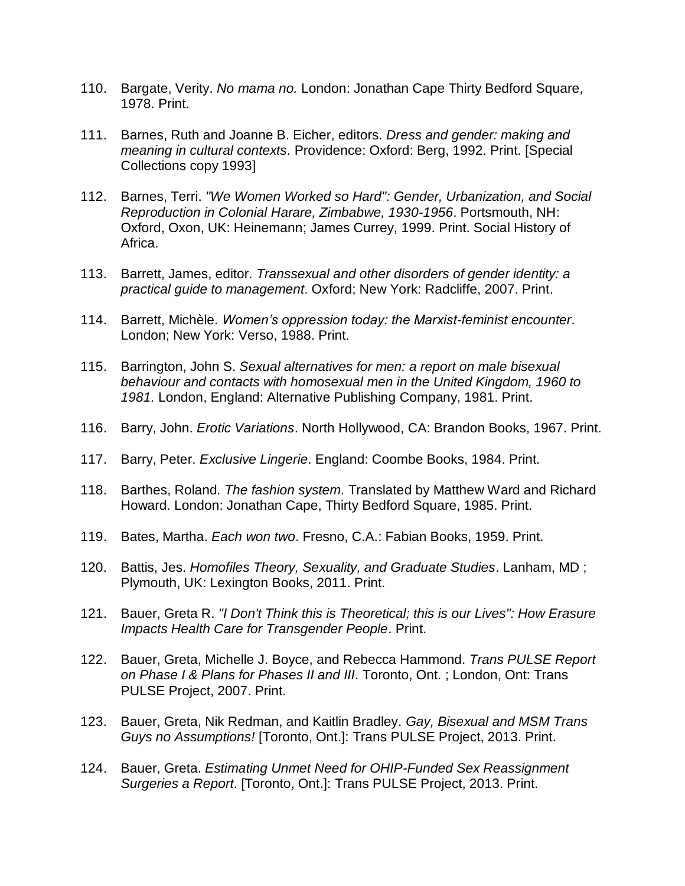- 110. Bargate, Verity. *No mama no.* London: Jonathan Cape Thirty Bedford Square, 1978. Print.
- 111. Barnes, Ruth and Joanne B. Eicher, editors. *Dress and gender: making and meaning in cultural contexts*. Providence: Oxford: Berg, 1992. Print. [Special Collections copy 1993]
- 112. Barnes, Terri. *"We Women Worked so Hard": Gender, Urbanization, and Social Reproduction in Colonial Harare, Zimbabwe, 1930-1956*. Portsmouth, NH: Oxford, Oxon, UK: Heinemann; James Currey, 1999. Print. Social History of Africa.
- 113. Barrett, James, editor. *Transsexual and other disorders of gender identity: a practical guide to management*. Oxford; New York: Radcliffe, 2007. Print.
- 114. Barrett, Michèle. *Women's oppression today: the Marxist-feminist encounter*. London; New York: Verso, 1988. Print.
- 115. Barrington, John S. *Sexual alternatives for men: a report on male bisexual behaviour and contacts with homosexual men in the United Kingdom, 1960 to 1981.* London, England: Alternative Publishing Company, 1981. Print.
- 116. Barry, John. *Erotic Variations*. North Hollywood, CA: Brandon Books, 1967. Print.
- 117. Barry, Peter. *Exclusive Lingerie*. England: Coombe Books, 1984. Print.
- 118. Barthes, Roland*. The fashion system*. Translated by Matthew Ward and Richard Howard. London: Jonathan Cape, Thirty Bedford Square, 1985. Print.
- 119. Bates, Martha. *Each won two*. Fresno, C.A.: Fabian Books, 1959. Print.
- 120. Battis, Jes. *Homofiles Theory, Sexuality, and Graduate Studies*. Lanham, MD ; Plymouth, UK: Lexington Books, 2011. Print.
- 121. Bauer, Greta R. *"I Don't Think this is Theoretical; this is our Lives": How Erasure Impacts Health Care for Transgender People*. Print.
- 122. Bauer, Greta, Michelle J. Boyce, and Rebecca Hammond. *Trans PULSE Report on Phase I & Plans for Phases II and III*. Toronto, Ont. ; London, Ont: Trans PULSE Project, 2007. Print.
- 123. Bauer, Greta, Nik Redman, and Kaitlin Bradley. *Gay, Bisexual and MSM Trans Guys no Assumptions!* [Toronto, Ont.]: Trans PULSE Project, 2013. Print.
- 124. Bauer, Greta. *Estimating Unmet Need for OHIP-Funded Sex Reassignment Surgeries a Report*. [Toronto, Ont.]: Trans PULSE Project, 2013. Print.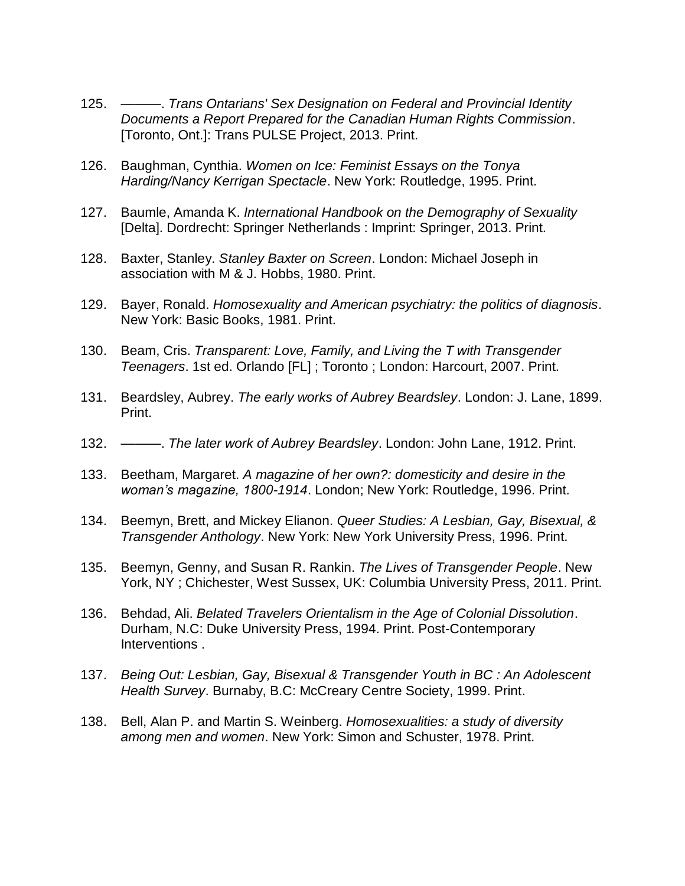- 125. ———. *Trans Ontarians' Sex Designation on Federal and Provincial Identity Documents a Report Prepared for the Canadian Human Rights Commission*. [Toronto, Ont.]: Trans PULSE Project, 2013. Print.
- 126. Baughman, Cynthia. *Women on Ice: Feminist Essays on the Tonya Harding/Nancy Kerrigan Spectacle*. New York: Routledge, 1995. Print.
- 127. Baumle, Amanda K. *International Handbook on the Demography of Sexuality* [Delta]. Dordrecht: Springer Netherlands : Imprint: Springer, 2013. Print.
- 128. Baxter, Stanley. *Stanley Baxter on Screen*. London: Michael Joseph in association with M & J. Hobbs, 1980. Print.
- 129. Bayer, Ronald. *Homosexuality and American psychiatry: the politics of diagnosis*. New York: Basic Books, 1981. Print.
- 130. Beam, Cris. *Transparent: Love, Family, and Living the T with Transgender Teenagers*. 1st ed. Orlando [FL] ; Toronto ; London: Harcourt, 2007. Print.
- 131. Beardsley, Aubrey. *The early works of Aubrey Beardsley*. London: J. Lane, 1899. Print.
- 132. ———. *The later work of Aubrey Beardsley*. London: John Lane, 1912. Print.
- 133. Beetham, Margaret. *A magazine of her own?: domesticity and desire in the woman's magazine, 1800-1914*. London; New York: Routledge, 1996. Print.
- 134. Beemyn, Brett, and Mickey Elianon. *Queer Studies: A Lesbian, Gay, Bisexual, & Transgender Anthology*. New York: New York University Press, 1996. Print.
- 135. Beemyn, Genny, and Susan R. Rankin. *The Lives of Transgender People*. New York, NY ; Chichester, West Sussex, UK: Columbia University Press, 2011. Print.
- 136. Behdad, Ali. *Belated Travelers Orientalism in the Age of Colonial Dissolution*. Durham, N.C: Duke University Press, 1994. Print. Post-Contemporary Interventions .
- 137. *Being Out: Lesbian, Gay, Bisexual & Transgender Youth in BC : An Adolescent Health Survey*. Burnaby, B.C: McCreary Centre Society, 1999. Print.
- 138. Bell, Alan P. and Martin S. Weinberg. *Homosexualities: a study of diversity among men and women*. New York: Simon and Schuster, 1978. Print.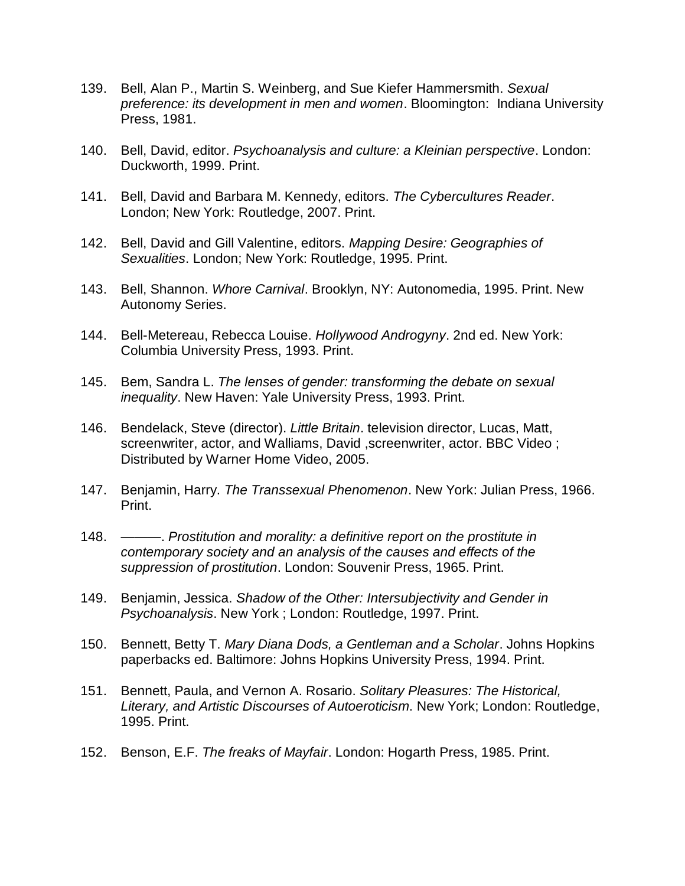- 139. Bell, Alan P., Martin S. Weinberg, and Sue Kiefer Hammersmith. *Sexual preference: its development in men and women*. Bloomington: Indiana University Press, 1981.
- 140. Bell, David, editor. *Psychoanalysis and culture: a Kleinian perspective*. London: Duckworth, 1999. Print.
- 141. Bell, David and Barbara M. Kennedy, editors. *The Cybercultures Reader*. London; New York: Routledge, 2007. Print.
- 142. Bell, David and Gill Valentine, editors. *Mapping Desire: Geographies of Sexualities*. London; New York: Routledge, 1995. Print.
- 143. Bell, Shannon. *Whore Carnival*. Brooklyn, NY: Autonomedia, 1995. Print. New Autonomy Series.
- 144. Bell-Metereau, Rebecca Louise. *Hollywood Androgyny*. 2nd ed. New York: Columbia University Press, 1993. Print.
- 145. Bem, Sandra L. *The lenses of gender: transforming the debate on sexual inequality*. New Haven: Yale University Press, 1993. Print.
- 146. Bendelack, Steve (director). *Little Britain*. television director, Lucas, Matt, screenwriter, actor, and Walliams, David ,screenwriter, actor. BBC Video ; Distributed by Warner Home Video, 2005.
- 147. Benjamin, Harry. *The Transsexual Phenomenon*. New York: Julian Press, 1966. Print.
- 148. ———. *Prostitution and morality: a definitive report on the prostitute in contemporary society and an analysis of the causes and effects of the suppression of prostitution*. London: Souvenir Press, 1965. Print.
- 149. Benjamin, Jessica. *Shadow of the Other: Intersubjectivity and Gender in Psychoanalysis*. New York ; London: Routledge, 1997. Print.
- 150. Bennett, Betty T. *Mary Diana Dods, a Gentleman and a Scholar*. Johns Hopkins paperbacks ed. Baltimore: Johns Hopkins University Press, 1994. Print.
- 151. Bennett, Paula, and Vernon A. Rosario. *Solitary Pleasures: The Historical, Literary, and Artistic Discourses of Autoeroticism*. New York; London: Routledge, 1995. Print.
- 152. Benson, E.F. *The freaks of Mayfair*. London: Hogarth Press, 1985. Print.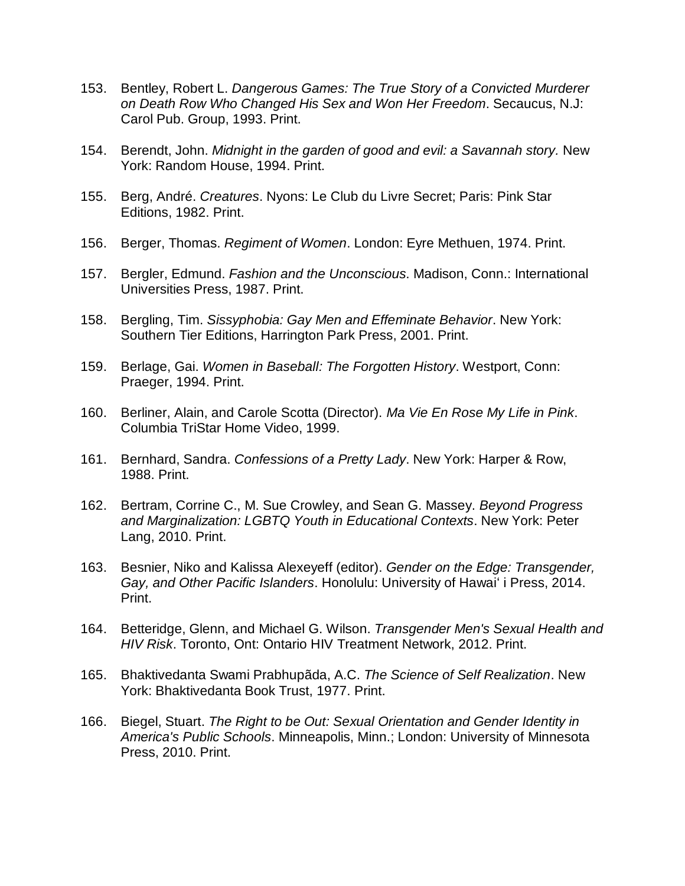- 153. Bentley, Robert L. *Dangerous Games: The True Story of a Convicted Murderer on Death Row Who Changed His Sex and Won Her Freedom*. Secaucus, N.J: Carol Pub. Group, 1993. Print.
- 154. Berendt, John. *Midnight in the garden of good and evil: a Savannah story.* New York: Random House, 1994. Print.
- 155. Berg, André. *Creatures*. Nyons: Le Club du Livre Secret; Paris: Pink Star Editions, 1982. Print.
- 156. Berger, Thomas. *Regiment of Women*. London: Eyre Methuen, 1974. Print.
- 157. Bergler, Edmund. *Fashion and the Unconscious*. Madison, Conn.: International Universities Press, 1987. Print.
- 158. Bergling, Tim. *Sissyphobia: Gay Men and Effeminate Behavior*. New York: Southern Tier Editions, Harrington Park Press, 2001. Print.
- 159. Berlage, Gai. *Women in Baseball: The Forgotten History*. Westport, Conn: Praeger, 1994. Print.
- 160. Berliner, Alain, and Carole Scotta (Director). *Ma Vie En Rose My Life in Pink*. Columbia TriStar Home Video, 1999.
- 161. Bernhard, Sandra. *Confessions of a Pretty Lady*. New York: Harper & Row, 1988. Print.
- 162. Bertram, Corrine C., M. Sue Crowley, and Sean G. Massey. *Beyond Progress and Marginalization: LGBTQ Youth in Educational Contexts*. New York: Peter Lang, 2010. Print.
- 163. Besnier, Niko and Kalissa Alexeyeff (editor). *Gender on the Edge: Transgender, Gay, and Other Pacific Islanders*. Honolulu: University of Hawaiʻ i Press, 2014. Print.
- 164. Betteridge, Glenn, and Michael G. Wilson. *Transgender Men's Sexual Health and HIV Risk*. Toronto, Ont: Ontario HIV Treatment Network, 2012. Print.
- 165. Bhaktivedanta Swami Prabhupãda, A.C. *The Science of Self Realization*. New York: Bhaktivedanta Book Trust, 1977. Print.
- 166. Biegel, Stuart. *The Right to be Out: Sexual Orientation and Gender Identity in America's Public Schools*. Minneapolis, Minn.; London: University of Minnesota Press, 2010. Print.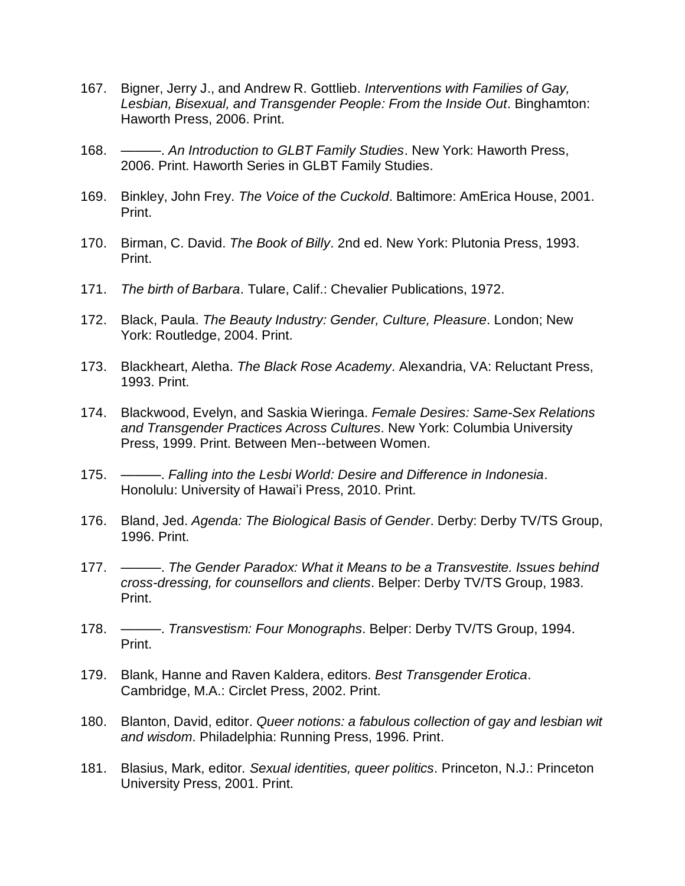- 167. Bigner, Jerry J., and Andrew R. Gottlieb. *Interventions with Families of Gay, Lesbian, Bisexual, and Transgender People: From the Inside Out*. Binghamton: Haworth Press, 2006. Print.
- 168. ———. *An Introduction to GLBT Family Studies*. New York: Haworth Press, 2006. Print. Haworth Series in GLBT Family Studies.
- 169. Binkley, John Frey. *The Voice of the Cuckold*. Baltimore: AmErica House, 2001. Print.
- 170. Birman, C. David. *The Book of Billy*. 2nd ed. New York: Plutonia Press, 1993. Print.
- 171. *The birth of Barbara*. Tulare, Calif.: Chevalier Publications, 1972.
- 172. Black, Paula. *The Beauty Industry: Gender, Culture, Pleasure*. London; New York: Routledge, 2004. Print.
- 173. Blackheart, Aletha. *The Black Rose Academy*. Alexandria, VA: Reluctant Press, 1993. Print.
- 174. Blackwood, Evelyn, and Saskia Wieringa. *Female Desires: Same-Sex Relations and Transgender Practices Across Cultures*. New York: Columbia University Press, 1999. Print. Between Men--between Women.
- 175. ———. *Falling into the Lesbi World: Desire and Difference in Indonesia*. Honolulu: University of Hawai'i Press, 2010. Print.
- 176. Bland, Jed. *Agenda: The Biological Basis of Gender*. Derby: Derby TV/TS Group, 1996. Print.
- 177. ———. *The Gender Paradox: What it Means to be a Transvestite. Issues behind cross-dressing, for counsellors and clients*. Belper: Derby TV/TS Group, 1983. Print.
- 178. ———. *Transvestism: Four Monographs*. Belper: Derby TV/TS Group, 1994. Print.
- 179. Blank, Hanne and Raven Kaldera, editors. *Best Transgender Erotica*. Cambridge, M.A.: Circlet Press, 2002. Print.
- 180. Blanton, David, editor. *Queer notions: a fabulous collection of gay and lesbian wit and wisdom*. Philadelphia: Running Press, 1996. Print.
- 181. Blasius, Mark, editor*. Sexual identities, queer politics*. Princeton, N.J.: Princeton University Press, 2001. Print.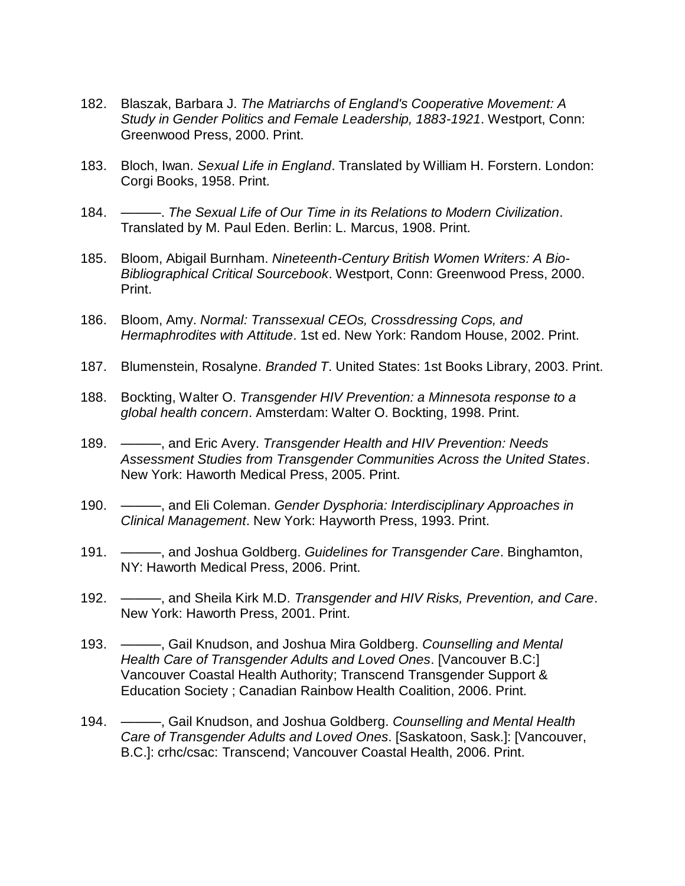- 182. Blaszak, Barbara J. *The Matriarchs of England's Cooperative Movement: A Study in Gender Politics and Female Leadership, 1883-1921*. Westport, Conn: Greenwood Press, 2000. Print.
- 183. Bloch, Iwan. *Sexual Life in England*. Translated by William H. Forstern. London: Corgi Books, 1958. Print.
- 184. ———. *The Sexual Life of Our Time in its Relations to Modern Civilization*. Translated by M. Paul Eden. Berlin: L. Marcus, 1908. Print.
- 185. Bloom, Abigail Burnham. *Nineteenth-Century British Women Writers: A Bio-Bibliographical Critical Sourcebook*. Westport, Conn: Greenwood Press, 2000. Print.
- 186. Bloom, Amy. *Normal: Transsexual CEOs, Crossdressing Cops, and Hermaphrodites with Attitude*. 1st ed. New York: Random House, 2002. Print.
- 187. Blumenstein, Rosalyne. *Branded T*. United States: 1st Books Library, 2003. Print.
- 188. Bockting, Walter O. *Transgender HIV Prevention: a Minnesota response to a global health concern*. Amsterdam: Walter O. Bockting, 1998. Print.
- 189. ———, and Eric Avery. *Transgender Health and HIV Prevention: Needs Assessment Studies from Transgender Communities Across the United States*. New York: Haworth Medical Press, 2005. Print.
- 190. ———, and Eli Coleman. *Gender Dysphoria: Interdisciplinary Approaches in Clinical Management*. New York: Hayworth Press, 1993. Print.
- 191. ———, and Joshua Goldberg. *Guidelines for Transgender Care*. Binghamton, NY: Haworth Medical Press, 2006. Print.
- 192. ———, and Sheila Kirk M.D. *Transgender and HIV Risks, Prevention, and Care*. New York: Haworth Press, 2001. Print.
- 193. ———, Gail Knudson, and Joshua Mira Goldberg. *Counselling and Mental Health Care of Transgender Adults and Loved Ones*. [Vancouver B.C:] Vancouver Coastal Health Authority; Transcend Transgender Support & Education Society ; Canadian Rainbow Health Coalition, 2006. Print.
- 194. ———, Gail Knudson, and Joshua Goldberg. *Counselling and Mental Health Care of Transgender Adults and Loved Ones*. [Saskatoon, Sask.]: [Vancouver, B.C.]: crhc/csac: Transcend; Vancouver Coastal Health, 2006. Print.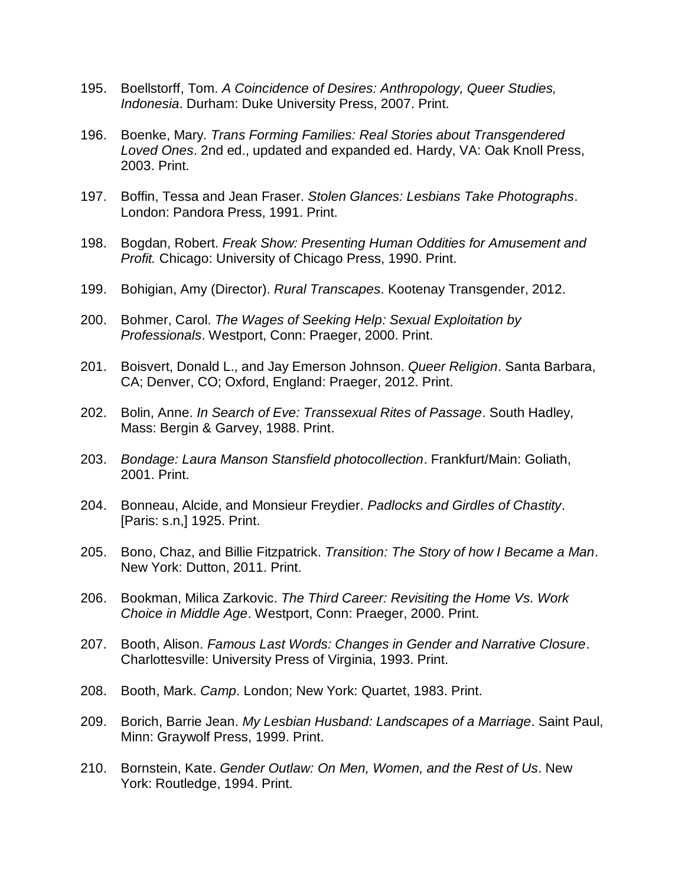- 195. Boellstorff, Tom. *A Coincidence of Desires: Anthropology, Queer Studies, Indonesia*. Durham: Duke University Press, 2007. Print.
- 196. Boenke, Mary. *Trans Forming Families: Real Stories about Transgendered Loved Ones*. 2nd ed., updated and expanded ed. Hardy, VA: Oak Knoll Press, 2003. Print.
- 197. Boffin, Tessa and Jean Fraser. *Stolen Glances: Lesbians Take Photographs*. London: Pandora Press, 1991. Print.
- 198. Bogdan, Robert. *Freak Show: Presenting Human Oddities for Amusement and Profit.* Chicago: University of Chicago Press, 1990. Print.
- 199. Bohigian, Amy (Director). *Rural Transcapes*. Kootenay Transgender, 2012.
- 200. Bohmer, Carol. *The Wages of Seeking Help: Sexual Exploitation by Professionals*. Westport, Conn: Praeger, 2000. Print.
- 201. Boisvert, Donald L., and Jay Emerson Johnson. *Queer Religion*. Santa Barbara, CA; Denver, CO; Oxford, England: Praeger, 2012. Print.
- 202. Bolin, Anne. *In Search of Eve: Transsexual Rites of Passage*. South Hadley, Mass: Bergin & Garvey, 1988. Print.
- 203. *Bondage: Laura Manson Stansfield photocollection*. Frankfurt/Main: Goliath, 2001. Print.
- 204. Bonneau, Alcide, and Monsieur Freydier. *Padlocks and Girdles of Chastity*. [Paris: s.n,] 1925. Print.
- 205. Bono, Chaz, and Billie Fitzpatrick. *Transition: The Story of how I Became a Man*. New York: Dutton, 2011. Print.
- 206. Bookman, Milica Zarkovic. *The Third Career: Revisiting the Home Vs. Work Choice in Middle Age*. Westport, Conn: Praeger, 2000. Print.
- 207. Booth, Alison. *Famous Last Words: Changes in Gender and Narrative Closure*. Charlottesville: University Press of Virginia, 1993. Print.
- 208. Booth, Mark. *Camp*. London; New York: Quartet, 1983. Print.
- 209. Borich, Barrie Jean. *My Lesbian Husband: Landscapes of a Marriage*. Saint Paul, Minn: Graywolf Press, 1999. Print.
- 210. Bornstein, Kate. *Gender Outlaw: On Men, Women, and the Rest of Us*. New York: Routledge, 1994. Print.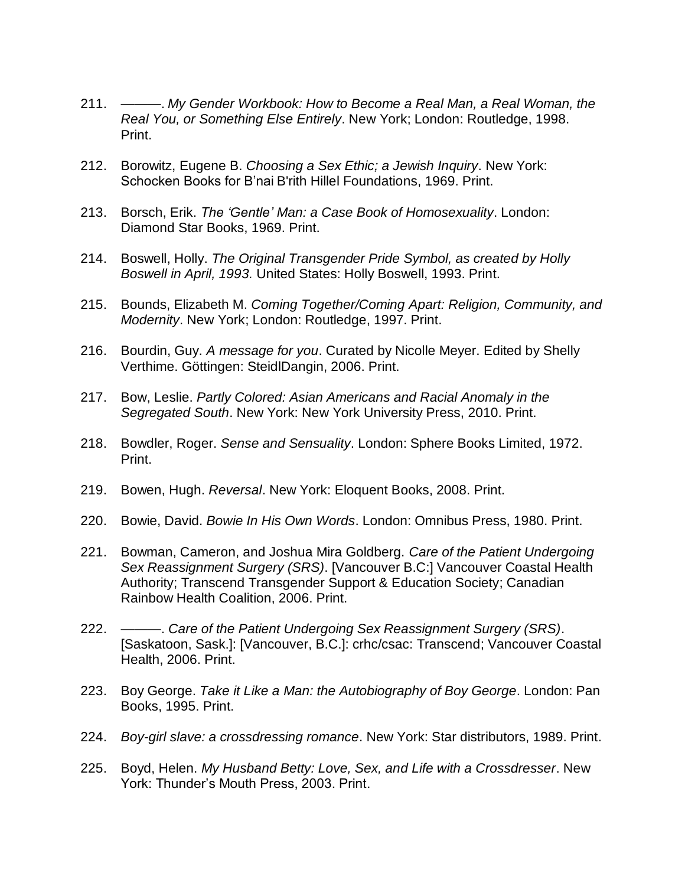- 211. ———. *My Gender Workbook: How to Become a Real Man, a Real Woman, the Real You, or Something Else Entirely*. New York; London: Routledge, 1998. Print.
- 212. Borowitz, Eugene B. *Choosing a Sex Ethic; a Jewish Inquiry*. New York: Schocken Books for B'nai B'rith Hillel Foundations, 1969. Print.
- 213. Borsch, Erik. *The 'Gentle' Man: a Case Book of Homosexuality*. London: Diamond Star Books, 1969. Print.
- 214. Boswell, Holly. *The Original Transgender Pride Symbol, as created by Holly Boswell in April, 1993.* United States: Holly Boswell, 1993. Print.
- 215. Bounds, Elizabeth M. *Coming Together/Coming Apart: Religion, Community, and Modernity*. New York; London: Routledge, 1997. Print.
- 216. Bourdin, Guy. *A message for you*. Curated by Nicolle Meyer. Edited by Shelly Verthime. Göttingen: SteidlDangin, 2006. Print.
- 217. Bow, Leslie. *Partly Colored: Asian Americans and Racial Anomaly in the Segregated South*. New York: New York University Press, 2010. Print.
- 218. Bowdler, Roger. *Sense and Sensuality*. London: Sphere Books Limited, 1972. Print.
- 219. Bowen, Hugh. *Reversal*. New York: Eloquent Books, 2008. Print.
- 220. Bowie, David. *Bowie In His Own Words*. London: Omnibus Press, 1980. Print.
- 221. Bowman, Cameron, and Joshua Mira Goldberg. *Care of the Patient Undergoing Sex Reassignment Surgery (SRS)*. [Vancouver B.C:] Vancouver Coastal Health Authority; Transcend Transgender Support & Education Society; Canadian Rainbow Health Coalition, 2006. Print.
- 222. ———. *Care of the Patient Undergoing Sex Reassignment Surgery (SRS)*. [Saskatoon, Sask.]: [Vancouver, B.C.]: crhc/csac: Transcend; Vancouver Coastal Health, 2006. Print.
- 223. Boy George. *Take it Like a Man: the Autobiography of Boy George*. London: Pan Books, 1995. Print.
- 224. *Boy-girl slave: a crossdressing romance*. New York: Star distributors, 1989. Print.
- 225. Boyd, Helen. *My Husband Betty: Love, Sex, and Life with a Crossdresser*. New York: Thunder's Mouth Press, 2003. Print.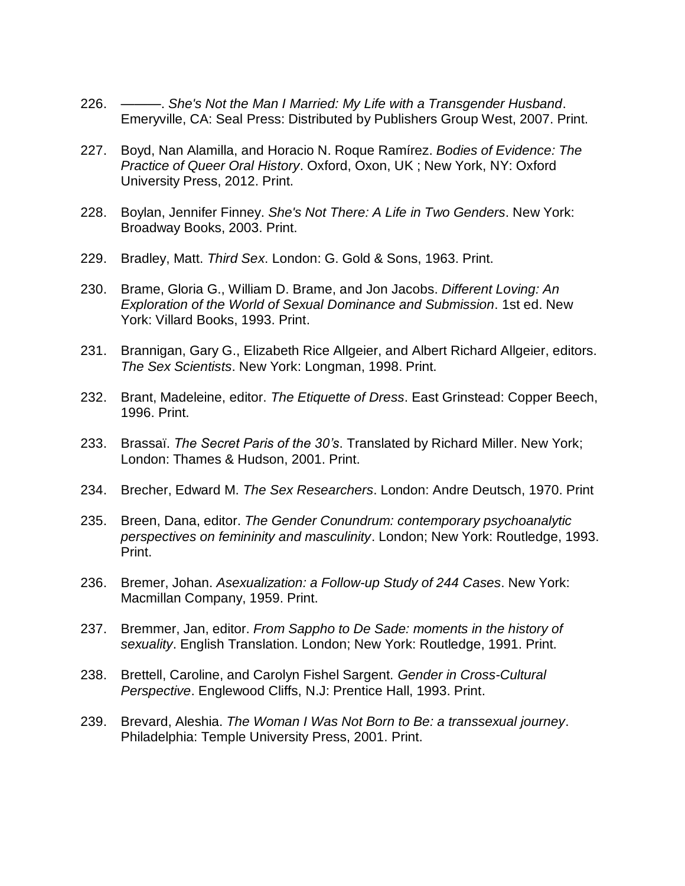- 226. ———. *She's Not the Man I Married: My Life with a Transgender Husband*. Emeryville, CA: Seal Press: Distributed by Publishers Group West, 2007. Print.
- 227. Boyd, Nan Alamilla, and Horacio N. Roque Ramírez. *Bodies of Evidence: The Practice of Queer Oral History*. Oxford, Oxon, UK ; New York, NY: Oxford University Press, 2012. Print.
- 228. Boylan, Jennifer Finney. *She's Not There: A Life in Two Genders*. New York: Broadway Books, 2003. Print.
- 229. Bradley, Matt. *Third Sex*. London: G. Gold & Sons, 1963. Print.
- 230. Brame, Gloria G., William D. Brame, and Jon Jacobs. *Different Loving: An Exploration of the World of Sexual Dominance and Submission*. 1st ed. New York: Villard Books, 1993. Print.
- 231. Brannigan, Gary G., Elizabeth Rice Allgeier, and Albert Richard Allgeier, editors. *The Sex Scientists*. New York: Longman, 1998. Print.
- 232. Brant, Madeleine, editor. *The Etiquette of Dress*. East Grinstead: Copper Beech, 1996. Print.
- 233. Brassaï. *The Secret Paris of the 30's*. Translated by Richard Miller. New York; London: Thames & Hudson, 2001. Print.
- 234. Brecher, Edward M. *The Sex Researchers*. London: Andre Deutsch, 1970. Print
- 235. Breen, Dana, editor. *The Gender Conundrum: contemporary psychoanalytic perspectives on femininity and masculinity*. London; New York: Routledge, 1993. Print.
- 236. Bremer, Johan. *Asexualization: a Follow-up Study of 244 Cases*. New York: Macmillan Company, 1959. Print.
- 237. Bremmer, Jan, editor. *From Sappho to De Sade: moments in the history of sexuality*. English Translation. London; New York: Routledge, 1991. Print.
- 238. Brettell, Caroline, and Carolyn Fishel Sargent. *Gender in Cross-Cultural Perspective*. Englewood Cliffs, N.J: Prentice Hall, 1993. Print.
- 239. Brevard, Aleshia. *The Woman I Was Not Born to Be: a transsexual journey*. Philadelphia: Temple University Press, 2001. Print.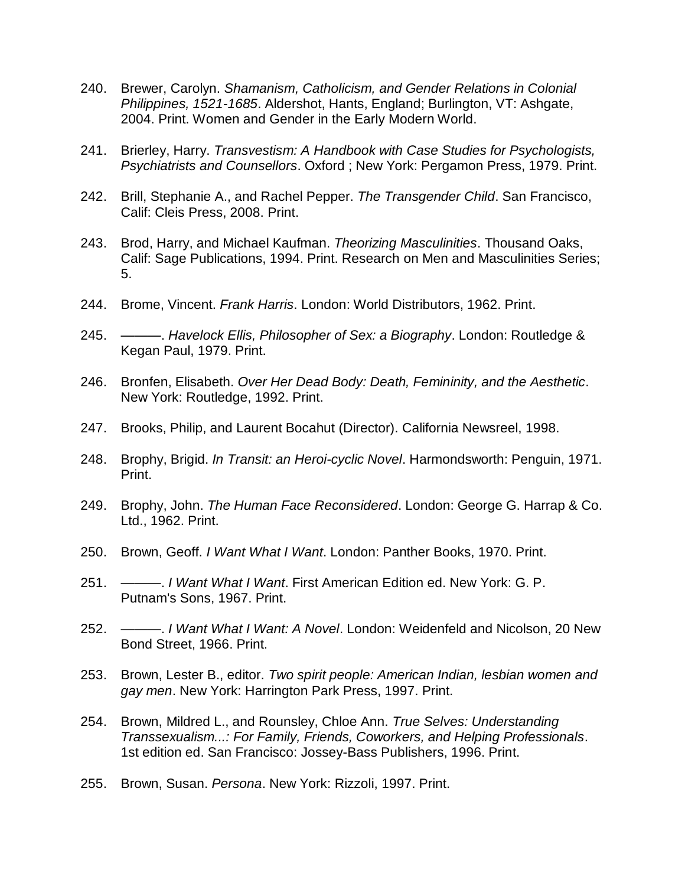- 240. Brewer, Carolyn. *Shamanism, Catholicism, and Gender Relations in Colonial Philippines, 1521-1685*. Aldershot, Hants, England; Burlington, VT: Ashgate, 2004. Print. Women and Gender in the Early Modern World.
- 241. Brierley, Harry. *Transvestism: A Handbook with Case Studies for Psychologists, Psychiatrists and Counsellors*. Oxford ; New York: Pergamon Press, 1979. Print.
- 242. Brill, Stephanie A., and Rachel Pepper. *The Transgender Child*. San Francisco, Calif: Cleis Press, 2008. Print.
- 243. Brod, Harry, and Michael Kaufman. *Theorizing Masculinities*. Thousand Oaks, Calif: Sage Publications, 1994. Print. Research on Men and Masculinities Series; 5.
- 244. Brome, Vincent. *Frank Harris*. London: World Distributors, 1962. Print.
- 245. ———. *Havelock Ellis, Philosopher of Sex: a Biography*. London: Routledge & Kegan Paul, 1979. Print.
- 246. Bronfen, Elisabeth. *Over Her Dead Body: Death, Femininity, and the Aesthetic*. New York: Routledge, 1992. Print.
- 247. Brooks, Philip, and Laurent Bocahut (Director). California Newsreel, 1998.
- 248. Brophy, Brigid. *In Transit: an Heroi-cyclic Novel*. Harmondsworth: Penguin, 1971. Print.
- 249. Brophy, John. *The Human Face Reconsidered*. London: George G. Harrap & Co. Ltd., 1962. Print.
- 250. Brown, Geoff. *I Want What I Want*. London: Panther Books, 1970. Print.
- 251. ———. *I Want What I Want*. First American Edition ed. New York: G. P. Putnam's Sons, 1967. Print.
- 252. ———. *I Want What I Want: A Novel*. London: Weidenfeld and Nicolson, 20 New Bond Street, 1966. Print.
- 253. Brown, Lester B., editor. *Two spirit people: American Indian, lesbian women and gay men*. New York: Harrington Park Press, 1997. Print.
- 254. Brown, Mildred L., and Rounsley, Chloe Ann. *True Selves: Understanding Transsexualism...: For Family, Friends, Coworkers, and Helping Professionals*. 1st edition ed. San Francisco: Jossey-Bass Publishers, 1996. Print.
- 255. Brown, Susan. *Persona*. New York: Rizzoli, 1997. Print.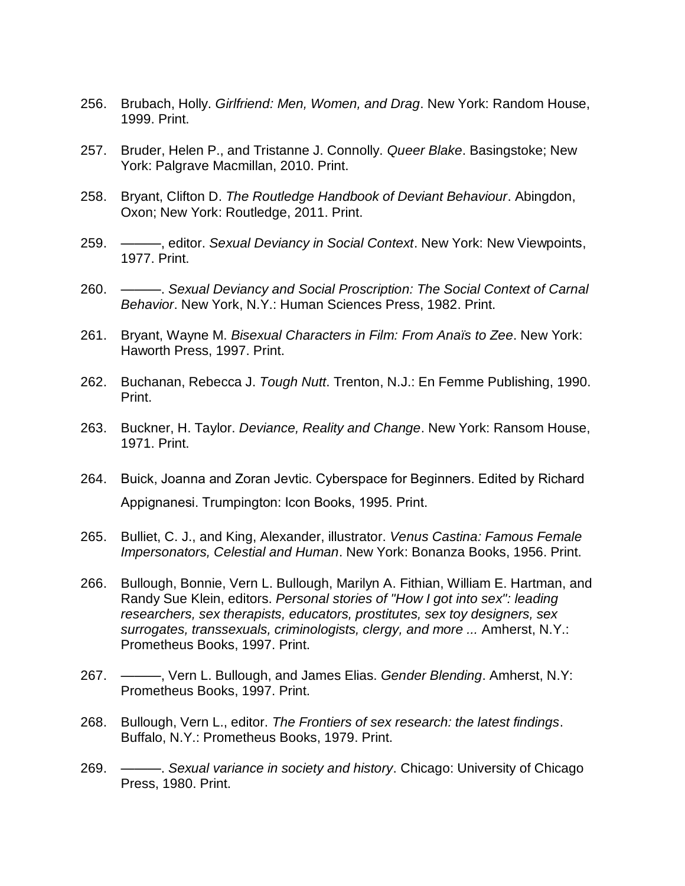- 256. Brubach, Holly. *Girlfriend: Men, Women, and Drag*. New York: Random House, 1999. Print.
- 257. Bruder, Helen P., and Tristanne J. Connolly. *Queer Blake*. Basingstoke; New York: Palgrave Macmillan, 2010. Print.
- 258. Bryant, Clifton D. *The Routledge Handbook of Deviant Behaviour*. Abingdon, Oxon; New York: Routledge, 2011. Print.
- 259. ———, editor. *Sexual Deviancy in Social Context*. New York: New Viewpoints, 1977. Print.
- 260. ———. *Sexual Deviancy and Social Proscription: The Social Context of Carnal Behavior*. New York, N.Y.: Human Sciences Press, 1982. Print.
- 261. Bryant, Wayne M. *Bisexual Characters in Film: From Anaïs to Zee*. New York: Haworth Press, 1997. Print.
- 262. Buchanan, Rebecca J. *Tough Nutt*. Trenton, N.J.: En Femme Publishing, 1990. Print.
- 263. Buckner, H. Taylor. *Deviance, Reality and Change*. New York: Ransom House, 1971. Print.
- 264. Buick, Joanna and Zoran Jevtic. Cyberspace for Beginners. Edited by Richard Appignanesi. Trumpington: Icon Books, 1995. Print.
- 265. Bulliet, C. J., and King, Alexander, illustrator. *Venus Castina: Famous Female Impersonators, Celestial and Human*. New York: Bonanza Books, 1956. Print.
- 266. Bullough, Bonnie, Vern L. Bullough, Marilyn A. Fithian, William E. Hartman, and Randy Sue Klein, editors. *Personal stories of "How I got into sex": leading researchers, sex therapists, educators, prostitutes, sex toy designers, sex surrogates, transsexuals, criminologists, clergy, and more ...* Amherst, N.Y.: Prometheus Books, 1997. Print.
- 267. ———, Vern L. Bullough, and James Elias. *Gender Blending*. Amherst, N.Y: Prometheus Books, 1997. Print.
- 268. Bullough, Vern L., editor. *The Frontiers of sex research: the latest findings*. Buffalo, N.Y.: Prometheus Books, 1979. Print.
- 269. ———. *Sexual variance in society and history*. Chicago: University of Chicago Press, 1980. Print.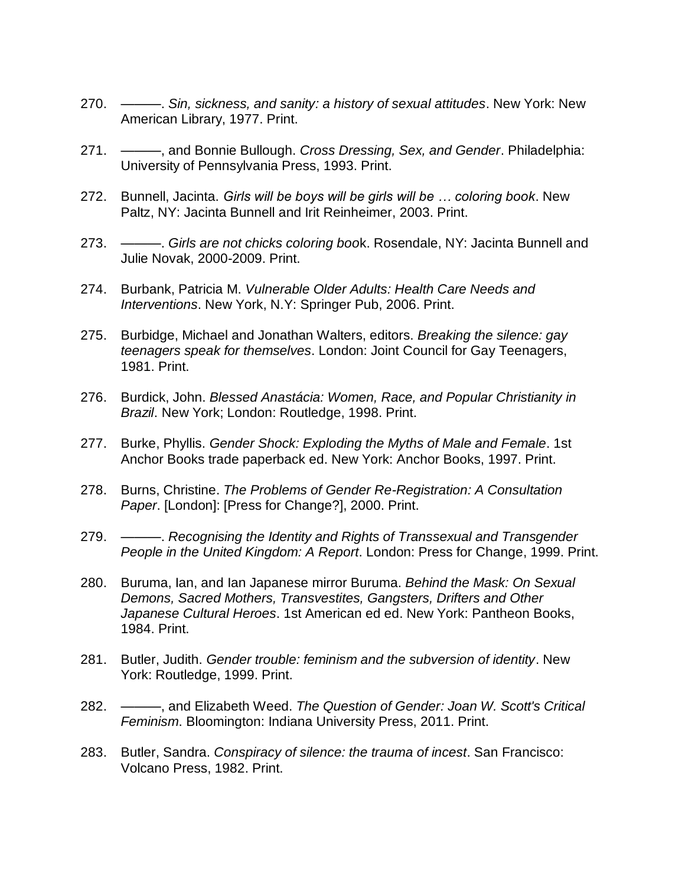- 270. ———. *Sin, sickness, and sanity: a history of sexual attitudes*. New York: New American Library, 1977. Print.
- 271. ———, and Bonnie Bullough. *Cross Dressing, Sex, and Gender*. Philadelphia: University of Pennsylvania Press, 1993. Print.
- 272. Bunnell, Jacinta. *Girls will be boys will be girls will be … coloring book*. New Paltz, NY: Jacinta Bunnell and Irit Reinheimer, 2003. Print.
- 273. ———. *Girls are not chicks coloring boo*k. Rosendale, NY: Jacinta Bunnell and Julie Novak, 2000-2009. Print.
- 274. Burbank, Patricia M. *Vulnerable Older Adults: Health Care Needs and Interventions*. New York, N.Y: Springer Pub, 2006. Print.
- 275. Burbidge, Michael and Jonathan Walters, editors. *Breaking the silence: gay teenagers speak for themselves*. London: Joint Council for Gay Teenagers, 1981. Print.
- 276. Burdick, John. *Blessed Anastácia: Women, Race, and Popular Christianity in Brazil*. New York; London: Routledge, 1998. Print.
- 277. Burke, Phyllis. *Gender Shock: Exploding the Myths of Male and Female*. 1st Anchor Books trade paperback ed. New York: Anchor Books, 1997. Print.
- 278. Burns, Christine. *The Problems of Gender Re-Registration: A Consultation Paper*. [London]: [Press for Change?], 2000. Print.
- 279. ———. *Recognising the Identity and Rights of Transsexual and Transgender People in the United Kingdom: A Report*. London: Press for Change, 1999. Print.
- 280. Buruma, Ian, and Ian Japanese mirror Buruma. *Behind the Mask: On Sexual Demons, Sacred Mothers, Transvestites, Gangsters, Drifters and Other Japanese Cultural Heroes*. 1st American ed ed. New York: Pantheon Books, 1984. Print.
- 281. Butler, Judith. *Gender trouble: feminism and the subversion of identity*. New York: Routledge, 1999. Print.
- 282. ———, and Elizabeth Weed. *The Question of Gender: Joan W. Scott's Critical Feminism*. Bloomington: Indiana University Press, 2011. Print.
- 283. Butler, Sandra. *Conspiracy of silence: the trauma of incest*. San Francisco: Volcano Press, 1982. Print.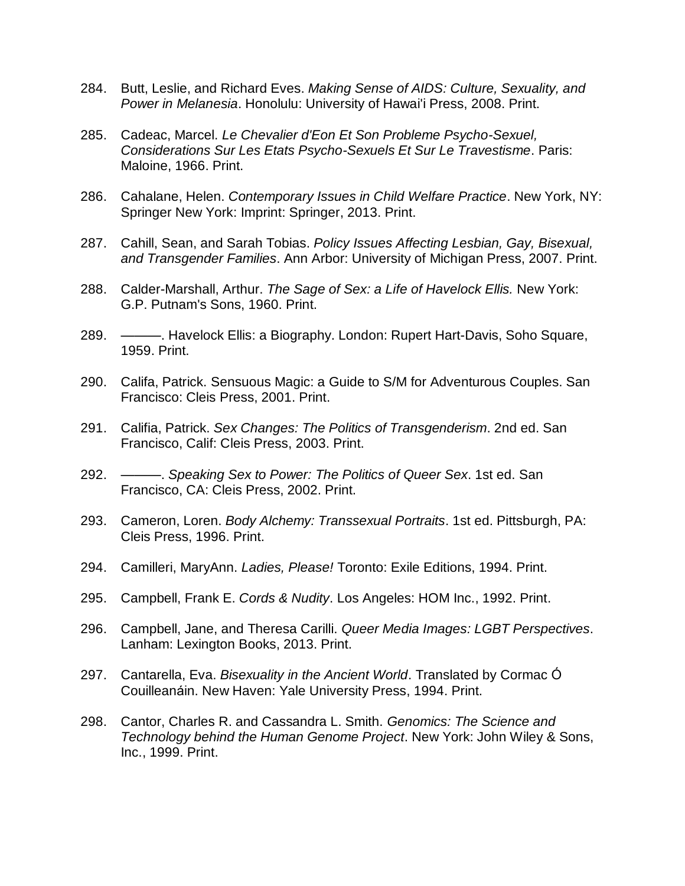- 284. Butt, Leslie, and Richard Eves. *Making Sense of AIDS: Culture, Sexuality, and Power in Melanesia*. Honolulu: University of Hawai'i Press, 2008. Print.
- 285. Cadeac, Marcel. *Le Chevalier d'Eon Et Son Probleme Psycho-Sexuel, Considerations Sur Les Etats Psycho-Sexuels Et Sur Le Travestisme*. Paris: Maloine, 1966. Print.
- 286. Cahalane, Helen. *Contemporary Issues in Child Welfare Practice*. New York, NY: Springer New York: Imprint: Springer, 2013. Print.
- 287. Cahill, Sean, and Sarah Tobias. *Policy Issues Affecting Lesbian, Gay, Bisexual, and Transgender Families*. Ann Arbor: University of Michigan Press, 2007. Print.
- 288. Calder-Marshall, Arthur. *The Sage of Sex: a Life of Havelock Ellis.* New York: G.P. Putnam's Sons, 1960. Print.
- 289. ———. Havelock Ellis: a Biography. London: Rupert Hart-Davis, Soho Square, 1959. Print.
- 290. Califa, Patrick. Sensuous Magic: a Guide to S/M for Adventurous Couples. San Francisco: Cleis Press, 2001. Print.
- 291. Califia, Patrick. *Sex Changes: The Politics of Transgenderism*. 2nd ed. San Francisco, Calif: Cleis Press, 2003. Print.
- 292. ———. *Speaking Sex to Power: The Politics of Queer Sex*. 1st ed. San Francisco, CA: Cleis Press, 2002. Print.
- 293. Cameron, Loren. *Body Alchemy: Transsexual Portraits*. 1st ed. Pittsburgh, PA: Cleis Press, 1996. Print.
- 294. Camilleri, MaryAnn. *Ladies, Please!* Toronto: Exile Editions, 1994. Print.
- 295. Campbell, Frank E. *Cords & Nudity*. Los Angeles: HOM Inc., 1992. Print.
- 296. Campbell, Jane, and Theresa Carilli. *Queer Media Images: LGBT Perspectives*. Lanham: Lexington Books, 2013. Print.
- 297. Cantarella, Eva. *Bisexuality in the Ancient World*. Translated by Cormac Ó Couilleanáin. New Haven: Yale University Press, 1994. Print.
- 298. Cantor, Charles R. and Cassandra L. Smith. *Genomics: The Science and Technology behind the Human Genome Project*. New York: John Wiley & Sons, Inc., 1999. Print.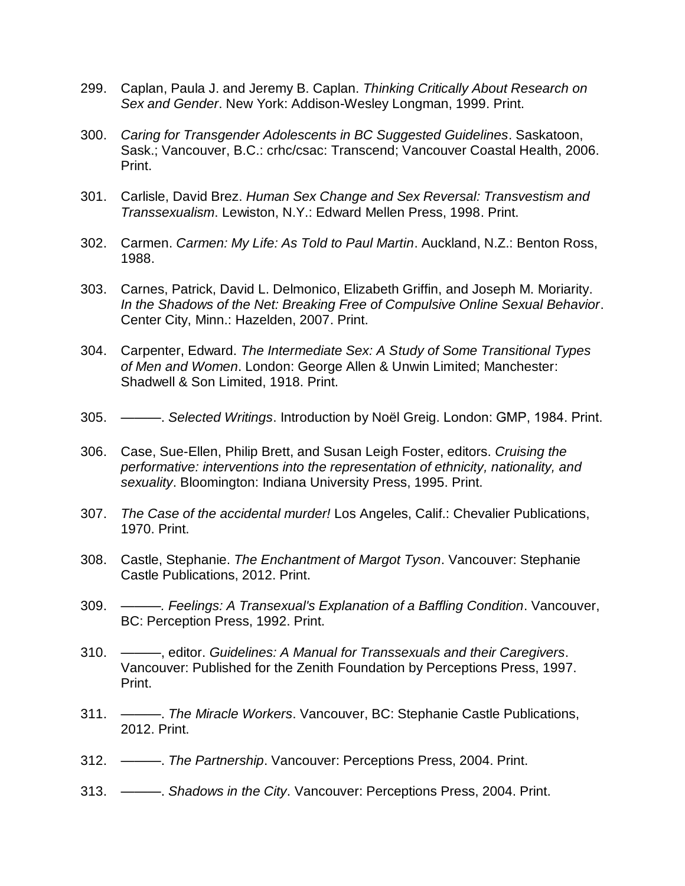- 299. Caplan, Paula J. and Jeremy B. Caplan. *Thinking Critically About Research on Sex and Gender*. New York: Addison-Wesley Longman, 1999. Print.
- 300. *Caring for Transgender Adolescents in BC Suggested Guidelines*. Saskatoon, Sask.; Vancouver, B.C.: crhc/csac: Transcend; Vancouver Coastal Health, 2006. Print.
- 301. Carlisle, David Brez. *Human Sex Change and Sex Reversal: Transvestism and Transsexualism*. Lewiston, N.Y.: Edward Mellen Press, 1998. Print.
- 302. Carmen. *Carmen: My Life: As Told to Paul Martin*. Auckland, N.Z.: Benton Ross, 1988.
- 303. Carnes, Patrick, David L. Delmonico, Elizabeth Griffin, and Joseph M. Moriarity. *In the Shadows of the Net: Breaking Free of Compulsive Online Sexual Behavior*. Center City, Minn.: Hazelden, 2007. Print.
- 304. Carpenter, Edward. *The Intermediate Sex: A Study of Some Transitional Types of Men and Women*. London: George Allen & Unwin Limited; Manchester: Shadwell & Son Limited, 1918. Print.
- 305. ———. *Selected Writings*. Introduction by Noël Greig. London: GMP, 1984. Print.
- 306. Case, Sue-Ellen, Philip Brett, and Susan Leigh Foster, editors. *Cruising the performative: interventions into the representation of ethnicity, nationality, and sexuality*. Bloomington: Indiana University Press, 1995. Print.
- 307. *The Case of the accidental murder!* Los Angeles, Calif.: Chevalier Publications, 1970. Print.
- 308. Castle, Stephanie. *The Enchantment of Margot Tyson*. Vancouver: Stephanie Castle Publications, 2012. Print.
- 309. *———. Feelings: A Transexual's Explanation of a Baffling Condition*. Vancouver, BC: Perception Press, 1992. Print.
- 310. ———, editor. *Guidelines: A Manual for Transsexuals and their Caregivers*. Vancouver: Published for the Zenith Foundation by Perceptions Press, 1997. Print.
- 311. ———. *The Miracle Workers*. Vancouver, BC: Stephanie Castle Publications, 2012. Print.
- 312. ———. *The Partnership*. Vancouver: Perceptions Press, 2004. Print.
- 313. ———. *Shadows in the City*. Vancouver: Perceptions Press, 2004. Print.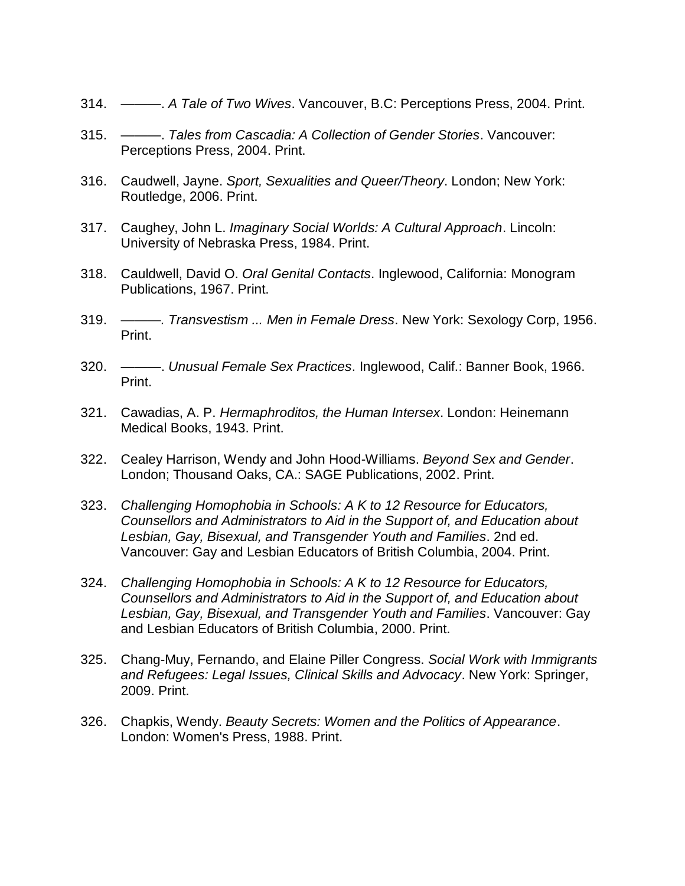- 314. ———. *A Tale of Two Wives*. Vancouver, B.C: Perceptions Press, 2004. Print.
- 315. ———. *Tales from Cascadia: A Collection of Gender Stories*. Vancouver: Perceptions Press, 2004. Print.
- 316. Caudwell, Jayne. *Sport, Sexualities and Queer/Theory*. London; New York: Routledge, 2006. Print.
- 317. Caughey, John L. *Imaginary Social Worlds: A Cultural Approach*. Lincoln: University of Nebraska Press, 1984. Print.
- 318. Cauldwell, David O. *Oral Genital Contacts*. Inglewood, California: Monogram Publications, 1967. Print.
- 319. *———. Transvestism ... Men in Female Dress*. New York: Sexology Corp, 1956. Print.
- 320. ———. *Unusual Female Sex Practices*. Inglewood, Calif.: Banner Book, 1966. Print.
- 321. Cawadias, A. P. *Hermaphroditos, the Human Intersex*. London: Heinemann Medical Books, 1943. Print.
- 322. Cealey Harrison, Wendy and John Hood-Williams. *Beyond Sex and Gender*. London; Thousand Oaks, CA.: SAGE Publications, 2002. Print.
- 323. *Challenging Homophobia in Schools: A K to 12 Resource for Educators, Counsellors and Administrators to Aid in the Support of, and Education about Lesbian, Gay, Bisexual, and Transgender Youth and Families*. 2nd ed. Vancouver: Gay and Lesbian Educators of British Columbia, 2004. Print.
- 324. *Challenging Homophobia in Schools: A K to 12 Resource for Educators, Counsellors and Administrators to Aid in the Support of, and Education about Lesbian, Gay, Bisexual, and Transgender Youth and Families*. Vancouver: Gay and Lesbian Educators of British Columbia, 2000. Print.
- 325. Chang-Muy, Fernando, and Elaine Piller Congress. *Social Work with Immigrants and Refugees: Legal Issues, Clinical Skills and Advocacy*. New York: Springer, 2009. Print.
- 326. Chapkis, Wendy. *Beauty Secrets: Women and the Politics of Appearance*. London: Women's Press, 1988. Print.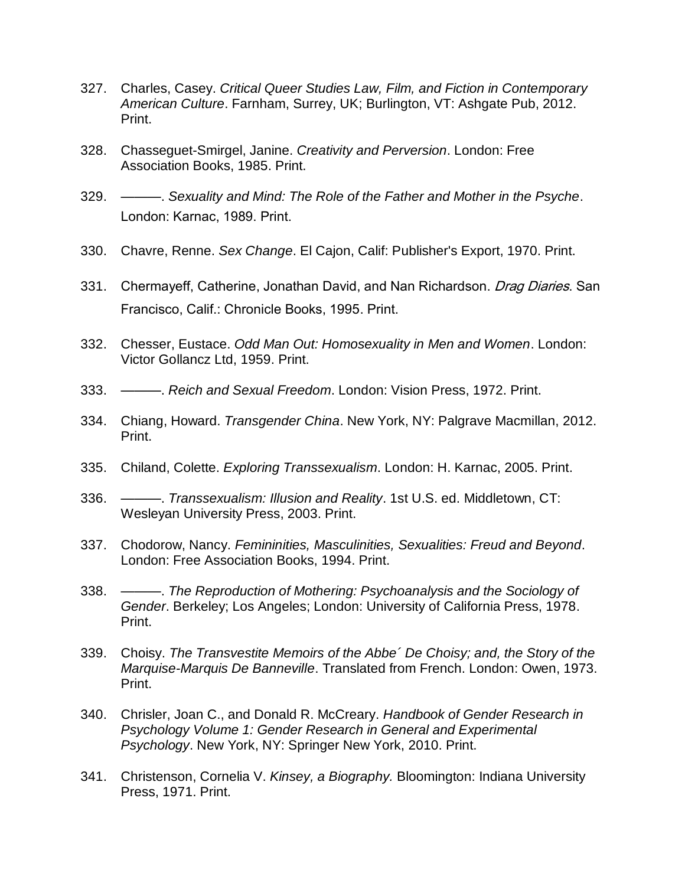- 327. Charles, Casey. *Critical Queer Studies Law, Film, and Fiction in Contemporary American Culture*. Farnham, Surrey, UK; Burlington, VT: Ashgate Pub, 2012. Print.
- 328. Chasseguet-Smirgel, Janine. *Creativity and Perversion*. London: Free Association Books, 1985. Print.
- 329. ———. *Sexuality and Mind: The Role of the Father and Mother in the Psyche*. London: Karnac, 1989. Print.
- 330. Chavre, Renne. *Sex Change*. El Cajon, Calif: Publisher's Export, 1970. Print.
- 331. Chermayeff, Catherine, Jonathan David, and Nan Richardson. *Drag Diaries*. San Francisco, Calif.: Chronicle Books, 1995. Print.
- 332. Chesser, Eustace. *Odd Man Out: Homosexuality in Men and Women*. London: Victor Gollancz Ltd, 1959. Print.
- 333. ———. *Reich and Sexual Freedom*. London: Vision Press, 1972. Print.
- 334. Chiang, Howard. *Transgender China*. New York, NY: Palgrave Macmillan, 2012. Print.
- 335. Chiland, Colette. *Exploring Transsexualism*. London: H. Karnac, 2005. Print.
- 336. ———. *Transsexualism: Illusion and Reality*. 1st U.S. ed. Middletown, CT: Wesleyan University Press, 2003. Print.
- 337. Chodorow, Nancy. *Femininities, Masculinities, Sexualities: Freud and Beyond*. London: Free Association Books, 1994. Print.
- 338. ———. *The Reproduction of Mothering: Psychoanalysis and the Sociology of Gender*. Berkeley; Los Angeles; London: University of California Press, 1978. Print.
- 339. Choisy. *The Transvestite Memoirs of the Abbe´ De Choisy; and, the Story of the Marquise-Marquis De Banneville*. Translated from French. London: Owen, 1973. Print.
- 340. Chrisler, Joan C., and Donald R. McCreary. *Handbook of Gender Research in Psychology Volume 1: Gender Research in General and Experimental Psychology*. New York, NY: Springer New York, 2010. Print.
- 341. Christenson, Cornelia V. *Kinsey, a Biography.* Bloomington: Indiana University Press, 1971. Print.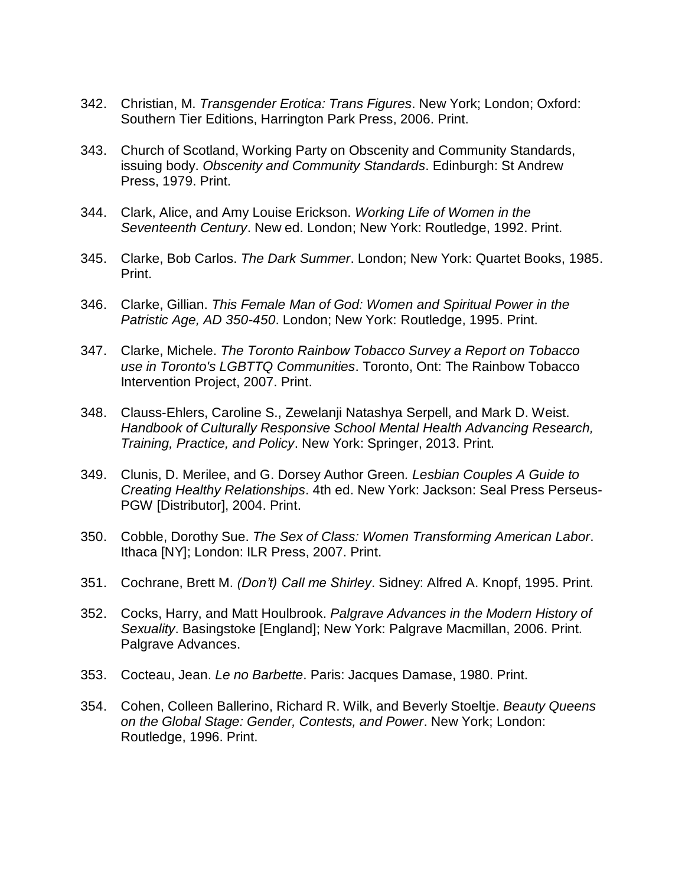- 342. Christian, M. *Transgender Erotica: Trans Figures*. New York; London; Oxford: Southern Tier Editions, Harrington Park Press, 2006. Print.
- 343. Church of Scotland, Working Party on Obscenity and Community Standards, issuing body. *Obscenity and Community Standards*. Edinburgh: St Andrew Press, 1979. Print.
- 344. Clark, Alice, and Amy Louise Erickson. *Working Life of Women in the Seventeenth Century*. New ed. London; New York: Routledge, 1992. Print.
- 345. Clarke, Bob Carlos. *The Dark Summer*. London; New York: Quartet Books, 1985. Print.
- 346. Clarke, Gillian. *This Female Man of God: Women and Spiritual Power in the Patristic Age, AD 350-450*. London; New York: Routledge, 1995. Print.
- 347. Clarke, Michele. *The Toronto Rainbow Tobacco Survey a Report on Tobacco use in Toronto's LGBTTQ Communities*. Toronto, Ont: The Rainbow Tobacco Intervention Project, 2007. Print.
- 348. Clauss-Ehlers, Caroline S., Zewelanji Natashya Serpell, and Mark D. Weist. *Handbook of Culturally Responsive School Mental Health Advancing Research, Training, Practice, and Policy*. New York: Springer, 2013. Print.
- 349. Clunis, D. Merilee, and G. Dorsey Author Green*. Lesbian Couples A Guide to Creating Healthy Relationships*. 4th ed. New York: Jackson: Seal Press Perseus-PGW [Distributor], 2004. Print.
- 350. Cobble, Dorothy Sue. *The Sex of Class: Women Transforming American Labor*. Ithaca [NY]; London: ILR Press, 2007. Print.
- 351. Cochrane, Brett M. *(Don't) Call me Shirley*. Sidney: Alfred A. Knopf, 1995. Print.
- 352. Cocks, Harry, and Matt Houlbrook. *Palgrave Advances in the Modern History of Sexuality*. Basingstoke [England]; New York: Palgrave Macmillan, 2006. Print. Palgrave Advances.
- 353. Cocteau, Jean. *Le no Barbette*. Paris: Jacques Damase, 1980. Print.
- 354. Cohen, Colleen Ballerino, Richard R. Wilk, and Beverly Stoeltje. *Beauty Queens on the Global Stage: Gender, Contests, and Power*. New York; London: Routledge, 1996. Print.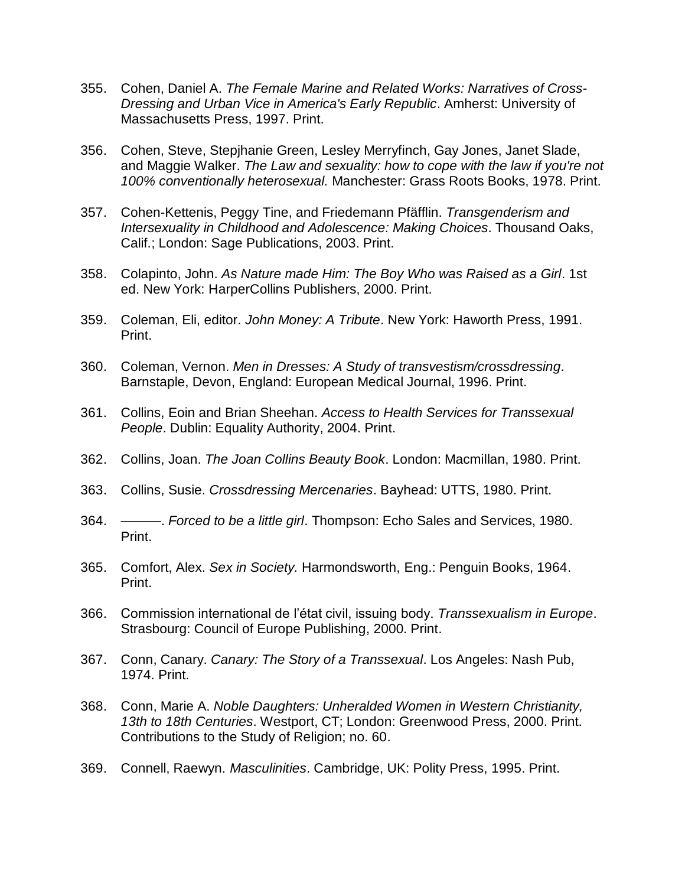- 355. Cohen, Daniel A. *The Female Marine and Related Works: Narratives of Cross-Dressing and Urban Vice in America's Early Republic*. Amherst: University of Massachusetts Press, 1997. Print.
- 356. Cohen, Steve, Stepjhanie Green, Lesley Merryfinch, Gay Jones, Janet Slade, and Maggie Walker. *The Law and sexuality: how to cope with the law if you're not 100% conventionally heterosexual.* Manchester: Grass Roots Books, 1978. Print.
- 357. Cohen-Kettenis, Peggy Tine, and Friedemann Pfäfflin. *Transgenderism and Intersexuality in Childhood and Adolescence: Making Choices*. Thousand Oaks, Calif.; London: Sage Publications, 2003. Print.
- 358. Colapinto, John. *As Nature made Him: The Boy Who was Raised as a Girl*. 1st ed. New York: HarperCollins Publishers, 2000. Print.
- 359. Coleman, Eli, editor. *John Money: A Tribute*. New York: Haworth Press, 1991. Print.
- 360. Coleman, Vernon. *Men in Dresses: A Study of transvestism/crossdressing*. Barnstaple, Devon, England: European Medical Journal, 1996. Print.
- 361. Collins, Eoin and Brian Sheehan. *Access to Health Services for Transsexual People*. Dublin: Equality Authority, 2004. Print.
- 362. Collins, Joan. *The Joan Collins Beauty Book*. London: Macmillan, 1980. Print.
- 363. Collins, Susie. *Crossdressing Mercenaries*. Bayhead: UTTS, 1980. Print.
- 364. ———. *Forced to be a little girl*. Thompson: Echo Sales and Services, 1980. Print.
- 365. Comfort, Alex. *Sex in Society.* Harmondsworth, Eng.: Penguin Books, 1964. Print.
- 366. Commission international de l'état civil, issuing body. *Transsexualism in Europe*. Strasbourg: Council of Europe Publishing, 2000. Print.
- 367. Conn, Canary. *Canary: The Story of a Transsexual*. Los Angeles: Nash Pub, 1974. Print.
- 368. Conn, Marie A. *Noble Daughters: Unheralded Women in Western Christianity, 13th to 18th Centuries*. Westport, CT; London: Greenwood Press, 2000. Print. Contributions to the Study of Religion; no. 60.
- 369. Connell, Raewyn. *Masculinities*. Cambridge, UK: Polity Press, 1995. Print.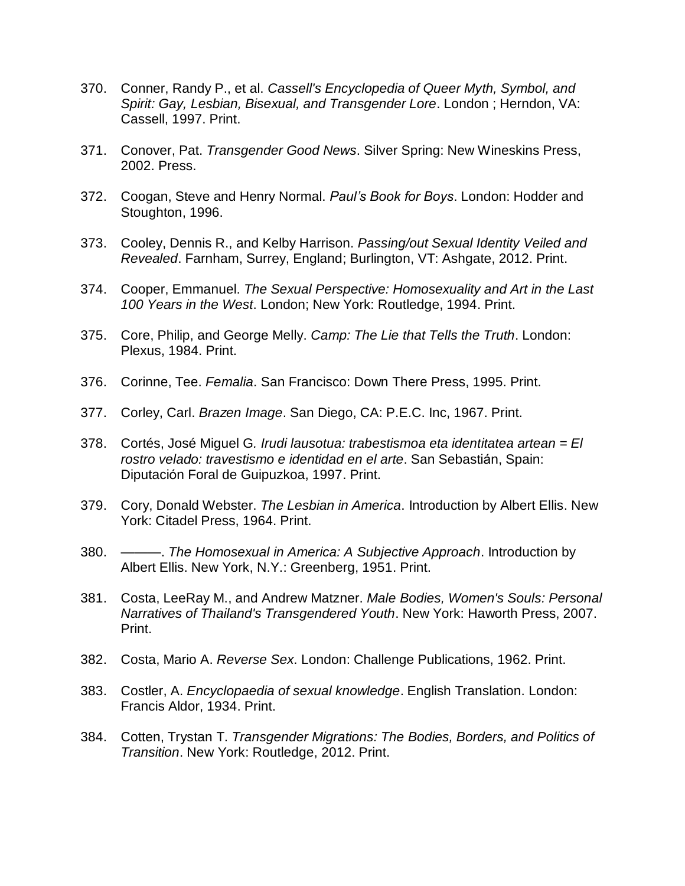- 370. Conner, Randy P., et al. *Cassell's Encyclopedia of Queer Myth, Symbol, and Spirit: Gay, Lesbian, Bisexual, and Transgender Lore*. London ; Herndon, VA: Cassell, 1997. Print.
- 371. Conover, Pat. *Transgender Good News*. Silver Spring: New Wineskins Press, 2002. Press.
- 372. Coogan, Steve and Henry Normal. *Paul's Book for Boys*. London: Hodder and Stoughton, 1996.
- 373. Cooley, Dennis R., and Kelby Harrison. *Passing/out Sexual Identity Veiled and Revealed*. Farnham, Surrey, England; Burlington, VT: Ashgate, 2012. Print.
- 374. Cooper, Emmanuel. *The Sexual Perspective: Homosexuality and Art in the Last 100 Years in the West*. London; New York: Routledge, 1994. Print.
- 375. Core, Philip, and George Melly. *Camp: The Lie that Tells the Truth*. London: Plexus, 1984. Print.
- 376. Corinne, Tee. *Femalia*. San Francisco: Down There Press, 1995. Print.
- 377. Corley, Carl. *Brazen Image*. San Diego, CA: P.E.C. Inc, 1967. Print.
- 378. Cortés, José Miguel G*. Irudi lausotua: trabestismoa eta identitatea artean = El rostro velado: travestismo e identidad en el arte*. San Sebastián, Spain: Diputación Foral de Guipuzkoa, 1997. Print.
- 379. Cory, Donald Webster. *The Lesbian in America*. Introduction by Albert Ellis. New York: Citadel Press, 1964. Print.
- 380. ———. *The Homosexual in America: A Subjective Approach*. Introduction by Albert Ellis. New York, N.Y.: Greenberg, 1951. Print.
- 381. Costa, LeeRay M., and Andrew Matzner. *Male Bodies, Women's Souls: Personal Narratives of Thailand's Transgendered Youth*. New York: Haworth Press, 2007. Print.
- 382. Costa, Mario A. *Reverse Sex*. London: Challenge Publications, 1962. Print.
- 383. Costler, A. *Encyclopaedia of sexual knowledge*. English Translation. London: Francis Aldor, 1934. Print.
- 384. Cotten, Trystan T. *Transgender Migrations: The Bodies, Borders, and Politics of Transition*. New York: Routledge, 2012. Print.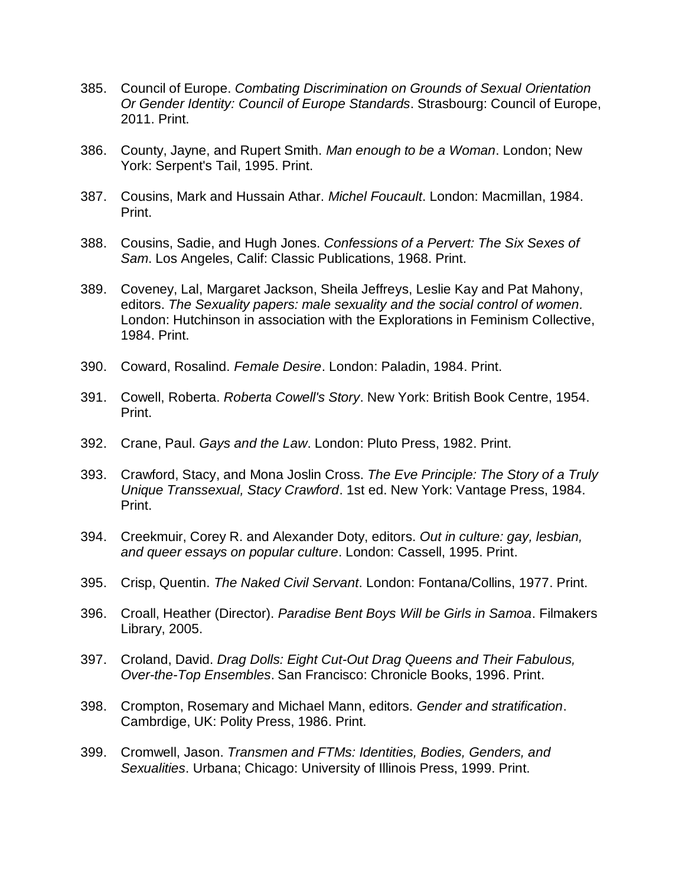- 385. Council of Europe. *Combating Discrimination on Grounds of Sexual Orientation Or Gender Identity: Council of Europe Standards*. Strasbourg: Council of Europe, 2011. Print.
- 386. County, Jayne, and Rupert Smith. *Man enough to be a Woman*. London; New York: Serpent's Tail, 1995. Print.
- 387. Cousins, Mark and Hussain Athar. *Michel Foucault*. London: Macmillan, 1984. Print.
- 388. Cousins, Sadie, and Hugh Jones. *Confessions of a Pervert: The Six Sexes of Sam*. Los Angeles, Calif: Classic Publications, 1968. Print.
- 389. Coveney, Lal, Margaret Jackson, Sheila Jeffreys, Leslie Kay and Pat Mahony, editors. *The Sexuality papers: male sexuality and the social control of women.*  London: Hutchinson in association with the Explorations in Feminism Collective, 1984. Print.
- 390. Coward, Rosalind. *Female Desire*. London: Paladin, 1984. Print.
- 391. Cowell, Roberta. *Roberta Cowell's Story*. New York: British Book Centre, 1954. Print.
- 392. Crane, Paul. *Gays and the Law*. London: Pluto Press, 1982. Print.
- 393. Crawford, Stacy, and Mona Joslin Cross. *The Eve Principle: The Story of a Truly Unique Transsexual, Stacy Crawford*. 1st ed. New York: Vantage Press, 1984. Print.
- 394. Creekmuir, Corey R. and Alexander Doty, editors. *Out in culture: gay, lesbian, and queer essays on popular culture*. London: Cassell, 1995. Print.
- 395. Crisp, Quentin. *The Naked Civil Servant*. London: Fontana/Collins, 1977. Print.
- 396. Croall, Heather (Director). *Paradise Bent Boys Will be Girls in Samoa*. Filmakers Library, 2005.
- 397. Croland, David. *Drag Dolls: Eight Cut-Out Drag Queens and Their Fabulous, Over-the-Top Ensembles*. San Francisco: Chronicle Books, 1996. Print.
- 398. Crompton, Rosemary and Michael Mann, editors. *Gender and stratification*. Cambrdige, UK: Polity Press, 1986. Print.
- 399. Cromwell, Jason. *Transmen and FTMs: Identities, Bodies, Genders, and Sexualities*. Urbana; Chicago: University of Illinois Press, 1999. Print.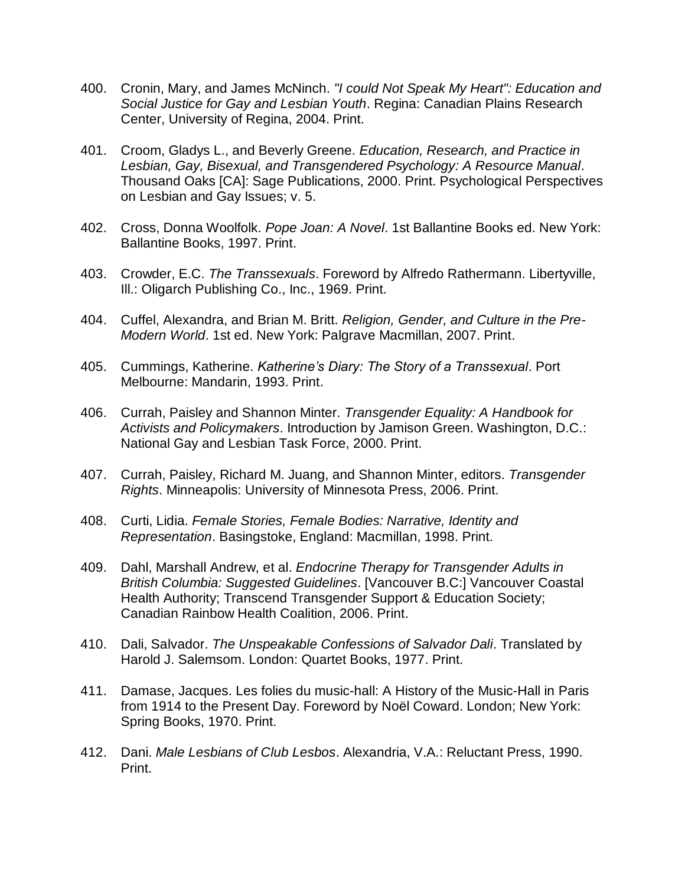- 400. Cronin, Mary, and James McNinch. *"I could Not Speak My Heart": Education and Social Justice for Gay and Lesbian Youth*. Regina: Canadian Plains Research Center, University of Regina, 2004. Print.
- 401. Croom, Gladys L., and Beverly Greene. *Education, Research, and Practice in Lesbian, Gay, Bisexual, and Transgendered Psychology: A Resource Manual*. Thousand Oaks [CA]: Sage Publications, 2000. Print. Psychological Perspectives on Lesbian and Gay Issues; v. 5.
- 402. Cross, Donna Woolfolk. *Pope Joan: A Novel*. 1st Ballantine Books ed. New York: Ballantine Books, 1997. Print.
- 403. Crowder, E.C. *The Transsexuals*. Foreword by Alfredo Rathermann. Libertyville, Ill.: Oligarch Publishing Co., Inc., 1969. Print.
- 404. Cuffel, Alexandra, and Brian M. Britt. *Religion, Gender, and Culture in the Pre-Modern World*. 1st ed. New York: Palgrave Macmillan, 2007. Print.
- 405. Cummings, Katherine. *Katherine's Diary: The Story of a Transsexual*. Port Melbourne: Mandarin, 1993. Print.
- 406. Currah, Paisley and Shannon Minter. *Transgender Equality: A Handbook for Activists and Policymakers*. Introduction by Jamison Green. Washington, D.C.: National Gay and Lesbian Task Force, 2000. Print.
- 407. Currah, Paisley, Richard M. Juang, and Shannon Minter, editors. *Transgender Rights*. Minneapolis: University of Minnesota Press, 2006. Print.
- 408. Curti, Lidia. *Female Stories, Female Bodies: Narrative, Identity and Representation*. Basingstoke, England: Macmillan, 1998. Print.
- 409. Dahl, Marshall Andrew, et al. *Endocrine Therapy for Transgender Adults in British Columbia: Suggested Guidelines*. [Vancouver B.C:] Vancouver Coastal Health Authority; Transcend Transgender Support & Education Society; Canadian Rainbow Health Coalition, 2006. Print.
- 410. Dali, Salvador. *The Unspeakable Confessions of Salvador Dali*. Translated by Harold J. Salemsom. London: Quartet Books, 1977. Print.
- 411. Damase, Jacques. Les folies du music-hall: A History of the Music-Hall in Paris from 1914 to the Present Day. Foreword by Noël Coward. London; New York: Spring Books, 1970. Print.
- 412. Dani. *Male Lesbians of Club Lesbos*. Alexandria, V.A.: Reluctant Press, 1990. Print.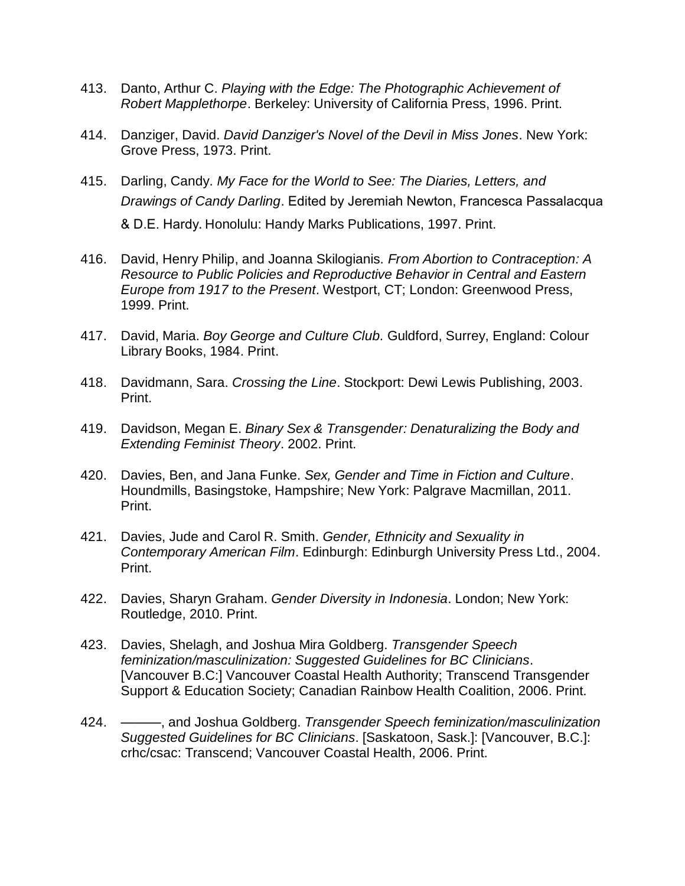- 413. Danto, Arthur C. *Playing with the Edge: The Photographic Achievement of Robert Mapplethorpe*. Berkeley: University of California Press, 1996. Print.
- 414. Danziger, David. *David Danziger's Novel of the Devil in Miss Jones*. New York: Grove Press, 1973. Print.
- 415. Darling, Candy. *My Face for the World to See: The Diaries, Letters, and Drawings of Candy Darling*. Edited by Jeremiah Newton, Francesca Passalacqua & D.E. Hardy. Honolulu: Handy Marks Publications, 1997. Print.
- 416. David, Henry Philip, and Joanna Skilogianis. *From Abortion to Contraception: A Resource to Public Policies and Reproductive Behavior in Central and Eastern Europe from 1917 to the Present*. Westport, CT; London: Greenwood Press, 1999. Print.
- 417. David, Maria. *Boy George and Culture Club.* Guldford, Surrey, England: Colour Library Books, 1984. Print.
- 418. Davidmann, Sara. *Crossing the Line*. Stockport: Dewi Lewis Publishing, 2003. Print.
- 419. Davidson, Megan E. *Binary Sex & Transgender: Denaturalizing the Body and Extending Feminist Theory*. 2002. Print.
- 420. Davies, Ben, and Jana Funke. *Sex, Gender and Time in Fiction and Culture*. Houndmills, Basingstoke, Hampshire; New York: Palgrave Macmillan, 2011. Print.
- 421. Davies, Jude and Carol R. Smith. *Gender, Ethnicity and Sexuality in Contemporary American Film*. Edinburgh: Edinburgh University Press Ltd., 2004. Print.
- 422. Davies, Sharyn Graham. *Gender Diversity in Indonesia*. London; New York: Routledge, 2010. Print.
- 423. Davies, Shelagh, and Joshua Mira Goldberg. *Transgender Speech feminization/masculinization: Suggested Guidelines for BC Clinicians*. [Vancouver B.C:] Vancouver Coastal Health Authority; Transcend Transgender Support & Education Society; Canadian Rainbow Health Coalition, 2006. Print.
- 424. ———, and Joshua Goldberg. *Transgender Speech feminization/masculinization Suggested Guidelines for BC Clinicians*. [Saskatoon, Sask.]: [Vancouver, B.C.]: crhc/csac: Transcend; Vancouver Coastal Health, 2006. Print.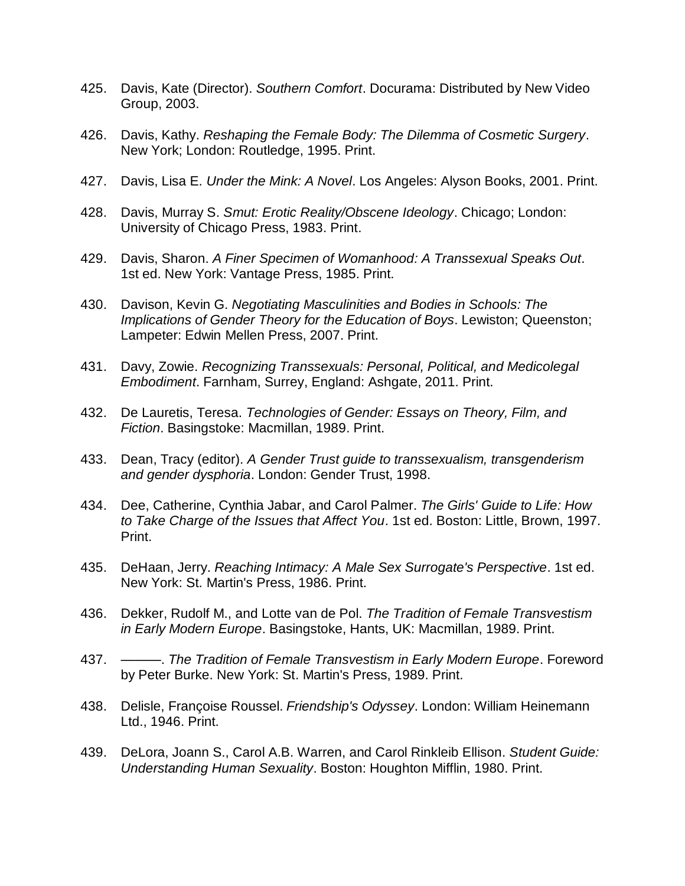- 425. Davis, Kate (Director). *Southern Comfort*. Docurama: Distributed by New Video Group, 2003.
- 426. Davis, Kathy. *Reshaping the Female Body: The Dilemma of Cosmetic Surgery*. New York; London: Routledge, 1995. Print.
- 427. Davis, Lisa E. *Under the Mink: A Novel*. Los Angeles: Alyson Books, 2001. Print.
- 428. Davis, Murray S. *Smut: Erotic Reality/Obscene Ideology*. Chicago; London: University of Chicago Press, 1983. Print.
- 429. Davis, Sharon. *A Finer Specimen of Womanhood: A Transsexual Speaks Out*. 1st ed. New York: Vantage Press, 1985. Print.
- 430. Davison, Kevin G. *Negotiating Masculinities and Bodies in Schools: The Implications of Gender Theory for the Education of Boys*. Lewiston; Queenston; Lampeter: Edwin Mellen Press, 2007. Print.
- 431. Davy, Zowie. *Recognizing Transsexuals: Personal, Political, and Medicolegal Embodiment*. Farnham, Surrey, England: Ashgate, 2011. Print.
- 432. De Lauretis, Teresa. *Technologies of Gender: Essays on Theory, Film, and Fiction*. Basingstoke: Macmillan, 1989. Print.
- 433. Dean, Tracy (editor). *A Gender Trust guide to transsexualism, transgenderism and gender dysphoria*. London: Gender Trust, 1998.
- 434. Dee, Catherine, Cynthia Jabar, and Carol Palmer. *The Girls' Guide to Life: How to Take Charge of the Issues that Affect You*. 1st ed. Boston: Little, Brown, 1997. Print.
- 435. DeHaan, Jerry. *Reaching Intimacy: A Male Sex Surrogate's Perspective*. 1st ed. New York: St. Martin's Press, 1986. Print.
- 436. Dekker, Rudolf M., and Lotte van de Pol. *The Tradition of Female Transvestism in Early Modern Europe*. Basingstoke, Hants, UK: Macmillan, 1989. Print.
- 437. ———. *The Tradition of Female Transvestism in Early Modern Europe*. Foreword by Peter Burke. New York: St. Martin's Press, 1989. Print.
- 438. Delisle, Françoise Roussel. *Friendship's Odyssey*. London: William Heinemann Ltd., 1946. Print.
- 439. DeLora, Joann S., Carol A.B. Warren, and Carol Rinkleib Ellison. *Student Guide: Understanding Human Sexuality*. Boston: Houghton Mifflin, 1980. Print.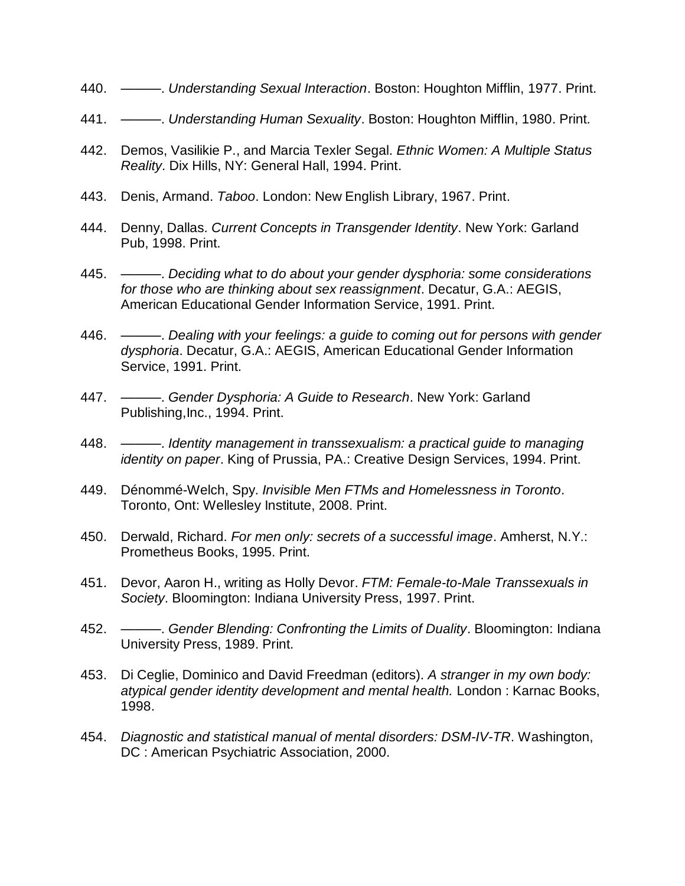- 440. ———. *Understanding Sexual Interaction*. Boston: Houghton Mifflin, 1977. Print.
- 441. ———. *Understanding Human Sexuality*. Boston: Houghton Mifflin, 1980. Print.
- 442. Demos, Vasilikie P., and Marcia Texler Segal. *Ethnic Women: A Multiple Status Reality*. Dix Hills, NY: General Hall, 1994. Print.
- 443. Denis, Armand. *Taboo*. London: New English Library, 1967. Print.
- 444. Denny, Dallas. *Current Concepts in Transgender Identity*. New York: Garland Pub, 1998. Print.
- 445. ———. *Deciding what to do about your gender dysphoria: some considerations for those who are thinking about sex reassignment*. Decatur, G.A.: AEGIS, American Educational Gender Information Service, 1991. Print.
- 446. ———. *Dealing with your feelings: a guide to coming out for persons with gender dysphoria*. Decatur, G.A.: AEGIS, American Educational Gender Information Service, 1991. Print.
- 447. ———. *Gender Dysphoria: A Guide to Research*. New York: Garland Publishing,Inc., 1994. Print.
- 448. ———. *Identity management in transsexualism: a practical guide to managing identity on paper*. King of Prussia, PA.: Creative Design Services, 1994. Print.
- 449. Dénommé-Welch, Spy. *Invisible Men FTMs and Homelessness in Toronto*. Toronto, Ont: Wellesley Institute, 2008. Print.
- 450. Derwald, Richard. *For men only: secrets of a successful image*. Amherst, N.Y.: Prometheus Books, 1995. Print.
- 451. Devor, Aaron H., writing as Holly Devor. *FTM: Female-to-Male Transsexuals in Society*. Bloomington: Indiana University Press, 1997. Print.
- 452. ———. *Gender Blending: Confronting the Limits of Duality*. Bloomington: Indiana University Press, 1989. Print.
- 453. Di Ceglie, Dominico and David Freedman (editors). *A stranger in my own body: atypical gender identity development and mental health.* London : Karnac Books, 1998.
- 454. *Diagnostic and statistical manual of mental disorders: DSM-IV-TR*. Washington, DC : American Psychiatric Association, 2000.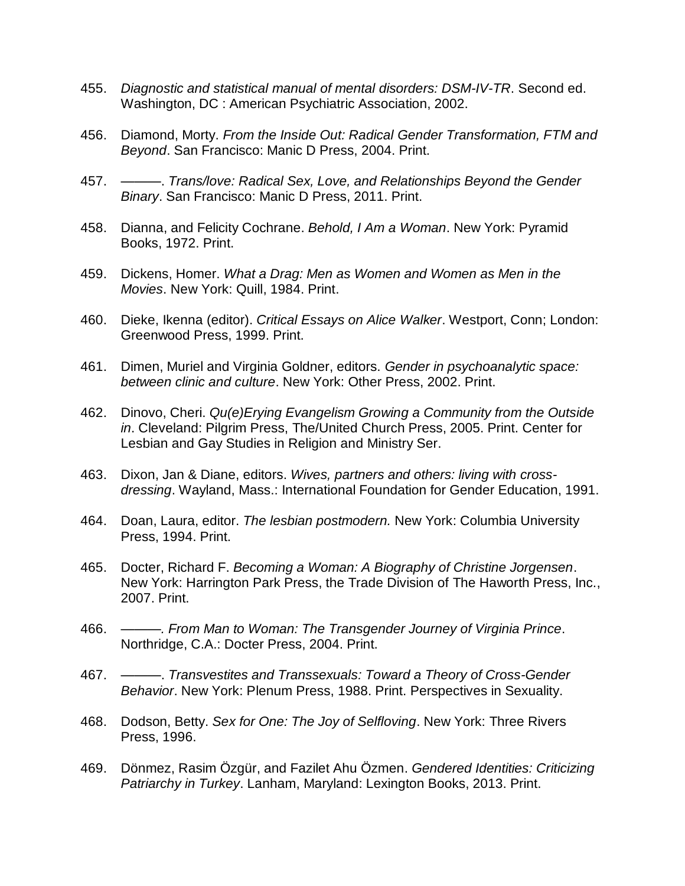- 455. *Diagnostic and statistical manual of mental disorders: DSM-IV-TR*. Second ed. Washington, DC : American Psychiatric Association, 2002.
- 456. Diamond, Morty. *From the Inside Out: Radical Gender Transformation, FTM and Beyond*. San Francisco: Manic D Press, 2004. Print.
- 457. ———. *Trans/love: Radical Sex, Love, and Relationships Beyond the Gender Binary*. San Francisco: Manic D Press, 2011. Print.
- 458. Dianna, and Felicity Cochrane. *Behold, I Am a Woman*. New York: Pyramid Books, 1972. Print.
- 459. Dickens, Homer. *What a Drag: Men as Women and Women as Men in the Movies*. New York: Quill, 1984. Print.
- 460. Dieke, Ikenna (editor). *Critical Essays on Alice Walker*. Westport, Conn; London: Greenwood Press, 1999. Print.
- 461. Dimen, Muriel and Virginia Goldner, editors. *Gender in psychoanalytic space: between clinic and culture*. New York: Other Press, 2002. Print.
- 462. Dinovo, Cheri. *Qu(e)Erying Evangelism Growing a Community from the Outside in*. Cleveland: Pilgrim Press, The/United Church Press, 2005. Print. Center for Lesbian and Gay Studies in Religion and Ministry Ser.
- 463. Dixon, Jan & Diane, editors. *Wives, partners and others: living with crossdressing*. Wayland, Mass.: International Foundation for Gender Education, 1991.
- 464. Doan, Laura, editor. *The lesbian postmodern.* New York: Columbia University Press, 1994. Print.
- 465. Docter, Richard F. *Becoming a Woman: A Biography of Christine Jorgensen*. New York: Harrington Park Press, the Trade Division of The Haworth Press, Inc., 2007. Print.
- 466. *———. From Man to Woman: The Transgender Journey of Virginia Prince*. Northridge, C.A.: Docter Press, 2004. Print.
- 467. ———. *Transvestites and Transsexuals: Toward a Theory of Cross-Gender Behavior*. New York: Plenum Press, 1988. Print. Perspectives in Sexuality.
- 468. Dodson, Betty. *Sex for One: The Joy of Selfloving*. New York: Three Rivers Press, 1996.
- 469. Dönmez, Rasim Özgür, and Fazilet Ahu Özmen. *Gendered Identities: Criticizing Patriarchy in Turkey*. Lanham, Maryland: Lexington Books, 2013. Print.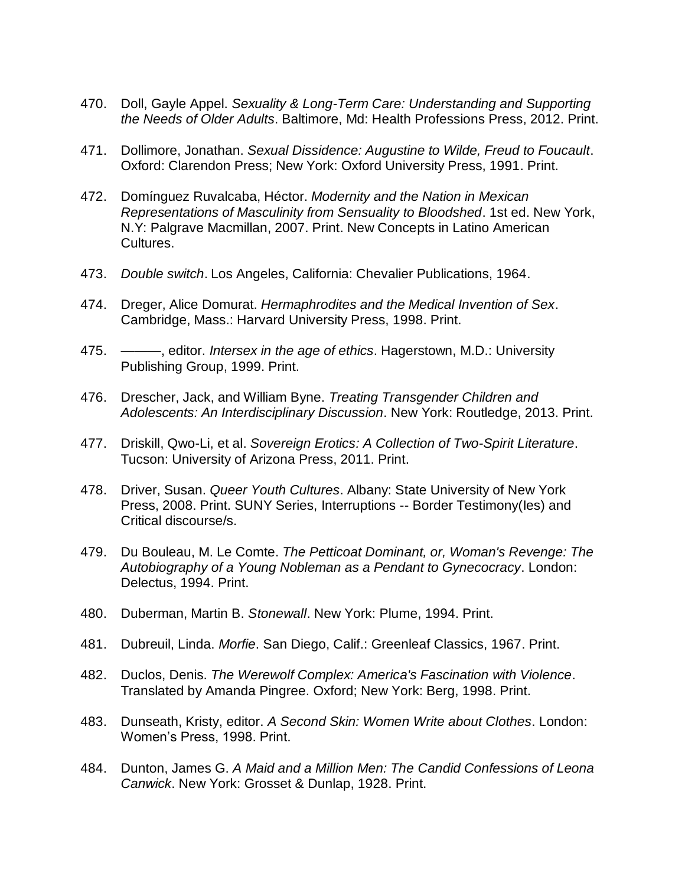- 470. Doll, Gayle Appel. *Sexuality & Long-Term Care: Understanding and Supporting the Needs of Older Adults*. Baltimore, Md: Health Professions Press, 2012. Print.
- 471. Dollimore, Jonathan. *Sexual Dissidence: Augustine to Wilde, Freud to Foucault*. Oxford: Clarendon Press; New York: Oxford University Press, 1991. Print.
- 472. Domínguez Ruvalcaba, Héctor. *Modernity and the Nation in Mexican Representations of Masculinity from Sensuality to Bloodshed*. 1st ed. New York, N.Y: Palgrave Macmillan, 2007. Print. New Concepts in Latino American Cultures.
- 473. *Double switch*. Los Angeles, California: Chevalier Publications, 1964.
- 474. Dreger, Alice Domurat. *Hermaphrodites and the Medical Invention of Sex*. Cambridge, Mass.: Harvard University Press, 1998. Print.
- 475. ———, editor. *Intersex in the age of ethics*. Hagerstown, M.D.: University Publishing Group, 1999. Print.
- 476. Drescher, Jack, and William Byne. *Treating Transgender Children and Adolescents: An Interdisciplinary Discussion*. New York: Routledge, 2013. Print.
- 477. Driskill, Qwo-Li, et al. *Sovereign Erotics: A Collection of Two-Spirit Literature*. Tucson: University of Arizona Press, 2011. Print.
- 478. Driver, Susan. *Queer Youth Cultures*. Albany: State University of New York Press, 2008. Print. SUNY Series, Interruptions -- Border Testimony(Ies) and Critical discourse/s.
- 479. Du Bouleau, M. Le Comte. *The Petticoat Dominant, or, Woman's Revenge: The Autobiography of a Young Nobleman as a Pendant to Gynecocracy*. London: Delectus, 1994. Print.
- 480. Duberman, Martin B. *Stonewall*. New York: Plume, 1994. Print.
- 481. Dubreuil, Linda. *Morfie*. San Diego, Calif.: Greenleaf Classics, 1967. Print.
- 482. Duclos, Denis. *The Werewolf Complex: America's Fascination with Violence*. Translated by Amanda Pingree. Oxford; New York: Berg, 1998. Print.
- 483. Dunseath, Kristy, editor. *A Second Skin: Women Write about Clothes*. London: Women's Press, 1998. Print.
- 484. Dunton, James G. *A Maid and a Million Men: The Candid Confessions of Leona Canwick*. New York: Grosset & Dunlap, 1928. Print.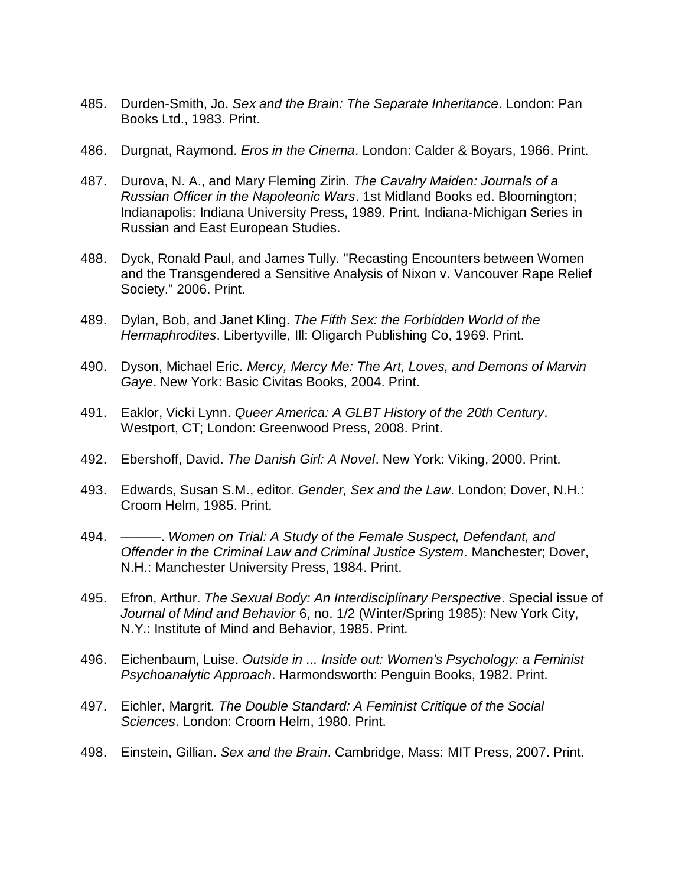- 485. Durden-Smith, Jo. *Sex and the Brain: The Separate Inheritance*. London: Pan Books Ltd., 1983. Print.
- 486. Durgnat, Raymond. *Eros in the Cinema*. London: Calder & Boyars, 1966. Print.
- 487. Durova, N. A., and Mary Fleming Zirin. *The Cavalry Maiden: Journals of a Russian Officer in the Napoleonic Wars*. 1st Midland Books ed. Bloomington; Indianapolis: Indiana University Press, 1989. Print. Indiana-Michigan Series in Russian and East European Studies.
- 488. Dyck, Ronald Paul, and James Tully. "Recasting Encounters between Women and the Transgendered a Sensitive Analysis of Nixon v. Vancouver Rape Relief Society." 2006. Print.
- 489. Dylan, Bob, and Janet Kling. *The Fifth Sex: the Forbidden World of the Hermaphrodites*. Libertyville, Ill: Oligarch Publishing Co, 1969. Print.
- 490. Dyson, Michael Eric. *Mercy, Mercy Me: The Art, Loves, and Demons of Marvin Gaye*. New York: Basic Civitas Books, 2004. Print.
- 491. Eaklor, Vicki Lynn. *Queer America: A GLBT History of the 20th Century*. Westport, CT; London: Greenwood Press, 2008. Print.
- 492. Ebershoff, David. *The Danish Girl: A Novel*. New York: Viking, 2000. Print.
- 493. Edwards, Susan S.M., editor. *Gender, Sex and the Law*. London; Dover, N.H.: Croom Helm, 1985. Print.
- 494. ———. *Women on Trial: A Study of the Female Suspect, Defendant, and Offender in the Criminal Law and Criminal Justice System*. Manchester; Dover, N.H.: Manchester University Press, 1984. Print.
- 495. Efron, Arthur. *The Sexual Body: An Interdisciplinary Perspective*. Special issue of *Journal of Mind and Behavior* 6, no. 1/2 (Winter/Spring 1985): New York City, N.Y.: Institute of Mind and Behavior, 1985. Print.
- 496. Eichenbaum, Luise. *Outside in ... Inside out: Women's Psychology: a Feminist Psychoanalytic Approach*. Harmondsworth: Penguin Books, 1982. Print.
- 497. Eichler, Margrit. *The Double Standard: A Feminist Critique of the Social Sciences*. London: Croom Helm, 1980. Print.
- 498. Einstein, Gillian. *Sex and the Brain*. Cambridge, Mass: MIT Press, 2007. Print.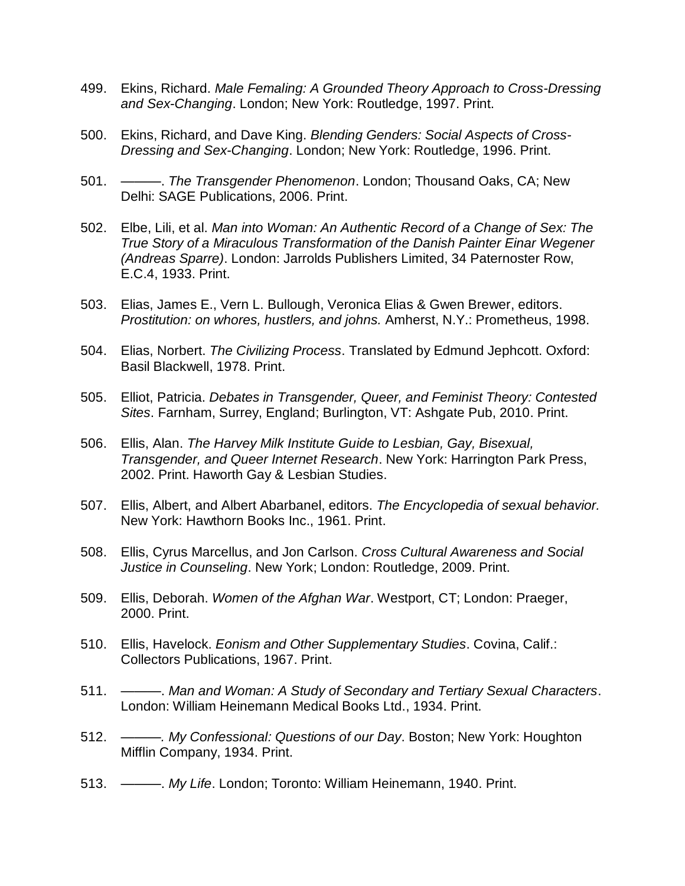- 499. Ekins, Richard. *Male Femaling: A Grounded Theory Approach to Cross-Dressing and Sex-Changing*. London; New York: Routledge, 1997. Print.
- 500. Ekins, Richard, and Dave King. *Blending Genders: Social Aspects of Cross-Dressing and Sex-Changing*. London; New York: Routledge, 1996. Print.
- 501. ———. *The Transgender Phenomenon*. London; Thousand Oaks, CA; New Delhi: SAGE Publications, 2006. Print.
- 502. Elbe, Lili, et al. *Man into Woman: An Authentic Record of a Change of Sex: The True Story of a Miraculous Transformation of the Danish Painter Einar Wegener (Andreas Sparre)*. London: Jarrolds Publishers Limited, 34 Paternoster Row, E.C.4, 1933. Print.
- 503. Elias, James E., Vern L. Bullough, Veronica Elias & Gwen Brewer, editors. *Prostitution: on whores, hustlers, and johns.* Amherst, N.Y.: Prometheus, 1998.
- 504. Elias, Norbert. *The Civilizing Process*. Translated by Edmund Jephcott. Oxford: Basil Blackwell, 1978. Print.
- 505. Elliot, Patricia. *Debates in Transgender, Queer, and Feminist Theory: Contested Sites*. Farnham, Surrey, England; Burlington, VT: Ashgate Pub, 2010. Print.
- 506. Ellis, Alan. *The Harvey Milk Institute Guide to Lesbian, Gay, Bisexual, Transgender, and Queer Internet Research*. New York: Harrington Park Press, 2002. Print. Haworth Gay & Lesbian Studies.
- 507. Ellis, Albert, and Albert Abarbanel, editors. *The Encyclopedia of sexual behavior.*  New York: Hawthorn Books Inc., 1961. Print.
- 508. Ellis, Cyrus Marcellus, and Jon Carlson. *Cross Cultural Awareness and Social Justice in Counseling*. New York; London: Routledge, 2009. Print.
- 509. Ellis, Deborah. *Women of the Afghan War*. Westport, CT; London: Praeger, 2000. Print.
- 510. Ellis, Havelock. *Eonism and Other Supplementary Studies*. Covina, Calif.: Collectors Publications, 1967. Print.
- 511. ———. *Man and Woman: A Study of Secondary and Tertiary Sexual Characters*. London: William Heinemann Medical Books Ltd., 1934. Print.
- 512. ———*. My Confessional: Questions of our Day*. Boston; New York: Houghton Mifflin Company, 1934. Print.
- 513. ———. *My Life*. London; Toronto: William Heinemann, 1940. Print.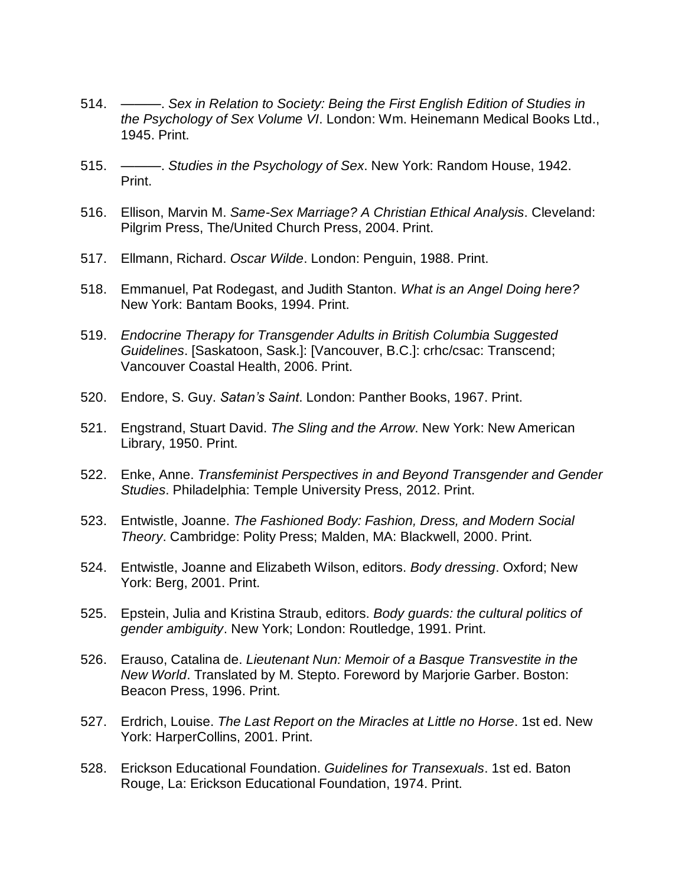- 514. ———. *Sex in Relation to Society: Being the First English Edition of Studies in the Psychology of Sex Volume VI*. London: Wm. Heinemann Medical Books Ltd., 1945. Print.
- 515. ———. *Studies in the Psychology of Sex*. New York: Random House, 1942. Print.
- 516. Ellison, Marvin M. *Same-Sex Marriage? A Christian Ethical Analysis*. Cleveland: Pilgrim Press, The/United Church Press, 2004. Print.
- 517. Ellmann, Richard. *Oscar Wilde*. London: Penguin, 1988. Print.
- 518. Emmanuel, Pat Rodegast, and Judith Stanton. *What is an Angel Doing here?* New York: Bantam Books, 1994. Print.
- 519. *Endocrine Therapy for Transgender Adults in British Columbia Suggested Guidelines*. [Saskatoon, Sask.]: [Vancouver, B.C.]: crhc/csac: Transcend; Vancouver Coastal Health, 2006. Print.
- 520. Endore, S. Guy. *Satan's Saint*. London: Panther Books, 1967. Print.
- 521. Engstrand, Stuart David. *The Sling and the Arrow*. New York: New American Library, 1950. Print.
- 522. Enke, Anne. *Transfeminist Perspectives in and Beyond Transgender and Gender Studies*. Philadelphia: Temple University Press, 2012. Print.
- 523. Entwistle, Joanne. *The Fashioned Body: Fashion, Dress, and Modern Social Theory*. Cambridge: Polity Press; Malden, MA: Blackwell, 2000. Print.
- 524. Entwistle, Joanne and Elizabeth Wilson, editors. *Body dressing*. Oxford; New York: Berg, 2001. Print.
- 525. Epstein, Julia and Kristina Straub, editors. *Body guards: the cultural politics of gender ambiguity*. New York; London: Routledge, 1991. Print.
- 526. Erauso, Catalina de. *Lieutenant Nun: Memoir of a Basque Transvestite in the New World*. Translated by M. Stepto. Foreword by Marjorie Garber. Boston: Beacon Press, 1996. Print.
- 527. Erdrich, Louise. *The Last Report on the Miracles at Little no Horse*. 1st ed. New York: HarperCollins, 2001. Print.
- 528. Erickson Educational Foundation. *Guidelines for Transexuals*. 1st ed. Baton Rouge, La: Erickson Educational Foundation, 1974. Print.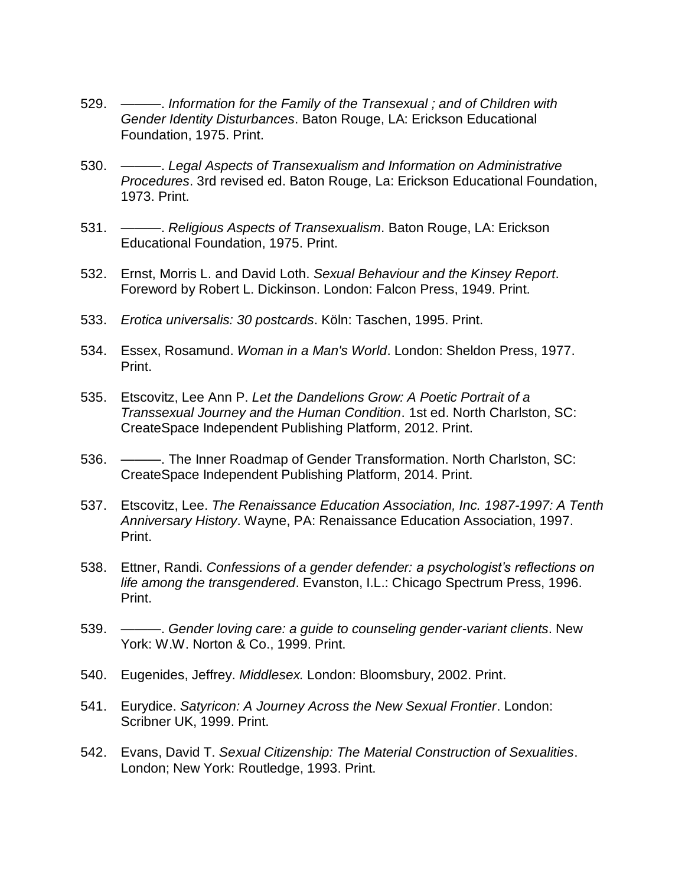- 529. ———. *Information for the Family of the Transexual ; and of Children with Gender Identity Disturbances*. Baton Rouge, LA: Erickson Educational Foundation, 1975. Print.
- 530. ———. *Legal Aspects of Transexualism and Information on Administrative Procedures*. 3rd revised ed. Baton Rouge, La: Erickson Educational Foundation, 1973. Print.
- 531. ———. *Religious Aspects of Transexualism*. Baton Rouge, LA: Erickson Educational Foundation, 1975. Print.
- 532. Ernst, Morris L. and David Loth. *Sexual Behaviour and the Kinsey Report*. Foreword by Robert L. Dickinson. London: Falcon Press, 1949. Print.
- 533. *Erotica universalis: 30 postcards*. Köln: Taschen, 1995. Print.
- 534. Essex, Rosamund. *Woman in a Man's World*. London: Sheldon Press, 1977. Print.
- 535. Etscovitz, Lee Ann P. *Let the Dandelions Grow: A Poetic Portrait of a Transsexual Journey and the Human Condition*. 1st ed. North Charlston, SC: CreateSpace Independent Publishing Platform, 2012. Print.
- 536. ———. The Inner Roadmap of Gender Transformation. North Charlston, SC: CreateSpace Independent Publishing Platform, 2014. Print.
- 537. Etscovitz, Lee. *The Renaissance Education Association, Inc. 1987-1997: A Tenth Anniversary History*. Wayne, PA: Renaissance Education Association, 1997. Print.
- 538. Ettner, Randi. *Confessions of a gender defender: a psychologist's reflections on life among the transgendered*. Evanston, I.L.: Chicago Spectrum Press, 1996. Print.
- 539. ———. *Gender loving care: a guide to counseling gender-variant clients*. New York: W.W. Norton & Co., 1999. Print.
- 540. Eugenides, Jeffrey. *Middlesex.* London: Bloomsbury, 2002. Print.
- 541. Eurydice. *Satyricon: A Journey Across the New Sexual Frontier*. London: Scribner UK, 1999. Print.
- 542. Evans, David T. *Sexual Citizenship: The Material Construction of Sexualities*. London; New York: Routledge, 1993. Print.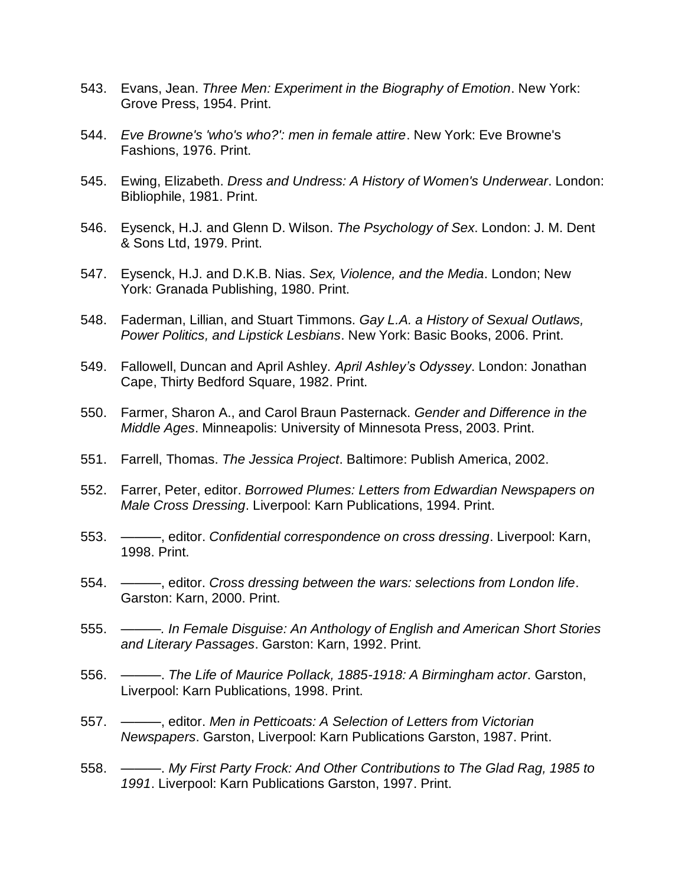- 543. Evans, Jean. *Three Men: Experiment in the Biography of Emotion*. New York: Grove Press, 1954. Print.
- 544. *Eve Browne's 'who's who?': men in female attire*. New York: Eve Browne's Fashions, 1976. Print.
- 545. Ewing, Elizabeth. *Dress and Undress: A History of Women's Underwear*. London: Bibliophile, 1981. Print.
- 546. Eysenck, H.J. and Glenn D. Wilson. *The Psychology of Sex*. London: J. M. Dent & Sons Ltd, 1979. Print.
- 547. Eysenck, H.J. and D.K.B. Nias. *Sex, Violence, and the Media*. London; New York: Granada Publishing, 1980. Print.
- 548. Faderman, Lillian, and Stuart Timmons. *Gay L.A. a History of Sexual Outlaws, Power Politics, and Lipstick Lesbians*. New York: Basic Books, 2006. Print.
- 549. Fallowell, Duncan and April Ashley. *April Ashley's Odyssey*. London: Jonathan Cape, Thirty Bedford Square, 1982. Print.
- 550. Farmer, Sharon A., and Carol Braun Pasternack. *Gender and Difference in the Middle Ages*. Minneapolis: University of Minnesota Press, 2003. Print.
- 551. Farrell, Thomas. *The Jessica Project*. Baltimore: Publish America, 2002.
- 552. Farrer, Peter, editor. *Borrowed Plumes: Letters from Edwardian Newspapers on Male Cross Dressing*. Liverpool: Karn Publications, 1994. Print.
- 553. ———, editor. *Confidential correspondence on cross dressing*. Liverpool: Karn, 1998. Print.
- 554. ———, editor. *Cross dressing between the wars: selections from London life*. Garston: Karn, 2000. Print.
- 555. *———. In Female Disguise: An Anthology of English and American Short Stories and Literary Passages*. Garston: Karn, 1992. Print.
- 556. ———. *The Life of Maurice Pollack, 1885-1918: A Birmingham actor*. Garston, Liverpool: Karn Publications, 1998. Print.
- 557. ———, editor. *Men in Petticoats: A Selection of Letters from Victorian Newspapers*. Garston, Liverpool: Karn Publications Garston, 1987. Print.
- 558. ———. *My First Party Frock: And Other Contributions to The Glad Rag, 1985 to 1991*. Liverpool: Karn Publications Garston, 1997. Print.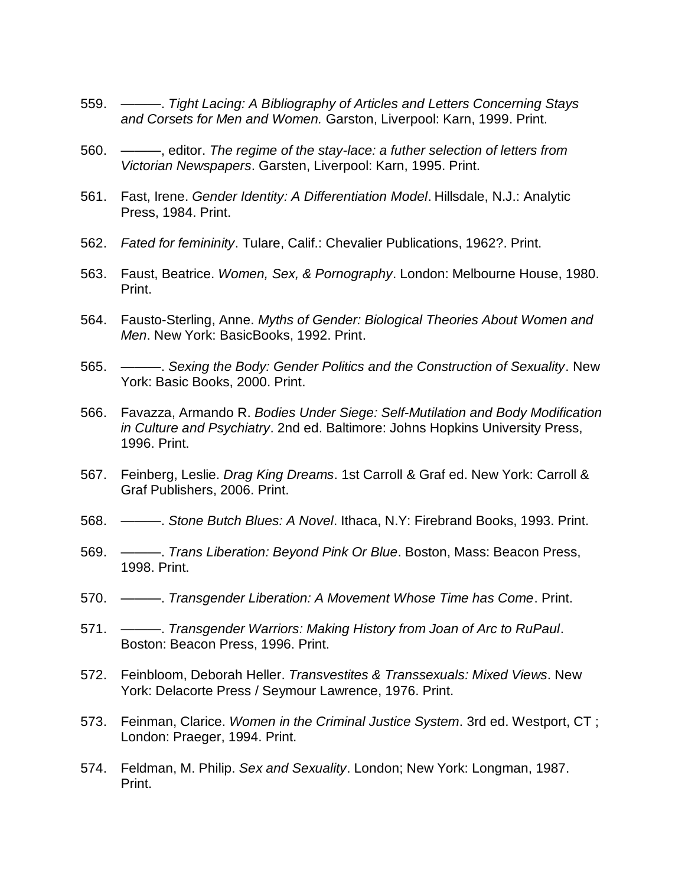- 559. ———. *Tight Lacing: A Bibliography of Articles and Letters Concerning Stays and Corsets for Men and Women.* Garston, Liverpool: Karn, 1999. Print.
- 560. ———, editor. *The regime of the stay-lace: a futher selection of letters from Victorian Newspapers*. Garsten, Liverpool: Karn, 1995. Print.
- 561. Fast, Irene. *Gender Identity: A Differentiation Model*. Hillsdale, N.J.: Analytic Press, 1984. Print.
- 562. *Fated for femininity*. Tulare, Calif.: Chevalier Publications, 1962?. Print.
- 563. Faust, Beatrice. *Women, Sex, & Pornography*. London: Melbourne House, 1980. Print.
- 564. Fausto-Sterling, Anne. *Myths of Gender: Biological Theories About Women and Men*. New York: BasicBooks, 1992. Print.
- 565. ———. *Sexing the Body: Gender Politics and the Construction of Sexuality*. New York: Basic Books, 2000. Print.
- 566. Favazza, Armando R. *Bodies Under Siege: Self-Mutilation and Body Modification in Culture and Psychiatry*. 2nd ed. Baltimore: Johns Hopkins University Press, 1996. Print.
- 567. Feinberg, Leslie. *Drag King Dreams*. 1st Carroll & Graf ed. New York: Carroll & Graf Publishers, 2006. Print.
- 568. ———. *Stone Butch Blues: A Novel*. Ithaca, N.Y: Firebrand Books, 1993. Print.
- 569. ———. *Trans Liberation: Beyond Pink Or Blue*. Boston, Mass: Beacon Press, 1998. Print.
- 570. ———. *Transgender Liberation: A Movement Whose Time has Come*. Print.
- 571. ———. *Transgender Warriors: Making History from Joan of Arc to RuPaul*. Boston: Beacon Press, 1996. Print.
- 572. Feinbloom, Deborah Heller. *Transvestites & Transsexuals: Mixed Views*. New York: Delacorte Press / Seymour Lawrence, 1976. Print.
- 573. Feinman, Clarice. *Women in the Criminal Justice System*. 3rd ed. Westport, CT ; London: Praeger, 1994. Print.
- 574. Feldman, M. Philip. *Sex and Sexuality*. London; New York: Longman, 1987. Print.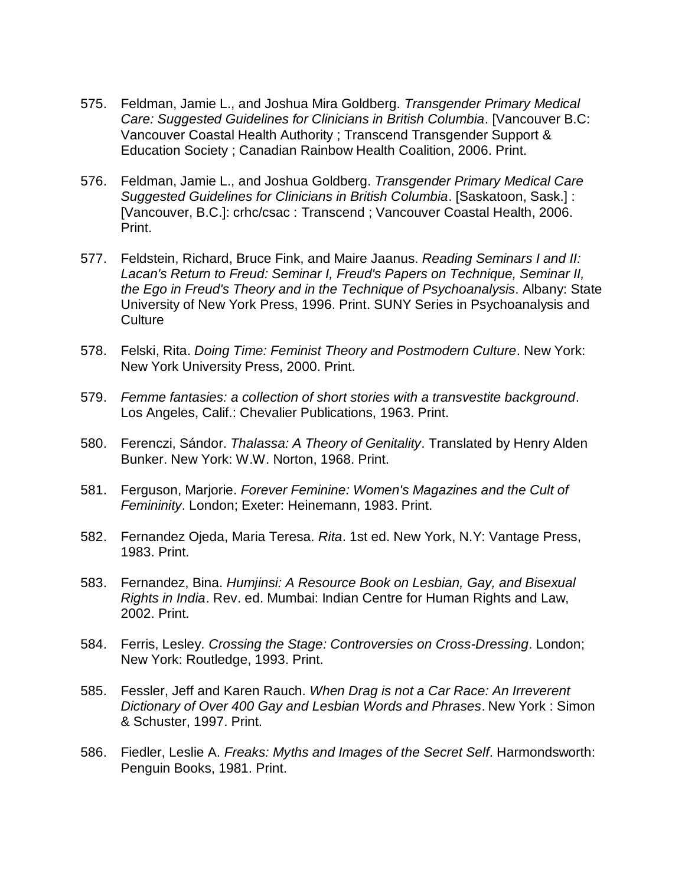- 575. Feldman, Jamie L., and Joshua Mira Goldberg. *Transgender Primary Medical Care: Suggested Guidelines for Clinicians in British Columbia*. [Vancouver B.C: Vancouver Coastal Health Authority ; Transcend Transgender Support & Education Society ; Canadian Rainbow Health Coalition, 2006. Print.
- 576. Feldman, Jamie L., and Joshua Goldberg. *Transgender Primary Medical Care Suggested Guidelines for Clinicians in British Columbia*. [Saskatoon, Sask.] : [Vancouver, B.C.]: crhc/csac : Transcend ; Vancouver Coastal Health, 2006. Print.
- 577. Feldstein, Richard, Bruce Fink, and Maire Jaanus. *Reading Seminars I and II: Lacan's Return to Freud: Seminar I, Freud's Papers on Technique, Seminar II, the Ego in Freud's Theory and in the Technique of Psychoanalysis*. Albany: State University of New York Press, 1996. Print. SUNY Series in Psychoanalysis and **Culture**
- 578. Felski, Rita. *Doing Time: Feminist Theory and Postmodern Culture*. New York: New York University Press, 2000. Print.
- 579. *Femme fantasies: a collection of short stories with a transvestite background*. Los Angeles, Calif.: Chevalier Publications, 1963. Print.
- 580. Ferenczi, Sándor. *Thalassa: A Theory of Genitality*. Translated by Henry Alden Bunker. New York: W.W. Norton, 1968. Print.
- 581. Ferguson, Marjorie. *Forever Feminine: Women's Magazines and the Cult of Femininity*. London; Exeter: Heinemann, 1983. Print.
- 582. Fernandez Ojeda, Maria Teresa. *Rita*. 1st ed. New York, N.Y: Vantage Press, 1983. Print.
- 583. Fernandez, Bina. *Humjinsi: A Resource Book on Lesbian, Gay, and Bisexual Rights in India*. Rev. ed. Mumbai: Indian Centre for Human Rights and Law, 2002. Print.
- 584. Ferris, Lesley. *Crossing the Stage: Controversies on Cross-Dressing*. London; New York: Routledge, 1993. Print.
- 585. Fessler, Jeff and Karen Rauch. *When Drag is not a Car Race: An Irreverent Dictionary of Over 400 Gay and Lesbian Words and Phrases*. New York : Simon & Schuster, 1997. Print.
- 586. Fiedler, Leslie A. *Freaks: Myths and Images of the Secret Self*. Harmondsworth: Penguin Books, 1981. Print.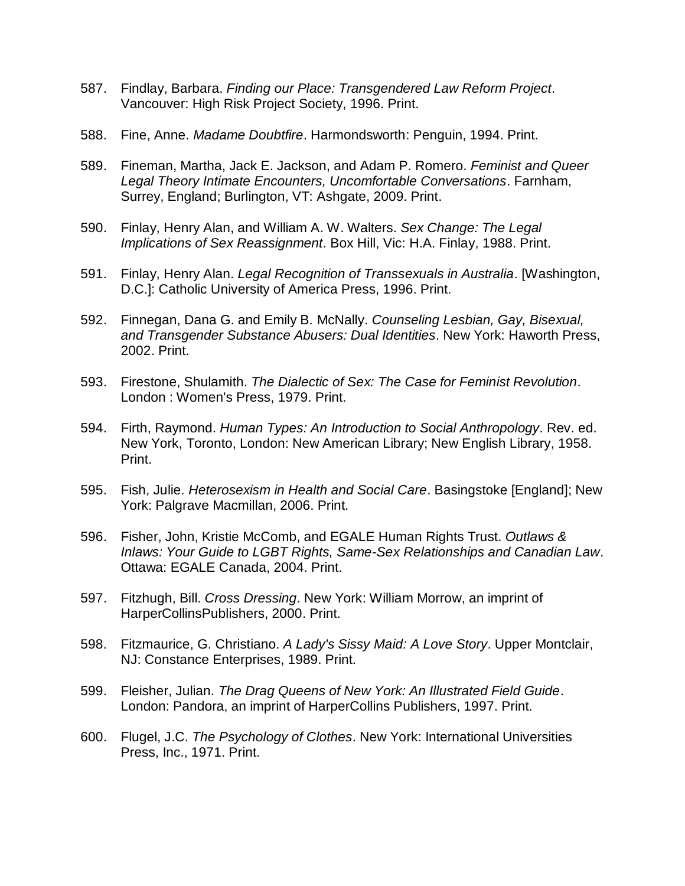- 587. Findlay, Barbara. *Finding our Place: Transgendered Law Reform Project*. Vancouver: High Risk Project Society, 1996. Print.
- 588. Fine, Anne. *Madame Doubtfire*. Harmondsworth: Penguin, 1994. Print.
- 589. Fineman, Martha, Jack E. Jackson, and Adam P. Romero. *Feminist and Queer Legal Theory Intimate Encounters, Uncomfortable Conversations*. Farnham, Surrey, England; Burlington, VT: Ashgate, 2009. Print.
- 590. Finlay, Henry Alan, and William A. W. Walters. *Sex Change: The Legal Implications of Sex Reassignment*. Box Hill, Vic: H.A. Finlay, 1988. Print.
- 591. Finlay, Henry Alan. *Legal Recognition of Transsexuals in Australia*. [Washington, D.C.]: Catholic University of America Press, 1996. Print.
- 592. Finnegan, Dana G. and Emily B. McNally. *Counseling Lesbian, Gay, Bisexual, and Transgender Substance Abusers: Dual Identities*. New York: Haworth Press, 2002. Print.
- 593. Firestone, Shulamith. *The Dialectic of Sex: The Case for Feminist Revolution*. London : Women's Press, 1979. Print.
- 594. Firth, Raymond. *Human Types: An Introduction to Social Anthropology*. Rev. ed. New York, Toronto, London: New American Library; New English Library, 1958. Print.
- 595. Fish, Julie. *Heterosexism in Health and Social Care*. Basingstoke [England]; New York: Palgrave Macmillan, 2006. Print.
- 596. Fisher, John, Kristie McComb, and EGALE Human Rights Trust. *Outlaws & Inlaws: Your Guide to LGBT Rights, Same-Sex Relationships and Canadian Law*. Ottawa: EGALE Canada, 2004. Print.
- 597. Fitzhugh, Bill. *Cross Dressing*. New York: William Morrow, an imprint of HarperCollinsPublishers, 2000. Print.
- 598. Fitzmaurice, G. Christiano. *A Lady's Sissy Maid: A Love Story*. Upper Montclair, NJ: Constance Enterprises, 1989. Print.
- 599. Fleisher, Julian. *The Drag Queens of New York: An Illustrated Field Guide*. London: Pandora, an imprint of HarperCollins Publishers, 1997. Print.
- 600. Flugel, J.C. *The Psychology of Clothes*. New York: International Universities Press, Inc., 1971. Print.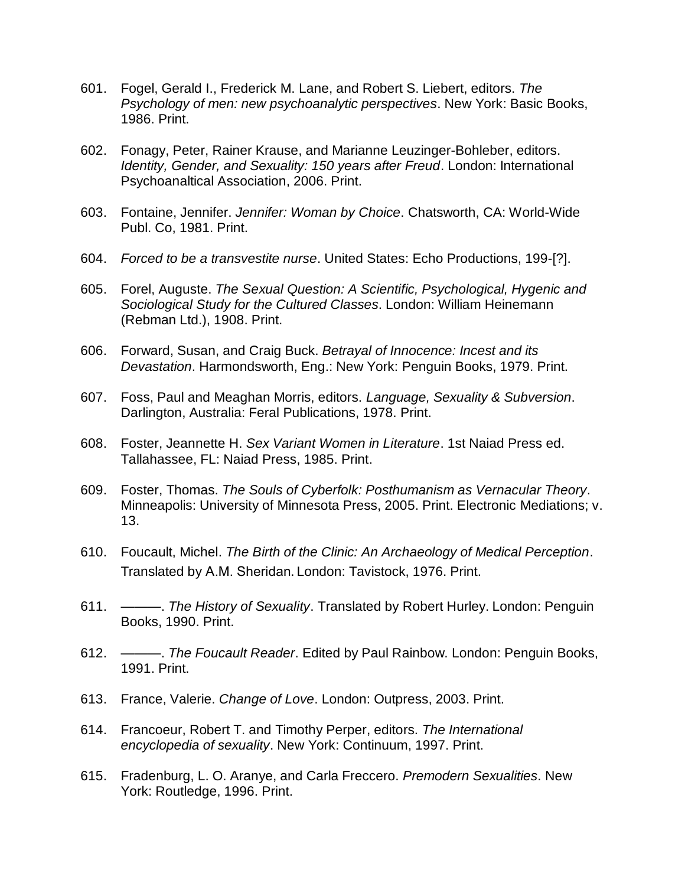- 601. Fogel, Gerald I., Frederick M. Lane, and Robert S. Liebert, editors. *The Psychology of men: new psychoanalytic perspectives*. New York: Basic Books, 1986. Print.
- 602. Fonagy, Peter, Rainer Krause, and Marianne Leuzinger-Bohleber, editors. *Identity, Gender, and Sexuality: 150 years after Freud*. London: International Psychoanaltical Association, 2006. Print.
- 603. Fontaine, Jennifer. *Jennifer: Woman by Choice*. Chatsworth, CA: World-Wide Publ. Co, 1981. Print.
- 604. *Forced to be a transvestite nurse*. United States: Echo Productions, 199-[?].
- 605. Forel, Auguste. *The Sexual Question: A Scientific, Psychological, Hygenic and Sociological Study for the Cultured Classes*. London: William Heinemann (Rebman Ltd.), 1908. Print.
- 606. Forward, Susan, and Craig Buck. *Betrayal of Innocence: Incest and its Devastation*. Harmondsworth, Eng.: New York: Penguin Books, 1979. Print.
- 607. Foss, Paul and Meaghan Morris, editors. *Language, Sexuality & Subversion*. Darlington, Australia: Feral Publications, 1978. Print.
- 608. Foster, Jeannette H. *Sex Variant Women in Literature*. 1st Naiad Press ed. Tallahassee, FL: Naiad Press, 1985. Print.
- 609. Foster, Thomas. *The Souls of Cyberfolk: Posthumanism as Vernacular Theory*. Minneapolis: University of Minnesota Press, 2005. Print. Electronic Mediations; v. 13.
- 610. Foucault, Michel. *The Birth of the Clinic: An Archaeology of Medical Perception*. Translated by A.M. Sheridan. London: Tavistock, 1976. Print.
- 611. ———. *The History of Sexuality*. Translated by Robert Hurley. London: Penguin Books, 1990. Print.
- 612. ———. *The Foucault Reader*. Edited by Paul Rainbow. London: Penguin Books, 1991. Print.
- 613. France, Valerie. *Change of Love*. London: Outpress, 2003. Print.
- 614. Francoeur, Robert T. and Timothy Perper, editors. *The International encyclopedia of sexuality*. New York: Continuum, 1997. Print.
- 615. Fradenburg, L. O. Aranye, and Carla Freccero. *Premodern Sexualities*. New York: Routledge, 1996. Print.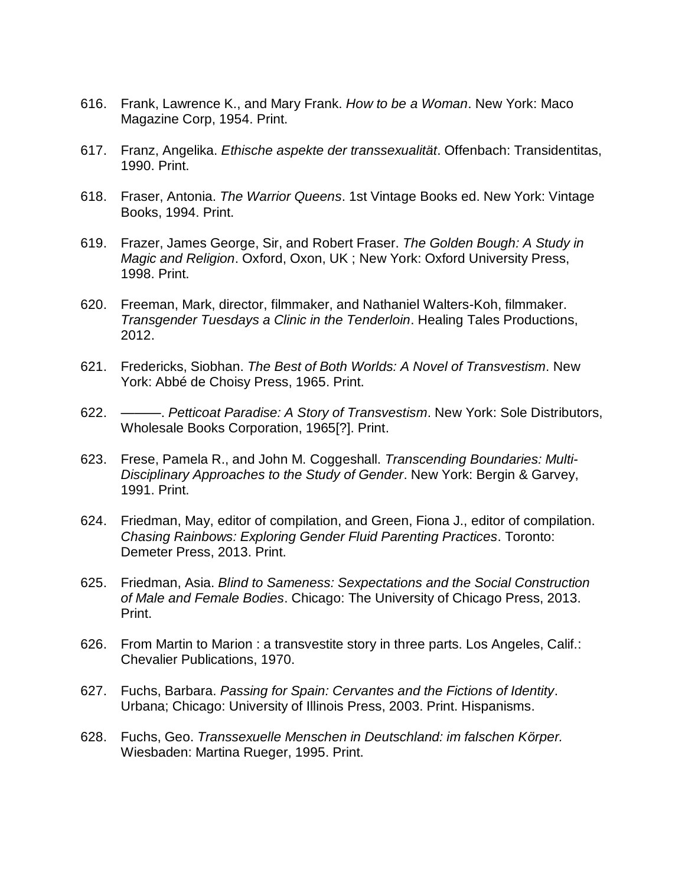- 616. Frank, Lawrence K., and Mary Frank. *How to be a Woman*. New York: Maco Magazine Corp, 1954. Print.
- 617. Franz, Angelika. *Ethische aspekte der transsexualität*. Offenbach: Transidentitas, 1990. Print.
- 618. Fraser, Antonia. *The Warrior Queens*. 1st Vintage Books ed. New York: Vintage Books, 1994. Print.
- 619. Frazer, James George, Sir, and Robert Fraser. *The Golden Bough: A Study in Magic and Religion*. Oxford, Oxon, UK ; New York: Oxford University Press, 1998. Print.
- 620. Freeman, Mark, director, filmmaker, and Nathaniel Walters-Koh, filmmaker. *Transgender Tuesdays a Clinic in the Tenderloin*. Healing Tales Productions, 2012.
- 621. Fredericks, Siobhan. *The Best of Both Worlds: A Novel of Transvestism*. New York: Abbé de Choisy Press, 1965. Print.
- 622. ———. *Petticoat Paradise: A Story of Transvestism*. New York: Sole Distributors, Wholesale Books Corporation, 1965[?]. Print.
- 623. Frese, Pamela R., and John M. Coggeshall. *Transcending Boundaries: Multi-Disciplinary Approaches to the Study of Gender*. New York: Bergin & Garvey, 1991. Print.
- 624. Friedman, May, editor of compilation, and Green, Fiona J., editor of compilation. *Chasing Rainbows: Exploring Gender Fluid Parenting Practices*. Toronto: Demeter Press, 2013. Print.
- 625. Friedman, Asia. *Blind to Sameness: Sexpectations and the Social Construction of Male and Female Bodies*. Chicago: The University of Chicago Press, 2013. Print.
- 626. From Martin to Marion : a transvestite story in three parts. Los Angeles, Calif.: Chevalier Publications, 1970.
- 627. Fuchs, Barbara. *Passing for Spain: Cervantes and the Fictions of Identity*. Urbana; Chicago: University of Illinois Press, 2003. Print. Hispanisms.
- 628. Fuchs, Geo. *Transsexuelle Menschen in Deutschland: im falschen Körper.* Wiesbaden: Martina Rueger, 1995. Print.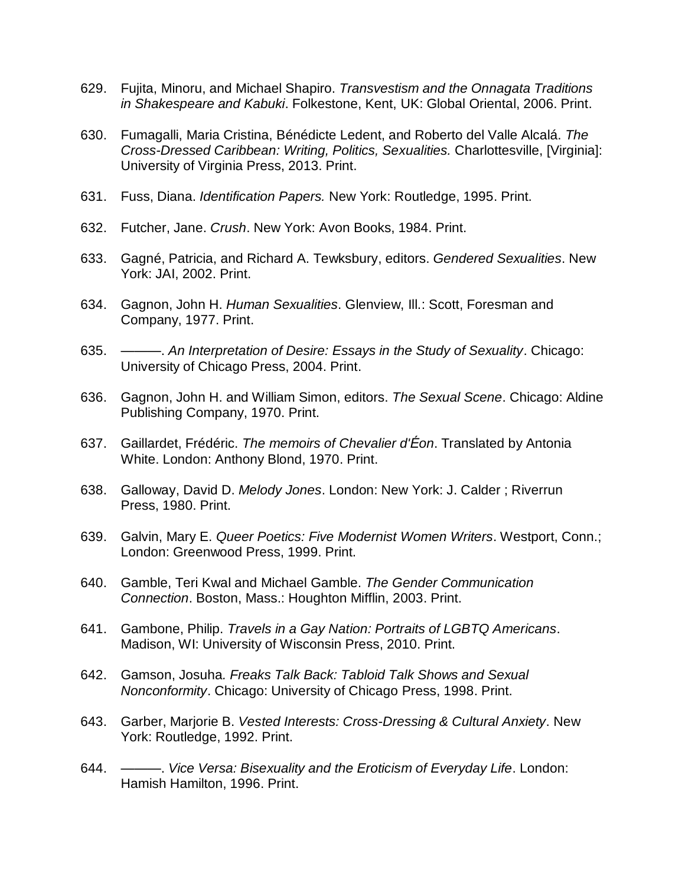- 629. Fujita, Minoru, and Michael Shapiro. *Transvestism and the Onnagata Traditions in Shakespeare and Kabuki*. Folkestone, Kent, UK: Global Oriental, 2006. Print.
- 630. Fumagalli, Maria Cristina, Bénédicte Ledent, and Roberto del Valle Alcalá. *The Cross-Dressed Caribbean: Writing, Politics, Sexualities.* Charlottesville, [Virginia]: University of Virginia Press, 2013. Print.
- 631. Fuss, Diana. *Identification Papers.* New York: Routledge, 1995. Print.
- 632. Futcher, Jane. *Crush*. New York: Avon Books, 1984. Print.
- 633. Gagné, Patricia, and Richard A. Tewksbury, editors. *Gendered Sexualities*. New York: JAI, 2002. Print.
- 634. Gagnon, John H. *Human Sexualities*. Glenview, Ill.: Scott, Foresman and Company, 1977. Print.
- 635. ———. *An Interpretation of Desire: Essays in the Study of Sexuality*. Chicago: University of Chicago Press, 2004. Print.
- 636. Gagnon, John H. and William Simon, editors. *The Sexual Scene*. Chicago: Aldine Publishing Company, 1970. Print.
- 637. Gaillardet, Frédéric. *The memoirs of Chevalier d'Éon*. Translated by Antonia White. London: Anthony Blond, 1970. Print.
- 638. Galloway, David D. *Melody Jones*. London: New York: J. Calder ; Riverrun Press, 1980. Print.
- 639. Galvin, Mary E. *Queer Poetics: Five Modernist Women Writers*. Westport, Conn.; London: Greenwood Press, 1999. Print.
- 640. Gamble, Teri Kwal and Michael Gamble. *The Gender Communication Connection*. Boston, Mass.: Houghton Mifflin, 2003. Print.
- 641. Gambone, Philip. *Travels in a Gay Nation: Portraits of LGBTQ Americans*. Madison, WI: University of Wisconsin Press, 2010. Print.
- 642. Gamson, Josuha*. Freaks Talk Back: Tabloid Talk Shows and Sexual Nonconformity*. Chicago: University of Chicago Press, 1998. Print.
- 643. Garber, Marjorie B. *Vested Interests: Cross-Dressing & Cultural Anxiety*. New York: Routledge, 1992. Print.
- 644. ———. *Vice Versa: Bisexuality and the Eroticism of Everyday Life*. London: Hamish Hamilton, 1996. Print.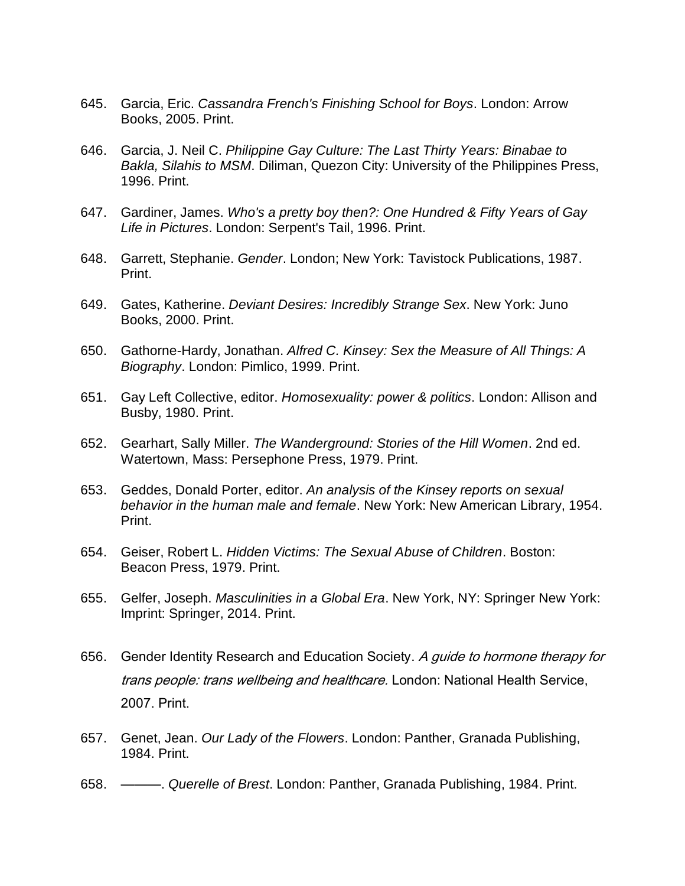- 645. Garcia, Eric. *Cassandra French's Finishing School for Boys*. London: Arrow Books, 2005. Print.
- 646. Garcia, J. Neil C. *Philippine Gay Culture: The Last Thirty Years: Binabae to Bakla, Silahis to MSM*. Diliman, Quezon City: University of the Philippines Press, 1996. Print.
- 647. Gardiner, James. *Who's a pretty boy then?: One Hundred & Fifty Years of Gay Life in Pictures*. London: Serpent's Tail, 1996. Print.
- 648. Garrett, Stephanie. *Gender*. London; New York: Tavistock Publications, 1987. Print.
- 649. Gates, Katherine. *Deviant Desires: Incredibly Strange Sex*. New York: Juno Books, 2000. Print.
- 650. Gathorne-Hardy, Jonathan. *Alfred C. Kinsey: Sex the Measure of All Things: A Biography*. London: Pimlico, 1999. Print.
- 651. Gay Left Collective, editor. *Homosexuality: power & politics*. London: Allison and Busby, 1980. Print.
- 652. Gearhart, Sally Miller. *The Wanderground: Stories of the Hill Women*. 2nd ed. Watertown, Mass: Persephone Press, 1979. Print.
- 653. Geddes, Donald Porter, editor. *An analysis of the Kinsey reports on sexual behavior in the human male and female*. New York: New American Library, 1954. Print.
- 654. Geiser, Robert L. *Hidden Victims: The Sexual Abuse of Children*. Boston: Beacon Press, 1979. Print.
- 655. Gelfer, Joseph. *Masculinities in a Global Era*. New York, NY: Springer New York: Imprint: Springer, 2014. Print.
- 656. Gender Identity Research and Education Society. A guide to hormone therapy for trans people: trans wellbeing and healthcare. London: National Health Service, 2007. Print.
- 657. Genet, Jean. *Our Lady of the Flowers*. London: Panther, Granada Publishing, 1984. Print.
- 658. ———. *Querelle of Brest*. London: Panther, Granada Publishing, 1984. Print.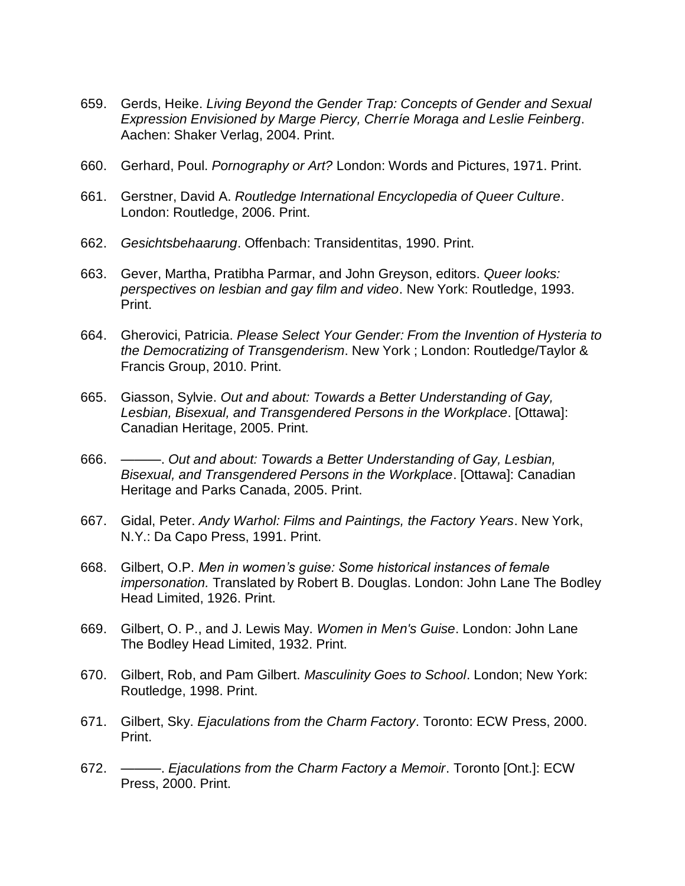- 659. Gerds, Heike. *Living Beyond the Gender Trap: Concepts of Gender and Sexual Expression Envisioned by Marge Piercy, Cherríe Moraga and Leslie Feinberg*. Aachen: Shaker Verlag, 2004. Print.
- 660. Gerhard, Poul. *Pornography or Art?* London: Words and Pictures, 1971. Print.
- 661. Gerstner, David A. *Routledge International Encyclopedia of Queer Culture*. London: Routledge, 2006. Print.
- 662. *Gesichtsbehaarung*. Offenbach: Transidentitas, 1990. Print.
- 663. Gever, Martha, Pratibha Parmar, and John Greyson, editors. *Queer looks: perspectives on lesbian and gay film and video*. New York: Routledge, 1993. Print.
- 664. Gherovici, Patricia. *Please Select Your Gender: From the Invention of Hysteria to the Democratizing of Transgenderism*. New York ; London: Routledge/Taylor & Francis Group, 2010. Print.
- 665. Giasson, Sylvie. *Out and about: Towards a Better Understanding of Gay, Lesbian, Bisexual, and Transgendered Persons in the Workplace*. [Ottawa]: Canadian Heritage, 2005. Print.
- 666. ———. *Out and about: Towards a Better Understanding of Gay, Lesbian, Bisexual, and Transgendered Persons in the Workplace*. [Ottawa]: Canadian Heritage and Parks Canada, 2005. Print.
- 667. Gidal, Peter. *Andy Warhol: Films and Paintings, the Factory Years*. New York, N.Y.: Da Capo Press, 1991. Print.
- 668. Gilbert, O.P. *Men in women's guise: Some historical instances of female impersonation.* Translated by Robert B. Douglas. London: John Lane The Bodley Head Limited, 1926. Print.
- 669. Gilbert, O. P., and J. Lewis May. *Women in Men's Guise*. London: John Lane The Bodley Head Limited, 1932. Print.
- 670. Gilbert, Rob, and Pam Gilbert. *Masculinity Goes to School*. London; New York: Routledge, 1998. Print.
- 671. Gilbert, Sky. *Ejaculations from the Charm Factory*. Toronto: ECW Press, 2000. Print.
- 672. ———. *Ejaculations from the Charm Factory a Memoir*. Toronto [Ont.]: ECW Press, 2000. Print.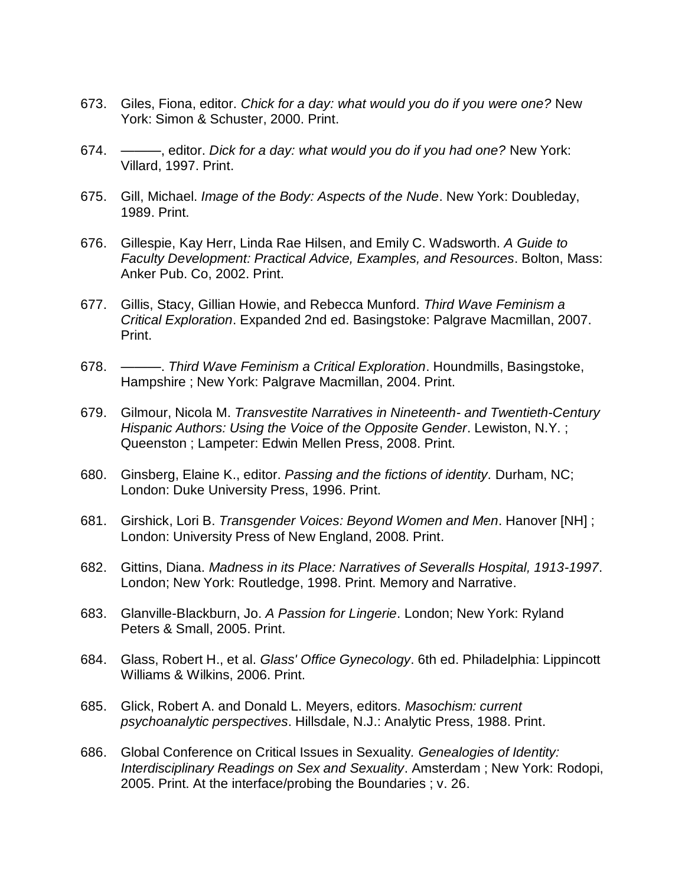- 673. Giles, Fiona, editor. *Chick for a day: what would you do if you were one?* New York: Simon & Schuster, 2000. Print.
- 674. ———, editor. *Dick for a day: what would you do if you had one?* New York: Villard, 1997. Print.
- 675. Gill, Michael. *Image of the Body: Aspects of the Nude*. New York: Doubleday, 1989. Print.
- 676. Gillespie, Kay Herr, Linda Rae Hilsen, and Emily C. Wadsworth. *A Guide to Faculty Development: Practical Advice, Examples, and Resources*. Bolton, Mass: Anker Pub. Co, 2002. Print.
- 677. Gillis, Stacy, Gillian Howie, and Rebecca Munford. *Third Wave Feminism a Critical Exploration*. Expanded 2nd ed. Basingstoke: Palgrave Macmillan, 2007. Print.
- 678. ———. *Third Wave Feminism a Critical Exploration*. Houndmills, Basingstoke, Hampshire ; New York: Palgrave Macmillan, 2004. Print.
- 679. Gilmour, Nicola M. *Transvestite Narratives in Nineteenth- and Twentieth-Century Hispanic Authors: Using the Voice of the Opposite Gender*. Lewiston, N.Y. ; Queenston ; Lampeter: Edwin Mellen Press, 2008. Print.
- 680. Ginsberg, Elaine K., editor. *Passing and the fictions of identity.* Durham, NC; London: Duke University Press, 1996. Print.
- 681. Girshick, Lori B. *Transgender Voices: Beyond Women and Men*. Hanover [NH] ; London: University Press of New England, 2008. Print.
- 682. Gittins, Diana. *Madness in its Place: Narratives of Severalls Hospital, 1913-1997*. London; New York: Routledge, 1998. Print. Memory and Narrative.
- 683. Glanville-Blackburn, Jo. *A Passion for Lingerie*. London; New York: Ryland Peters & Small, 2005. Print.
- 684. Glass, Robert H., et al. *Glass' Office Gynecology*. 6th ed. Philadelphia: Lippincott Williams & Wilkins, 2006. Print.
- 685. Glick, Robert A. and Donald L. Meyers, editors. *Masochism: current psychoanalytic perspectives*. Hillsdale, N.J.: Analytic Press, 1988. Print.
- 686. Global Conference on Critical Issues in Sexuality*. Genealogies of Identity: Interdisciplinary Readings on Sex and Sexuality*. Amsterdam ; New York: Rodopi, 2005. Print. At the interface/probing the Boundaries ; v. 26.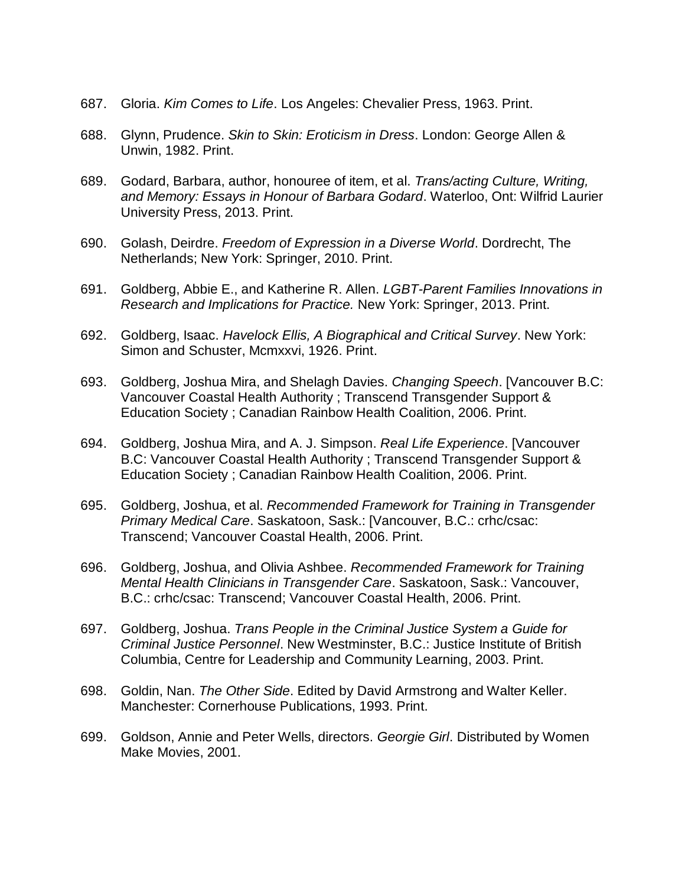- 687. Gloria. *Kim Comes to Life*. Los Angeles: Chevalier Press, 1963. Print.
- 688. Glynn, Prudence. *Skin to Skin: Eroticism in Dress*. London: George Allen & Unwin, 1982. Print.
- 689. Godard, Barbara, author, honouree of item, et al. *Trans/acting Culture, Writing, and Memory: Essays in Honour of Barbara Godard*. Waterloo, Ont: Wilfrid Laurier University Press, 2013. Print.
- 690. Golash, Deirdre. *Freedom of Expression in a Diverse World*. Dordrecht, The Netherlands; New York: Springer, 2010. Print.
- 691. Goldberg, Abbie E., and Katherine R. Allen. *LGBT-Parent Families Innovations in Research and Implications for Practice.* New York: Springer, 2013. Print.
- 692. Goldberg, Isaac. *Havelock Ellis, A Biographical and Critical Survey*. New York: Simon and Schuster, Mcmxxvi, 1926. Print.
- 693. Goldberg, Joshua Mira, and Shelagh Davies. *Changing Speech*. [Vancouver B.C: Vancouver Coastal Health Authority ; Transcend Transgender Support & Education Society ; Canadian Rainbow Health Coalition, 2006. Print.
- 694. Goldberg, Joshua Mira, and A. J. Simpson. *Real Life Experience*. [Vancouver B.C: Vancouver Coastal Health Authority ; Transcend Transgender Support & Education Society ; Canadian Rainbow Health Coalition, 2006. Print.
- 695. Goldberg, Joshua, et al. *Recommended Framework for Training in Transgender Primary Medical Care*. Saskatoon, Sask.: [Vancouver, B.C.: crhc/csac: Transcend; Vancouver Coastal Health, 2006. Print.
- 696. Goldberg, Joshua, and Olivia Ashbee. *Recommended Framework for Training Mental Health Clinicians in Transgender Care*. Saskatoon, Sask.: Vancouver, B.C.: crhc/csac: Transcend; Vancouver Coastal Health, 2006. Print.
- 697. Goldberg, Joshua. *Trans People in the Criminal Justice System a Guide for Criminal Justice Personnel*. New Westminster, B.C.: Justice Institute of British Columbia, Centre for Leadership and Community Learning, 2003. Print.
- 698. Goldin, Nan. *The Other Side*. Edited by David Armstrong and Walter Keller. Manchester: Cornerhouse Publications, 1993. Print.
- 699. Goldson, Annie and Peter Wells, directors. *Georgie Girl*. Distributed by Women Make Movies, 2001.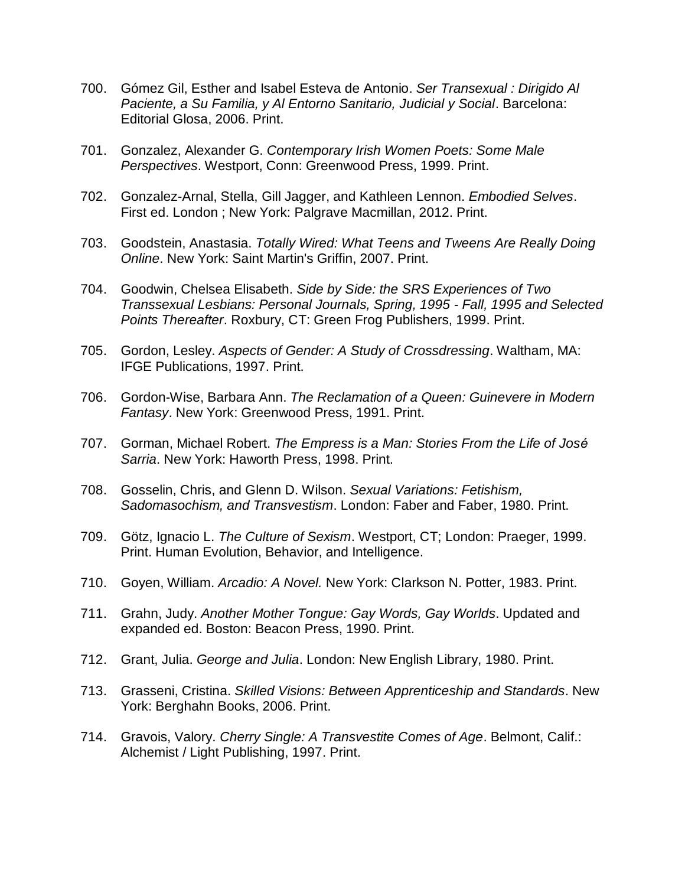- 700. Gómez Gil, Esther and Isabel Esteva de Antonio. *Ser Transexual : Dirigido Al Paciente, a Su Familia, y Al Entorno Sanitario, Judicial y Social*. Barcelona: Editorial Glosa, 2006. Print.
- 701. Gonzalez, Alexander G. *Contemporary Irish Women Poets: Some Male Perspectives*. Westport, Conn: Greenwood Press, 1999. Print.
- 702. Gonzalez-Arnal, Stella, Gill Jagger, and Kathleen Lennon. *Embodied Selves*. First ed. London ; New York: Palgrave Macmillan, 2012. Print.
- 703. Goodstein, Anastasia. *Totally Wired: What Teens and Tweens Are Really Doing Online*. New York: Saint Martin's Griffin, 2007. Print.
- 704. Goodwin, Chelsea Elisabeth. *Side by Side: the SRS Experiences of Two Transsexual Lesbians: Personal Journals, Spring, 1995 - Fall, 1995 and Selected Points Thereafter*. Roxbury, CT: Green Frog Publishers, 1999. Print.
- 705. Gordon, Lesley. *Aspects of Gender: A Study of Crossdressing*. Waltham, MA: IFGE Publications, 1997. Print.
- 706. Gordon-Wise, Barbara Ann. *The Reclamation of a Queen: Guinevere in Modern Fantasy*. New York: Greenwood Press, 1991. Print.
- 707. Gorman, Michael Robert. *The Empress is a Man: Stories From the Life of José Sarria*. New York: Haworth Press, 1998. Print.
- 708. Gosselin, Chris, and Glenn D. Wilson. *Sexual Variations: Fetishism, Sadomasochism, and Transvestism*. London: Faber and Faber, 1980. Print.
- 709. Götz, Ignacio L. *The Culture of Sexism*. Westport, CT; London: Praeger, 1999. Print. Human Evolution, Behavior, and Intelligence.
- 710. Goyen, William. *Arcadio: A Novel.* New York: Clarkson N. Potter, 1983. Print.
- 711. Grahn, Judy. *Another Mother Tongue: Gay Words, Gay Worlds*. Updated and expanded ed. Boston: Beacon Press, 1990. Print.
- 712. Grant, Julia. *George and Julia*. London: New English Library, 1980. Print.
- 713. Grasseni, Cristina. *Skilled Visions: Between Apprenticeship and Standards*. New York: Berghahn Books, 2006. Print.
- 714. Gravois, Valory. *Cherry Single: A Transvestite Comes of Age*. Belmont, Calif.: Alchemist / Light Publishing, 1997. Print.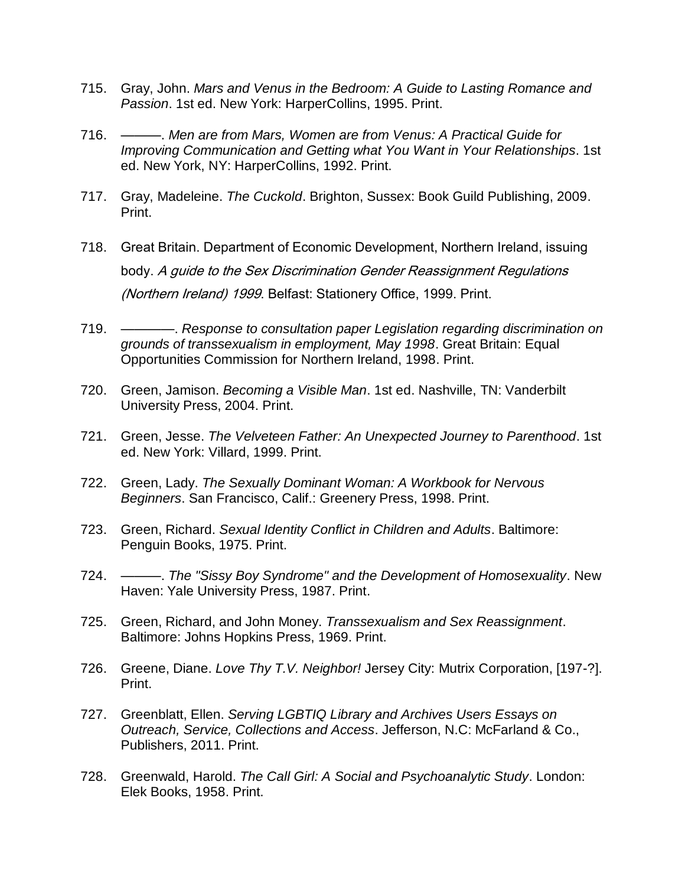- 715. Gray, John. *Mars and Venus in the Bedroom: A Guide to Lasting Romance and Passion*. 1st ed. New York: HarperCollins, 1995. Print.
- 716. ———. *Men are from Mars, Women are from Venus: A Practical Guide for Improving Communication and Getting what You Want in Your Relationships*. 1st ed. New York, NY: HarperCollins, 1992. Print.
- 717. Gray, Madeleine. *The Cuckold*. Brighton, Sussex: Book Guild Publishing, 2009. Print.
- 718. Great Britain. Department of Economic Development, Northern Ireland, issuing body. A guide to the Sex Discrimination Gender Reassignment Regulations (Northern Ireland) 1999. Belfast: Stationery Office, 1999. Print.
- 719. ————. *Response to consultation paper Legislation regarding discrimination on grounds of transsexualism in employment, May 1998*. Great Britain: Equal Opportunities Commission for Northern Ireland, 1998. Print.
- 720. Green, Jamison. *Becoming a Visible Man*. 1st ed. Nashville, TN: Vanderbilt University Press, 2004. Print.
- 721. Green, Jesse. *The Velveteen Father: An Unexpected Journey to Parenthood*. 1st ed. New York: Villard, 1999. Print.
- 722. Green, Lady. *The Sexually Dominant Woman: A Workbook for Nervous Beginners*. San Francisco, Calif.: Greenery Press, 1998. Print.
- 723. Green, Richard. *Sexual Identity Conflict in Children and Adults*. Baltimore: Penguin Books, 1975. Print.
- 724. ———. *The "Sissy Boy Syndrome" and the Development of Homosexuality*. New Haven: Yale University Press, 1987. Print.
- 725. Green, Richard, and John Money. *Transsexualism and Sex Reassignment*. Baltimore: Johns Hopkins Press, 1969. Print.
- 726. Greene, Diane. *Love Thy T.V. Neighbor!* Jersey City: Mutrix Corporation, [197-?]. Print.
- 727. Greenblatt, Ellen. *Serving LGBTIQ Library and Archives Users Essays on Outreach, Service, Collections and Access*. Jefferson, N.C: McFarland & Co., Publishers, 2011. Print.
- 728. Greenwald, Harold. *The Call Girl: A Social and Psychoanalytic Study*. London: Elek Books, 1958. Print.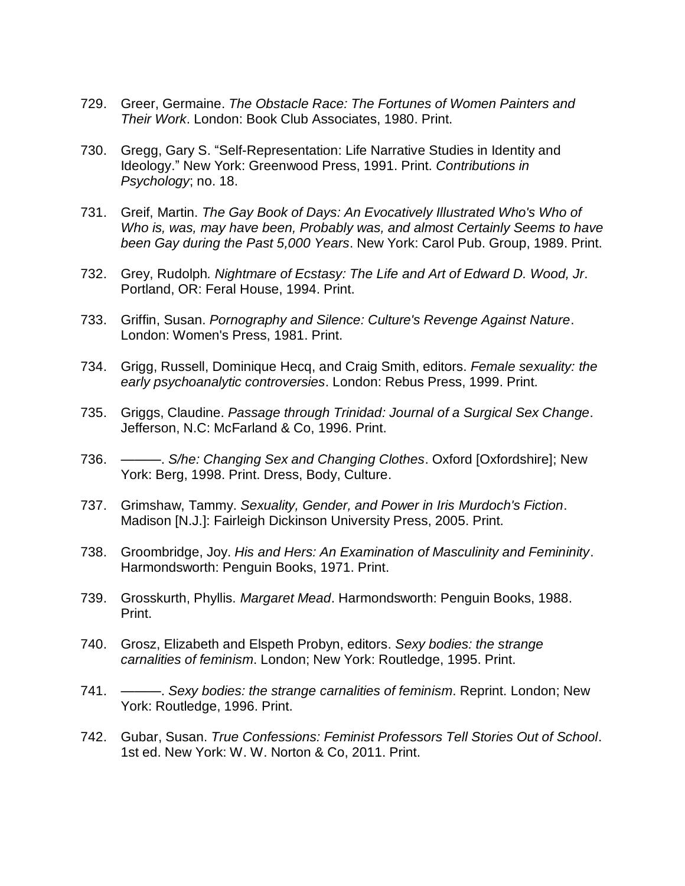- 729. Greer, Germaine. *The Obstacle Race: The Fortunes of Women Painters and Their Work*. London: Book Club Associates, 1980. Print.
- 730. Gregg, Gary S. "Self-Representation: Life Narrative Studies in Identity and Ideology." New York: Greenwood Press, 1991. Print. *Contributions in Psychology*; no. 18.
- 731. Greif, Martin. *The Gay Book of Days: An Evocatively Illustrated Who's Who of Who is, was, may have been, Probably was, and almost Certainly Seems to have been Gay during the Past 5,000 Years*. New York: Carol Pub. Group, 1989. Print.
- 732. Grey, Rudolph*. Nightmare of Ecstasy: The Life and Art of Edward D. Wood, Jr*. Portland, OR: Feral House, 1994. Print.
- 733. Griffin, Susan. *Pornography and Silence: Culture's Revenge Against Nature*. London: Women's Press, 1981. Print.
- 734. Grigg, Russell, Dominique Hecq, and Craig Smith, editors. *Female sexuality: the early psychoanalytic controversies*. London: Rebus Press, 1999. Print.
- 735. Griggs, Claudine. *Passage through Trinidad: Journal of a Surgical Sex Change*. Jefferson, N.C: McFarland & Co, 1996. Print.
- 736. ———. *S/he: Changing Sex and Changing Clothes*. Oxford [Oxfordshire]; New York: Berg, 1998. Print. Dress, Body, Culture.
- 737. Grimshaw, Tammy. *Sexuality, Gender, and Power in Iris Murdoch's Fiction*. Madison [N.J.]: Fairleigh Dickinson University Press, 2005. Print.
- 738. Groombridge, Joy. *His and Hers: An Examination of Masculinity and Femininity*. Harmondsworth: Penguin Books, 1971. Print.
- 739. Grosskurth, Phyllis. *Margaret Mead*. Harmondsworth: Penguin Books, 1988. Print.
- 740. Grosz, Elizabeth and Elspeth Probyn, editors. *Sexy bodies: the strange carnalities of feminism*. London; New York: Routledge, 1995. Print.
- 741. ———. *Sexy bodies: the strange carnalities of feminism*. Reprint. London; New York: Routledge, 1996. Print.
- 742. Gubar, Susan. *True Confessions: Feminist Professors Tell Stories Out of School*. 1st ed. New York: W. W. Norton & Co, 2011. Print.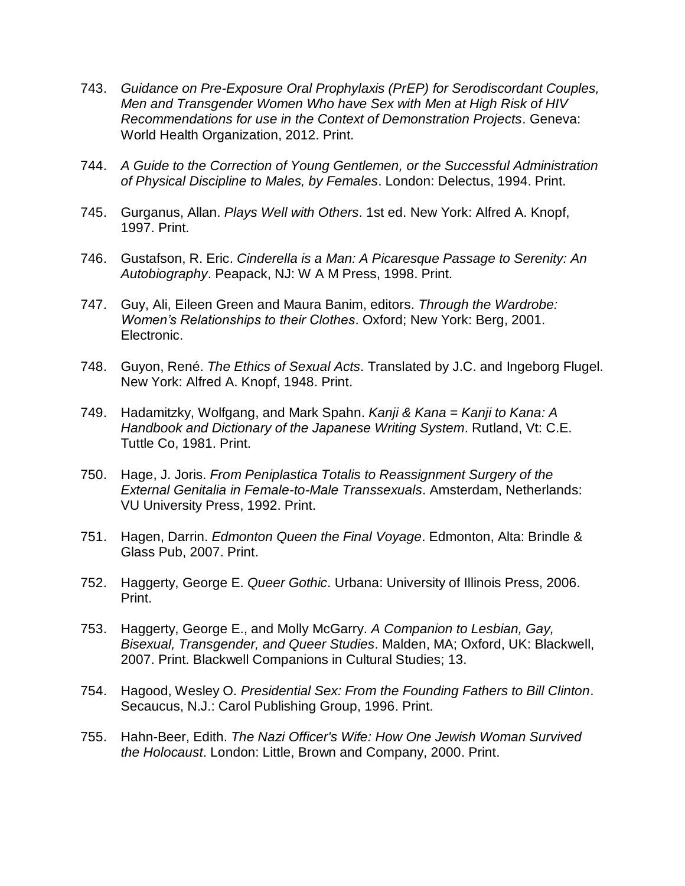- 743. *Guidance on Pre-Exposure Oral Prophylaxis (PrEP) for Serodiscordant Couples, Men and Transgender Women Who have Sex with Men at High Risk of HIV Recommendations for use in the Context of Demonstration Projects*. Geneva: World Health Organization, 2012. Print.
- 744. *A Guide to the Correction of Young Gentlemen, or the Successful Administration of Physical Discipline to Males, by Females*. London: Delectus, 1994. Print.
- 745. Gurganus, Allan. *Plays Well with Others*. 1st ed. New York: Alfred A. Knopf, 1997. Print.
- 746. Gustafson, R. Eric. *Cinderella is a Man: A Picaresque Passage to Serenity: An Autobiography*. Peapack, NJ: W A M Press, 1998. Print.
- 747. Guy, Ali, Eileen Green and Maura Banim, editors. *Through the Wardrobe: Women's Relationships to their Clothes*. Oxford; New York: Berg, 2001. Electronic.
- 748. Guyon, René. *The Ethics of Sexual Acts*. Translated by J.C. and Ingeborg Flugel. New York: Alfred A. Knopf, 1948. Print.
- 749. Hadamitzky, Wolfgang, and Mark Spahn. *Kanji & Kana = Kanji to Kana: A Handbook and Dictionary of the Japanese Writing System*. Rutland, Vt: C.E. Tuttle Co, 1981. Print.
- 750. Hage, J. Joris. *From Peniplastica Totalis to Reassignment Surgery of the External Genitalia in Female-to-Male Transsexuals*. Amsterdam, Netherlands: VU University Press, 1992. Print.
- 751. Hagen, Darrin. *Edmonton Queen the Final Voyage*. Edmonton, Alta: Brindle & Glass Pub, 2007. Print.
- 752. Haggerty, George E. *Queer Gothic*. Urbana: University of Illinois Press, 2006. Print.
- 753. Haggerty, George E., and Molly McGarry. *A Companion to Lesbian, Gay, Bisexual, Transgender, and Queer Studies*. Malden, MA; Oxford, UK: Blackwell, 2007. Print. Blackwell Companions in Cultural Studies; 13.
- 754. Hagood, Wesley O. *Presidential Sex: From the Founding Fathers to Bill Clinton*. Secaucus, N.J.: Carol Publishing Group, 1996. Print.
- 755. Hahn-Beer, Edith. *The Nazi Officer's Wife: How One Jewish Woman Survived the Holocaust*. London: Little, Brown and Company, 2000. Print.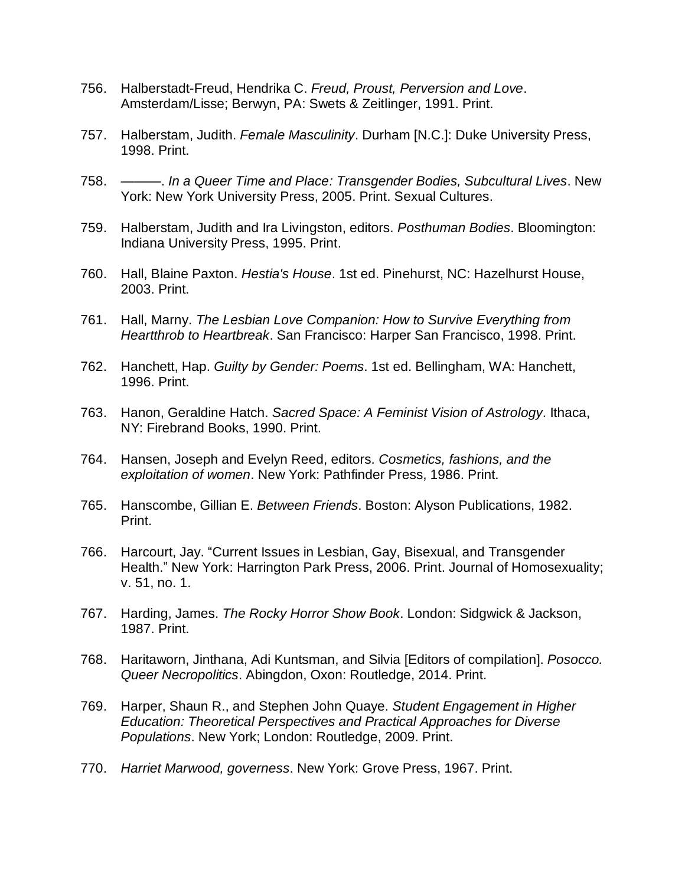- 756. Halberstadt-Freud, Hendrika C. *Freud, Proust, Perversion and Love*. Amsterdam/Lisse; Berwyn, PA: Swets & Zeitlinger, 1991. Print.
- 757. Halberstam, Judith. *Female Masculinity*. Durham [N.C.]: Duke University Press, 1998. Print.
- 758. ———. *In a Queer Time and Place: Transgender Bodies, Subcultural Lives*. New York: New York University Press, 2005. Print. Sexual Cultures.
- 759. Halberstam, Judith and Ira Livingston, editors. *Posthuman Bodies*. Bloomington: Indiana University Press, 1995. Print.
- 760. Hall, Blaine Paxton. *Hestia's House*. 1st ed. Pinehurst, NC: Hazelhurst House, 2003. Print.
- 761. Hall, Marny. *The Lesbian Love Companion: How to Survive Everything from Heartthrob to Heartbreak*. San Francisco: Harper San Francisco, 1998. Print.
- 762. Hanchett, Hap. *Guilty by Gender: Poems*. 1st ed. Bellingham, WA: Hanchett, 1996. Print.
- 763. Hanon, Geraldine Hatch. *Sacred Space: A Feminist Vision of Astrology*. Ithaca, NY: Firebrand Books, 1990. Print.
- 764. Hansen, Joseph and Evelyn Reed, editors. *Cosmetics, fashions, and the exploitation of women*. New York: Pathfinder Press, 1986. Print.
- 765. Hanscombe, Gillian E. *Between Friends*. Boston: Alyson Publications, 1982. Print.
- 766. Harcourt, Jay. "Current Issues in Lesbian, Gay, Bisexual, and Transgender Health." New York: Harrington Park Press, 2006. Print. Journal of Homosexuality; v. 51, no. 1.
- 767. Harding, James. *The Rocky Horror Show Book*. London: Sidgwick & Jackson, 1987. Print.
- 768. Haritaworn, Jinthana, Adi Kuntsman, and Silvia [Editors of compilation]. *Posocco. Queer Necropolitics*. Abingdon, Oxon: Routledge, 2014. Print.
- 769. Harper, Shaun R., and Stephen John Quaye. *Student Engagement in Higher Education: Theoretical Perspectives and Practical Approaches for Diverse Populations*. New York; London: Routledge, 2009. Print.
- 770. *Harriet Marwood, governess*. New York: Grove Press, 1967. Print.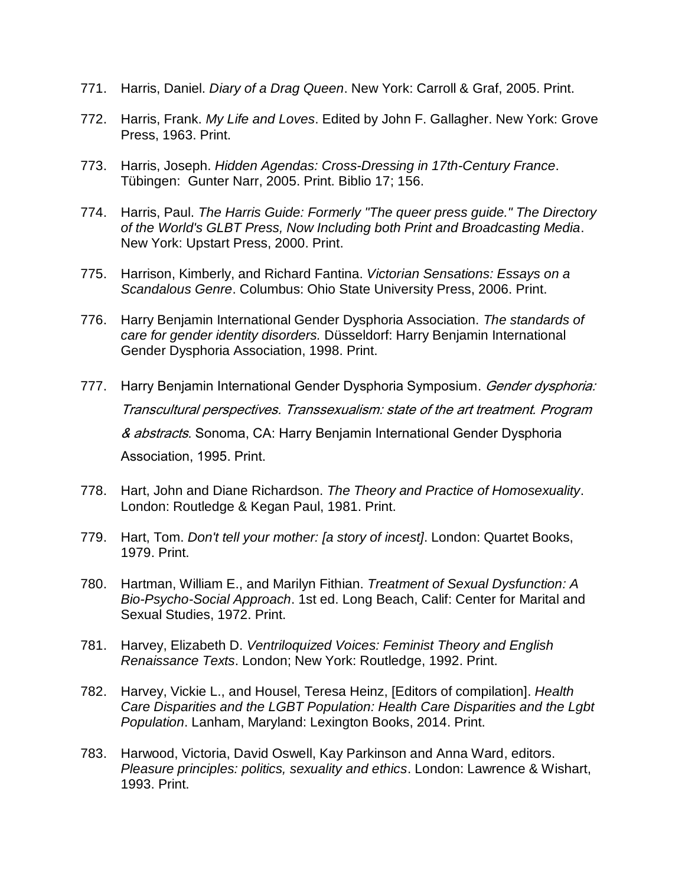- 771. Harris, Daniel. *Diary of a Drag Queen*. New York: Carroll & Graf, 2005. Print.
- 772. Harris, Frank. *My Life and Loves*. Edited by John F. Gallagher. New York: Grove Press, 1963. Print.
- 773. Harris, Joseph. *Hidden Agendas: Cross-Dressing in 17th-Century France*. Tübingen: Gunter Narr, 2005. Print. Biblio 17; 156.
- 774. Harris, Paul. *The Harris Guide: Formerly "The queer press guide." The Directory of the World's GLBT Press, Now Including both Print and Broadcasting Media*. New York: Upstart Press, 2000. Print.
- 775. Harrison, Kimberly, and Richard Fantina. *Victorian Sensations: Essays on a Scandalous Genre*. Columbus: Ohio State University Press, 2006. Print.
- 776. Harry Benjamin International Gender Dysphoria Association. *The standards of care for gender identity disorders.* Düsseldorf: Harry Benjamin International Gender Dysphoria Association, 1998. Print.
- 777. Harry Benjamin International Gender Dysphoria Symposium. Gender dysphoria: Transcultural perspectives. Transsexualism: state of the art treatment. Program & abstracts. Sonoma, CA: Harry Benjamin International Gender Dysphoria Association, 1995. Print.
- 778. Hart, John and Diane Richardson. *The Theory and Practice of Homosexuality*. London: Routledge & Kegan Paul, 1981. Print.
- 779. Hart, Tom. *Don't tell your mother: [a story of incest]*. London: Quartet Books, 1979. Print.
- 780. Hartman, William E., and Marilyn Fithian. *Treatment of Sexual Dysfunction: A Bio-Psycho-Social Approach*. 1st ed. Long Beach, Calif: Center for Marital and Sexual Studies, 1972. Print.
- 781. Harvey, Elizabeth D. *Ventriloquized Voices: Feminist Theory and English Renaissance Texts*. London; New York: Routledge, 1992. Print.
- 782. Harvey, Vickie L., and Housel, Teresa Heinz, [Editors of compilation]. *Health Care Disparities and the LGBT Population: Health Care Disparities and the Lgbt Population*. Lanham, Maryland: Lexington Books, 2014. Print.
- 783. Harwood, Victoria, David Oswell, Kay Parkinson and Anna Ward, editors. *Pleasure principles: politics, sexuality and ethics*. London: Lawrence & Wishart, 1993. Print.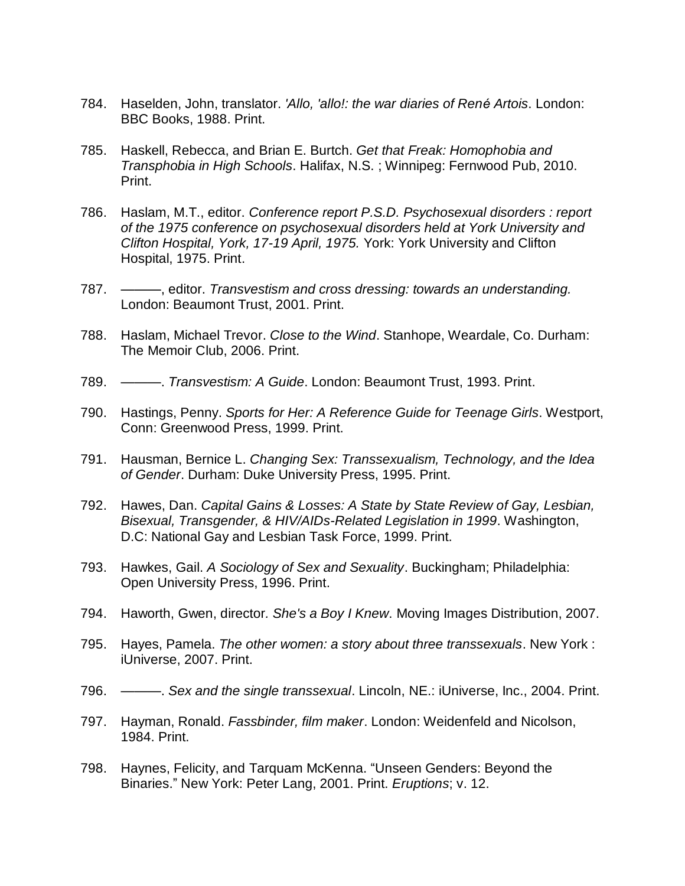- 784. Haselden, John, translator. *'Allo, 'allo!: the war diaries of René Artois*. London: BBC Books, 1988. Print.
- 785. Haskell, Rebecca, and Brian E. Burtch. *Get that Freak: Homophobia and Transphobia in High Schools*. Halifax, N.S. ; Winnipeg: Fernwood Pub, 2010. Print.
- 786. Haslam, M.T., editor. *Conference report P.S.D. Psychosexual disorders : report of the 1975 conference on psychosexual disorders held at York University and Clifton Hospital, York, 17-19 April, 1975.* York: York University and Clifton Hospital, 1975. Print.
- 787. ———, editor. *Transvestism and cross dressing: towards an understanding.*  London: Beaumont Trust, 2001. Print.
- 788. Haslam, Michael Trevor. *Close to the Wind*. Stanhope, Weardale, Co. Durham: The Memoir Club, 2006. Print.
- 789. ———. *Transvestism: A Guide*. London: Beaumont Trust, 1993. Print.
- 790. Hastings, Penny. *Sports for Her: A Reference Guide for Teenage Girls*. Westport, Conn: Greenwood Press, 1999. Print.
- 791. Hausman, Bernice L. *Changing Sex: Transsexualism, Technology, and the Idea of Gender*. Durham: Duke University Press, 1995. Print.
- 792. Hawes, Dan. *Capital Gains & Losses: A State by State Review of Gay, Lesbian, Bisexual, Transgender, & HIV/AIDs-Related Legislation in 1999*. Washington, D.C: National Gay and Lesbian Task Force, 1999. Print.
- 793. Hawkes, Gail. *A Sociology of Sex and Sexuality*. Buckingham; Philadelphia: Open University Press, 1996. Print.
- 794. Haworth, Gwen, director*. She's a Boy I Knew*. Moving Images Distribution, 2007.
- 795. Hayes, Pamela. *The other women: a story about three transsexuals*. New York : iUniverse, 2007. Print.
- 796. ———. *Sex and the single transsexual*. Lincoln, NE.: iUniverse, Inc., 2004. Print.
- 797. Hayman, Ronald. *Fassbinder, film maker*. London: Weidenfeld and Nicolson, 1984. Print.
- 798. Haynes, Felicity, and Tarquam McKenna. "Unseen Genders: Beyond the Binaries." New York: Peter Lang, 2001. Print. *Eruptions*; v. 12.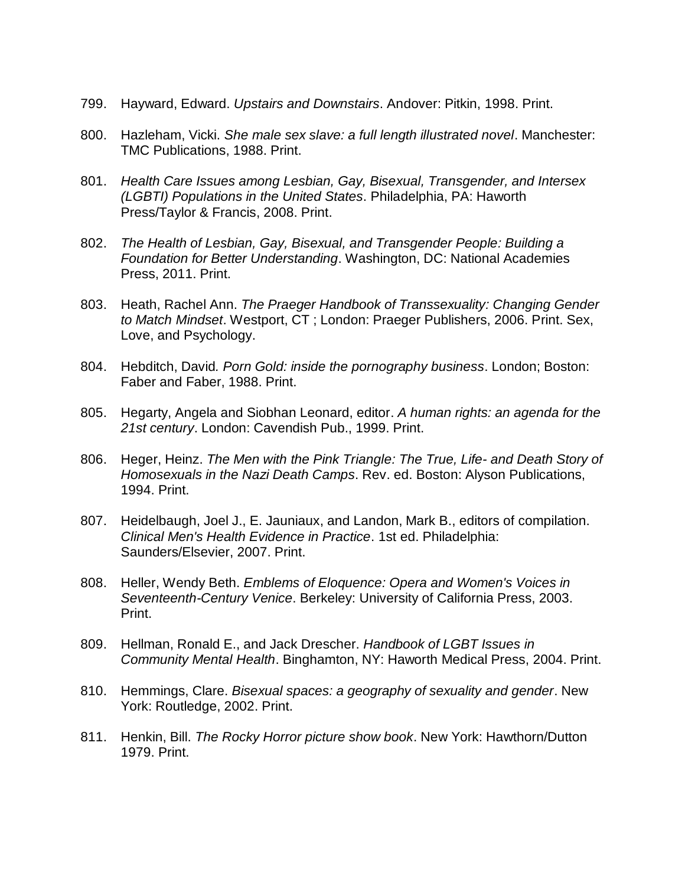- 799. Hayward, Edward. *Upstairs and Downstairs*. Andover: Pitkin, 1998. Print.
- 800. Hazleham, Vicki. *She male sex slave: a full length illustrated novel*. Manchester: TMC Publications, 1988. Print.
- 801. *Health Care Issues among Lesbian, Gay, Bisexual, Transgender, and Intersex (LGBTI) Populations in the United States*. Philadelphia, PA: Haworth Press/Taylor & Francis, 2008. Print.
- 802. *The Health of Lesbian, Gay, Bisexual, and Transgender People: Building a Foundation for Better Understanding*. Washington, DC: National Academies Press, 2011. Print.
- 803. Heath, Rachel Ann. *The Praeger Handbook of Transsexuality: Changing Gender to Match Mindset*. Westport, CT ; London: Praeger Publishers, 2006. Print. Sex, Love, and Psychology.
- 804. Hebditch, David*. Porn Gold: inside the pornography business*. London; Boston: Faber and Faber, 1988. Print.
- 805. Hegarty, Angela and Siobhan Leonard, editor. *A human rights: an agenda for the 21st century*. London: Cavendish Pub., 1999. Print.
- 806. Heger, Heinz. *The Men with the Pink Triangle: The True, Life- and Death Story of Homosexuals in the Nazi Death Camps*. Rev. ed. Boston: Alyson Publications, 1994. Print.
- 807. Heidelbaugh, Joel J., E. Jauniaux, and Landon, Mark B., editors of compilation. *Clinical Men's Health Evidence in Practice*. 1st ed. Philadelphia: Saunders/Elsevier, 2007. Print.
- 808. Heller, Wendy Beth. *Emblems of Eloquence: Opera and Women's Voices in Seventeenth-Century Venice*. Berkeley: University of California Press, 2003. Print.
- 809. Hellman, Ronald E., and Jack Drescher. *Handbook of LGBT Issues in Community Mental Health*. Binghamton, NY: Haworth Medical Press, 2004. Print.
- 810. Hemmings, Clare. *Bisexual spaces: a geography of sexuality and gender*. New York: Routledge, 2002. Print.
- 811. Henkin, Bill. *The Rocky Horror picture show book*. New York: Hawthorn/Dutton 1979. Print.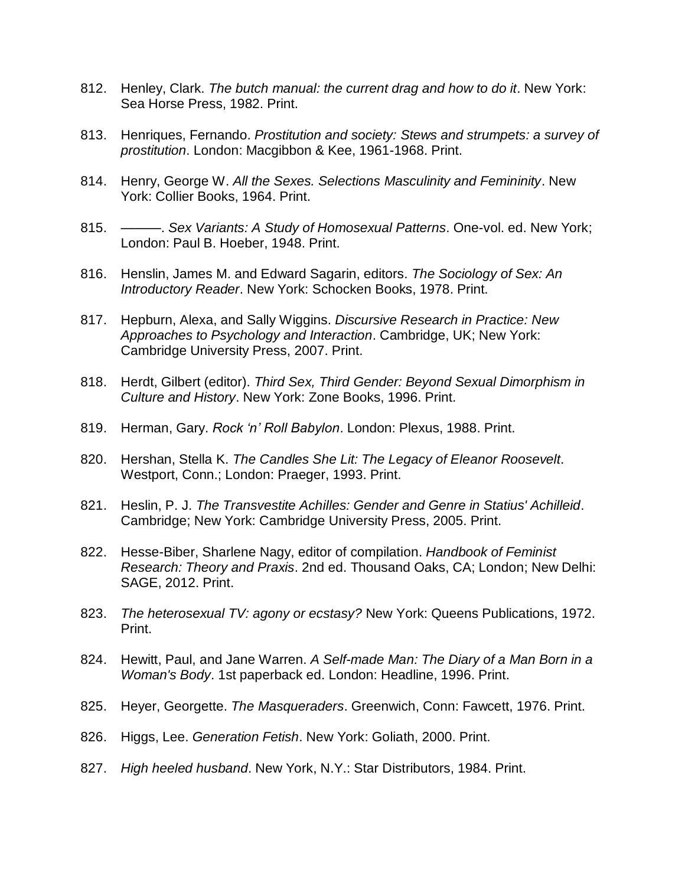- 812. Henley, Clark. *The butch manual: the current drag and how to do it*. New York: Sea Horse Press, 1982. Print.
- 813. Henriques, Fernando. *Prostitution and society: Stews and strumpets: a survey of prostitution*. London: Macgibbon & Kee, 1961-1968. Print.
- 814. Henry, George W. *All the Sexes. Selections Masculinity and Femininity*. New York: Collier Books, 1964. Print.
- 815. ———. *Sex Variants: A Study of Homosexual Patterns*. One-vol. ed. New York; London: Paul B. Hoeber, 1948. Print.
- 816. Henslin, James M. and Edward Sagarin, editors. *The Sociology of Sex: An Introductory Reader*. New York: Schocken Books, 1978. Print.
- 817. Hepburn, Alexa, and Sally Wiggins. *Discursive Research in Practice: New Approaches to Psychology and Interaction*. Cambridge, UK; New York: Cambridge University Press, 2007. Print.
- 818. Herdt, Gilbert (editor). *Third Sex, Third Gender: Beyond Sexual Dimorphism in Culture and History*. New York: Zone Books, 1996. Print.
- 819. Herman, Gary. *Rock 'n' Roll Babylon*. London: Plexus, 1988. Print.
- 820. Hershan, Stella K. *The Candles She Lit: The Legacy of Eleanor Roosevelt*. Westport, Conn.; London: Praeger, 1993. Print.
- 821. Heslin, P. J. *The Transvestite Achilles: Gender and Genre in Statius' Achilleid*. Cambridge; New York: Cambridge University Press, 2005. Print.
- 822. Hesse-Biber, Sharlene Nagy, editor of compilation. *Handbook of Feminist Research: Theory and Praxis*. 2nd ed. Thousand Oaks, CA; London; New Delhi: SAGE, 2012. Print.
- 823. *The heterosexual TV: agony or ecstasy?* New York: Queens Publications, 1972. Print.
- 824. Hewitt, Paul, and Jane Warren. *A Self-made Man: The Diary of a Man Born in a Woman's Body*. 1st paperback ed. London: Headline, 1996. Print.
- 825. Heyer, Georgette. *The Masqueraders*. Greenwich, Conn: Fawcett, 1976. Print.
- 826. Higgs, Lee. *Generation Fetish*. New York: Goliath, 2000. Print.
- 827. *High heeled husband*. New York, N.Y.: Star Distributors, 1984. Print.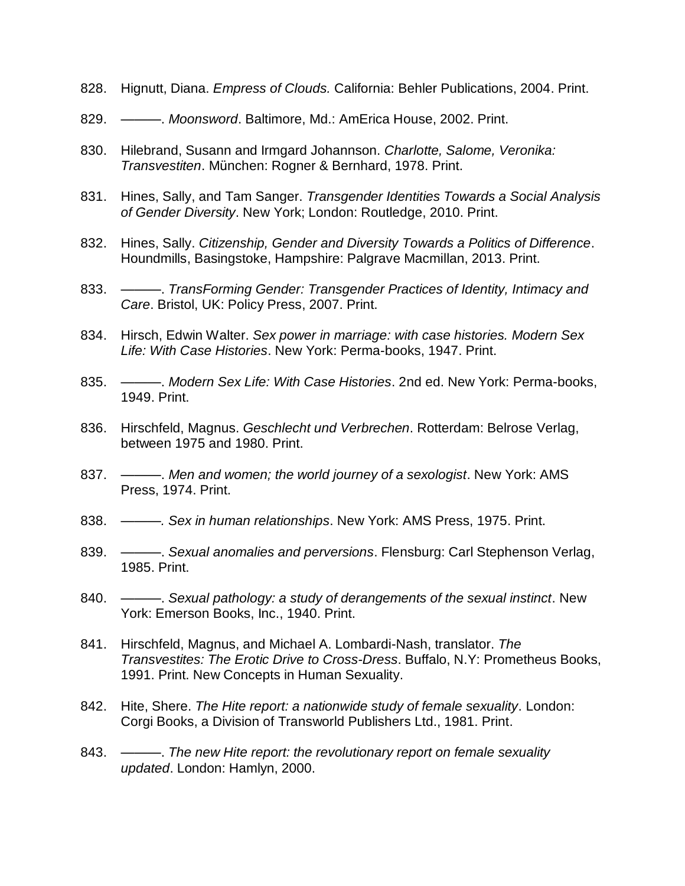- 828. Hignutt, Diana. *Empress of Clouds.* California: Behler Publications, 2004. Print.
- 829. ———. *Moonsword*. Baltimore, Md.: AmErica House, 2002. Print.
- 830. Hilebrand, Susann and Irmgard Johannson. *Charlotte, Salome, Veronika: Transvestiten*. München: Rogner & Bernhard, 1978. Print.
- 831. Hines, Sally, and Tam Sanger. *Transgender Identities Towards a Social Analysis of Gender Diversity*. New York; London: Routledge, 2010. Print.
- 832. Hines, Sally. *Citizenship, Gender and Diversity Towards a Politics of Difference*. Houndmills, Basingstoke, Hampshire: Palgrave Macmillan, 2013. Print.
- 833. ———. *TransForming Gender: Transgender Practices of Identity, Intimacy and Care*. Bristol, UK: Policy Press, 2007. Print.
- 834. Hirsch, Edwin Walter. *Sex power in marriage: with case histories. Modern Sex Life: With Case Histories*. New York: Perma-books, 1947. Print.
- 835. ———. *Modern Sex Life: With Case Histories*. 2nd ed. New York: Perma-books, 1949. Print.
- 836. Hirschfeld, Magnus. *Geschlecht und Verbrechen*. Rotterdam: Belrose Verlag, between 1975 and 1980. Print.
- 837. ———. *Men and women; the world journey of a sexologist*. New York: AMS Press, 1974. Print.
- 838. *———. Sex in human relationships*. New York: AMS Press, 1975. Print.
- 839. ———. *Sexual anomalies and perversions*. Flensburg: Carl Stephenson Verlag, 1985. Print.
- 840. ———. *Sexual pathology: a study of derangements of the sexual instinct*. New York: Emerson Books, Inc., 1940. Print.
- 841. Hirschfeld, Magnus, and Michael A. Lombardi-Nash, translator. *The Transvestites: The Erotic Drive to Cross-Dress*. Buffalo, N.Y: Prometheus Books, 1991. Print. New Concepts in Human Sexuality.
- 842. Hite, Shere. *The Hite report: a nationwide study of female sexuality*. London: Corgi Books, a Division of Transworld Publishers Ltd., 1981. Print.
- 843. ———. *The new Hite report: the revolutionary report on female sexuality updated*. London: Hamlyn, 2000.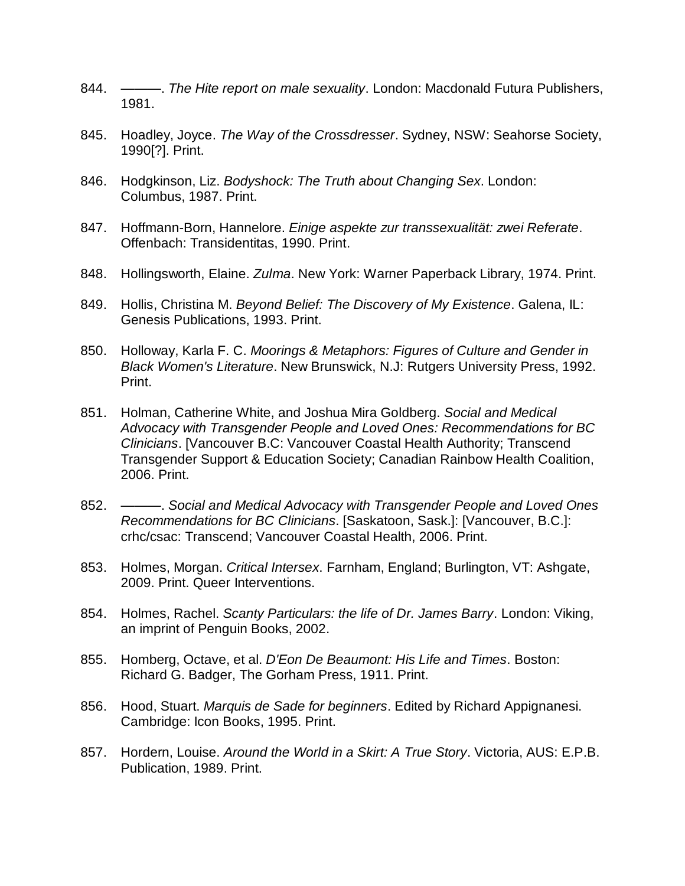- 844. ———. *The Hite report on male sexuality*. London: Macdonald Futura Publishers, 1981.
- 845. Hoadley, Joyce. *The Way of the Crossdresser*. Sydney, NSW: Seahorse Society, 1990[?]. Print.
- 846. Hodgkinson, Liz. *Bodyshock: The Truth about Changing Sex*. London: Columbus, 1987. Print.
- 847. Hoffmann-Born, Hannelore. *Einige aspekte zur transsexualität: zwei Referate*. Offenbach: Transidentitas, 1990. Print.
- 848. Hollingsworth, Elaine. *Zulma*. New York: Warner Paperback Library, 1974. Print.
- 849. Hollis, Christina M. *Beyond Belief: The Discovery of My Existence*. Galena, IL: Genesis Publications, 1993. Print.
- 850. Holloway, Karla F. C. *Moorings & Metaphors: Figures of Culture and Gender in Black Women's Literature*. New Brunswick, N.J: Rutgers University Press, 1992. Print.
- 851. Holman, Catherine White, and Joshua Mira Goldberg. *Social and Medical Advocacy with Transgender People and Loved Ones: Recommendations for BC Clinicians*. [Vancouver B.C: Vancouver Coastal Health Authority; Transcend Transgender Support & Education Society; Canadian Rainbow Health Coalition, 2006. Print.
- 852. ———. *Social and Medical Advocacy with Transgender People and Loved Ones Recommendations for BC Clinicians*. [Saskatoon, Sask.]: [Vancouver, B.C.]: crhc/csac: Transcend; Vancouver Coastal Health, 2006. Print.
- 853. Holmes, Morgan. *Critical Intersex*. Farnham, England; Burlington, VT: Ashgate, 2009. Print. Queer Interventions.
- 854. Holmes, Rachel. *Scanty Particulars: the life of Dr. James Barry*. London: Viking, an imprint of Penguin Books, 2002.
- 855. Homberg, Octave, et al. *D'Eon De Beaumont: His Life and Times*. Boston: Richard G. Badger, The Gorham Press, 1911. Print.
- 856. Hood, Stuart. *Marquis de Sade for beginners*. Edited by Richard Appignanesi. Cambridge: Icon Books, 1995. Print.
- 857. Hordern, Louise. *Around the World in a Skirt: A True Story*. Victoria, AUS: E.P.B. Publication, 1989. Print.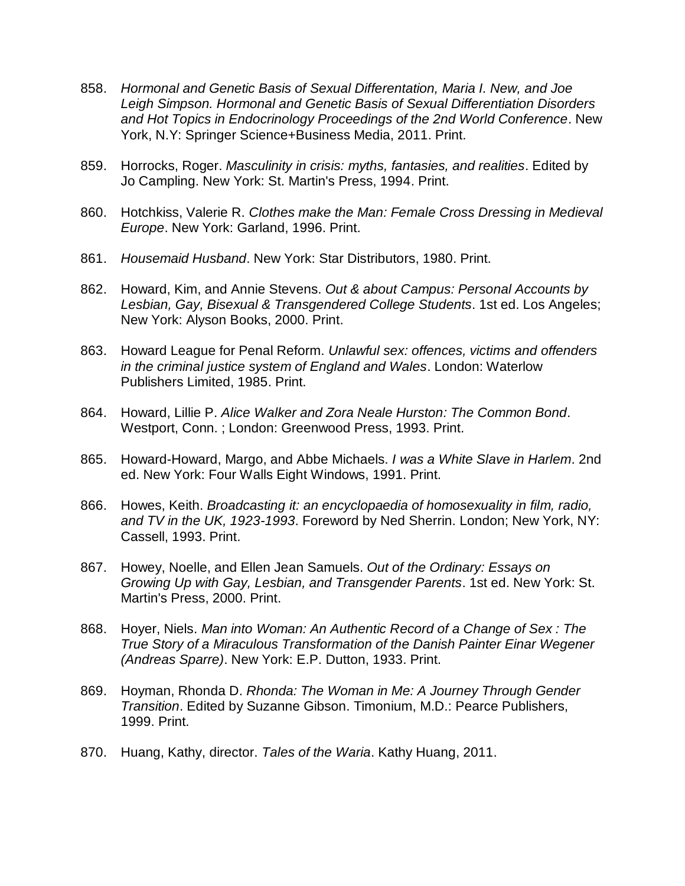- 858. *Hormonal and Genetic Basis of Sexual Differentation, Maria I. New, and Joe Leigh Simpson. Hormonal and Genetic Basis of Sexual Differentiation Disorders and Hot Topics in Endocrinology Proceedings of the 2nd World Conference*. New York, N.Y: Springer Science+Business Media, 2011. Print.
- 859. Horrocks, Roger. *Masculinity in crisis: myths, fantasies, and realities*. Edited by Jo Campling. New York: St. Martin's Press, 1994. Print.
- 860. Hotchkiss, Valerie R. *Clothes make the Man: Female Cross Dressing in Medieval Europe*. New York: Garland, 1996. Print.
- 861. *Housemaid Husband*. New York: Star Distributors, 1980. Print.
- 862. Howard, Kim, and Annie Stevens. *Out & about Campus: Personal Accounts by Lesbian, Gay, Bisexual & Transgendered College Students*. 1st ed. Los Angeles; New York: Alyson Books, 2000. Print.
- 863. Howard League for Penal Reform. *Unlawful sex: offences, victims and offenders in the criminal justice system of England and Wales*. London: Waterlow Publishers Limited, 1985. Print.
- 864. Howard, Lillie P. *Alice Walker and Zora Neale Hurston: The Common Bond*. Westport, Conn. ; London: Greenwood Press, 1993. Print.
- 865. Howard-Howard, Margo, and Abbe Michaels. *I was a White Slave in Harlem*. 2nd ed. New York: Four Walls Eight Windows, 1991. Print.
- 866. Howes, Keith. *Broadcasting it: an encyclopaedia of homosexuality in film, radio, and TV in the UK, 1923-1993*. Foreword by Ned Sherrin. London; New York, NY: Cassell, 1993. Print.
- 867. Howey, Noelle, and Ellen Jean Samuels. *Out of the Ordinary: Essays on Growing Up with Gay, Lesbian, and Transgender Parents*. 1st ed. New York: St. Martin's Press, 2000. Print.
- 868. Hoyer, Niels. *Man into Woman: An Authentic Record of a Change of Sex : The True Story of a Miraculous Transformation of the Danish Painter Einar Wegener (Andreas Sparre)*. New York: E.P. Dutton, 1933. Print.
- 869. Hoyman, Rhonda D. *Rhonda: The Woman in Me: A Journey Through Gender Transition*. Edited by Suzanne Gibson. Timonium, M.D.: Pearce Publishers, 1999. Print.
- 870. Huang, Kathy, director. *Tales of the Waria*. Kathy Huang, 2011.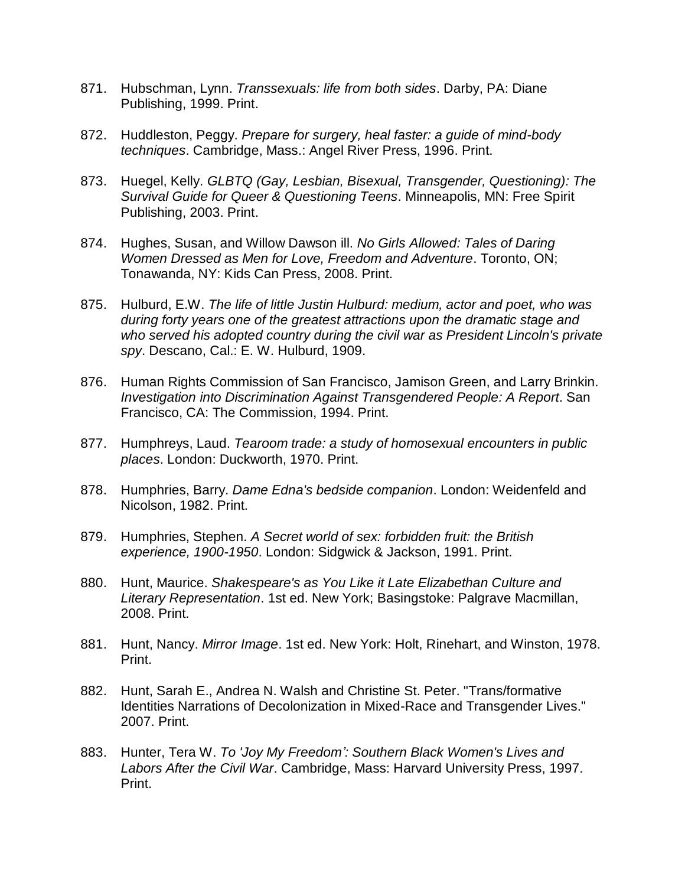- 871. Hubschman, Lynn. *Transsexuals: life from both sides*. Darby, PA: Diane Publishing, 1999. Print.
- 872. Huddleston, Peggy. *Prepare for surgery, heal faster: a guide of mind-body techniques*. Cambridge, Mass.: Angel River Press, 1996. Print.
- 873. Huegel, Kelly. *GLBTQ (Gay, Lesbian, Bisexual, Transgender, Questioning): The Survival Guide for Queer & Questioning Teens*. Minneapolis, MN: Free Spirit Publishing, 2003. Print.
- 874. Hughes, Susan, and Willow Dawson ill. *No Girls Allowed: Tales of Daring Women Dressed as Men for Love, Freedom and Adventure*. Toronto, ON; Tonawanda, NY: Kids Can Press, 2008. Print.
- 875. Hulburd, E.W. *The life of little Justin Hulburd: medium, actor and poet, who was during forty years one of the greatest attractions upon the dramatic stage and who served his adopted country during the civil war as President Lincoln's private spy*. Descano, Cal.: E. W. Hulburd, 1909.
- 876. Human Rights Commission of San Francisco, Jamison Green, and Larry Brinkin. *Investigation into Discrimination Against Transgendered People: A Report*. San Francisco, CA: The Commission, 1994. Print.
- 877. Humphreys, Laud. *Tearoom trade: a study of homosexual encounters in public places*. London: Duckworth, 1970. Print.
- 878. Humphries, Barry. *Dame Edna's bedside companion*. London: Weidenfeld and Nicolson, 1982. Print.
- 879. Humphries, Stephen. *A Secret world of sex: forbidden fruit: the British experience, 1900-1950*. London: Sidgwick & Jackson, 1991. Print.
- 880. Hunt, Maurice. *Shakespeare's as You Like it Late Elizabethan Culture and Literary Representation*. 1st ed. New York; Basingstoke: Palgrave Macmillan, 2008. Print.
- 881. Hunt, Nancy. *Mirror Image*. 1st ed. New York: Holt, Rinehart, and Winston, 1978. Print.
- 882. Hunt, Sarah E., Andrea N. Walsh and Christine St. Peter. "Trans/formative Identities Narrations of Decolonization in Mixed-Race and Transgender Lives." 2007. Print.
- 883. Hunter, Tera W. *To 'Joy My Freedom': Southern Black Women's Lives and Labors After the Civil War*. Cambridge, Mass: Harvard University Press, 1997. Print.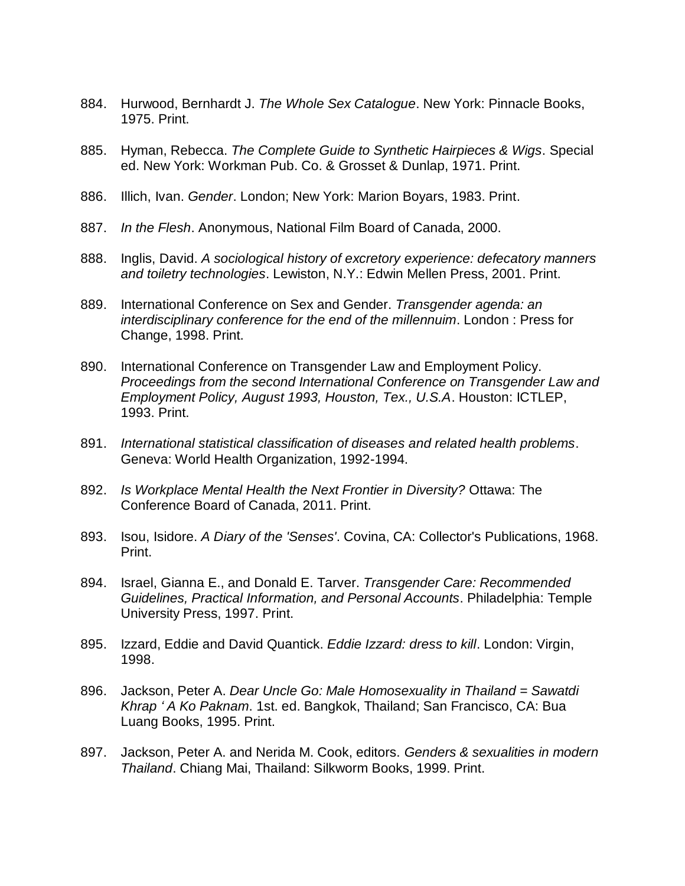- 884. Hurwood, Bernhardt J. *The Whole Sex Catalogue*. New York: Pinnacle Books, 1975. Print.
- 885. Hyman, Rebecca. *The Complete Guide to Synthetic Hairpieces & Wigs*. Special ed. New York: Workman Pub. Co. & Grosset & Dunlap, 1971. Print.
- 886. Illich, Ivan. *Gender*. London; New York: Marion Boyars, 1983. Print.
- 887. *In the Flesh*. Anonymous, National Film Board of Canada, 2000.
- 888. Inglis, David. *A sociological history of excretory experience: defecatory manners and toiletry technologies*. Lewiston, N.Y.: Edwin Mellen Press, 2001. Print.
- 889. International Conference on Sex and Gender. *Transgender agenda: an interdisciplinary conference for the end of the millennuim*. London : Press for Change, 1998. Print.
- 890. International Conference on Transgender Law and Employment Policy. *Proceedings from the second International Conference on Transgender Law and Employment Policy, August 1993, Houston, Tex., U.S.A*. Houston: ICTLEP, 1993. Print.
- 891. *International statistical classification of diseases and related health problems*. Geneva: World Health Organization, 1992-1994.
- 892. *Is Workplace Mental Health the Next Frontier in Diversity?* Ottawa: The Conference Board of Canada, 2011. Print.
- 893. Isou, Isidore. *A Diary of the 'Senses'*. Covina, CA: Collector's Publications, 1968. Print.
- 894. Israel, Gianna E., and Donald E. Tarver. *Transgender Care: Recommended Guidelines, Practical Information, and Personal Accounts*. Philadelphia: Temple University Press, 1997. Print.
- 895. Izzard, Eddie and David Quantick. *Eddie Izzard: dress to kill*. London: Virgin, 1998.
- 896. Jackson, Peter A. *Dear Uncle Go: Male Homosexuality in Thailand = Sawatdi Khrap ʻ A Ko Paknam*. 1st. ed. Bangkok, Thailand; San Francisco, CA: Bua Luang Books, 1995. Print.
- 897. Jackson, Peter A. and Nerida M. Cook, editors. *Genders & sexualities in modern Thailand*. Chiang Mai, Thailand: Silkworm Books, 1999. Print.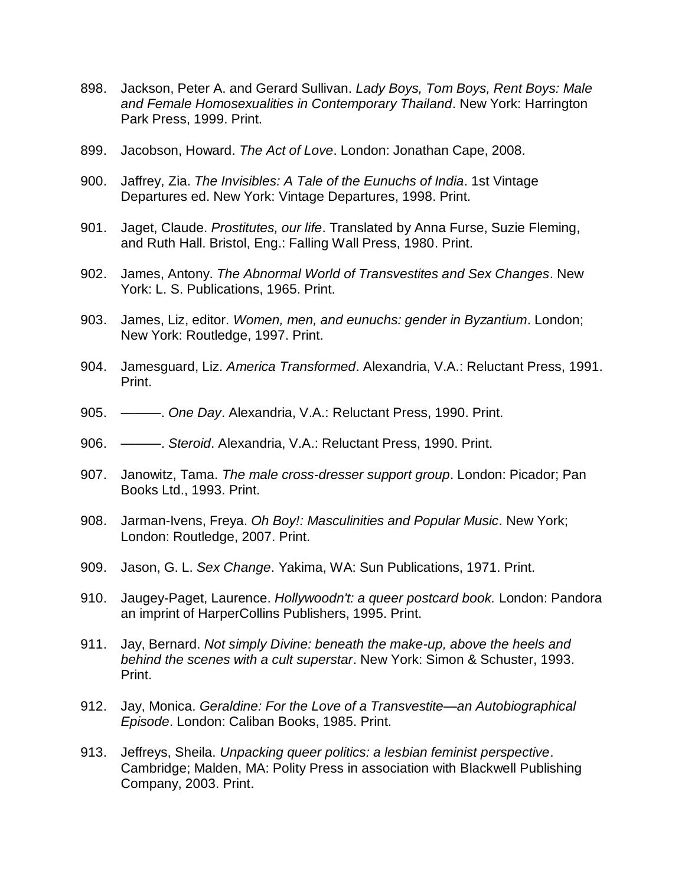- 898. Jackson, Peter A. and Gerard Sullivan. *Lady Boys, Tom Boys, Rent Boys: Male and Female Homosexualities in Contemporary Thailand*. New York: Harrington Park Press, 1999. Print.
- 899. Jacobson, Howard. *The Act of Love*. London: Jonathan Cape, 2008.
- 900. Jaffrey, Zia. *The Invisibles: A Tale of the Eunuchs of India*. 1st Vintage Departures ed. New York: Vintage Departures, 1998. Print.
- 901. Jaget, Claude. *Prostitutes, our life*. Translated by Anna Furse, Suzie Fleming, and Ruth Hall. Bristol, Eng.: Falling Wall Press, 1980. Print.
- 902. James, Antony. *The Abnormal World of Transvestites and Sex Changes*. New York: L. S. Publications, 1965. Print.
- 903. James, Liz, editor. *Women, men, and eunuchs: gender in Byzantium*. London; New York: Routledge, 1997. Print.
- 904. Jamesguard, Liz. *America Transformed*. Alexandria, V.A.: Reluctant Press, 1991. Print.
- 905. ———. *One Day*. Alexandria, V.A.: Reluctant Press, 1990. Print.
- 906. ———. *Steroid*. Alexandria, V.A.: Reluctant Press, 1990. Print.
- 907. Janowitz, Tama. *The male cross-dresser support group*. London: Picador; Pan Books Ltd., 1993. Print.
- 908. Jarman-Ivens, Freya. *Oh Boy!: Masculinities and Popular Music*. New York; London: Routledge, 2007. Print.
- 909. Jason, G. L. *Sex Change*. Yakima, WA: Sun Publications, 1971. Print.
- 910. Jaugey-Paget, Laurence. *Hollywoodn't: a queer postcard book.* London: Pandora an imprint of HarperCollins Publishers, 1995. Print.
- 911. Jay, Bernard. *Not simply Divine: beneath the make-up, above the heels and behind the scenes with a cult superstar*. New York: Simon & Schuster, 1993. Print.
- 912. Jay, Monica. *Geraldine: For the Love of a Transvestite—an Autobiographical Episode*. London: Caliban Books, 1985. Print.
- 913. Jeffreys, Sheila. *Unpacking queer politics: a lesbian feminist perspective*. Cambridge; Malden, MA: Polity Press in association with Blackwell Publishing Company, 2003. Print.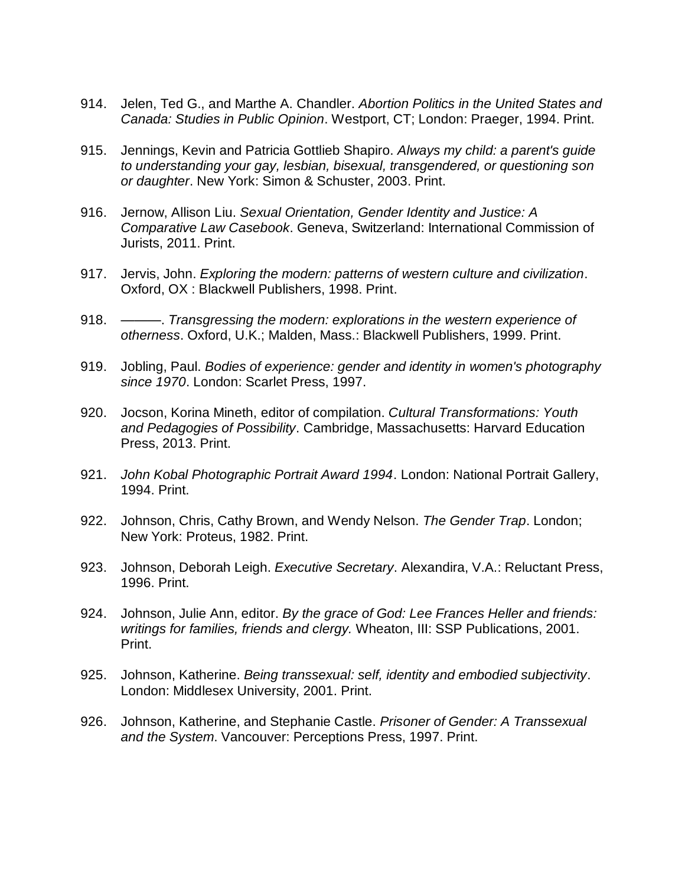- 914. Jelen, Ted G., and Marthe A. Chandler. *Abortion Politics in the United States and Canada: Studies in Public Opinion*. Westport, CT; London: Praeger, 1994. Print.
- 915. Jennings, Kevin and Patricia Gottlieb Shapiro. *Always my child: a parent's guide to understanding your gay, lesbian, bisexual, transgendered, or questioning son or daughter*. New York: Simon & Schuster, 2003. Print.
- 916. Jernow, Allison Liu. *Sexual Orientation, Gender Identity and Justice: A Comparative Law Casebook*. Geneva, Switzerland: International Commission of Jurists, 2011. Print.
- 917. Jervis, John. *Exploring the modern: patterns of western culture and civilization*. Oxford, OX : Blackwell Publishers, 1998. Print.
- 918. ———. *Transgressing the modern: explorations in the western experience of otherness*. Oxford, U.K.; Malden, Mass.: Blackwell Publishers, 1999. Print.
- 919. Jobling, Paul. *Bodies of experience: gender and identity in women's photography since 1970*. London: Scarlet Press, 1997.
- 920. Jocson, Korina Mineth, editor of compilation. *Cultural Transformations: Youth and Pedagogies of Possibility*. Cambridge, Massachusetts: Harvard Education Press, 2013. Print.
- 921. *John Kobal Photographic Portrait Award 1994*. London: National Portrait Gallery, 1994. Print.
- 922. Johnson, Chris, Cathy Brown, and Wendy Nelson. *The Gender Trap*. London; New York: Proteus, 1982. Print.
- 923. Johnson, Deborah Leigh. *Executive Secretary*. Alexandira, V.A.: Reluctant Press, 1996. Print.
- 924. Johnson, Julie Ann, editor. *By the grace of God: Lee Frances Heller and friends: writings for families, friends and clergy.* Wheaton, III: SSP Publications, 2001. Print.
- 925. Johnson, Katherine. *Being transsexual: self, identity and embodied subjectivity*. London: Middlesex University, 2001. Print.
- 926. Johnson, Katherine, and Stephanie Castle. *Prisoner of Gender: A Transsexual and the System*. Vancouver: Perceptions Press, 1997. Print.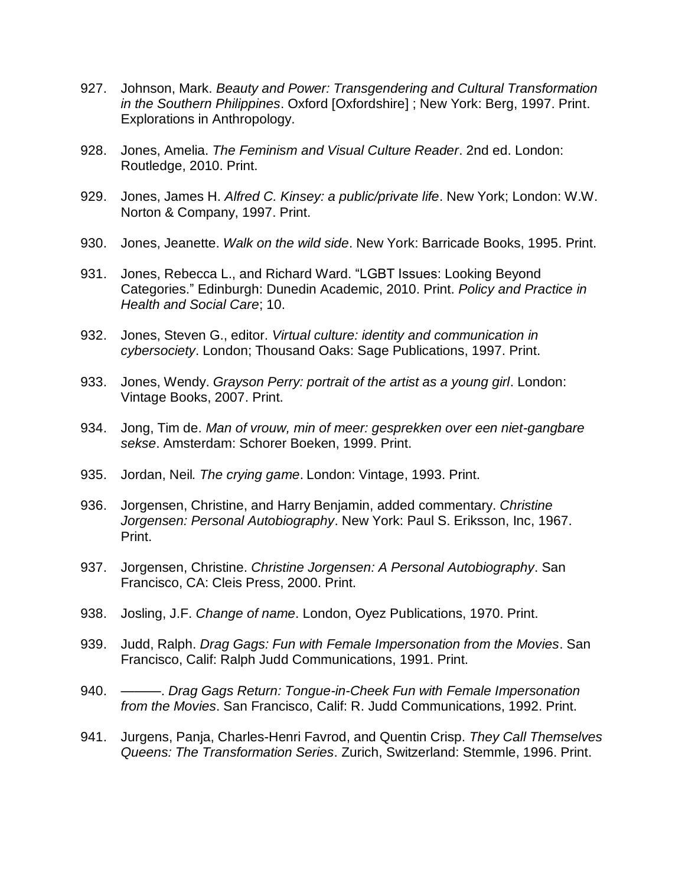- 927. Johnson, Mark. *Beauty and Power: Transgendering and Cultural Transformation in the Southern Philippines*. Oxford [Oxfordshire] ; New York: Berg, 1997. Print. Explorations in Anthropology.
- 928. Jones, Amelia. *The Feminism and Visual Culture Reader*. 2nd ed. London: Routledge, 2010. Print.
- 929. Jones, James H. *Alfred C. Kinsey: a public/private life*. New York; London: W.W. Norton & Company, 1997. Print.
- 930. Jones, Jeanette. *Walk on the wild side*. New York: Barricade Books, 1995. Print.
- 931. Jones, Rebecca L., and Richard Ward. "LGBT Issues: Looking Beyond Categories." Edinburgh: Dunedin Academic, 2010. Print. *Policy and Practice in Health and Social Care*; 10.
- 932. Jones, Steven G., editor. *Virtual culture: identity and communication in cybersociety*. London; Thousand Oaks: Sage Publications, 1997. Print.
- 933. Jones, Wendy. *Grayson Perry: portrait of the artist as a young girl*. London: Vintage Books, 2007. Print.
- 934. Jong, Tim de. *Man of vrouw, min of meer: gesprekken over een niet-gangbare sekse*. Amsterdam: Schorer Boeken, 1999. Print.
- 935. Jordan, Neil*. The crying game*. London: Vintage, 1993. Print.
- 936. Jorgensen, Christine, and Harry Benjamin, added commentary. *Christine Jorgensen: Personal Autobiography*. New York: Paul S. Eriksson, Inc, 1967. Print.
- 937. Jorgensen, Christine. *Christine Jorgensen: A Personal Autobiography*. San Francisco, CA: Cleis Press, 2000. Print.
- 938. Josling, J.F. *Change of name*. London, Oyez Publications, 1970. Print.
- 939. Judd, Ralph. *Drag Gags: Fun with Female Impersonation from the Movies*. San Francisco, Calif: Ralph Judd Communications, 1991. Print.
- 940. ———. *Drag Gags Return: Tongue-in-Cheek Fun with Female Impersonation from the Movies*. San Francisco, Calif: R. Judd Communications, 1992. Print.
- 941. Jurgens, Panja, Charles-Henri Favrod, and Quentin Crisp. *They Call Themselves Queens: The Transformation Series*. Zurich, Switzerland: Stemmle, 1996. Print.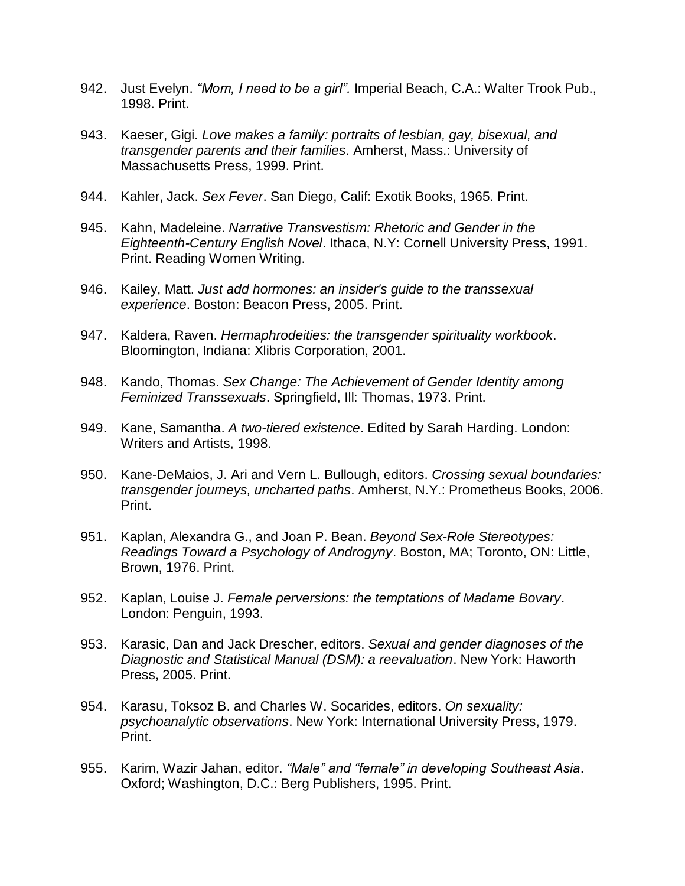- 942. Just Evelyn. *"Mom, I need to be a girl".* Imperial Beach, C.A.: Walter Trook Pub., 1998. Print.
- 943. Kaeser, Gigi. *Love makes a family: portraits of lesbian, gay, bisexual, and transgender parents and their families*. Amherst, Mass.: University of Massachusetts Press, 1999. Print.
- 944. Kahler, Jack. *Sex Fever*. San Diego, Calif: Exotik Books, 1965. Print.
- 945. Kahn, Madeleine. *Narrative Transvestism: Rhetoric and Gender in the Eighteenth-Century English Novel*. Ithaca, N.Y: Cornell University Press, 1991. Print. Reading Women Writing.
- 946. Kailey, Matt. *Just add hormones: an insider's guide to the transsexual experience*. Boston: Beacon Press, 2005. Print.
- 947. Kaldera, Raven. *Hermaphrodeities: the transgender spirituality workbook*. Bloomington, Indiana: Xlibris Corporation, 2001.
- 948. Kando, Thomas. *Sex Change: The Achievement of Gender Identity among Feminized Transsexuals*. Springfield, Ill: Thomas, 1973. Print.
- 949. Kane, Samantha. *A two-tiered existence*. Edited by Sarah Harding. London: Writers and Artists, 1998.
- 950. Kane-DeMaios, J. Ari and Vern L. Bullough, editors. *Crossing sexual boundaries: transgender journeys, uncharted paths*. Amherst, N.Y.: Prometheus Books, 2006. Print.
- 951. Kaplan, Alexandra G., and Joan P. Bean. *Beyond Sex-Role Stereotypes: Readings Toward a Psychology of Androgyny*. Boston, MA; Toronto, ON: Little, Brown, 1976. Print.
- 952. Kaplan, Louise J. *Female perversions: the temptations of Madame Bovary*. London: Penguin, 1993.
- 953. Karasic, Dan and Jack Drescher, editors. *Sexual and gender diagnoses of the Diagnostic and Statistical Manual (DSM): a reevaluation*. New York: Haworth Press, 2005. Print.
- 954. Karasu, Toksoz B. and Charles W. Socarides, editors. *On sexuality: psychoanalytic observations*. New York: International University Press, 1979. Print.
- 955. Karim, Wazir Jahan, editor. *"Male" and "female" in developing Southeast Asia*. Oxford; Washington, D.C.: Berg Publishers, 1995. Print.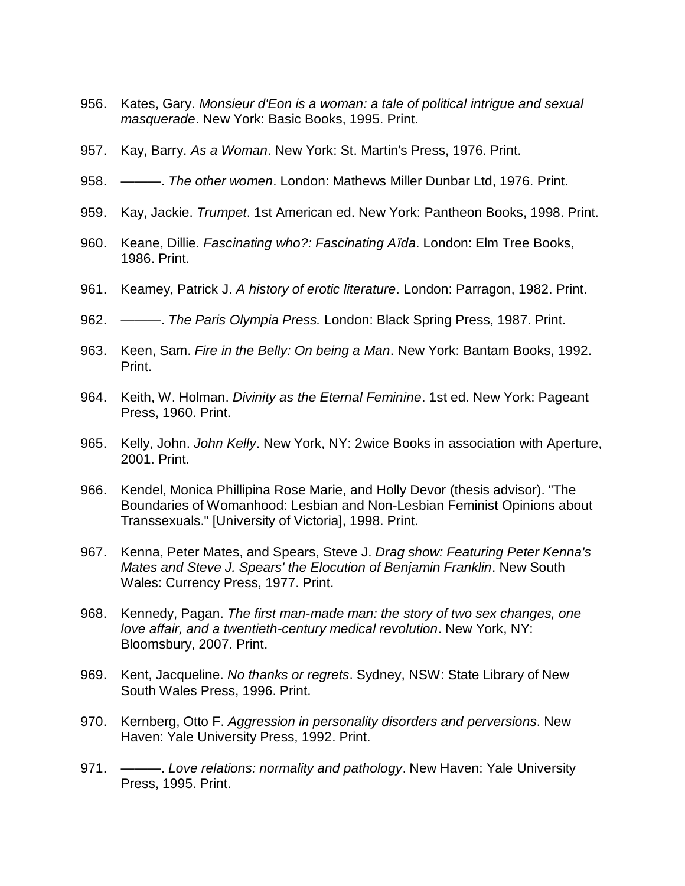- 956. Kates, Gary. *Monsieur d'Eon is a woman: a tale of political intrigue and sexual masquerade*. New York: Basic Books, 1995. Print.
- 957. Kay, Barry. *As a Woman*. New York: St. Martin's Press, 1976. Print.
- 958. ———. *The other women*. London: Mathews Miller Dunbar Ltd, 1976. Print.
- 959. Kay, Jackie. *Trumpet*. 1st American ed. New York: Pantheon Books, 1998. Print.
- 960. Keane, Dillie. *Fascinating who?: Fascinating Aïda*. London: Elm Tree Books, 1986. Print.
- 961. Keamey, Patrick J. *A history of erotic literature*. London: Parragon, 1982. Print.
- 962. ———. *The Paris Olympia Press.* London: Black Spring Press, 1987. Print.
- 963. Keen, Sam. *Fire in the Belly: On being a Man*. New York: Bantam Books, 1992. Print.
- 964. Keith, W. Holman. *Divinity as the Eternal Feminine*. 1st ed. New York: Pageant Press, 1960. Print.
- 965. Kelly, John. *John Kelly*. New York, NY: 2wice Books in association with Aperture, 2001. Print.
- 966. Kendel, Monica Phillipina Rose Marie, and Holly Devor (thesis advisor). "The Boundaries of Womanhood: Lesbian and Non-Lesbian Feminist Opinions about Transsexuals." [University of Victoria], 1998. Print.
- 967. Kenna, Peter Mates, and Spears, Steve J. *Drag show: Featuring Peter Kenna's Mates and Steve J. Spears' the Elocution of Benjamin Franklin*. New South Wales: Currency Press, 1977. Print.
- 968. Kennedy, Pagan. *The first man-made man: the story of two sex changes, one love affair, and a twentieth-century medical revolution*. New York, NY: Bloomsbury, 2007. Print.
- 969. Kent, Jacqueline. *No thanks or regrets*. Sydney, NSW: State Library of New South Wales Press, 1996. Print.
- 970. Kernberg, Otto F. *Aggression in personality disorders and perversions*. New Haven: Yale University Press, 1992. Print.
- 971. ———. *Love relations: normality and pathology*. New Haven: Yale University Press, 1995. Print.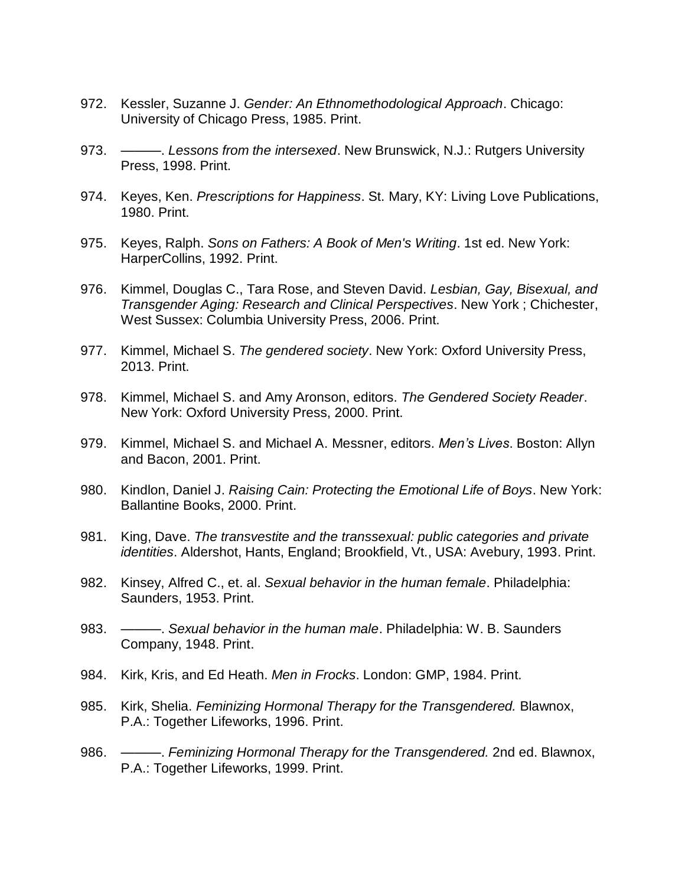- 972. Kessler, Suzanne J. *Gender: An Ethnomethodological Approach*. Chicago: University of Chicago Press, 1985. Print.
- 973. ———. *Lessons from the intersexed*. New Brunswick, N.J.: Rutgers University Press, 1998. Print.
- 974. Keyes, Ken. *Prescriptions for Happiness*. St. Mary, KY: Living Love Publications, 1980. Print.
- 975. Keyes, Ralph. *Sons on Fathers: A Book of Men's Writing*. 1st ed. New York: HarperCollins, 1992. Print.
- 976. Kimmel, Douglas C., Tara Rose, and Steven David. *Lesbian, Gay, Bisexual, and Transgender Aging: Research and Clinical Perspectives*. New York ; Chichester, West Sussex: Columbia University Press, 2006. Print.
- 977. Kimmel, Michael S. *The gendered society*. New York: Oxford University Press, 2013. Print.
- 978. Kimmel, Michael S. and Amy Aronson, editors. *The Gendered Society Reader*. New York: Oxford University Press, 2000. Print.
- 979. Kimmel, Michael S. and Michael A. Messner, editors. *Men's Lives*. Boston: Allyn and Bacon, 2001. Print.
- 980. Kindlon, Daniel J. *Raising Cain: Protecting the Emotional Life of Boys*. New York: Ballantine Books, 2000. Print.
- 981. King, Dave. *The transvestite and the transsexual: public categories and private identities*. Aldershot, Hants, England; Brookfield, Vt., USA: Avebury, 1993. Print.
- 982. Kinsey, Alfred C., et. al. *Sexual behavior in the human female*. Philadelphia: Saunders, 1953. Print.
- 983. ———. *Sexual behavior in the human male*. Philadelphia: W. B. Saunders Company, 1948. Print.
- 984. Kirk, Kris, and Ed Heath. *Men in Frocks*. London: GMP, 1984. Print.
- 985. Kirk, Shelia. *Feminizing Hormonal Therapy for the Transgendered.* Blawnox, P.A.: Together Lifeworks, 1996. Print.
- 986. ———. *Feminizing Hormonal Therapy for the Transgendered.* 2nd ed. Blawnox, P.A.: Together Lifeworks, 1999. Print.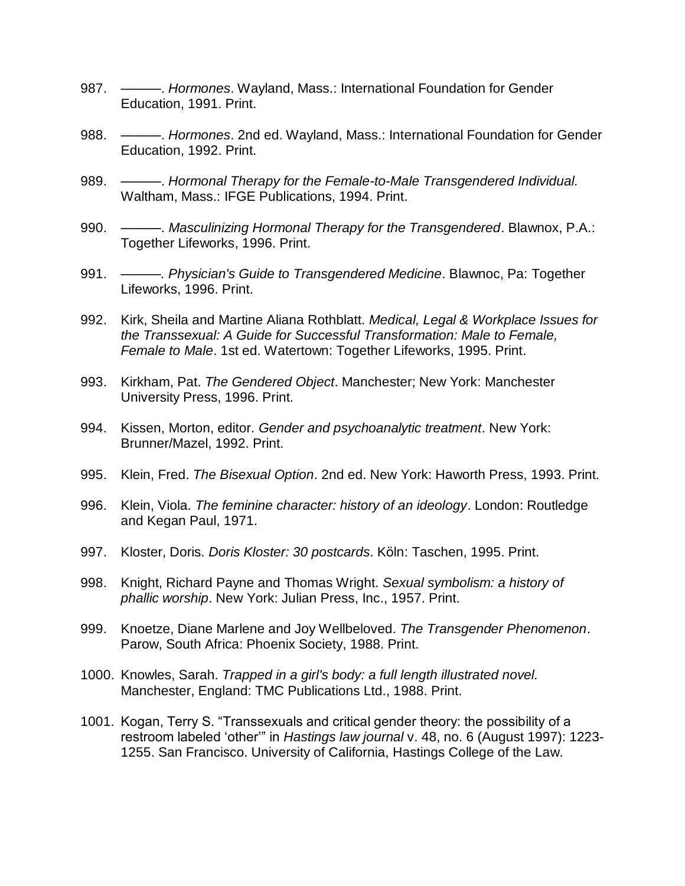- 987. ———. *Hormones*. Wayland, Mass.: International Foundation for Gender Education, 1991. Print.
- 988. ———. *Hormones*. 2nd ed. Wayland, Mass.: International Foundation for Gender Education, 1992. Print.
- 989. ———. *Hormonal Therapy for the Female-to-Male Transgendered Individual.* Waltham, Mass.: IFGE Publications, 1994. Print.
- 990. ———. *Masculinizing Hormonal Therapy for the Transgendered*. Blawnox, P.A.: Together Lifeworks, 1996. Print.
- 991. ———*. Physician's Guide to Transgendered Medicine*. Blawnoc, Pa: Together Lifeworks, 1996. Print.
- 992. Kirk, Sheila and Martine Aliana Rothblatt. *Medical, Legal & Workplace Issues for the Transsexual: A Guide for Successful Transformation: Male to Female, Female to Male*. 1st ed. Watertown: Together Lifeworks, 1995. Print.
- 993. Kirkham, Pat. *The Gendered Object*. Manchester; New York: Manchester University Press, 1996. Print.
- 994. Kissen, Morton, editor. *Gender and psychoanalytic treatment*. New York: Brunner/Mazel, 1992. Print.
- 995. Klein, Fred. *The Bisexual Option*. 2nd ed. New York: Haworth Press, 1993. Print.
- 996. Klein, Viola. *The feminine character: history of an ideology*. London: Routledge and Kegan Paul, 1971.
- 997. Kloster, Doris. *Doris Kloster: 30 postcards*. Köln: Taschen, 1995. Print.
- 998. Knight, Richard Payne and Thomas Wright. *Sexual symbolism: a history of phallic worship*. New York: Julian Press, Inc., 1957. Print.
- 999. Knoetze, Diane Marlene and Joy Wellbeloved. *The Transgender Phenomenon*. Parow, South Africa: Phoenix Society, 1988. Print.
- 1000. Knowles, Sarah. *Trapped in a girl's body: a full length illustrated novel.*  Manchester, England: TMC Publications Ltd., 1988. Print.
- 1001. Kogan, Terry S. "Transsexuals and critical gender theory: the possibility of a restroom labeled 'other'" in *Hastings law journal* v. 48, no. 6 (August 1997): 1223- 1255. San Francisco. University of California, Hastings College of the Law.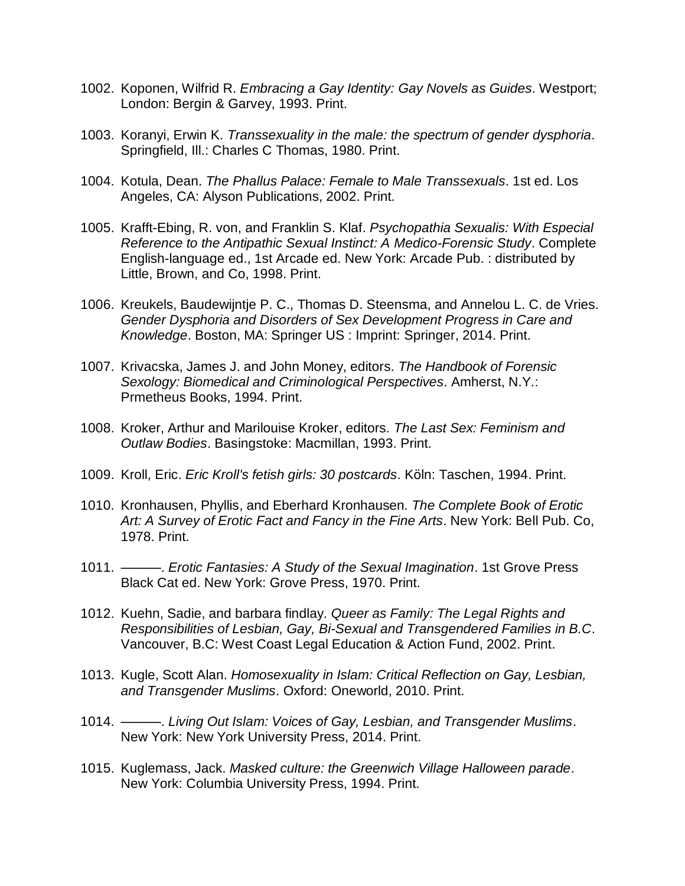- 1002. Koponen, Wilfrid R. *Embracing a Gay Identity: Gay Novels as Guides*. Westport; London: Bergin & Garvey, 1993. Print.
- 1003. Koranyi, Erwin K. *Transsexuality in the male: the spectrum of gender dysphoria*. Springfield, Ill.: Charles C Thomas, 1980. Print.
- 1004. Kotula, Dean. *The Phallus Palace: Female to Male Transsexuals*. 1st ed. Los Angeles, CA: Alyson Publications, 2002. Print.
- 1005. Krafft-Ebing, R. von, and Franklin S. Klaf. *Psychopathia Sexualis: With Especial Reference to the Antipathic Sexual Instinct: A Medico-Forensic Study*. Complete English-language ed., 1st Arcade ed. New York: Arcade Pub. : distributed by Little, Brown, and Co, 1998. Print.
- 1006. Kreukels, Baudewijntje P. C., Thomas D. Steensma, and Annelou L. C. de Vries. *Gender Dysphoria and Disorders of Sex Development Progress in Care and Knowledge*. Boston, MA: Springer US : Imprint: Springer, 2014. Print.
- 1007. Krivacska, James J. and John Money, editors. *The Handbook of Forensic Sexology: Biomedical and Criminological Perspectives*. Amherst, N.Y.: Prmetheus Books, 1994. Print.
- 1008. Kroker, Arthur and Marilouise Kroker, editors. *The Last Sex: Feminism and Outlaw Bodies*. Basingstoke: Macmillan, 1993. Print.
- 1009. Kroll, Eric. *Eric Kroll's fetish girls: 30 postcards*. Köln: Taschen, 1994. Print.
- 1010. Kronhausen, Phyllis, and Eberhard Kronhausen. *The Complete Book of Erotic Art: A Survey of Erotic Fact and Fancy in the Fine Arts*. New York: Bell Pub. Co, 1978. Print.
- 1011. ———. *Erotic Fantasies: A Study of the Sexual Imagination*. 1st Grove Press Black Cat ed. New York: Grove Press, 1970. Print.
- 1012. Kuehn, Sadie, and barbara findlay. *Queer as Family: The Legal Rights and Responsibilities of Lesbian, Gay, Bi-Sexual and Transgendered Families in B.C*. Vancouver, B.C: West Coast Legal Education & Action Fund, 2002. Print.
- 1013. Kugle, Scott Alan. *Homosexuality in Islam: Critical Reflection on Gay, Lesbian, and Transgender Muslims*. Oxford: Oneworld, 2010. Print.
- 1014. ———. *Living Out Islam: Voices of Gay, Lesbian, and Transgender Muslims*. New York: New York University Press, 2014. Print.
- 1015. Kuglemass, Jack. *Masked culture: the Greenwich Village Halloween parade*. New York: Columbia University Press, 1994. Print.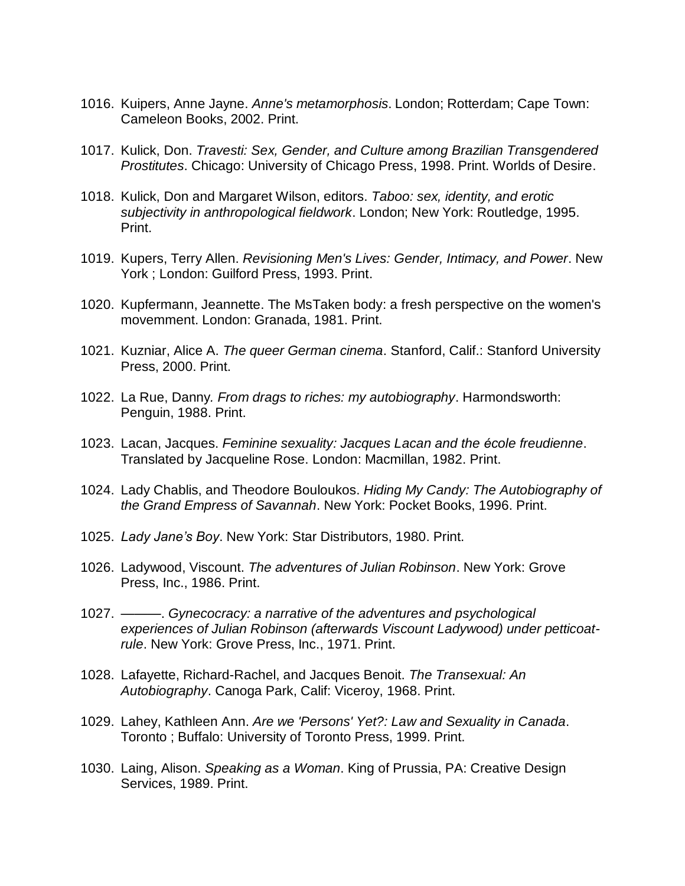- 1016. Kuipers, Anne Jayne. *Anne's metamorphosis*. London; Rotterdam; Cape Town: Cameleon Books, 2002. Print.
- 1017. Kulick, Don. *Travesti: Sex, Gender, and Culture among Brazilian Transgendered Prostitutes*. Chicago: University of Chicago Press, 1998. Print. Worlds of Desire.
- 1018. Kulick, Don and Margaret Wilson, editors. *Taboo: sex, identity, and erotic subjectivity in anthropological fieldwork*. London; New York: Routledge, 1995. Print.
- 1019. Kupers, Terry Allen. *Revisioning Men's Lives: Gender, Intimacy, and Power*. New York ; London: Guilford Press, 1993. Print.
- 1020. Kupfermann, Jeannette. The MsTaken body: a fresh perspective on the women's movemment. London: Granada, 1981. Print.
- 1021. Kuzniar, Alice A. *The queer German cinema*. Stanford, Calif.: Stanford University Press, 2000. Print.
- 1022. La Rue, Danny*. From drags to riches: my autobiography*. Harmondsworth: Penguin, 1988. Print.
- 1023. Lacan, Jacques. *Feminine sexuality: Jacques Lacan and the école freudienne*. Translated by Jacqueline Rose. London: Macmillan, 1982. Print.
- 1024. Lady Chablis, and Theodore Bouloukos. *Hiding My Candy: The Autobiography of the Grand Empress of Savannah*. New York: Pocket Books, 1996. Print.
- 1025. *Lady Jane's Boy*. New York: Star Distributors, 1980. Print.
- 1026. Ladywood, Viscount. *The adventures of Julian Robinson*. New York: Grove Press, Inc., 1986. Print.
- 1027. ———. *Gynecocracy: a narrative of the adventures and psychological experiences of Julian Robinson (afterwards Viscount Ladywood) under petticoatrule*. New York: Grove Press, Inc., 1971. Print.
- 1028. Lafayette, Richard-Rachel, and Jacques Benoit. *The Transexual: An Autobiography*. Canoga Park, Calif: Viceroy, 1968. Print.
- 1029. Lahey, Kathleen Ann. *Are we 'Persons' Yet?: Law and Sexuality in Canada*. Toronto ; Buffalo: University of Toronto Press, 1999. Print.
- 1030. Laing, Alison. *Speaking as a Woman*. King of Prussia, PA: Creative Design Services, 1989. Print.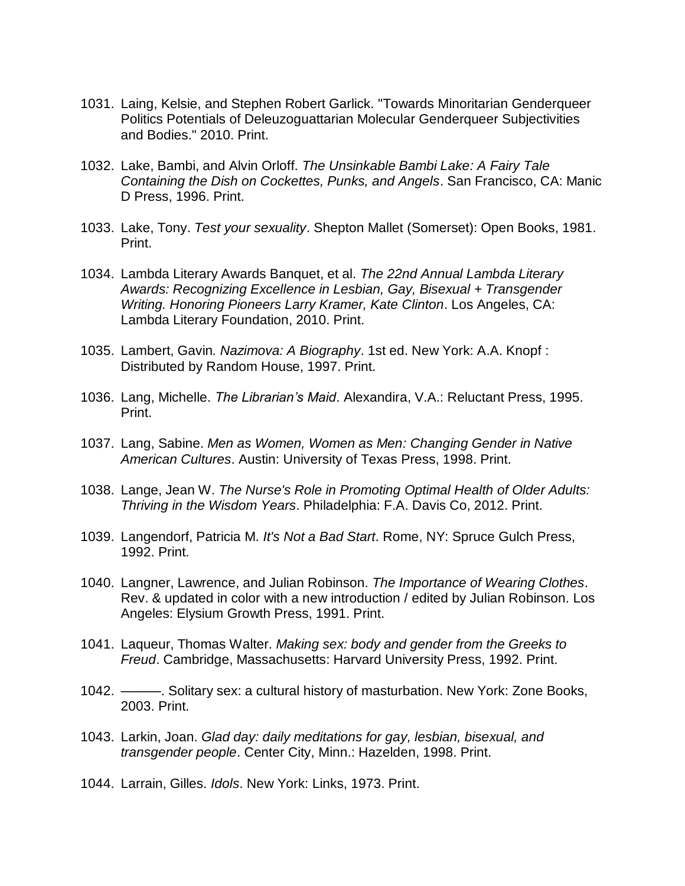- 1031. Laing, Kelsie, and Stephen Robert Garlick. "Towards Minoritarian Genderqueer Politics Potentials of Deleuzoguattarian Molecular Genderqueer Subjectivities and Bodies." 2010. Print.
- 1032. Lake, Bambi, and Alvin Orloff. *The Unsinkable Bambi Lake: A Fairy Tale Containing the Dish on Cockettes, Punks, and Angels*. San Francisco, CA: Manic D Press, 1996. Print.
- 1033. Lake, Tony. *Test your sexuality*. Shepton Mallet (Somerset): Open Books, 1981. Print.
- 1034. Lambda Literary Awards Banquet, et al. *The 22nd Annual Lambda Literary Awards: Recognizing Excellence in Lesbian, Gay, Bisexual + Transgender Writing. Honoring Pioneers Larry Kramer, Kate Clinton*. Los Angeles, CA: Lambda Literary Foundation, 2010. Print.
- 1035. Lambert, Gavin*. Nazimova: A Biography*. 1st ed. New York: A.A. Knopf : Distributed by Random House, 1997. Print.
- 1036. Lang, Michelle. *The Librarian's Maid*. Alexandira, V.A.: Reluctant Press, 1995. Print.
- 1037. Lang, Sabine. *Men as Women, Women as Men: Changing Gender in Native American Cultures*. Austin: University of Texas Press, 1998. Print.
- 1038. Lange, Jean W. *The Nurse's Role in Promoting Optimal Health of Older Adults: Thriving in the Wisdom Years*. Philadelphia: F.A. Davis Co, 2012. Print.
- 1039. Langendorf, Patricia M. *It's Not a Bad Start*. Rome, NY: Spruce Gulch Press, 1992. Print.
- 1040. Langner, Lawrence, and Julian Robinson. *The Importance of Wearing Clothes*. Rev. & updated in color with a new introduction / edited by Julian Robinson. Los Angeles: Elysium Growth Press, 1991. Print.
- 1041. Laqueur, Thomas Walter. *Making sex: body and gender from the Greeks to Freud*. Cambridge, Massachusetts: Harvard University Press, 1992. Print.
- 1042. ———. Solitary sex: a cultural history of masturbation. New York: Zone Books, 2003. Print.
- 1043. Larkin, Joan. *Glad day: daily meditations for gay, lesbian, bisexual, and transgender people*. Center City, Minn.: Hazelden, 1998. Print.
- 1044. Larrain, Gilles. *Idols*. New York: Links, 1973. Print.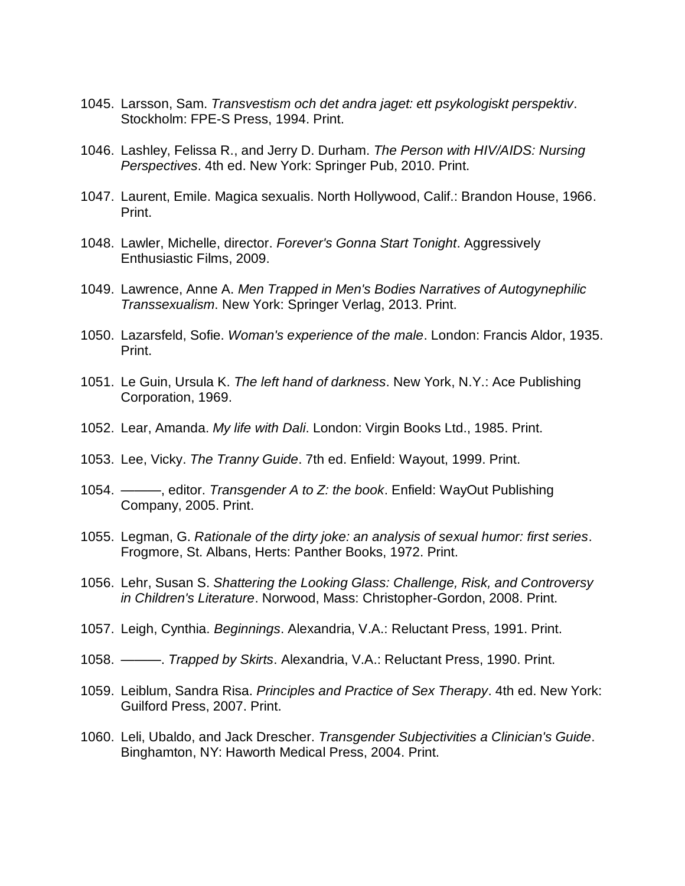- 1045. Larsson, Sam. *Transvestism och det andra jaget: ett psykologiskt perspektiv*. Stockholm: FPE-S Press, 1994. Print.
- 1046. Lashley, Felissa R., and Jerry D. Durham. *The Person with HIV/AIDS: Nursing Perspectives*. 4th ed. New York: Springer Pub, 2010. Print.
- 1047. Laurent, Emile. Magica sexualis. North Hollywood, Calif.: Brandon House, 1966. Print.
- 1048. Lawler, Michelle, director. *Forever's Gonna Start Tonight*. Aggressively Enthusiastic Films, 2009.
- 1049. Lawrence, Anne A. *Men Trapped in Men's Bodies Narratives of Autogynephilic Transsexualism*. New York: Springer Verlag, 2013. Print.
- 1050. Lazarsfeld, Sofie. *Woman's experience of the male*. London: Francis Aldor, 1935. Print.
- 1051. Le Guin, Ursula K. *The left hand of darkness*. New York, N.Y.: Ace Publishing Corporation, 1969.
- 1052. Lear, Amanda. *My life with Dali*. London: Virgin Books Ltd., 1985. Print.
- 1053. Lee, Vicky. *The Tranny Guide*. 7th ed. Enfield: Wayout, 1999. Print.
- 1054. ———, editor. *Transgender A to Z: the book*. Enfield: WayOut Publishing Company, 2005. Print.
- 1055. Legman, G. *Rationale of the dirty joke: an analysis of sexual humor: first series*. Frogmore, St. Albans, Herts: Panther Books, 1972. Print.
- 1056. Lehr, Susan S. *Shattering the Looking Glass: Challenge, Risk, and Controversy in Children's Literature*. Norwood, Mass: Christopher-Gordon, 2008. Print.
- 1057. Leigh, Cynthia. *Beginnings*. Alexandria, V.A.: Reluctant Press, 1991. Print.
- 1058. ———. *Trapped by Skirts*. Alexandria, V.A.: Reluctant Press, 1990. Print.
- 1059. Leiblum, Sandra Risa. *Principles and Practice of Sex Therapy*. 4th ed. New York: Guilford Press, 2007. Print.
- 1060. Leli, Ubaldo, and Jack Drescher. *Transgender Subjectivities a Clinician's Guide*. Binghamton, NY: Haworth Medical Press, 2004. Print.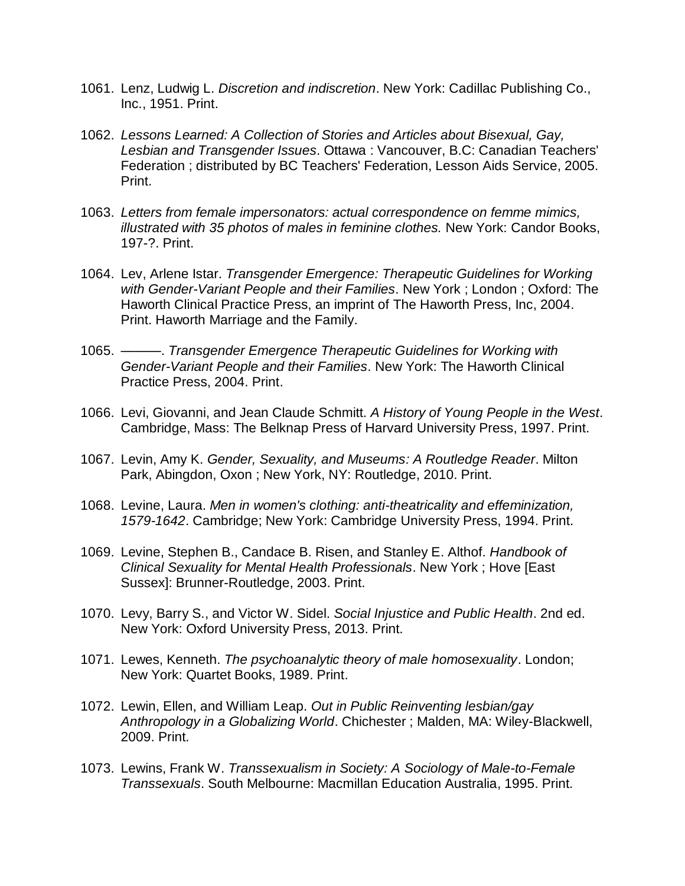- 1061. Lenz, Ludwig L. *Discretion and indiscretion*. New York: Cadillac Publishing Co., Inc., 1951. Print.
- 1062. *Lessons Learned: A Collection of Stories and Articles about Bisexual, Gay, Lesbian and Transgender Issues*. Ottawa : Vancouver, B.C: Canadian Teachers' Federation ; distributed by BC Teachers' Federation, Lesson Aids Service, 2005. Print.
- 1063. *Letters from female impersonators: actual correspondence on femme mimics, illustrated with 35 photos of males in feminine clothes.* New York: Candor Books, 197-?. Print.
- 1064. Lev, Arlene Istar. *Transgender Emergence: Therapeutic Guidelines for Working with Gender-Variant People and their Families*. New York ; London ; Oxford: The Haworth Clinical Practice Press, an imprint of The Haworth Press, Inc, 2004. Print. Haworth Marriage and the Family.
- 1065. ———. *Transgender Emergence Therapeutic Guidelines for Working with Gender-Variant People and their Families*. New York: The Haworth Clinical Practice Press, 2004. Print.
- 1066. Levi, Giovanni, and Jean Claude Schmitt. *A History of Young People in the West*. Cambridge, Mass: The Belknap Press of Harvard University Press, 1997. Print.
- 1067. Levin, Amy K. *Gender, Sexuality, and Museums: A Routledge Reader*. Milton Park, Abingdon, Oxon ; New York, NY: Routledge, 2010. Print.
- 1068. Levine, Laura. *Men in women's clothing: anti-theatricality and effeminization, 1579-1642*. Cambridge; New York: Cambridge University Press, 1994. Print.
- 1069. Levine, Stephen B., Candace B. Risen, and Stanley E. Althof. *Handbook of Clinical Sexuality for Mental Health Professionals*. New York ; Hove [East Sussex]: Brunner-Routledge, 2003. Print.
- 1070. Levy, Barry S., and Victor W. Sidel. *Social Injustice and Public Health*. 2nd ed. New York: Oxford University Press, 2013. Print.
- 1071. Lewes, Kenneth. *The psychoanalytic theory of male homosexuality*. London; New York: Quartet Books, 1989. Print.
- 1072. Lewin, Ellen, and William Leap. *Out in Public Reinventing lesbian/gay Anthropology in a Globalizing World*. Chichester ; Malden, MA: Wiley-Blackwell, 2009. Print.
- 1073. Lewins, Frank W. *Transsexualism in Society: A Sociology of Male-to-Female Transsexuals*. South Melbourne: Macmillan Education Australia, 1995. Print.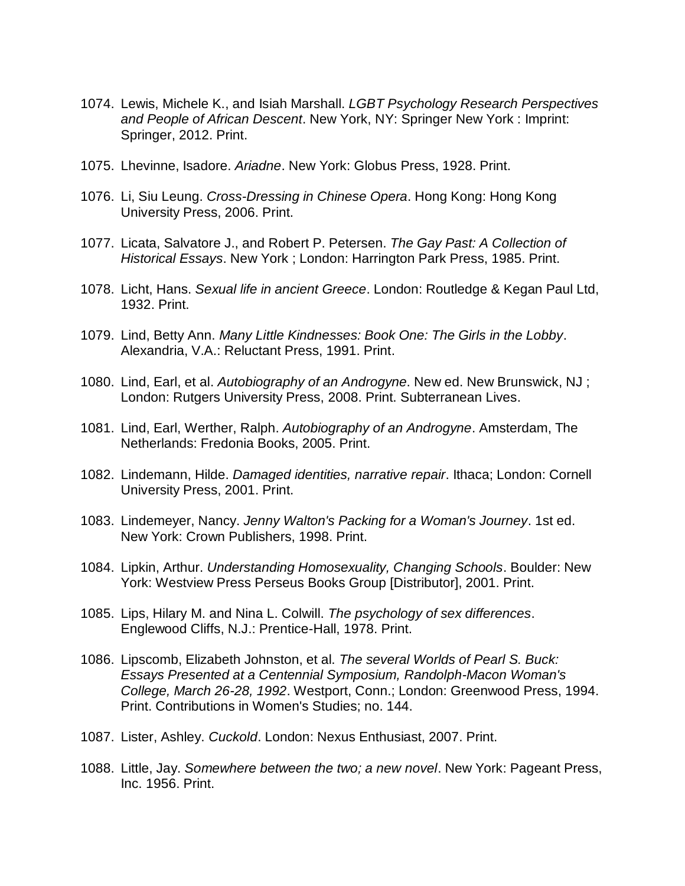- 1074. Lewis, Michele K., and Isiah Marshall. *LGBT Psychology Research Perspectives and People of African Descent*. New York, NY: Springer New York : Imprint: Springer, 2012. Print.
- 1075. Lhevinne, Isadore. *Ariadne*. New York: Globus Press, 1928. Print.
- 1076. Li, Siu Leung. *Cross-Dressing in Chinese Opera*. Hong Kong: Hong Kong University Press, 2006. Print.
- 1077. Licata, Salvatore J., and Robert P. Petersen. *The Gay Past: A Collection of Historical Essays*. New York ; London: Harrington Park Press, 1985. Print.
- 1078. Licht, Hans. *Sexual life in ancient Greece*. London: Routledge & Kegan Paul Ltd, 1932. Print.
- 1079. Lind, Betty Ann. *Many Little Kindnesses: Book One: The Girls in the Lobby*. Alexandria, V.A.: Reluctant Press, 1991. Print.
- 1080. Lind, Earl, et al. *Autobiography of an Androgyne*. New ed. New Brunswick, NJ ; London: Rutgers University Press, 2008. Print. Subterranean Lives.
- 1081. Lind, Earl, Werther, Ralph. *Autobiography of an Androgyne*. Amsterdam, The Netherlands: Fredonia Books, 2005. Print.
- 1082. Lindemann, Hilde. *Damaged identities, narrative repair*. Ithaca; London: Cornell University Press, 2001. Print.
- 1083. Lindemeyer, Nancy. *Jenny Walton's Packing for a Woman's Journey*. 1st ed. New York: Crown Publishers, 1998. Print.
- 1084. Lipkin, Arthur. *Understanding Homosexuality, Changing Schools*. Boulder: New York: Westview Press Perseus Books Group [Distributor], 2001. Print.
- 1085. Lips, Hilary M. and Nina L. Colwill. *The psychology of sex differences*. Englewood Cliffs, N.J.: Prentice-Hall, 1978. Print.
- 1086. Lipscomb, Elizabeth Johnston, et al. *The several Worlds of Pearl S. Buck: Essays Presented at a Centennial Symposium, Randolph-Macon Woman's College, March 26-28, 1992*. Westport, Conn.; London: Greenwood Press, 1994. Print. Contributions in Women's Studies; no. 144.
- 1087. Lister, Ashley. *Cuckold*. London: Nexus Enthusiast, 2007. Print.
- 1088. Little, Jay. *Somewhere between the two; a new novel*. New York: Pageant Press, Inc. 1956. Print.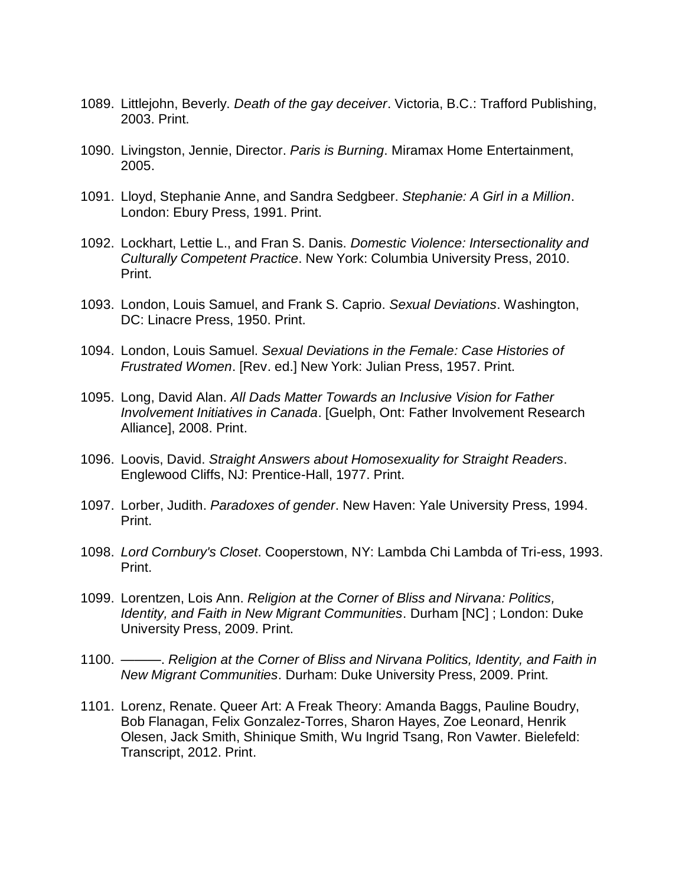- 1089. Littlejohn, Beverly. *Death of the gay deceiver*. Victoria, B.C.: Trafford Publishing, 2003. Print.
- 1090. Livingston, Jennie, Director. *Paris is Burning*. Miramax Home Entertainment, 2005.
- 1091. Lloyd, Stephanie Anne, and Sandra Sedgbeer. *Stephanie: A Girl in a Million*. London: Ebury Press, 1991. Print.
- 1092. Lockhart, Lettie L., and Fran S. Danis. *Domestic Violence: Intersectionality and Culturally Competent Practice*. New York: Columbia University Press, 2010. Print.
- 1093. London, Louis Samuel, and Frank S. Caprio. *Sexual Deviations*. Washington, DC: Linacre Press, 1950. Print.
- 1094. London, Louis Samuel. *Sexual Deviations in the Female: Case Histories of Frustrated Women*. [Rev. ed.] New York: Julian Press, 1957. Print.
- 1095. Long, David Alan. *All Dads Matter Towards an Inclusive Vision for Father Involvement Initiatives in Canada*. [Guelph, Ont: Father Involvement Research Alliance], 2008. Print.
- 1096. Loovis, David. *Straight Answers about Homosexuality for Straight Readers*. Englewood Cliffs, NJ: Prentice-Hall, 1977. Print.
- 1097. Lorber, Judith. *Paradoxes of gender*. New Haven: Yale University Press, 1994. Print.
- 1098. *Lord Cornbury's Closet*. Cooperstown, NY: Lambda Chi Lambda of Tri-ess, 1993. Print.
- 1099. Lorentzen, Lois Ann. *Religion at the Corner of Bliss and Nirvana: Politics, Identity, and Faith in New Migrant Communities*. Durham [NC] ; London: Duke University Press, 2009. Print.
- 1100. ———. *Religion at the Corner of Bliss and Nirvana Politics, Identity, and Faith in New Migrant Communities*. Durham: Duke University Press, 2009. Print.
- 1101. Lorenz, Renate. Queer Art: A Freak Theory: Amanda Baggs, Pauline Boudry, Bob Flanagan, Felix Gonzalez-Torres, Sharon Hayes, Zoe Leonard, Henrik Olesen, Jack Smith, Shinique Smith, Wu Ingrid Tsang, Ron Vawter. Bielefeld: Transcript, 2012. Print.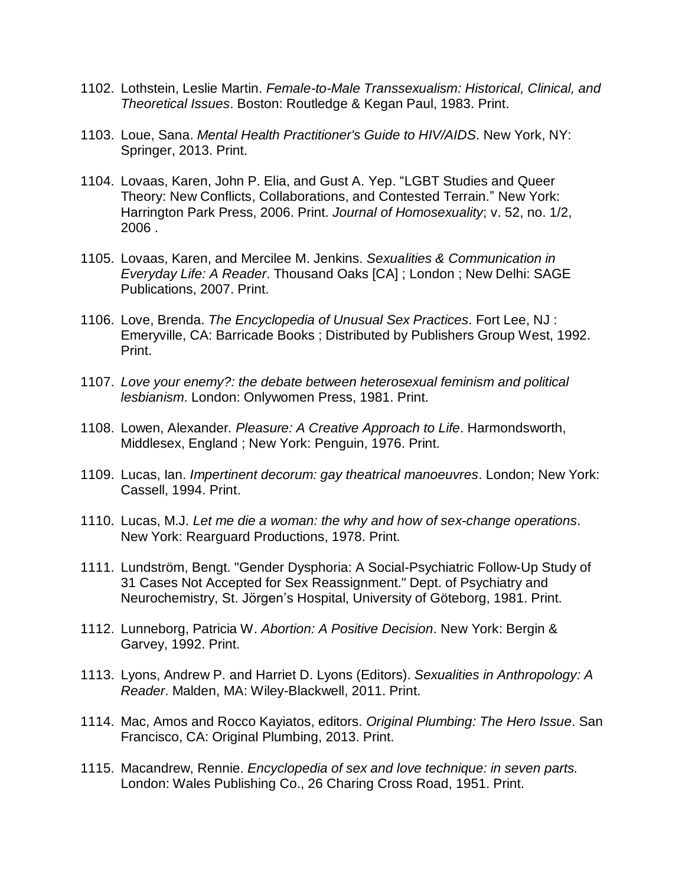- 1102. Lothstein, Leslie Martin. *Female-to-Male Transsexualism: Historical, Clinical, and Theoretical Issues*. Boston: Routledge & Kegan Paul, 1983. Print.
- 1103. Loue, Sana. *Mental Health Practitioner's Guide to HIV/AIDS*. New York, NY: Springer, 2013. Print.
- 1104. Lovaas, Karen, John P. Elia, and Gust A. Yep. "LGBT Studies and Queer Theory: New Conflicts, Collaborations, and Contested Terrain." New York: Harrington Park Press, 2006. Print. *Journal of Homosexuality*; v. 52, no. 1/2, 2006 .
- 1105. Lovaas, Karen, and Mercilee M. Jenkins. *Sexualities & Communication in Everyday Life: A Reader*. Thousand Oaks [CA] ; London ; New Delhi: SAGE Publications, 2007. Print.
- 1106. Love, Brenda. *The Encyclopedia of Unusual Sex Practices*. Fort Lee, NJ : Emeryville, CA: Barricade Books ; Distributed by Publishers Group West, 1992. Print.
- 1107. *Love your enemy?: the debate between heterosexual feminism and political lesbianism*. London: Onlywomen Press, 1981. Print.
- 1108. Lowen, Alexander*. Pleasure: A Creative Approach to Life*. Harmondsworth, Middlesex, England ; New York: Penguin, 1976. Print.
- 1109. Lucas, Ian. *Impertinent decorum: gay theatrical manoeuvres*. London; New York: Cassell, 1994. Print.
- 1110. Lucas, M.J. *Let me die a woman: the why and how of sex-change operations*. New York: Rearguard Productions, 1978. Print.
- 1111. Lundström, Bengt. "Gender Dysphoria: A Social-Psychiatric Follow-Up Study of 31 Cases Not Accepted for Sex Reassignment." Dept. of Psychiatry and Neurochemistry, St. Jörgen's Hospital, University of Göteborg, 1981. Print.
- 1112. Lunneborg, Patricia W. *Abortion: A Positive Decision*. New York: Bergin & Garvey, 1992. Print.
- 1113. Lyons, Andrew P. and Harriet D. Lyons (Editors). *Sexualities in Anthropology: A Reader*. Malden, MA: Wiley-Blackwell, 2011. Print.
- 1114. Mac, Amos and Rocco Kayiatos, editors. *Original Plumbing: The Hero Issue*. San Francisco, CA: Original Plumbing, 2013. Print.
- 1115. Macandrew, Rennie. *Encyclopedia of sex and love technique: in seven parts.*  London: Wales Publishing Co., 26 Charing Cross Road, 1951. Print.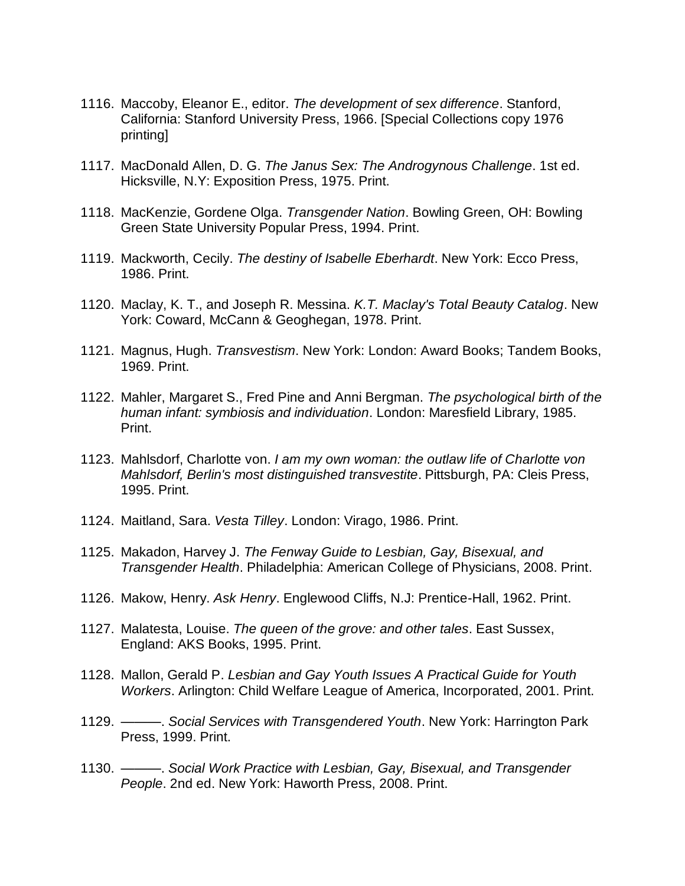- 1116. Maccoby, Eleanor E., editor. *The development of sex difference*. Stanford, California: Stanford University Press, 1966. [Special Collections copy 1976 printing]
- 1117. MacDonald Allen, D. G. *The Janus Sex: The Androgynous Challenge*. 1st ed. Hicksville, N.Y: Exposition Press, 1975. Print.
- 1118. MacKenzie, Gordene Olga. *Transgender Nation*. Bowling Green, OH: Bowling Green State University Popular Press, 1994. Print.
- 1119. Mackworth, Cecily. *The destiny of Isabelle Eberhardt*. New York: Ecco Press, 1986. Print.
- 1120. Maclay, K. T., and Joseph R. Messina. *K.T. Maclay's Total Beauty Catalog*. New York: Coward, McCann & Geoghegan, 1978. Print.
- 1121. Magnus, Hugh. *Transvestism*. New York: London: Award Books; Tandem Books, 1969. Print.
- 1122. Mahler, Margaret S., Fred Pine and Anni Bergman. *The psychological birth of the human infant: symbiosis and individuation*. London: Maresfield Library, 1985. Print.
- 1123. Mahlsdorf, Charlotte von. *I am my own woman: the outlaw life of Charlotte von Mahlsdorf, Berlin's most distinguished transvestite*. Pittsburgh, PA: Cleis Press, 1995. Print.
- 1124. Maitland, Sara. *Vesta Tilley*. London: Virago, 1986. Print.
- 1125. Makadon, Harvey J. *The Fenway Guide to Lesbian, Gay, Bisexual, and Transgender Health*. Philadelphia: American College of Physicians, 2008. Print.
- 1126. Makow, Henry. *Ask Henry*. Englewood Cliffs, N.J: Prentice-Hall, 1962. Print.
- 1127. Malatesta, Louise. *The queen of the grove: and other tales*. East Sussex, England: AKS Books, 1995. Print.
- 1128. Mallon, Gerald P. *Lesbian and Gay Youth Issues A Practical Guide for Youth Workers*. Arlington: Child Welfare League of America, Incorporated, 2001. Print.
- 1129. ———. *Social Services with Transgendered Youth*. New York: Harrington Park Press, 1999. Print.
- 1130. ———. *Social Work Practice with Lesbian, Gay, Bisexual, and Transgender People*. 2nd ed. New York: Haworth Press, 2008. Print.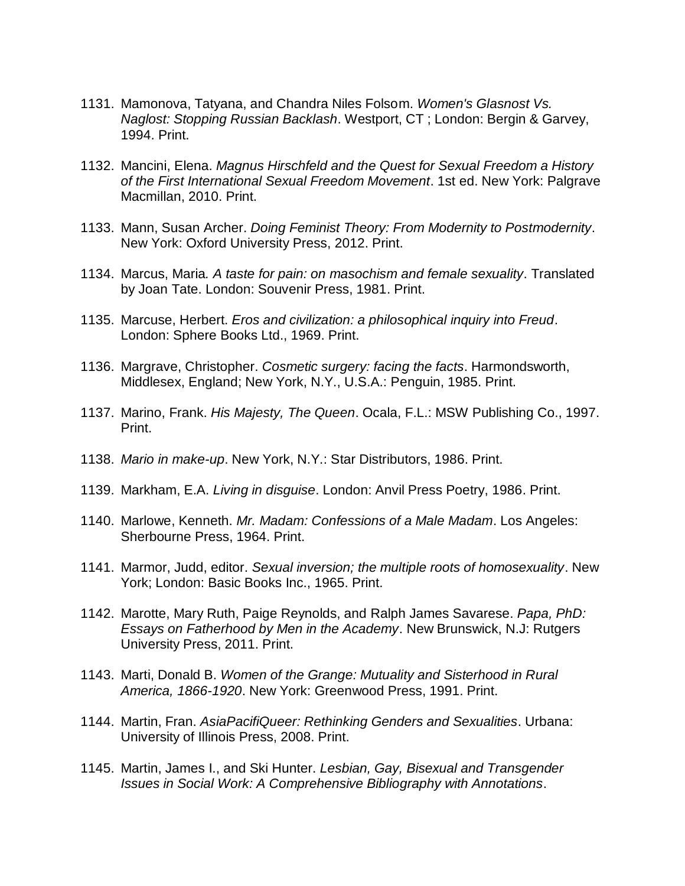- 1131. Mamonova, Tatyana, and Chandra Niles Folsom. *Women's Glasnost Vs. Naglost: Stopping Russian Backlash*. Westport, CT ; London: Bergin & Garvey, 1994. Print.
- 1132. Mancini, Elena. *Magnus Hirschfeld and the Quest for Sexual Freedom a History of the First International Sexual Freedom Movement*. 1st ed. New York: Palgrave Macmillan, 2010. Print.
- 1133. Mann, Susan Archer. *Doing Feminist Theory: From Modernity to Postmodernity*. New York: Oxford University Press, 2012. Print.
- 1134. Marcus, Maria*. A taste for pain: on masochism and female sexuality*. Translated by Joan Tate. London: Souvenir Press, 1981. Print.
- 1135. Marcuse, Herbert. *Eros and civilization: a philosophical inquiry into Freud*. London: Sphere Books Ltd., 1969. Print.
- 1136. Margrave, Christopher. *Cosmetic surgery: facing the facts*. Harmondsworth, Middlesex, England; New York, N.Y., U.S.A.: Penguin, 1985. Print.
- 1137. Marino, Frank. *His Majesty, The Queen*. Ocala, F.L.: MSW Publishing Co., 1997. Print.
- 1138. *Mario in make-up*. New York, N.Y.: Star Distributors, 1986. Print.
- 1139. Markham, E.A. *Living in disguise*. London: Anvil Press Poetry, 1986. Print.
- 1140. Marlowe, Kenneth. *Mr. Madam: Confessions of a Male Madam*. Los Angeles: Sherbourne Press, 1964. Print.
- 1141. Marmor, Judd, editor. *Sexual inversion; the multiple roots of homosexuality*. New York; London: Basic Books Inc., 1965. Print.
- 1142. Marotte, Mary Ruth, Paige Reynolds, and Ralph James Savarese. *Papa, PhD: Essays on Fatherhood by Men in the Academy*. New Brunswick, N.J: Rutgers University Press, 2011. Print.
- 1143. Marti, Donald B. *Women of the Grange: Mutuality and Sisterhood in Rural America, 1866-1920*. New York: Greenwood Press, 1991. Print.
- 1144. Martin, Fran. *AsiaPacifiQueer: Rethinking Genders and Sexualities*. Urbana: University of Illinois Press, 2008. Print.
- 1145. Martin, James I., and Ski Hunter. *Lesbian, Gay, Bisexual and Transgender Issues in Social Work: A Comprehensive Bibliography with Annotations*.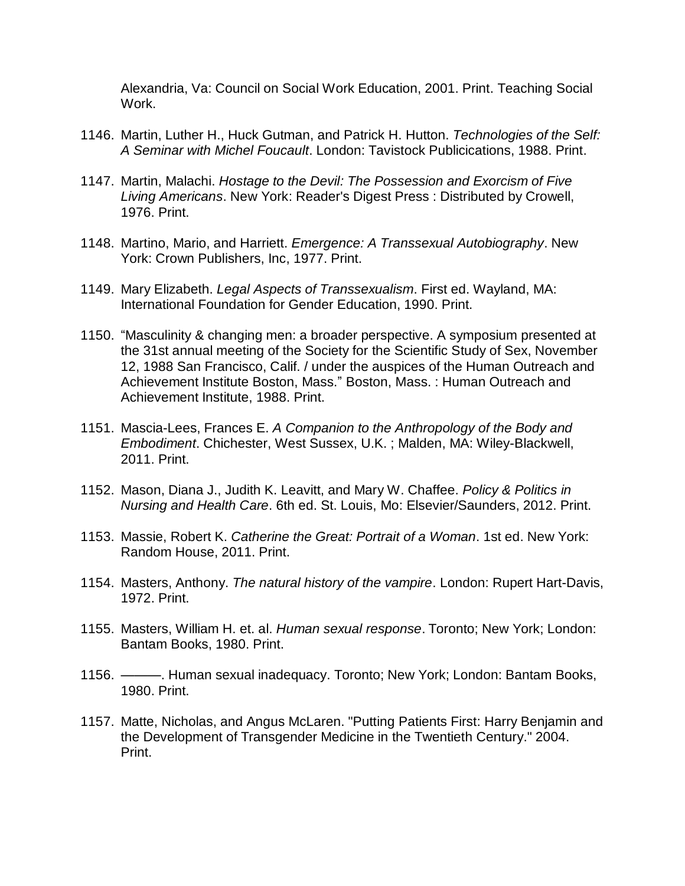Alexandria, Va: Council on Social Work Education, 2001. Print. Teaching Social Work.

- 1146. Martin, Luther H., Huck Gutman, and Patrick H. Hutton. *Technologies of the Self: A Seminar with Michel Foucault*. London: Tavistock Publicications, 1988. Print.
- 1147. Martin, Malachi. *Hostage to the Devil: The Possession and Exorcism of Five Living Americans*. New York: Reader's Digest Press : Distributed by Crowell, 1976. Print.
- 1148. Martino, Mario, and Harriett. *Emergence: A Transsexual Autobiography*. New York: Crown Publishers, Inc, 1977. Print.
- 1149. Mary Elizabeth. *Legal Aspects of Transsexualism*. First ed. Wayland, MA: International Foundation for Gender Education, 1990. Print.
- 1150. "Masculinity & changing men: a broader perspective. A symposium presented at the 31st annual meeting of the Society for the Scientific Study of Sex, November 12, 1988 San Francisco, Calif. / under the auspices of the Human Outreach and Achievement Institute Boston, Mass." Boston, Mass. : Human Outreach and Achievement Institute, 1988. Print.
- 1151. Mascia-Lees, Frances E. *A Companion to the Anthropology of the Body and Embodiment*. Chichester, West Sussex, U.K. ; Malden, MA: Wiley-Blackwell, 2011. Print.
- 1152. Mason, Diana J., Judith K. Leavitt, and Mary W. Chaffee. *Policy & Politics in Nursing and Health Care*. 6th ed. St. Louis, Mo: Elsevier/Saunders, 2012. Print.
- 1153. Massie, Robert K. *Catherine the Great: Portrait of a Woman*. 1st ed. New York: Random House, 2011. Print.
- 1154. Masters, Anthony. *The natural history of the vampire*. London: Rupert Hart-Davis, 1972. Print.
- 1155. Masters, William H. et. al. *Human sexual response*. Toronto; New York; London: Bantam Books, 1980. Print.
- 1156. ———. Human sexual inadequacy. Toronto; New York; London: Bantam Books, 1980. Print.
- 1157. Matte, Nicholas, and Angus McLaren. "Putting Patients First: Harry Benjamin and the Development of Transgender Medicine in the Twentieth Century." 2004. Print.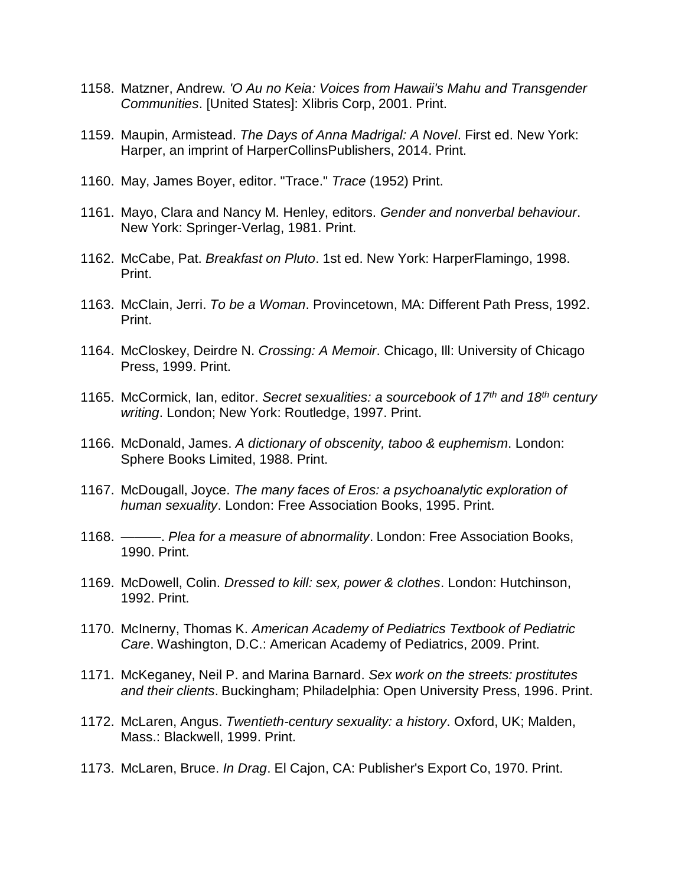- 1158. Matzner, Andrew. *'O Au no Keia: Voices from Hawaii's Mahu and Transgender Communities*. [United States]: Xlibris Corp, 2001. Print.
- 1159. Maupin, Armistead. *The Days of Anna Madrigal: A Novel*. First ed. New York: Harper, an imprint of HarperCollinsPublishers, 2014. Print.
- 1160. May, James Boyer, editor. "Trace." *Trace* (1952) Print.
- 1161. Mayo, Clara and Nancy M. Henley, editors. *Gender and nonverbal behaviour*. New York: Springer-Verlag, 1981. Print.
- 1162. McCabe, Pat. *Breakfast on Pluto*. 1st ed. New York: HarperFlamingo, 1998. Print.
- 1163. McClain, Jerri. *To be a Woman*. Provincetown, MA: Different Path Press, 1992. Print.
- 1164. McCloskey, Deirdre N. *Crossing: A Memoir*. Chicago, Ill: University of Chicago Press, 1999. Print.
- 1165. McCormick, Ian, editor. *Secret sexualities: a sourcebook of 17th and 18th century writing*. London; New York: Routledge, 1997. Print.
- 1166. McDonald, James. *A dictionary of obscenity, taboo & euphemism*. London: Sphere Books Limited, 1988. Print.
- 1167. McDougall, Joyce. *The many faces of Eros: a psychoanalytic exploration of human sexuality*. London: Free Association Books, 1995. Print.
- 1168. ———. *Plea for a measure of abnormality*. London: Free Association Books, 1990. Print.
- 1169. McDowell, Colin. *Dressed to kill: sex, power & clothes*. London: Hutchinson, 1992. Print.
- 1170. McInerny, Thomas K. *American Academy of Pediatrics Textbook of Pediatric Care*. Washington, D.C.: American Academy of Pediatrics, 2009. Print.
- 1171. McKeganey, Neil P. and Marina Barnard. *Sex work on the streets: prostitutes and their clients*. Buckingham; Philadelphia: Open University Press, 1996. Print.
- 1172. McLaren, Angus. *Twentieth-century sexuality: a history*. Oxford, UK; Malden, Mass.: Blackwell, 1999. Print.
- 1173. McLaren, Bruce. *In Drag*. El Cajon, CA: Publisher's Export Co, 1970. Print.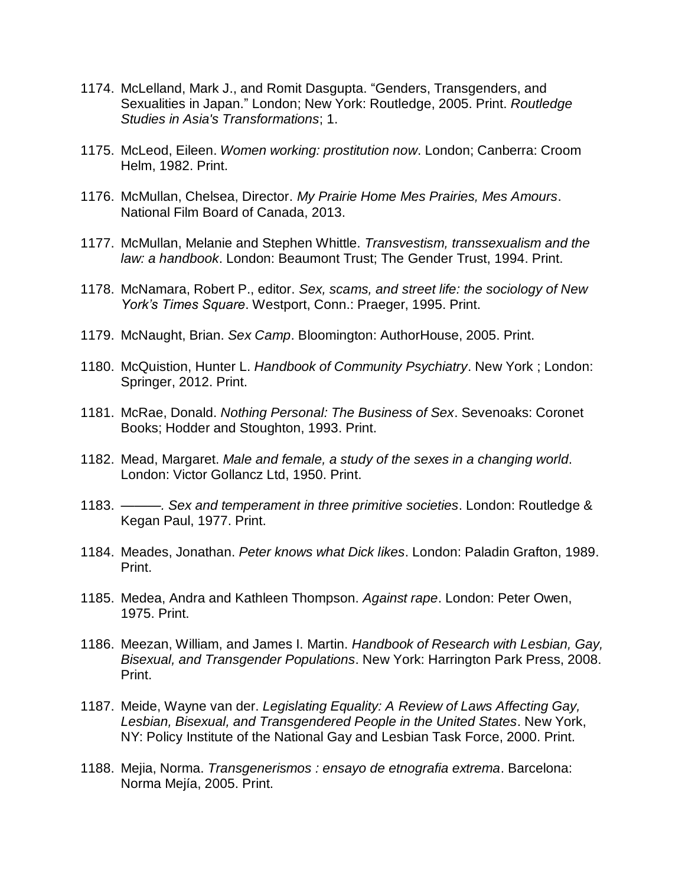- 1174. McLelland, Mark J., and Romit Dasgupta. "Genders, Transgenders, and Sexualities in Japan." London; New York: Routledge, 2005. Print. *Routledge Studies in Asia's Transformations*; 1.
- 1175. McLeod, Eileen. *Women working: prostitution now*. London; Canberra: Croom Helm, 1982. Print.
- 1176. McMullan, Chelsea, Director. *My Prairie Home Mes Prairies, Mes Amours*. National Film Board of Canada, 2013.
- 1177. McMullan, Melanie and Stephen Whittle. *Transvestism, transsexualism and the law: a handbook*. London: Beaumont Trust; The Gender Trust, 1994. Print.
- 1178. McNamara, Robert P., editor. *Sex, scams, and street life: the sociology of New York's Times Square*. Westport, Conn.: Praeger, 1995. Print.
- 1179. McNaught, Brian. *Sex Camp*. Bloomington: AuthorHouse, 2005. Print.
- 1180. McQuistion, Hunter L. *Handbook of Community Psychiatry*. New York ; London: Springer, 2012. Print.
- 1181. McRae, Donald. *Nothing Personal: The Business of Sex*. Sevenoaks: Coronet Books; Hodder and Stoughton, 1993. Print.
- 1182. Mead, Margaret. *Male and female, a study of the sexes in a changing world*. London: Victor Gollancz Ltd, 1950. Print.
- 1183. *———. Sex and temperament in three primitive societies*. London: Routledge & Kegan Paul, 1977. Print.
- 1184. Meades, Jonathan. *Peter knows what Dick likes*. London: Paladin Grafton, 1989. Print.
- 1185. Medea, Andra and Kathleen Thompson. *Against rape*. London: Peter Owen, 1975. Print.
- 1186. Meezan, William, and James I. Martin. *Handbook of Research with Lesbian, Gay, Bisexual, and Transgender Populations*. New York: Harrington Park Press, 2008. Print.
- 1187. Meide, Wayne van der. *Legislating Equality: A Review of Laws Affecting Gay, Lesbian, Bisexual, and Transgendered People in the United States*. New York, NY: Policy Institute of the National Gay and Lesbian Task Force, 2000. Print.
- 1188. Mejia, Norma. *Transgenerismos : ensayo de etnografia extrema*. Barcelona: Norma Mejía, 2005. Print.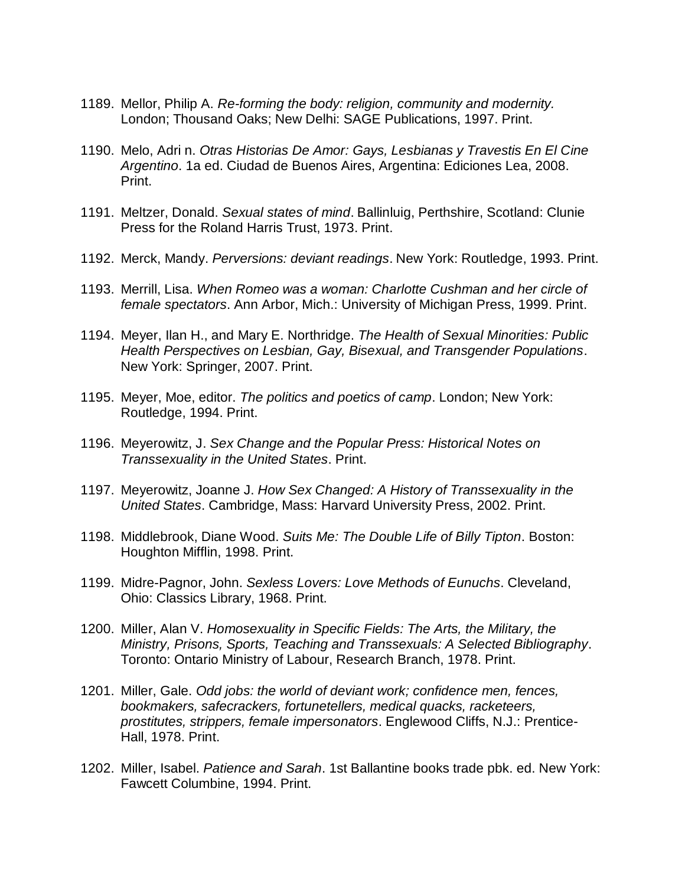- 1189. Mellor, Philip A. *Re-forming the body: religion, community and modernity.* London; Thousand Oaks; New Delhi: SAGE Publications, 1997. Print.
- 1190. Melo, Adri n. *Otras Historias De Amor: Gays, Lesbianas y Travestis En El Cine Argentino*. 1a ed. Ciudad de Buenos Aires, Argentina: Ediciones Lea, 2008. Print.
- 1191. Meltzer, Donald. *Sexual states of mind*. Ballinluig, Perthshire, Scotland: Clunie Press for the Roland Harris Trust, 1973. Print.
- 1192. Merck, Mandy. *Perversions: deviant readings*. New York: Routledge, 1993. Print.
- 1193. Merrill, Lisa. *When Romeo was a woman: Charlotte Cushman and her circle of female spectators*. Ann Arbor, Mich.: University of Michigan Press, 1999. Print.
- 1194. Meyer, Ilan H., and Mary E. Northridge. *The Health of Sexual Minorities: Public Health Perspectives on Lesbian, Gay, Bisexual, and Transgender Populations*. New York: Springer, 2007. Print.
- 1195. Meyer, Moe, editor. *The politics and poetics of camp*. London; New York: Routledge, 1994. Print.
- 1196. Meyerowitz, J. *Sex Change and the Popular Press: Historical Notes on Transsexuality in the United States*. Print.
- 1197. Meyerowitz, Joanne J. *How Sex Changed: A History of Transsexuality in the United States*. Cambridge, Mass: Harvard University Press, 2002. Print.
- 1198. Middlebrook, Diane Wood. *Suits Me: The Double Life of Billy Tipton*. Boston: Houghton Mifflin, 1998. Print.
- 1199. Midre-Pagnor, John. *Sexless Lovers: Love Methods of Eunuchs*. Cleveland, Ohio: Classics Library, 1968. Print.
- 1200. Miller, Alan V. *Homosexuality in Specific Fields: The Arts, the Military, the Ministry, Prisons, Sports, Teaching and Transsexuals: A Selected Bibliography*. Toronto: Ontario Ministry of Labour, Research Branch, 1978. Print.
- 1201. Miller, Gale. *Odd jobs: the world of deviant work; confidence men, fences, bookmakers, safecrackers, fortunetellers, medical quacks, racketeers, prostitutes, strippers, female impersonators*. Englewood Cliffs, N.J.: Prentice-Hall, 1978. Print.
- 1202. Miller, Isabel. *Patience and Sarah*. 1st Ballantine books trade pbk. ed. New York: Fawcett Columbine, 1994. Print.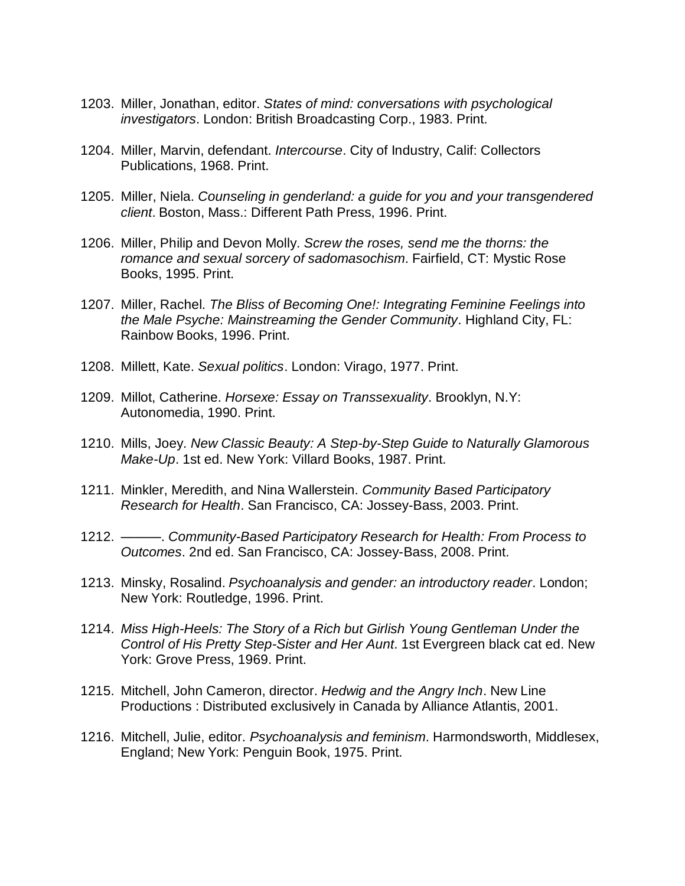- 1203. Miller, Jonathan, editor. *States of mind: conversations with psychological investigators*. London: British Broadcasting Corp., 1983. Print.
- 1204. Miller, Marvin, defendant. *Intercourse*. City of Industry, Calif: Collectors Publications, 1968. Print.
- 1205. Miller, Niela. *Counseling in genderland: a guide for you and your transgendered client*. Boston, Mass.: Different Path Press, 1996. Print.
- 1206. Miller, Philip and Devon Molly. *Screw the roses, send me the thorns: the romance and sexual sorcery of sadomasochism*. Fairfield, CT: Mystic Rose Books, 1995. Print.
- 1207. Miller, Rachel. *The Bliss of Becoming One!: Integrating Feminine Feelings into the Male Psyche: Mainstreaming the Gender Community*. Highland City, FL: Rainbow Books, 1996. Print.
- 1208. Millett, Kate. *Sexual politics*. London: Virago, 1977. Print.
- 1209. Millot, Catherine. *Horsexe: Essay on Transsexuality*. Brooklyn, N.Y: Autonomedia, 1990. Print.
- 1210. Mills, Joey. *New Classic Beauty: A Step-by-Step Guide to Naturally Glamorous Make-Up*. 1st ed. New York: Villard Books, 1987. Print.
- 1211. Minkler, Meredith, and Nina Wallerstein. *Community Based Participatory Research for Health*. San Francisco, CA: Jossey-Bass, 2003. Print.
- 1212. ———. *Community-Based Participatory Research for Health: From Process to Outcomes*. 2nd ed. San Francisco, CA: Jossey-Bass, 2008. Print.
- 1213. Minsky, Rosalind. *Psychoanalysis and gender: an introductory reader*. London; New York: Routledge, 1996. Print.
- 1214. *Miss High-Heels: The Story of a Rich but Girlish Young Gentleman Under the Control of His Pretty Step-Sister and Her Aunt*. 1st Evergreen black cat ed. New York: Grove Press, 1969. Print.
- 1215. Mitchell, John Cameron, director. *Hedwig and the Angry Inch*. New Line Productions : Distributed exclusively in Canada by Alliance Atlantis, 2001.
- 1216. Mitchell, Julie, editor. *Psychoanalysis and feminism*. Harmondsworth, Middlesex, England; New York: Penguin Book, 1975. Print.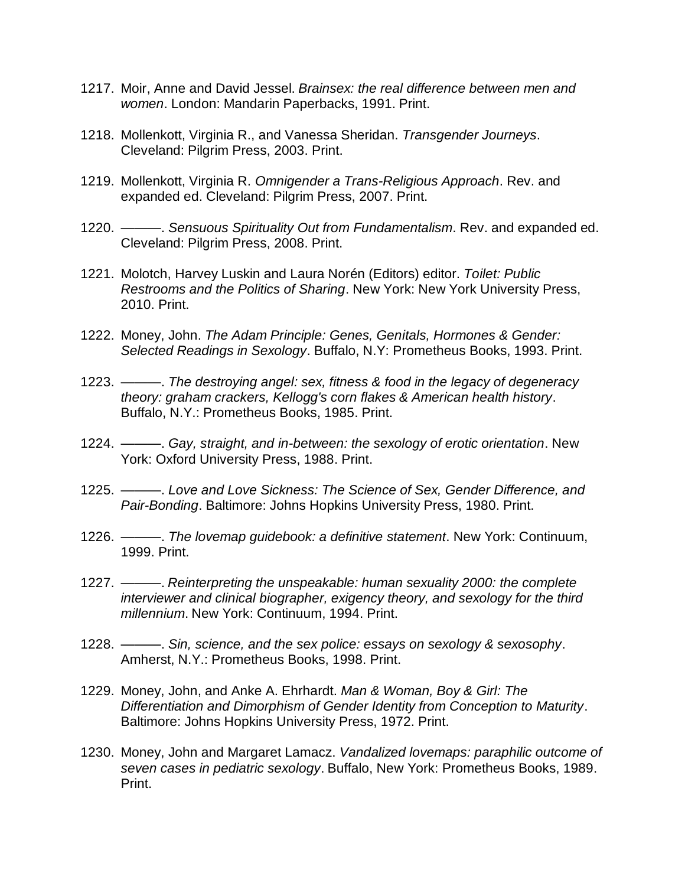- 1217. Moir, Anne and David Jessel. *Brainsex: the real difference between men and women*. London: Mandarin Paperbacks, 1991. Print.
- 1218. Mollenkott, Virginia R., and Vanessa Sheridan. *Transgender Journeys*. Cleveland: Pilgrim Press, 2003. Print.
- 1219. Mollenkott, Virginia R. *Omnigender a Trans-Religious Approach*. Rev. and expanded ed. Cleveland: Pilgrim Press, 2007. Print.
- 1220. ———. *Sensuous Spirituality Out from Fundamentalism*. Rev. and expanded ed. Cleveland: Pilgrim Press, 2008. Print.
- 1221. Molotch, Harvey Luskin and Laura Norén (Editors) editor. *Toilet: Public Restrooms and the Politics of Sharing*. New York: New York University Press, 2010. Print.
- 1222. Money, John. *The Adam Principle: Genes, Genitals, Hormones & Gender: Selected Readings in Sexology*. Buffalo, N.Y: Prometheus Books, 1993. Print.
- 1223. ———. *The destroying angel: sex, fitness & food in the legacy of degeneracy theory: graham crackers, Kellogg's corn flakes & American health history*. Buffalo, N.Y.: Prometheus Books, 1985. Print.
- 1224. ———. *Gay, straight, and in-between: the sexology of erotic orientation*. New York: Oxford University Press, 1988. Print.
- 1225. ———. *Love and Love Sickness: The Science of Sex, Gender Difference, and Pair-Bonding*. Baltimore: Johns Hopkins University Press, 1980. Print.
- 1226. ———. *The lovemap guidebook: a definitive statement*. New York: Continuum, 1999. Print.
- 1227. ———. *Reinterpreting the unspeakable: human sexuality 2000: the complete interviewer and clinical biographer, exigency theory, and sexology for the third millennium*. New York: Continuum, 1994. Print.
- 1228. ———. *Sin, science, and the sex police: essays on sexology & sexosophy*. Amherst, N.Y.: Prometheus Books, 1998. Print.
- 1229. Money, John, and Anke A. Ehrhardt. *Man & Woman, Boy & Girl: The Differentiation and Dimorphism of Gender Identity from Conception to Maturity*. Baltimore: Johns Hopkins University Press, 1972. Print.
- 1230. Money, John and Margaret Lamacz. *Vandalized lovemaps: paraphilic outcome of seven cases in pediatric sexology*. Buffalo, New York: Prometheus Books, 1989. Print.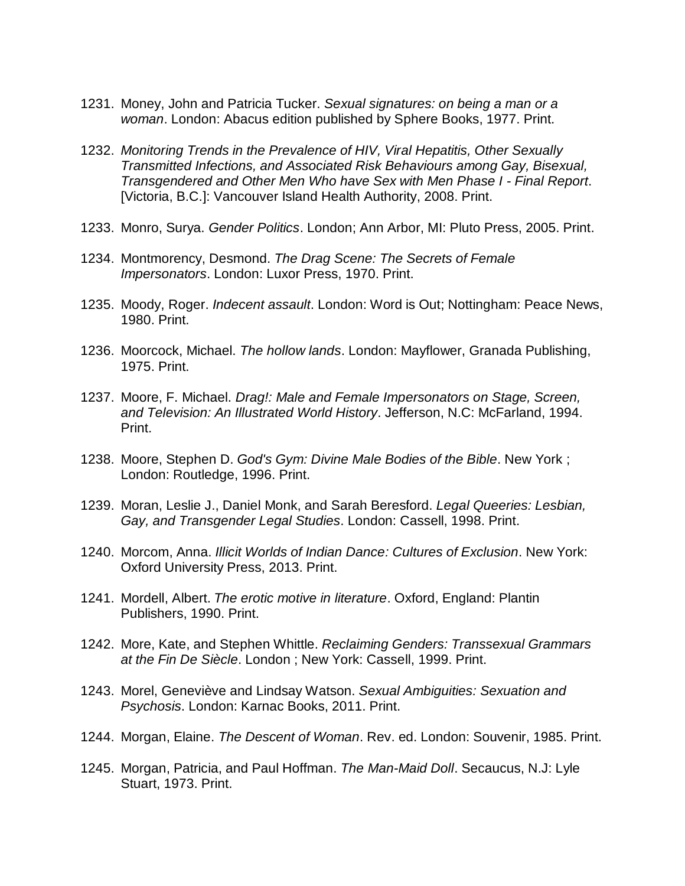- 1231. Money, John and Patricia Tucker. *Sexual signatures: on being a man or a woman*. London: Abacus edition published by Sphere Books, 1977. Print.
- 1232. *Monitoring Trends in the Prevalence of HIV, Viral Hepatitis, Other Sexually Transmitted Infections, and Associated Risk Behaviours among Gay, Bisexual, Transgendered and Other Men Who have Sex with Men Phase I - Final Report*. [Victoria, B.C.]: Vancouver Island Health Authority, 2008. Print.
- 1233. Monro, Surya. *Gender Politics*. London; Ann Arbor, MI: Pluto Press, 2005. Print.
- 1234. Montmorency, Desmond. *The Drag Scene: The Secrets of Female Impersonators*. London: Luxor Press, 1970. Print.
- 1235. Moody, Roger. *Indecent assault*. London: Word is Out; Nottingham: Peace News, 1980. Print.
- 1236. Moorcock, Michael. *The hollow lands*. London: Mayflower, Granada Publishing, 1975. Print.
- 1237. Moore, F. Michael. *Drag!: Male and Female Impersonators on Stage, Screen, and Television: An Illustrated World History*. Jefferson, N.C: McFarland, 1994. Print.
- 1238. Moore, Stephen D. *God's Gym: Divine Male Bodies of the Bible*. New York ; London: Routledge, 1996. Print.
- 1239. Moran, Leslie J., Daniel Monk, and Sarah Beresford. *Legal Queeries: Lesbian, Gay, and Transgender Legal Studies*. London: Cassell, 1998. Print.
- 1240. Morcom, Anna. *Illicit Worlds of Indian Dance: Cultures of Exclusion*. New York: Oxford University Press, 2013. Print.
- 1241. Mordell, Albert. *The erotic motive in literature*. Oxford, England: Plantin Publishers, 1990. Print.
- 1242. More, Kate, and Stephen Whittle. *Reclaiming Genders: Transsexual Grammars at the Fin De Siècle*. London ; New York: Cassell, 1999. Print.
- 1243. Morel, Geneviève and Lindsay Watson. *Sexual Ambiguities: Sexuation and Psychosis*. London: Karnac Books, 2011. Print.
- 1244. Morgan, Elaine. *The Descent of Woman*. Rev. ed. London: Souvenir, 1985. Print.
- 1245. Morgan, Patricia, and Paul Hoffman. *The Man-Maid Doll*. Secaucus, N.J: Lyle Stuart, 1973. Print.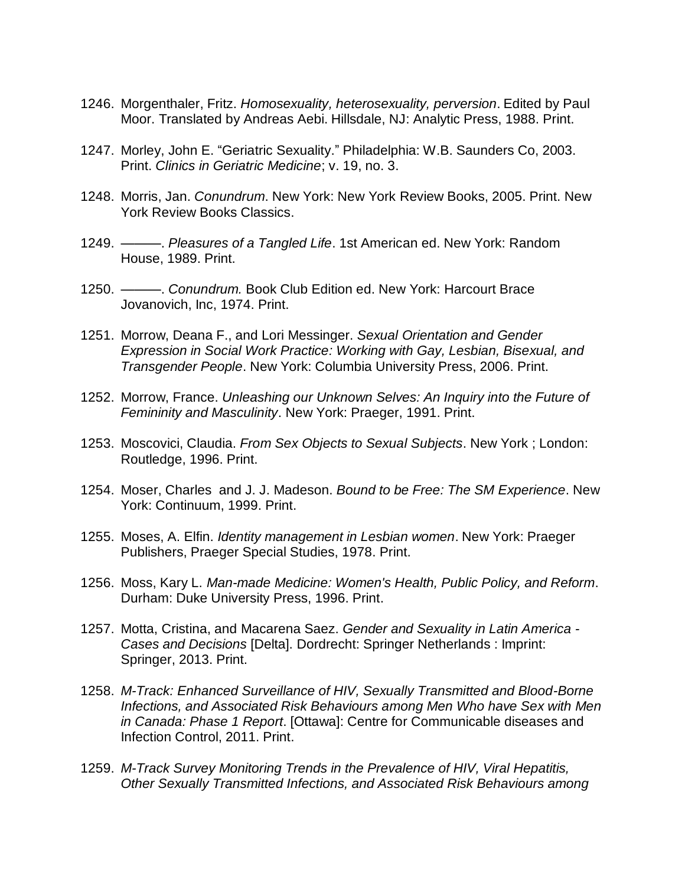- 1246. Morgenthaler, Fritz. *Homosexuality, heterosexuality, perversion*. Edited by Paul Moor. Translated by Andreas Aebi. Hillsdale, NJ: Analytic Press, 1988. Print.
- 1247. Morley, John E. "Geriatric Sexuality." Philadelphia: W.B. Saunders Co, 2003. Print. *Clinics in Geriatric Medicine*; v. 19, no. 3.
- 1248. Morris, Jan. *Conundrum*. New York: New York Review Books, 2005. Print. New York Review Books Classics.
- 1249. ———. *Pleasures of a Tangled Life*. 1st American ed. New York: Random House, 1989. Print.
- 1250. ———. *Conundrum.* Book Club Edition ed. New York: Harcourt Brace Jovanovich, Inc, 1974. Print.
- 1251. Morrow, Deana F., and Lori Messinger. *Sexual Orientation and Gender Expression in Social Work Practice: Working with Gay, Lesbian, Bisexual, and Transgender People*. New York: Columbia University Press, 2006. Print.
- 1252. Morrow, France. *Unleashing our Unknown Selves: An Inquiry into the Future of Femininity and Masculinity*. New York: Praeger, 1991. Print.
- 1253. Moscovici, Claudia. *From Sex Objects to Sexual Subjects*. New York ; London: Routledge, 1996. Print.
- 1254. Moser, Charles and J. J. Madeson. *Bound to be Free: The SM Experience*. New York: Continuum, 1999. Print.
- 1255. Moses, A. Elfin. *Identity management in Lesbian women*. New York: Praeger Publishers, Praeger Special Studies, 1978. Print.
- 1256. Moss, Kary L. *Man-made Medicine: Women's Health, Public Policy, and Reform*. Durham: Duke University Press, 1996. Print.
- 1257. Motta, Cristina, and Macarena Saez. *Gender and Sexuality in Latin America - Cases and Decisions* [Delta]. Dordrecht: Springer Netherlands : Imprint: Springer, 2013. Print.
- 1258. *M-Track: Enhanced Surveillance of HIV, Sexually Transmitted and Blood-Borne Infections, and Associated Risk Behaviours among Men Who have Sex with Men in Canada: Phase 1 Report*. [Ottawa]: Centre for Communicable diseases and Infection Control, 2011. Print.
- 1259. *M-Track Survey Monitoring Trends in the Prevalence of HIV, Viral Hepatitis, Other Sexually Transmitted Infections, and Associated Risk Behaviours among*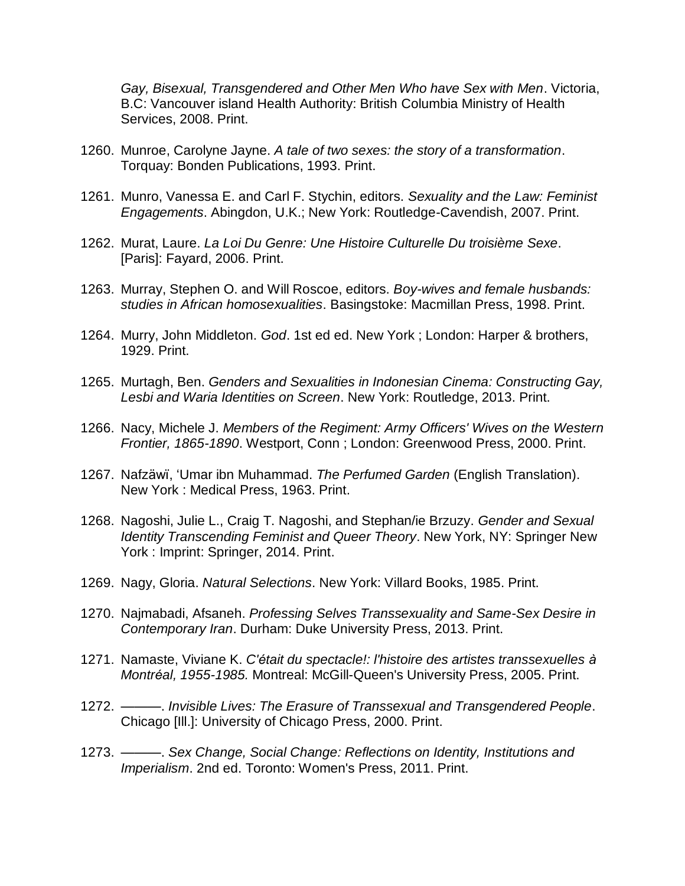*Gay, Bisexual, Transgendered and Other Men Who have Sex with Men*. Victoria, B.C: Vancouver island Health Authority: British Columbia Ministry of Health Services, 2008. Print.

- 1260. Munroe, Carolyne Jayne. *A tale of two sexes: the story of a transformation*. Torquay: Bonden Publications, 1993. Print.
- 1261. Munro, Vanessa E. and Carl F. Stychin, editors. *Sexuality and the Law: Feminist Engagements*. Abingdon, U.K.; New York: Routledge-Cavendish, 2007. Print.
- 1262. Murat, Laure. *La Loi Du Genre: Une Histoire Culturelle Du troisième Sexe*. [Paris]: Fayard, 2006. Print.
- 1263. Murray, Stephen O. and Will Roscoe, editors. *Boy-wives and female husbands: studies in African homosexualities*. Basingstoke: Macmillan Press, 1998. Print.
- 1264. Murry, John Middleton. *God*. 1st ed ed. New York ; London: Harper & brothers, 1929. Print.
- 1265. Murtagh, Ben. *Genders and Sexualities in Indonesian Cinema: Constructing Gay, Lesbi and Waria Identities on Screen*. New York: Routledge, 2013. Print.
- 1266. Nacy, Michele J. *Members of the Regiment: Army Officers' Wives on the Western Frontier, 1865-1890*. Westport, Conn ; London: Greenwood Press, 2000. Print.
- 1267. Nafzäwï, 'Umar ibn Muhammad. *The Perfumed Garden* (English Translation). New York : Medical Press, 1963. Print.
- 1268. Nagoshi, Julie L., Craig T. Nagoshi, and Stephan/ie Brzuzy. *Gender and Sexual Identity Transcending Feminist and Queer Theory*. New York, NY: Springer New York : Imprint: Springer, 2014. Print.
- 1269. Nagy, Gloria. *Natural Selections*. New York: Villard Books, 1985. Print.
- 1270. Najmabadi, Afsaneh. *Professing Selves Transsexuality and Same-Sex Desire in Contemporary Iran*. Durham: Duke University Press, 2013. Print.
- 1271. Namaste, Viviane K. *C'était du spectacle!: l'histoire des artistes transsexuelles à Montréal, 1955-1985.* Montreal: McGill-Queen's University Press, 2005. Print.
- 1272. ———. *Invisible Lives: The Erasure of Transsexual and Transgendered People*. Chicago [Ill.]: University of Chicago Press, 2000. Print.
- 1273. ———. *Sex Change, Social Change: Reflections on Identity, Institutions and Imperialism*. 2nd ed. Toronto: Women's Press, 2011. Print.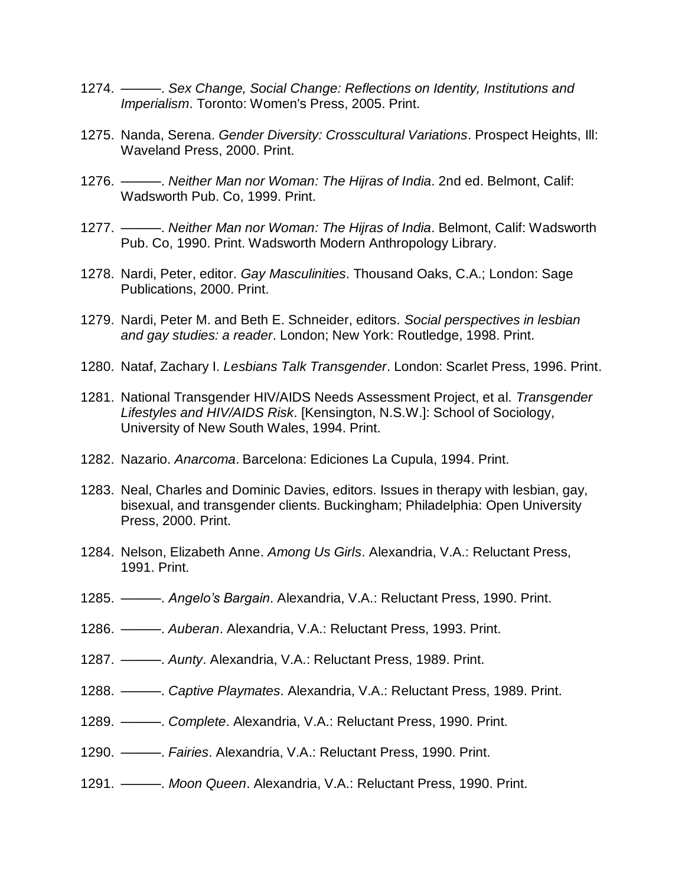- 1274. ———. *Sex Change, Social Change: Reflections on Identity, Institutions and Imperialism*. Toronto: Women's Press, 2005. Print.
- 1275. Nanda, Serena. *Gender Diversity: Crosscultural Variations*. Prospect Heights, Ill: Waveland Press, 2000. Print.
- 1276. ———. *Neither Man nor Woman: The Hijras of India*. 2nd ed. Belmont, Calif: Wadsworth Pub. Co, 1999. Print.
- 1277. ———. *Neither Man nor Woman: The Hijras of India*. Belmont, Calif: Wadsworth Pub. Co, 1990. Print. Wadsworth Modern Anthropology Library.
- 1278. Nardi, Peter, editor. *Gay Masculinities*. Thousand Oaks, C.A.; London: Sage Publications, 2000. Print.
- 1279. Nardi, Peter M. and Beth E. Schneider, editors. *Social perspectives in lesbian and gay studies: a reader*. London; New York: Routledge, 1998. Print.
- 1280. Nataf, Zachary I. *Lesbians Talk Transgender*. London: Scarlet Press, 1996. Print.
- 1281. National Transgender HIV/AIDS Needs Assessment Project, et al. *Transgender Lifestyles and HIV/AIDS Risk*. [Kensington, N.S.W.]: School of Sociology, University of New South Wales, 1994. Print.
- 1282. Nazario. *Anarcoma*. Barcelona: Ediciones La Cupula, 1994. Print.
- 1283. Neal, Charles and Dominic Davies, editors. Issues in therapy with lesbian, gay, bisexual, and transgender clients. Buckingham; Philadelphia: Open University Press, 2000. Print.
- 1284. Nelson, Elizabeth Anne. *Among Us Girls*. Alexandria, V.A.: Reluctant Press, 1991. Print.
- 1285. ———. *Angelo's Bargain*. Alexandria, V.A.: Reluctant Press, 1990. Print.
- 1286. ———. *Auberan*. Alexandria, V.A.: Reluctant Press, 1993. Print.
- 1287. ———. *Aunty*. Alexandria, V.A.: Reluctant Press, 1989. Print.
- 1288. ———. *Captive Playmates*. Alexandria, V.A.: Reluctant Press, 1989. Print.
- 1289. ———. *Complete*. Alexandria, V.A.: Reluctant Press, 1990. Print.
- 1290. ———. *Fairies*. Alexandria, V.A.: Reluctant Press, 1990. Print.
- 1291. ———. *Moon Queen*. Alexandria, V.A.: Reluctant Press, 1990. Print.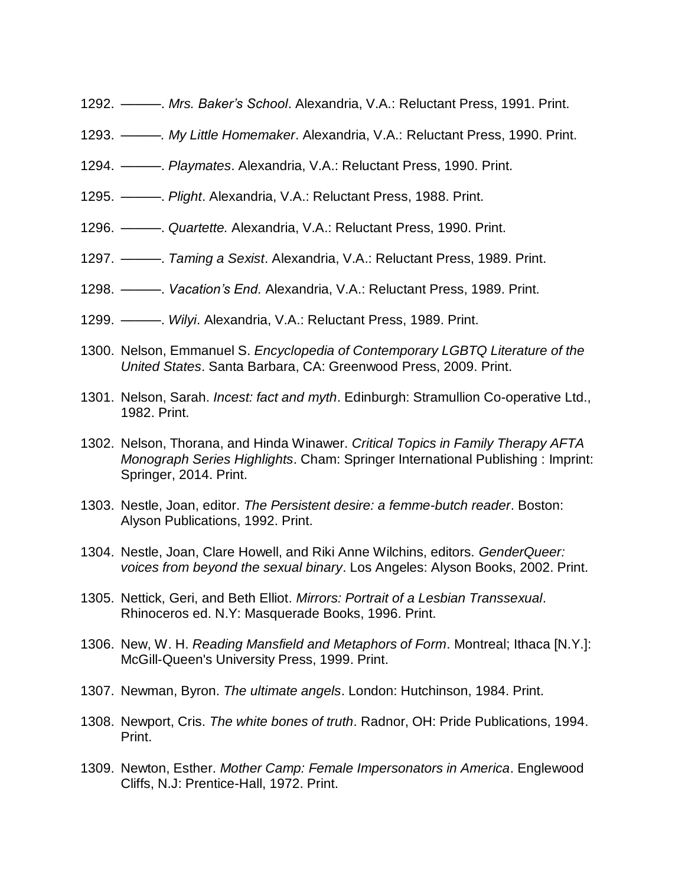- 1292. ———. *Mrs. Baker's School*. Alexandria, V.A.: Reluctant Press, 1991. Print.
- 1293. *———. My Little Homemaker*. Alexandria, V.A.: Reluctant Press, 1990. Print.
- 1294. ———. *Playmates*. Alexandria, V.A.: Reluctant Press, 1990. Print.
- 1295. ———. *Plight*. Alexandria, V.A.: Reluctant Press, 1988. Print.
- 1296. ———. *Quartette.* Alexandria, V.A.: Reluctant Press, 1990. Print.
- 1297. ———. *Taming a Sexist*. Alexandria, V.A.: Reluctant Press, 1989. Print.
- 1298. ———. *Vacation's End.* Alexandria, V.A.: Reluctant Press, 1989. Print.
- 1299. ———. *Wilyi*. Alexandria, V.A.: Reluctant Press, 1989. Print.
- 1300. Nelson, Emmanuel S. *Encyclopedia of Contemporary LGBTQ Literature of the United States*. Santa Barbara, CA: Greenwood Press, 2009. Print.
- 1301. Nelson, Sarah. *Incest: fact and myth*. Edinburgh: Stramullion Co-operative Ltd., 1982. Print.
- 1302. Nelson, Thorana, and Hinda Winawer. *Critical Topics in Family Therapy AFTA Monograph Series Highlights*. Cham: Springer International Publishing : Imprint: Springer, 2014. Print.
- 1303. Nestle, Joan, editor. *The Persistent desire: a femme-butch reader*. Boston: Alyson Publications, 1992. Print.
- 1304. Nestle, Joan, Clare Howell, and Riki Anne Wilchins, editors. *GenderQueer: voices from beyond the sexual binary*. Los Angeles: Alyson Books, 2002. Print.
- 1305. Nettick, Geri, and Beth Elliot. *Mirrors: Portrait of a Lesbian Transsexual*. Rhinoceros ed. N.Y: Masquerade Books, 1996. Print.
- 1306. New, W. H. *Reading Mansfield and Metaphors of Form*. Montreal; Ithaca [N.Y.]: McGill-Queen's University Press, 1999. Print.
- 1307. Newman, Byron. *The ultimate angels*. London: Hutchinson, 1984. Print.
- 1308. Newport, Cris. *The white bones of truth*. Radnor, OH: Pride Publications, 1994. Print.
- 1309. Newton, Esther. *Mother Camp: Female Impersonators in America*. Englewood Cliffs, N.J: Prentice-Hall, 1972. Print.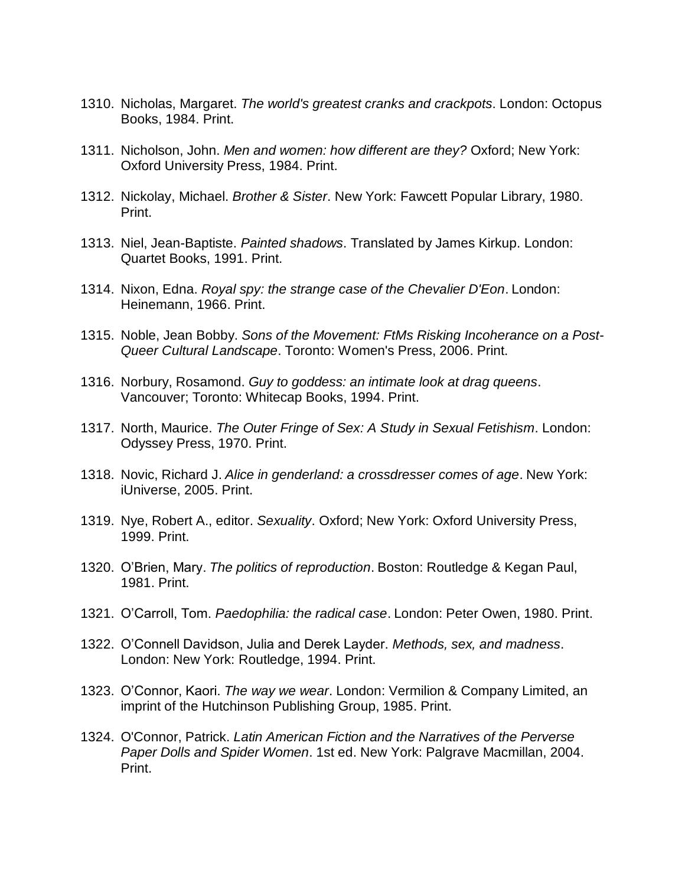- 1310. Nicholas, Margaret. *The world's greatest cranks and crackpots*. London: Octopus Books, 1984. Print.
- 1311. Nicholson, John. *Men and women: how different are they?* Oxford; New York: Oxford University Press, 1984. Print.
- 1312. Nickolay, Michael. *Brother & Sister*. New York: Fawcett Popular Library, 1980. Print.
- 1313. Niel, Jean-Baptiste. *Painted shadows*. Translated by James Kirkup. London: Quartet Books, 1991. Print.
- 1314. Nixon, Edna. *Royal spy: the strange case of the Chevalier D'Eon*. London: Heinemann, 1966. Print.
- 1315. Noble, Jean Bobby. *Sons of the Movement: FtMs Risking Incoherance on a Post-Queer Cultural Landscape*. Toronto: Women's Press, 2006. Print.
- 1316. Norbury, Rosamond. *Guy to goddess: an intimate look at drag queens*. Vancouver; Toronto: Whitecap Books, 1994. Print.
- 1317. North, Maurice. *The Outer Fringe of Sex: A Study in Sexual Fetishism*. London: Odyssey Press, 1970. Print.
- 1318. Novic, Richard J. *Alice in genderland: a crossdresser comes of age*. New York: iUniverse, 2005. Print.
- 1319. Nye, Robert A., editor. *Sexuality*. Oxford; New York: Oxford University Press, 1999. Print.
- 1320. O'Brien, Mary. *The politics of reproduction*. Boston: Routledge & Kegan Paul, 1981. Print.
- 1321. O'Carroll, Tom. *Paedophilia: the radical case*. London: Peter Owen, 1980. Print.
- 1322. O'Connell Davidson, Julia and Derek Layder. *Methods, sex, and madness*. London: New York: Routledge, 1994. Print.
- 1323. O'Connor, Kaori. *The way we wear*. London: Vermilion & Company Limited, an imprint of the Hutchinson Publishing Group, 1985. Print.
- 1324. O'Connor, Patrick. *Latin American Fiction and the Narratives of the Perverse Paper Dolls and Spider Women*. 1st ed. New York: Palgrave Macmillan, 2004. Print.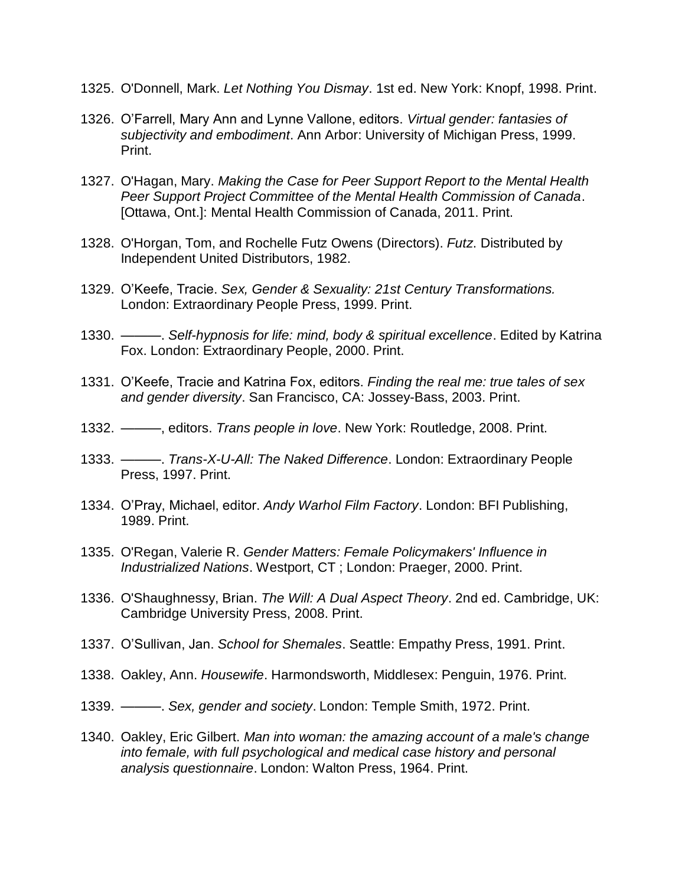- 1325. O'Donnell, Mark. *Let Nothing You Dismay*. 1st ed. New York: Knopf, 1998. Print.
- 1326. O'Farrell, Mary Ann and Lynne Vallone, editors. *Virtual gender: fantasies of subjectivity and embodiment*. Ann Arbor: University of Michigan Press, 1999. Print.
- 1327. O'Hagan, Mary. *Making the Case for Peer Support Report to the Mental Health Peer Support Project Committee of the Mental Health Commission of Canada*. [Ottawa, Ont.]: Mental Health Commission of Canada, 2011. Print.
- 1328. O'Horgan, Tom, and Rochelle Futz Owens (Directors). *Futz*. Distributed by Independent United Distributors, 1982.
- 1329. O'Keefe, Tracie. *Sex, Gender & Sexuality: 21st Century Transformations.* London: Extraordinary People Press, 1999. Print.
- 1330. ———. *Self-hypnosis for life: mind, body & spiritual excellence*. Edited by Katrina Fox. London: Extraordinary People, 2000. Print.
- 1331. O'Keefe, Tracie and Katrina Fox, editors. *Finding the real me: true tales of sex and gender diversity*. San Francisco, CA: Jossey-Bass, 2003. Print.
- 1332. ———, editors. *Trans people in love*. New York: Routledge, 2008. Print.
- 1333. ———. *Trans-X-U-All: The Naked Difference*. London: Extraordinary People Press, 1997. Print.
- 1334. O'Pray, Michael, editor. *Andy Warhol Film Factory*. London: BFI Publishing, 1989. Print.
- 1335. O'Regan, Valerie R. *Gender Matters: Female Policymakers' Influence in Industrialized Nations*. Westport, CT ; London: Praeger, 2000. Print.
- 1336. O'Shaughnessy, Brian. *The Will: A Dual Aspect Theory*. 2nd ed. Cambridge, UK: Cambridge University Press, 2008. Print.
- 1337. O'Sullivan, Jan. *School for Shemales*. Seattle: Empathy Press, 1991. Print.
- 1338. Oakley, Ann. *Housewife*. Harmondsworth, Middlesex: Penguin, 1976. Print.
- 1339. ———. *Sex, gender and society*. London: Temple Smith, 1972. Print.
- 1340. Oakley, Eric Gilbert. *Man into woman: the amazing account of a male's change into female, with full psychological and medical case history and personal analysis questionnaire*. London: Walton Press, 1964. Print.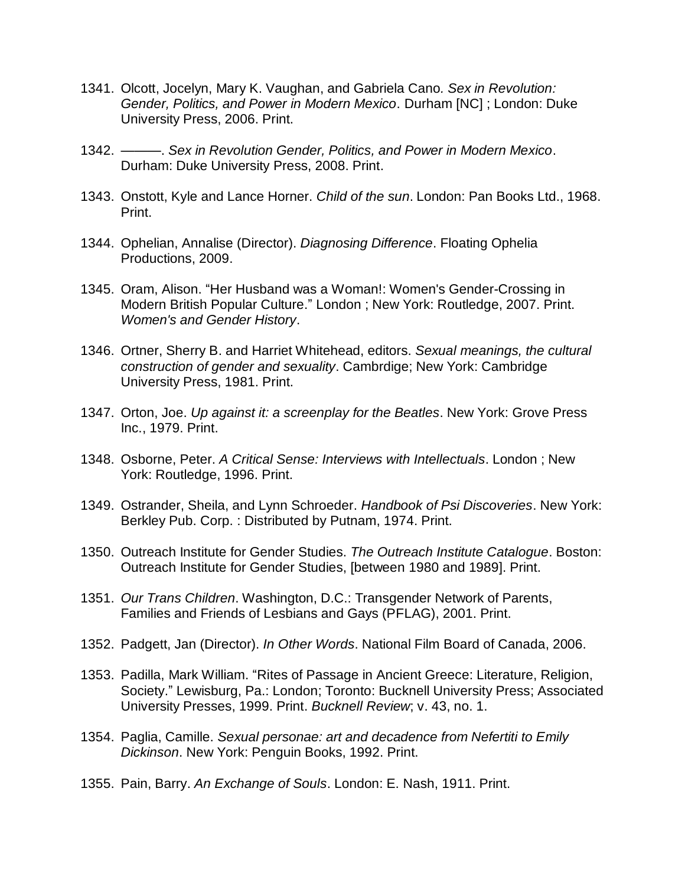- 1341. Olcott, Jocelyn, Mary K. Vaughan, and Gabriela Cano*. Sex in Revolution: Gender, Politics, and Power in Modern Mexico*. Durham [NC] ; London: Duke University Press, 2006. Print.
- 1342. ———. *Sex in Revolution Gender, Politics, and Power in Modern Mexico*. Durham: Duke University Press, 2008. Print.
- 1343. Onstott, Kyle and Lance Horner. *Child of the sun*. London: Pan Books Ltd., 1968. Print.
- 1344. Ophelian, Annalise (Director). *Diagnosing Difference*. Floating Ophelia Productions, 2009.
- 1345. Oram, Alison. "Her Husband was a Woman!: Women's Gender-Crossing in Modern British Popular Culture." London ; New York: Routledge, 2007. Print. *Women's and Gender History*.
- 1346. Ortner, Sherry B. and Harriet Whitehead, editors. *Sexual meanings, the cultural construction of gender and sexuality*. Cambrdige; New York: Cambridge University Press, 1981. Print.
- 1347. Orton, Joe. *Up against it: a screenplay for the Beatles*. New York: Grove Press Inc., 1979. Print.
- 1348. Osborne, Peter. *A Critical Sense: Interviews with Intellectuals*. London ; New York: Routledge, 1996. Print.
- 1349. Ostrander, Sheila, and Lynn Schroeder. *Handbook of Psi Discoveries*. New York: Berkley Pub. Corp. : Distributed by Putnam, 1974. Print.
- 1350. Outreach Institute for Gender Studies. *The Outreach Institute Catalogue*. Boston: Outreach Institute for Gender Studies, [between 1980 and 1989]. Print.
- 1351. *Our Trans Children*. Washington, D.C.: Transgender Network of Parents, Families and Friends of Lesbians and Gays (PFLAG), 2001. Print.
- 1352. Padgett, Jan (Director). *In Other Words*. National Film Board of Canada, 2006.
- 1353. Padilla, Mark William. "Rites of Passage in Ancient Greece: Literature, Religion, Society." Lewisburg, Pa.: London; Toronto: Bucknell University Press; Associated University Presses, 1999. Print. *Bucknell Review*; v. 43, no. 1.
- 1354. Paglia, Camille. *Sexual personae: art and decadence from Nefertiti to Emily Dickinson*. New York: Penguin Books, 1992. Print.
- 1355. Pain, Barry. *An Exchange of Souls*. London: E. Nash, 1911. Print.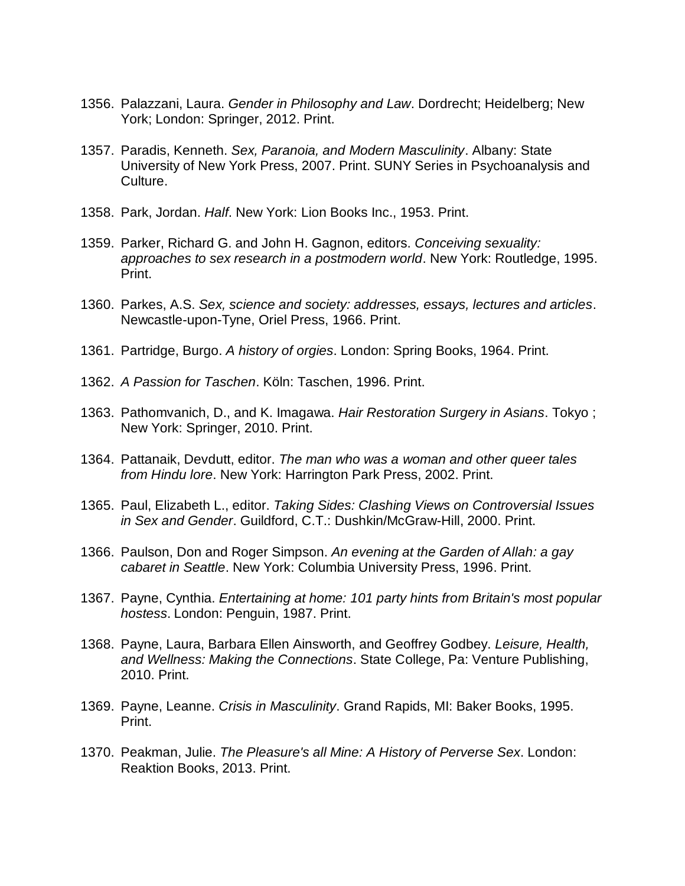- 1356. Palazzani, Laura. *Gender in Philosophy and Law*. Dordrecht; Heidelberg; New York; London: Springer, 2012. Print.
- 1357. Paradis, Kenneth. *Sex, Paranoia, and Modern Masculinity*. Albany: State University of New York Press, 2007. Print. SUNY Series in Psychoanalysis and Culture.
- 1358. Park, Jordan. *Half*. New York: Lion Books Inc., 1953. Print.
- 1359. Parker, Richard G. and John H. Gagnon, editors. *Conceiving sexuality: approaches to sex research in a postmodern world*. New York: Routledge, 1995. Print.
- 1360. Parkes, A.S. *Sex, science and society: addresses, essays, lectures and articles*. Newcastle-upon-Tyne, Oriel Press, 1966. Print.
- 1361. Partridge, Burgo. *A history of orgies*. London: Spring Books, 1964. Print.
- 1362. *A Passion for Taschen*. Köln: Taschen, 1996. Print.
- 1363. Pathomvanich, D., and K. Imagawa. *Hair Restoration Surgery in Asians*. Tokyo ; New York: Springer, 2010. Print.
- 1364. Pattanaik, Devdutt, editor. *The man who was a woman and other queer tales from Hindu lore*. New York: Harrington Park Press, 2002. Print.
- 1365. Paul, Elizabeth L., editor. *Taking Sides: Clashing Views on Controversial Issues in Sex and Gender*. Guildford, C.T.: Dushkin/McGraw-Hill, 2000. Print.
- 1366. Paulson, Don and Roger Simpson. *An evening at the Garden of Allah: a gay cabaret in Seattle*. New York: Columbia University Press, 1996. Print.
- 1367. Payne, Cynthia. *Entertaining at home: 101 party hints from Britain's most popular hostess*. London: Penguin, 1987. Print.
- 1368. Payne, Laura, Barbara Ellen Ainsworth, and Geoffrey Godbey. *Leisure, Health, and Wellness: Making the Connections*. State College, Pa: Venture Publishing, 2010. Print.
- 1369. Payne, Leanne. *Crisis in Masculinity*. Grand Rapids, MI: Baker Books, 1995. Print.
- 1370. Peakman, Julie. *The Pleasure's all Mine: A History of Perverse Sex*. London: Reaktion Books, 2013. Print.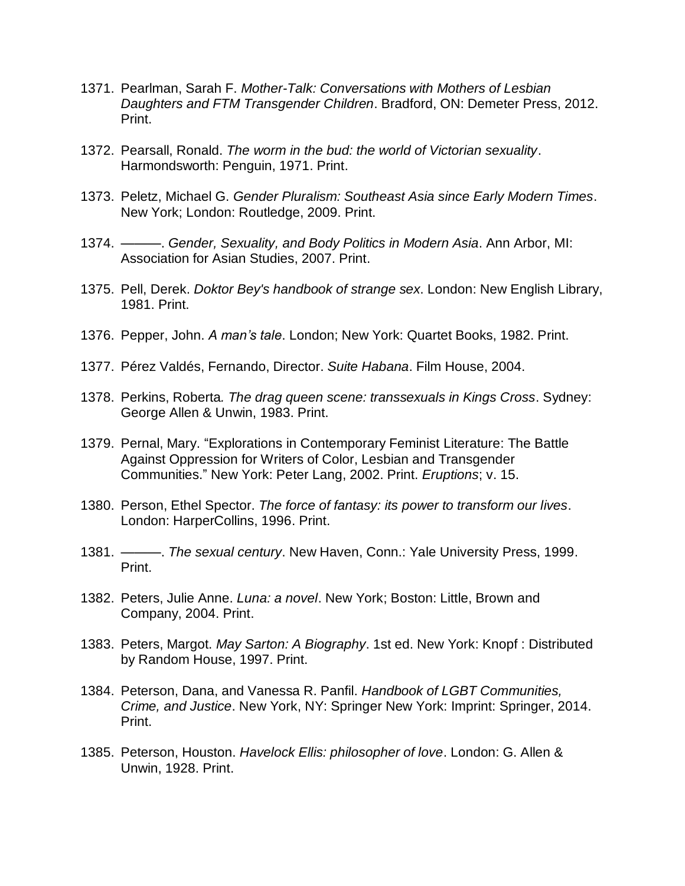- 1371. Pearlman, Sarah F. *Mother-Talk: Conversations with Mothers of Lesbian Daughters and FTM Transgender Children*. Bradford, ON: Demeter Press, 2012. Print.
- 1372. Pearsall, Ronald. *The worm in the bud: the world of Victorian sexuality*. Harmondsworth: Penguin, 1971. Print.
- 1373. Peletz, Michael G. *Gender Pluralism: Southeast Asia since Early Modern Times*. New York; London: Routledge, 2009. Print.
- 1374. ———. *Gender, Sexuality, and Body Politics in Modern Asia*. Ann Arbor, MI: Association for Asian Studies, 2007. Print.
- 1375. Pell, Derek. *Doktor Bey's handbook of strange sex*. London: New English Library, 1981. Print.
- 1376. Pepper, John. *A man's tale*. London; New York: Quartet Books, 1982. Print.
- 1377. Pérez Valdés, Fernando, Director. *Suite Habana*. Film House, 2004.
- 1378. Perkins, Roberta*. The drag queen scene: transsexuals in Kings Cross*. Sydney: George Allen & Unwin, 1983. Print.
- 1379. Pernal, Mary. "Explorations in Contemporary Feminist Literature: The Battle Against Oppression for Writers of Color, Lesbian and Transgender Communities." New York: Peter Lang, 2002. Print. *Eruptions*; v. 15.
- 1380. Person, Ethel Spector. *The force of fantasy: its power to transform our lives*. London: HarperCollins, 1996. Print.
- 1381. ———. *The sexual century*. New Haven, Conn.: Yale University Press, 1999. Print.
- 1382. Peters, Julie Anne. *Luna: a novel*. New York; Boston: Little, Brown and Company, 2004. Print.
- 1383. Peters, Margot. *May Sarton: A Biography*. 1st ed. New York: Knopf : Distributed by Random House, 1997. Print.
- 1384. Peterson, Dana, and Vanessa R. Panfil. *Handbook of LGBT Communities, Crime, and Justice*. New York, NY: Springer New York: Imprint: Springer, 2014. Print.
- 1385. Peterson, Houston. *Havelock Ellis: philosopher of love*. London: G. Allen & Unwin, 1928. Print.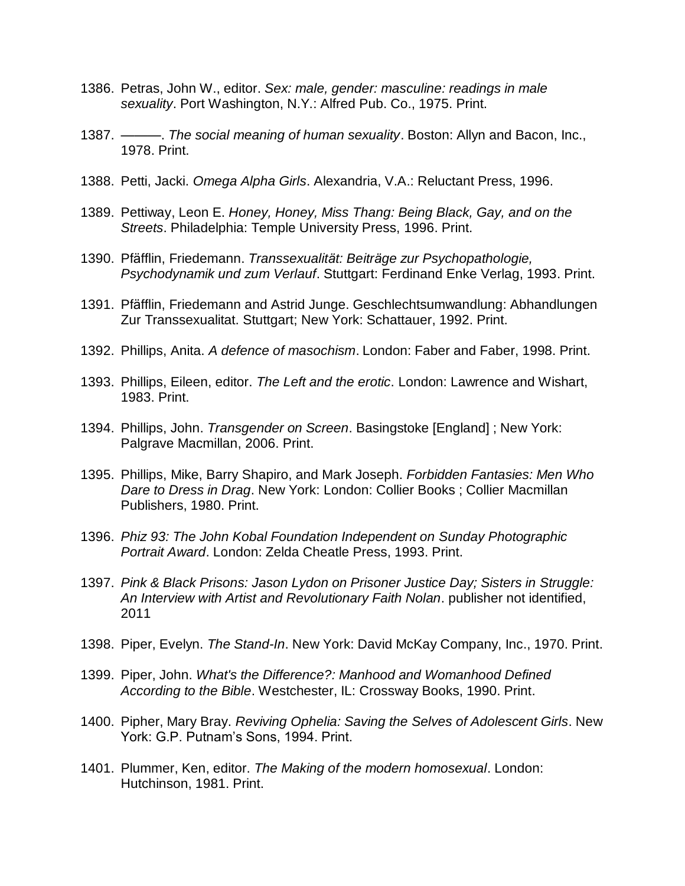- 1386. Petras, John W., editor. *Sex: male, gender: masculine: readings in male sexuality*. Port Washington, N.Y.: Alfred Pub. Co., 1975. Print.
- 1387. ———. *The social meaning of human sexuality*. Boston: Allyn and Bacon, Inc., 1978. Print.
- 1388. Petti, Jacki. *Omega Alpha Girls*. Alexandria, V.A.: Reluctant Press, 1996.
- 1389. Pettiway, Leon E. *Honey, Honey, Miss Thang: Being Black, Gay, and on the Streets*. Philadelphia: Temple University Press, 1996. Print.
- 1390. Pfäfflin, Friedemann. *Transsexualität: Beiträge zur Psychopathologie, Psychodynamik und zum Verlauf*. Stuttgart: Ferdinand Enke Verlag, 1993. Print.
- 1391. Pfäfflin, Friedemann and Astrid Junge. Geschlechtsumwandlung: Abhandlungen Zur Transsexualitat. Stuttgart; New York: Schattauer, 1992. Print.
- 1392. Phillips, Anita. *A defence of masochism*. London: Faber and Faber, 1998. Print.
- 1393. Phillips, Eileen, editor. *The Left and the erotic*. London: Lawrence and Wishart, 1983. Print.
- 1394. Phillips, John. *Transgender on Screen*. Basingstoke [England] ; New York: Palgrave Macmillan, 2006. Print.
- 1395. Phillips, Mike, Barry Shapiro, and Mark Joseph. *Forbidden Fantasies: Men Who Dare to Dress in Drag*. New York: London: Collier Books ; Collier Macmillan Publishers, 1980. Print.
- 1396. *Phiz 93: The John Kobal Foundation Independent on Sunday Photographic Portrait Award*. London: Zelda Cheatle Press, 1993. Print.
- 1397. *Pink & Black Prisons: Jason Lydon on Prisoner Justice Day; Sisters in Struggle: An Interview with Artist and Revolutionary Faith Nolan*. publisher not identified, 2011
- 1398. Piper, Evelyn. *The Stand-In*. New York: David McKay Company, Inc., 1970. Print.
- 1399. Piper, John. *What's the Difference?: Manhood and Womanhood Defined According to the Bible*. Westchester, IL: Crossway Books, 1990. Print.
- 1400. Pipher, Mary Bray. *Reviving Ophelia: Saving the Selves of Adolescent Girls*. New York: G.P. Putnam's Sons, 1994. Print.
- 1401. Plummer, Ken, editor. *The Making of the modern homosexual*. London: Hutchinson, 1981. Print.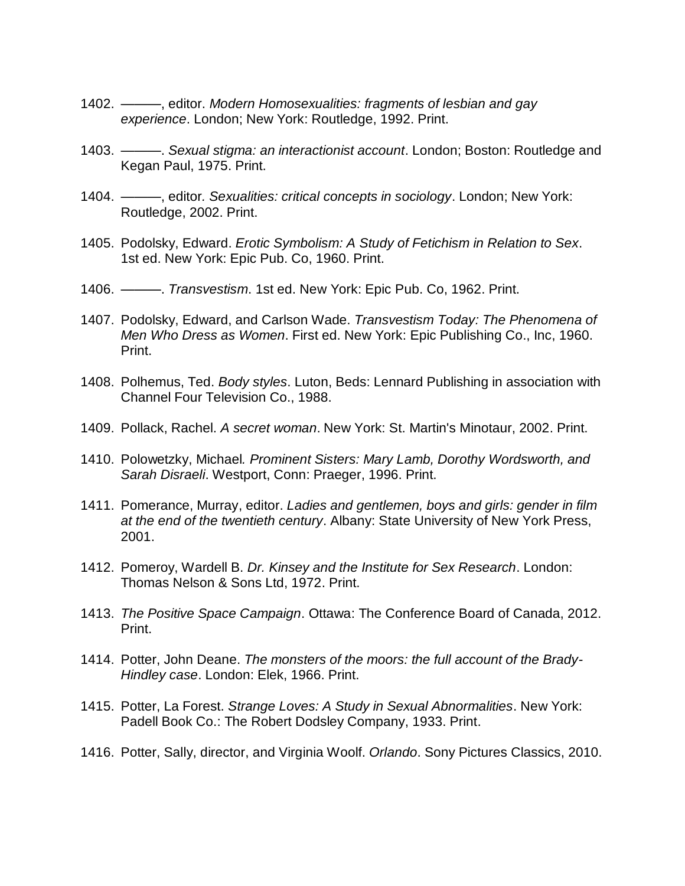- 1402. *———*, editor. *Modern Homosexualities: fragments of lesbian and gay experience*. London; New York: Routledge, 1992. Print.
- 1403. ———. *Sexual stigma: an interactionist account*. London; Boston: Routledge and Kegan Paul, 1975. Print.
- 1404. *———*, editor*. Sexualities: critical concepts in sociology*. London; New York: Routledge, 2002. Print.
- 1405. Podolsky, Edward. *Erotic Symbolism: A Study of Fetichism in Relation to Sex*. 1st ed. New York: Epic Pub. Co, 1960. Print.
- 1406. ———. *Transvestism*. 1st ed. New York: Epic Pub. Co, 1962. Print.
- 1407. Podolsky, Edward, and Carlson Wade. *Transvestism Today: The Phenomena of Men Who Dress as Women*. First ed. New York: Epic Publishing Co., Inc, 1960. Print.
- 1408. Polhemus, Ted. *Body styles*. Luton, Beds: Lennard Publishing in association with Channel Four Television Co., 1988.
- 1409. Pollack, Rachel. *A secret woman*. New York: St. Martin's Minotaur, 2002. Print.
- 1410. Polowetzky, Michael*. Prominent Sisters: Mary Lamb, Dorothy Wordsworth, and Sarah Disraeli*. Westport, Conn: Praeger, 1996. Print.
- 1411. Pomerance, Murray, editor. *Ladies and gentlemen, boys and girls: gender in film at the end of the twentieth century*. Albany: State University of New York Press, 2001.
- 1412. Pomeroy, Wardell B. *Dr. Kinsey and the Institute for Sex Research*. London: Thomas Nelson & Sons Ltd, 1972. Print.
- 1413. *The Positive Space Campaign*. Ottawa: The Conference Board of Canada, 2012. Print.
- 1414. Potter, John Deane. *The monsters of the moors: the full account of the Brady-Hindley case*. London: Elek, 1966. Print.
- 1415. Potter, La Forest. *Strange Loves: A Study in Sexual Abnormalities*. New York: Padell Book Co.: The Robert Dodsley Company, 1933. Print.
- 1416. Potter, Sally, director, and Virginia Woolf. *Orlando*. Sony Pictures Classics, 2010.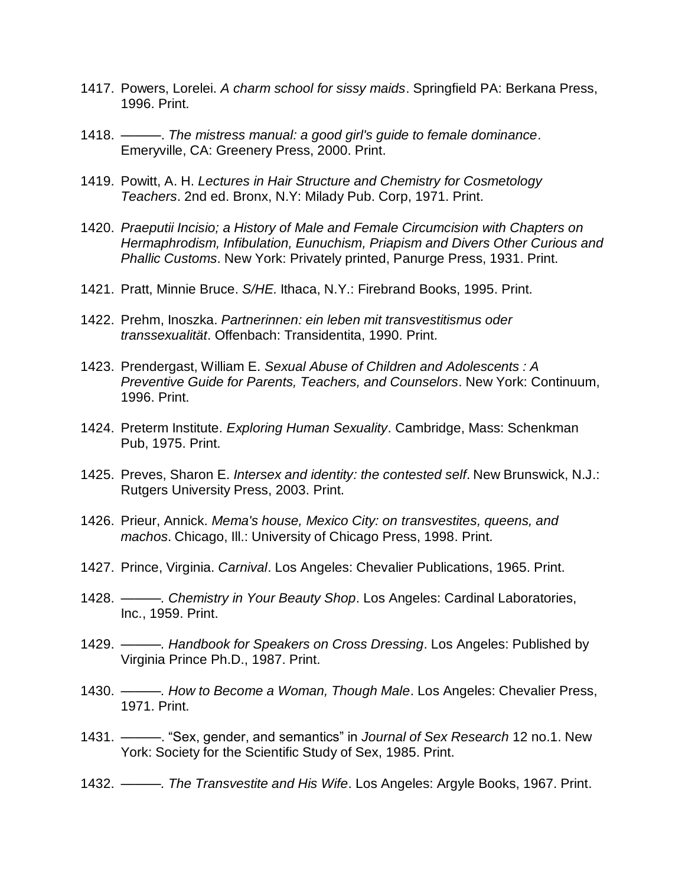- 1417. Powers, Lorelei. *A charm school for sissy maids*. Springfield PA: Berkana Press, 1996. Print.
- 1418. ———. *The mistress manual: a good girl's guide to female dominance*. Emeryville, CA: Greenery Press, 2000. Print.
- 1419. Powitt, A. H. *Lectures in Hair Structure and Chemistry for Cosmetology Teachers*. 2nd ed. Bronx, N.Y: Milady Pub. Corp, 1971. Print.
- 1420. *Praeputii Incisio; a History of Male and Female Circumcision with Chapters on Hermaphrodism, Infibulation, Eunuchism, Priapism and Divers Other Curious and Phallic Customs*. New York: Privately printed, Panurge Press, 1931. Print.
- 1421. Pratt, Minnie Bruce. *S/HE.* Ithaca, N.Y.: Firebrand Books, 1995. Print.
- 1422. Prehm, Inoszka. *Partnerinnen: ein leben mit transvestitismus oder transsexualität*. Offenbach: Transidentita, 1990. Print.
- 1423. Prendergast, William E. *Sexual Abuse of Children and Adolescents : A Preventive Guide for Parents, Teachers, and Counselors*. New York: Continuum, 1996. Print.
- 1424. Preterm Institute. *Exploring Human Sexuality*. Cambridge, Mass: Schenkman Pub, 1975. Print.
- 1425. Preves, Sharon E. *Intersex and identity: the contested self*. New Brunswick, N.J.: Rutgers University Press, 2003. Print.
- 1426. Prieur, Annick. *Mema's house, Mexico City: on transvestites, queens, and machos*. Chicago, Ill.: University of Chicago Press, 1998. Print.
- 1427. Prince, Virginia. *Carnival*. Los Angeles: Chevalier Publications, 1965. Print.
- 1428. *———. Chemistry in Your Beauty Shop*. Los Angeles: Cardinal Laboratories, Inc., 1959. Print.
- 1429. *———. Handbook for Speakers on Cross Dressing*. Los Angeles: Published by Virginia Prince Ph.D., 1987. Print.
- 1430. *———. How to Become a Woman, Though Male*. Los Angeles: Chevalier Press, 1971. Print.
- 1431. ———. "Sex, gender, and semantics" in *Journal of Sex Research* 12 no.1. New York: Society for the Scientific Study of Sex, 1985. Print.
- 1432. *———. The Transvestite and His Wife*. Los Angeles: Argyle Books, 1967. Print.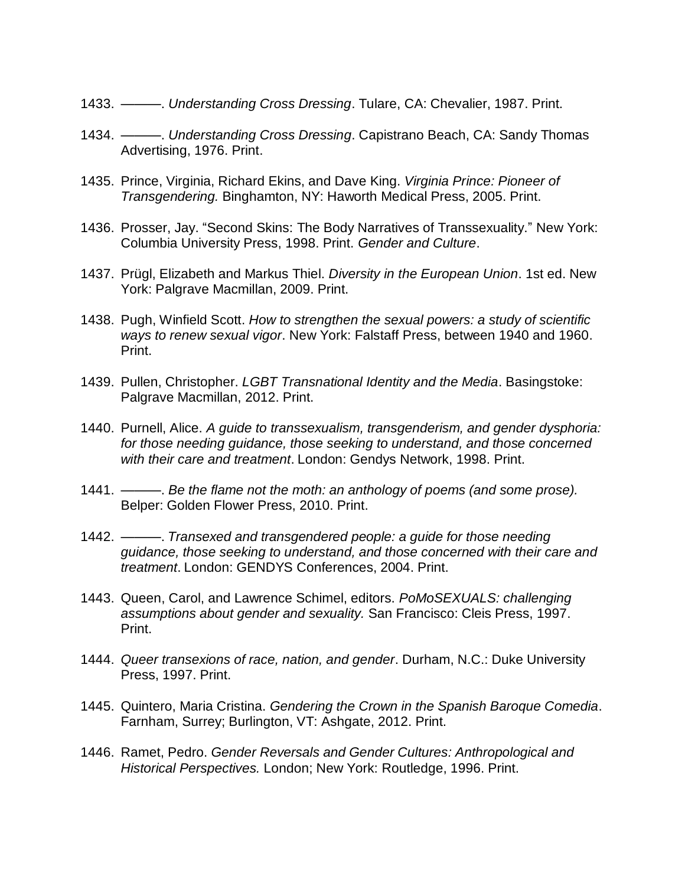- 1433. ———. *Understanding Cross Dressing*. Tulare, CA: Chevalier, 1987. Print.
- 1434. ———. *Understanding Cross Dressing*. Capistrano Beach, CA: Sandy Thomas Advertising, 1976. Print.
- 1435. Prince, Virginia, Richard Ekins, and Dave King. *Virginia Prince: Pioneer of Transgendering.* Binghamton, NY: Haworth Medical Press, 2005. Print.
- 1436. Prosser, Jay. "Second Skins: The Body Narratives of Transsexuality." New York: Columbia University Press, 1998. Print. *Gender and Culture*.
- 1437. Prügl, Elizabeth and Markus Thiel. *Diversity in the European Union*. 1st ed. New York: Palgrave Macmillan, 2009. Print.
- 1438. Pugh, Winfield Scott. *How to strengthen the sexual powers: a study of scientific ways to renew sexual vigor*. New York: Falstaff Press, between 1940 and 1960. Print.
- 1439. Pullen, Christopher. *LGBT Transnational Identity and the Media*. Basingstoke: Palgrave Macmillan, 2012. Print.
- 1440. Purnell, Alice. *A guide to transsexualism, transgenderism, and gender dysphoria: for those needing guidance, those seeking to understand, and those concerned with their care and treatment*. London: Gendys Network, 1998. Print.
- 1441. ———. *Be the flame not the moth: an anthology of poems (and some prose).* Belper: Golden Flower Press, 2010. Print.
- 1442. ———. *Transexed and transgendered people: a guide for those needing guidance, those seeking to understand, and those concerned with their care and treatment*. London: GENDYS Conferences, 2004. Print.
- 1443. Queen, Carol, and Lawrence Schimel, editors. *PoMoSEXUALS: challenging assumptions about gender and sexuality.* San Francisco: Cleis Press, 1997. Print.
- 1444. *Queer transexions of race, nation, and gender*. Durham, N.C.: Duke University Press, 1997. Print.
- 1445. Quintero, Maria Cristina. *Gendering the Crown in the Spanish Baroque Comedia*. Farnham, Surrey; Burlington, VT: Ashgate, 2012. Print.
- 1446. Ramet, Pedro. *Gender Reversals and Gender Cultures: Anthropological and Historical Perspectives.* London; New York: Routledge, 1996. Print.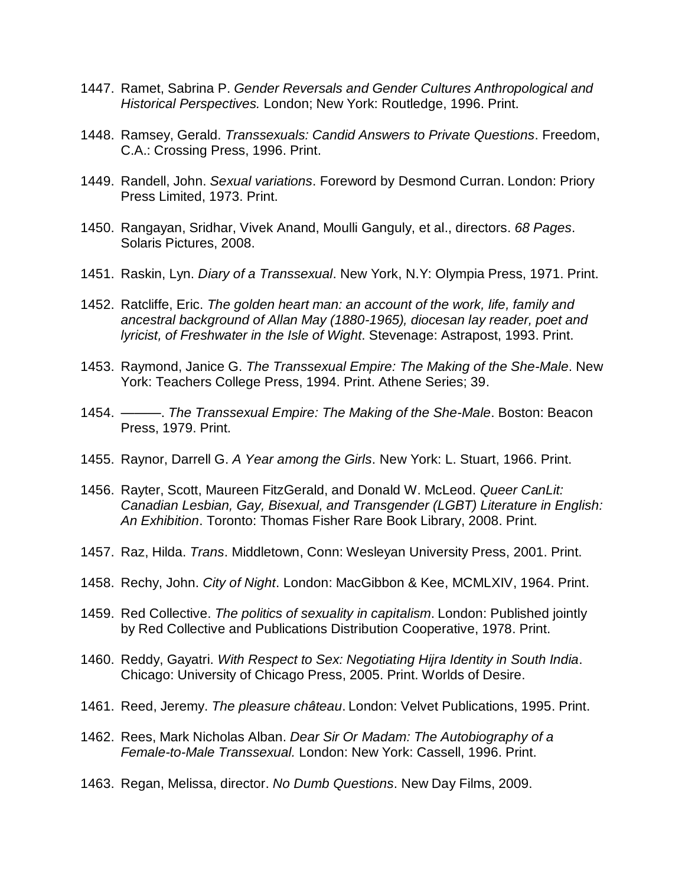- 1447. Ramet, Sabrina P. *Gender Reversals and Gender Cultures Anthropological and Historical Perspectives.* London; New York: Routledge, 1996. Print.
- 1448. Ramsey, Gerald. *Transsexuals: Candid Answers to Private Questions*. Freedom, C.A.: Crossing Press, 1996. Print.
- 1449. Randell, John. *Sexual variations*. Foreword by Desmond Curran. London: Priory Press Limited, 1973. Print.
- 1450. Rangayan, Sridhar, Vivek Anand, Moulli Ganguly, et al., directors. *68 Pages*. Solaris Pictures, 2008.
- 1451. Raskin, Lyn. *Diary of a Transsexual*. New York, N.Y: Olympia Press, 1971. Print.
- 1452. Ratcliffe, Eric. *The golden heart man: an account of the work, life, family and ancestral background of Allan May (1880-1965), diocesan lay reader, poet and lyricist, of Freshwater in the Isle of Wight*. Stevenage: Astrapost, 1993. Print.
- 1453. Raymond, Janice G. *The Transsexual Empire: The Making of the She-Male*. New York: Teachers College Press, 1994. Print. Athene Series; 39.
- 1454. ———. *The Transsexual Empire: The Making of the She-Male*. Boston: Beacon Press, 1979. Print.
- 1455. Raynor, Darrell G. *A Year among the Girls*. New York: L. Stuart, 1966. Print.
- 1456. Rayter, Scott, Maureen FitzGerald, and Donald W. McLeod. *Queer CanLit: Canadian Lesbian, Gay, Bisexual, and Transgender (LGBT) Literature in English: An Exhibition*. Toronto: Thomas Fisher Rare Book Library, 2008. Print.
- 1457. Raz, Hilda. *Trans*. Middletown, Conn: Wesleyan University Press, 2001. Print.
- 1458. Rechy, John. *City of Night*. London: MacGibbon & Kee, MCMLXIV, 1964. Print.
- 1459. Red Collective. *The politics of sexuality in capitalism*. London: Published jointly by Red Collective and Publications Distribution Cooperative, 1978. Print.
- 1460. Reddy, Gayatri. *With Respect to Sex: Negotiating Hijra Identity in South India*. Chicago: University of Chicago Press, 2005. Print. Worlds of Desire.
- 1461. Reed, Jeremy. *The pleasure château*. London: Velvet Publications, 1995. Print.
- 1462. Rees, Mark Nicholas Alban. *Dear Sir Or Madam: The Autobiography of a Female-to-Male Transsexual.* London: New York: Cassell, 1996. Print.
- 1463. Regan, Melissa, director. *No Dumb Questions*. New Day Films, 2009.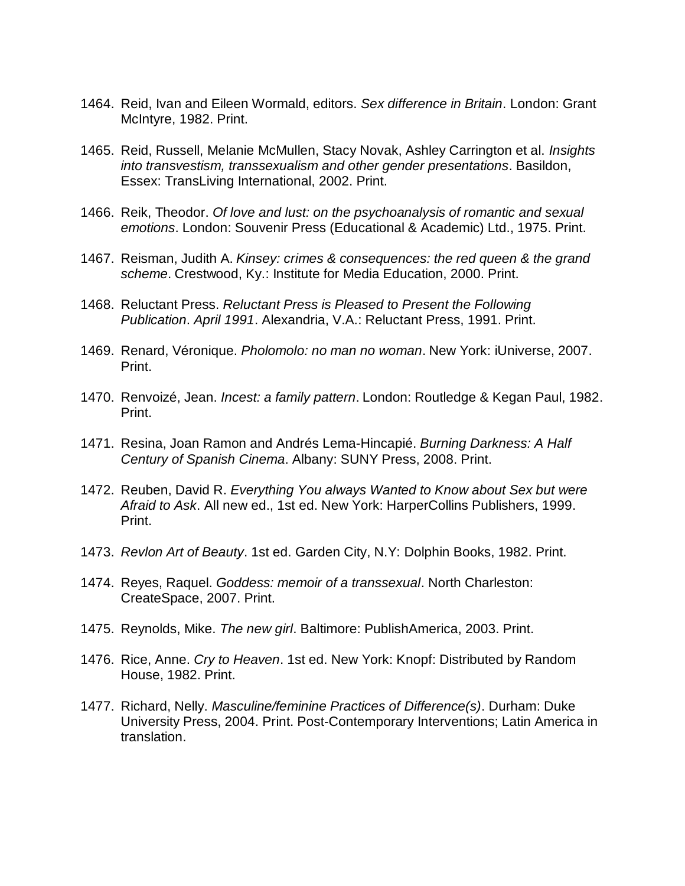- 1464. Reid, Ivan and Eileen Wormald, editors. *Sex difference in Britain*. London: Grant McIntyre, 1982. Print.
- 1465. Reid, Russell, Melanie McMullen, Stacy Novak, Ashley Carrington et al. *Insights into transvestism, transsexualism and other gender presentations*. Basildon, Essex: TransLiving International, 2002. Print.
- 1466. Reik, Theodor. *Of love and lust: on the psychoanalysis of romantic and sexual emotions*. London: Souvenir Press (Educational & Academic) Ltd., 1975. Print.
- 1467. Reisman, Judith A. *Kinsey: crimes & consequences: the red queen & the grand scheme*. Crestwood, Ky.: Institute for Media Education, 2000. Print.
- 1468. Reluctant Press. *Reluctant Press is Pleased to Present the Following Publication*. *April 1991*. Alexandria, V.A.: Reluctant Press, 1991. Print.
- 1469. Renard, Véronique. *Pholomolo: no man no woman*. New York: iUniverse, 2007. Print.
- 1470. Renvoizé, Jean. *Incest: a family pattern*. London: Routledge & Kegan Paul, 1982. Print.
- 1471. Resina, Joan Ramon and Andrés Lema-Hincapié. *Burning Darkness: A Half Century of Spanish Cinema*. Albany: SUNY Press, 2008. Print.
- 1472. Reuben, David R. *Everything You always Wanted to Know about Sex but were Afraid to Ask*. All new ed., 1st ed. New York: HarperCollins Publishers, 1999. Print.
- 1473. *Revlon Art of Beauty*. 1st ed. Garden City, N.Y: Dolphin Books, 1982. Print.
- 1474. Reyes, Raquel. *Goddess: memoir of a transsexual*. North Charleston: CreateSpace, 2007. Print.
- 1475. Reynolds, Mike. *The new girl*. Baltimore: PublishAmerica, 2003. Print.
- 1476. Rice, Anne. *Cry to Heaven*. 1st ed. New York: Knopf: Distributed by Random House, 1982. Print.
- 1477. Richard, Nelly. *Masculine/feminine Practices of Difference(s)*. Durham: Duke University Press, 2004. Print. Post-Contemporary Interventions; Latin America in translation.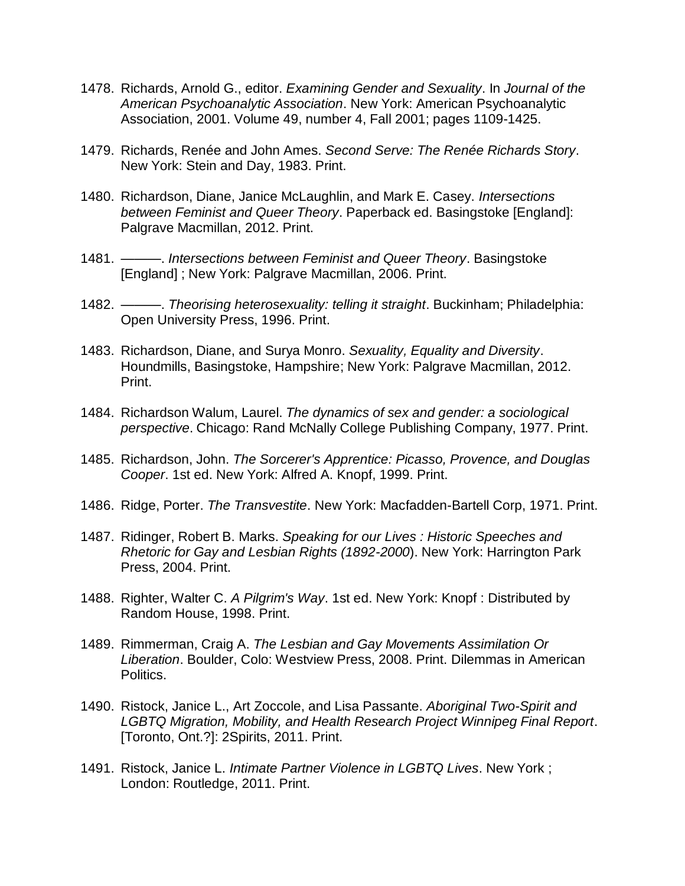- 1478. Richards, Arnold G., editor. *Examining Gender and Sexuality*. In *Journal of the American Psychoanalytic Association*. New York: American Psychoanalytic Association, 2001. Volume 49, number 4, Fall 2001; pages 1109-1425.
- 1479. Richards, Renée and John Ames. *Second Serve: The Renée Richards Story*. New York: Stein and Day, 1983. Print.
- 1480. Richardson, Diane, Janice McLaughlin, and Mark E. Casey. *Intersections between Feminist and Queer Theory*. Paperback ed. Basingstoke [England]: Palgrave Macmillan, 2012. Print.
- 1481. ———. *Intersections between Feminist and Queer Theory*. Basingstoke [England] ; New York: Palgrave Macmillan, 2006. Print.
- 1482. ———. *Theorising heterosexuality: telling it straight*. Buckinham; Philadelphia: Open University Press, 1996. Print.
- 1483. Richardson, Diane, and Surya Monro. *Sexuality, Equality and Diversity*. Houndmills, Basingstoke, Hampshire; New York: Palgrave Macmillan, 2012. Print.
- 1484. Richardson Walum, Laurel. *The dynamics of sex and gender: a sociological perspective*. Chicago: Rand McNally College Publishing Company, 1977. Print.
- 1485. Richardson, John. *The Sorcerer's Apprentice: Picasso, Provence, and Douglas Cooper*. 1st ed. New York: Alfred A. Knopf, 1999. Print.
- 1486. Ridge, Porter. *The Transvestite*. New York: Macfadden-Bartell Corp, 1971. Print.
- 1487. Ridinger, Robert B. Marks. *Speaking for our Lives : Historic Speeches and Rhetoric for Gay and Lesbian Rights (1892-2000*). New York: Harrington Park Press, 2004. Print.
- 1488. Righter, Walter C. *A Pilgrim's Way*. 1st ed. New York: Knopf : Distributed by Random House, 1998. Print.
- 1489. Rimmerman, Craig A. *The Lesbian and Gay Movements Assimilation Or Liberation*. Boulder, Colo: Westview Press, 2008. Print. Dilemmas in American Politics.
- 1490. Ristock, Janice L., Art Zoccole, and Lisa Passante. *Aboriginal Two-Spirit and LGBTQ Migration, Mobility, and Health Research Project Winnipeg Final Report*. [Toronto, Ont.?]: 2Spirits, 2011. Print.
- 1491. Ristock, Janice L. *Intimate Partner Violence in LGBTQ Lives*. New York ; London: Routledge, 2011. Print.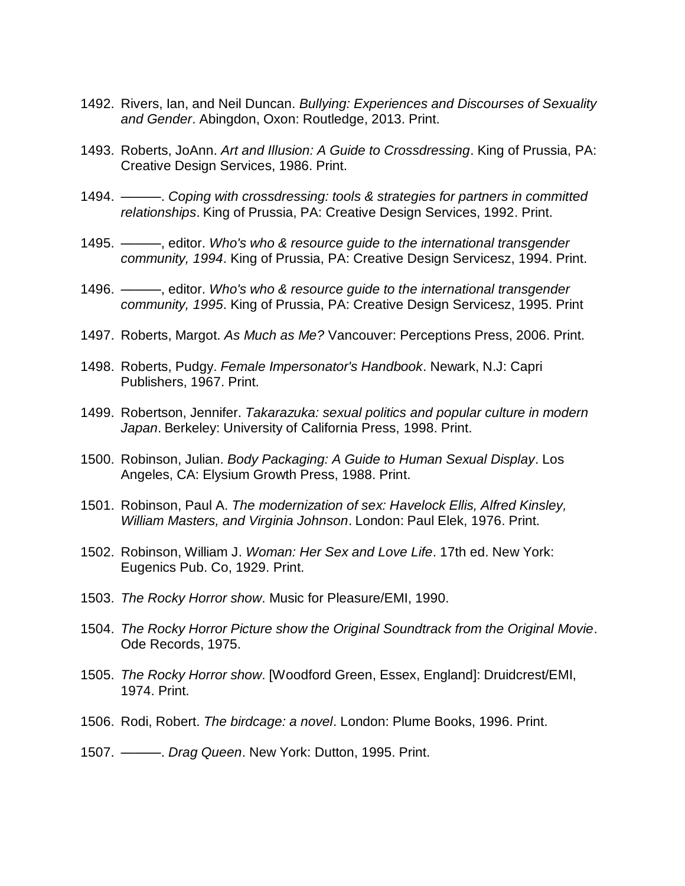- 1492. Rivers, Ian, and Neil Duncan. *Bullying: Experiences and Discourses of Sexuality and Gender*. Abingdon, Oxon: Routledge, 2013. Print.
- 1493. Roberts, JoAnn. *Art and Illusion: A Guide to Crossdressing*. King of Prussia, PA: Creative Design Services, 1986. Print.
- 1494. ———. *Coping with crossdressing: tools & strategies for partners in committed relationships*. King of Prussia, PA: Creative Design Services, 1992. Print.
- 1495. ———, editor. *Who's who & resource guide to the international transgender community, 1994*. King of Prussia, PA: Creative Design Servicesz, 1994. Print.
- 1496. ———, editor. *Who's who & resource guide to the international transgender community, 1995*. King of Prussia, PA: Creative Design Servicesz, 1995. Print
- 1497. Roberts, Margot. *As Much as Me?* Vancouver: Perceptions Press, 2006. Print.
- 1498. Roberts, Pudgy. *Female Impersonator's Handbook*. Newark, N.J: Capri Publishers, 1967. Print.
- 1499. Robertson, Jennifer. *Takarazuka: sexual politics and popular culture in modern Japan*. Berkeley: University of California Press, 1998. Print.
- 1500. Robinson, Julian. *Body Packaging: A Guide to Human Sexual Display*. Los Angeles, CA: Elysium Growth Press, 1988. Print.
- 1501. Robinson, Paul A. *The modernization of sex: Havelock Ellis, Alfred Kinsley, William Masters, and Virginia Johnson*. London: Paul Elek, 1976. Print.
- 1502. Robinson, William J. *Woman: Her Sex and Love Life*. 17th ed. New York: Eugenics Pub. Co, 1929. Print.
- 1503. *The Rocky Horror show*. Music for Pleasure/EMI, 1990.
- 1504. *The Rocky Horror Picture show the Original Soundtrack from the Original Movie*. Ode Records, 1975.
- 1505. *The Rocky Horror show*. [Woodford Green, Essex, England]: Druidcrest/EMI, 1974. Print.
- 1506. Rodi, Robert. *The birdcage: a novel*. London: Plume Books, 1996. Print.
- 1507. ———. *Drag Queen*. New York: Dutton, 1995. Print.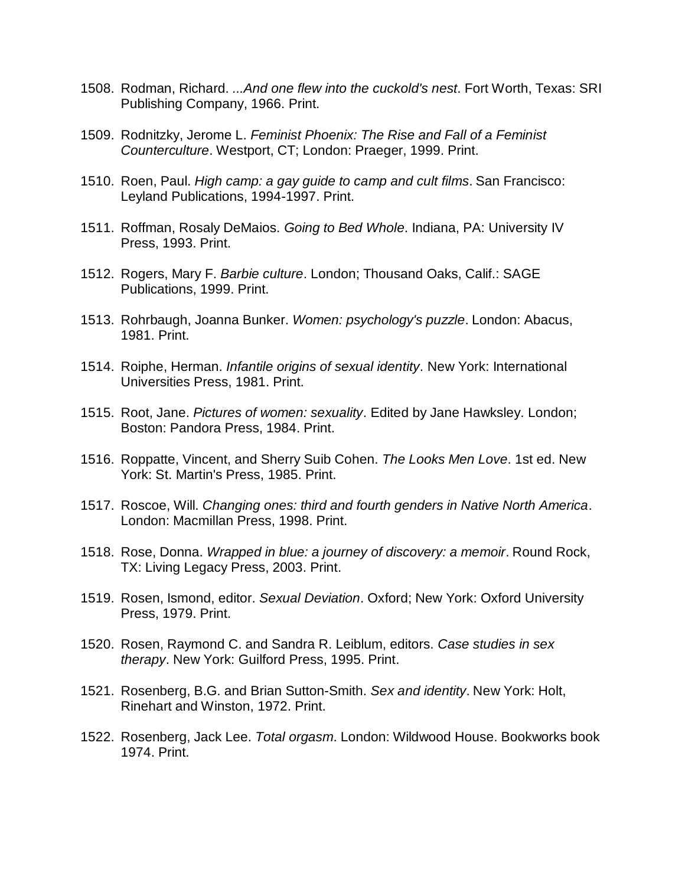- 1508. Rodman, Richard. *...And one flew into the cuckold's nest*. Fort Worth, Texas: SRI Publishing Company, 1966. Print.
- 1509. Rodnitzky, Jerome L. *Feminist Phoenix: The Rise and Fall of a Feminist Counterculture*. Westport, CT; London: Praeger, 1999. Print.
- 1510. Roen, Paul. *High camp: a gay guide to camp and cult films*. San Francisco: Leyland Publications, 1994-1997. Print.
- 1511. Roffman, Rosaly DeMaios. *Going to Bed Whole*. Indiana, PA: University IV Press, 1993. Print.
- 1512. Rogers, Mary F. *Barbie culture*. London; Thousand Oaks, Calif.: SAGE Publications, 1999. Print.
- 1513. Rohrbaugh, Joanna Bunker. *Women: psychology's puzzle*. London: Abacus, 1981. Print.
- 1514. Roiphe, Herman. *Infantile origins of sexual identity*. New York: International Universities Press, 1981. Print.
- 1515. Root, Jane. *Pictures of women: sexuality*. Edited by Jane Hawksley. London; Boston: Pandora Press, 1984. Print.
- 1516. Roppatte, Vincent, and Sherry Suib Cohen. *The Looks Men Love*. 1st ed. New York: St. Martin's Press, 1985. Print.
- 1517. Roscoe, Will. *Changing ones: third and fourth genders in Native North America*. London: Macmillan Press, 1998. Print.
- 1518. Rose, Donna. *Wrapped in blue: a journey of discovery: a memoir*. Round Rock, TX: Living Legacy Press, 2003. Print.
- 1519. Rosen, Ismond, editor. *Sexual Deviation*. Oxford; New York: Oxford University Press, 1979. Print.
- 1520. Rosen, Raymond C. and Sandra R. Leiblum, editors. *Case studies in sex therapy*. New York: Guilford Press, 1995. Print.
- 1521. Rosenberg, B.G. and Brian Sutton-Smith. *Sex and identity*. New York: Holt, Rinehart and Winston, 1972. Print.
- 1522. Rosenberg, Jack Lee. *Total orgasm*. London: Wildwood House. Bookworks book 1974. Print.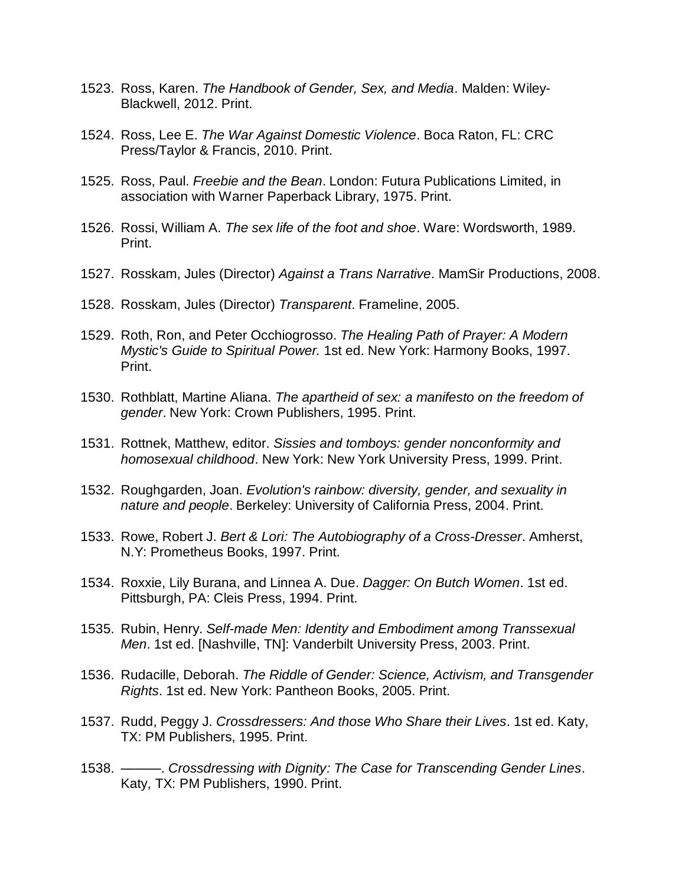- 1523. Ross, Karen. *The Handbook of Gender, Sex, and Media*. Malden: Wiley-Blackwell, 2012. Print.
- 1524. Ross, Lee E. *The War Against Domestic Violence*. Boca Raton, FL: CRC Press/Taylor & Francis, 2010. Print.
- 1525. Ross, Paul. *Freebie and the Bean*. London: Futura Publications Limited, in association with Warner Paperback Library, 1975. Print.
- 1526. Rossi, William A. *The sex life of the foot and shoe*. Ware: Wordsworth, 1989. Print.
- 1527. Rosskam, Jules (Director) *Against a Trans Narrative*. MamSir Productions, 2008.
- 1528. Rosskam, Jules (Director) *Transparent*. Frameline, 2005.
- 1529. Roth, Ron, and Peter Occhiogrosso. *The Healing Path of Prayer: A Modern Mystic's Guide to Spiritual Power.* 1st ed. New York: Harmony Books, 1997. Print.
- 1530. Rothblatt, Martine Aliana. *The apartheid of sex: a manifesto on the freedom of gender*. New York: Crown Publishers, 1995. Print.
- 1531. Rottnek, Matthew, editor. *Sissies and tomboys: gender nonconformity and homosexual childhood*. New York: New York University Press, 1999. Print.
- 1532. Roughgarden, Joan. *Evolution's rainbow: diversity, gender, and sexuality in nature and people*. Berkeley: University of California Press, 2004. Print.
- 1533. Rowe, Robert J. *Bert & Lori: The Autobiography of a Cross-Dresser*. Amherst, N.Y: Prometheus Books, 1997. Print.
- 1534. Roxxie, Lily Burana, and Linnea A. Due. *Dagger: On Butch Women*. 1st ed. Pittsburgh, PA: Cleis Press, 1994. Print.
- 1535. Rubin, Henry. *Self-made Men: Identity and Embodiment among Transsexual Men*. 1st ed. [Nashville, TN]: Vanderbilt University Press, 2003. Print.
- 1536. Rudacille, Deborah. *The Riddle of Gender: Science, Activism, and Transgender Rights*. 1st ed. New York: Pantheon Books, 2005. Print.
- 1537. Rudd, Peggy J. *Crossdressers: And those Who Share their Lives*. 1st ed. Katy, TX: PM Publishers, 1995. Print.
- 1538. ———. *Crossdressing with Dignity: The Case for Transcending Gender Lines*. Katy, TX: PM Publishers, 1990. Print.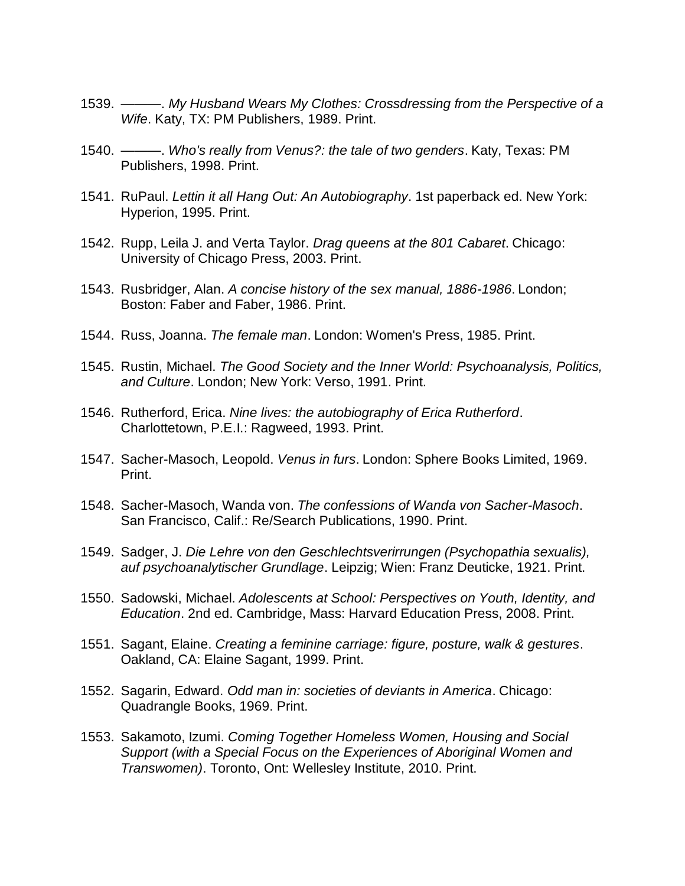- 1539. ———. *My Husband Wears My Clothes: Crossdressing from the Perspective of a Wife*. Katy, TX: PM Publishers, 1989. Print.
- 1540. ———. *Who's really from Venus?: the tale of two genders*. Katy, Texas: PM Publishers, 1998. Print.
- 1541. RuPaul. *Lettin it all Hang Out: An Autobiography*. 1st paperback ed. New York: Hyperion, 1995. Print.
- 1542. Rupp, Leila J. and Verta Taylor. *Drag queens at the 801 Cabaret*. Chicago: University of Chicago Press, 2003. Print.
- 1543. Rusbridger, Alan. *A concise history of the sex manual, 1886-1986*. London; Boston: Faber and Faber, 1986. Print.
- 1544. Russ, Joanna. *The female man*. London: Women's Press, 1985. Print.
- 1545. Rustin, Michael. *The Good Society and the Inner World: Psychoanalysis, Politics, and Culture*. London; New York: Verso, 1991. Print.
- 1546. Rutherford, Erica. *Nine lives: the autobiography of Erica Rutherford*. Charlottetown, P.E.I.: Ragweed, 1993. Print.
- 1547. Sacher-Masoch, Leopold. *Venus in furs*. London: Sphere Books Limited, 1969. Print.
- 1548. Sacher-Masoch, Wanda von. *The confessions of Wanda von Sacher-Masoch*. San Francisco, Calif.: Re/Search Publications, 1990. Print.
- 1549. Sadger, J. *Die Lehre von den Geschlechtsverirrungen (Psychopathia sexualis), auf psychoanalytischer Grundlage*. Leipzig; Wien: Franz Deuticke, 1921. Print.
- 1550. Sadowski, Michael. *Adolescents at School: Perspectives on Youth, Identity, and Education*. 2nd ed. Cambridge, Mass: Harvard Education Press, 2008. Print.
- 1551. Sagant, Elaine. *Creating a feminine carriage: figure, posture, walk & gestures*. Oakland, CA: Elaine Sagant, 1999. Print.
- 1552. Sagarin, Edward. *Odd man in: societies of deviants in America*. Chicago: Quadrangle Books, 1969. Print.
- 1553. Sakamoto, Izumi. *Coming Together Homeless Women, Housing and Social Support (with a Special Focus on the Experiences of Aboriginal Women and Transwomen)*. Toronto, Ont: Wellesley Institute, 2010. Print.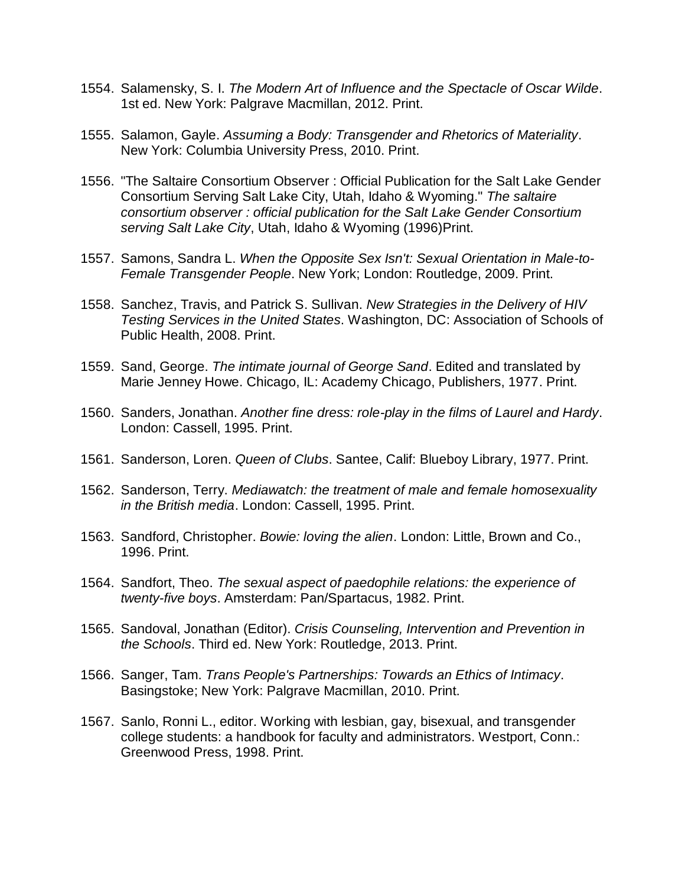- 1554. Salamensky, S. I. *The Modern Art of Influence and the Spectacle of Oscar Wilde*. 1st ed. New York: Palgrave Macmillan, 2012. Print.
- 1555. Salamon, Gayle. *Assuming a Body: Transgender and Rhetorics of Materiality*. New York: Columbia University Press, 2010. Print.
- 1556. "The Saltaire Consortium Observer : Official Publication for the Salt Lake Gender Consortium Serving Salt Lake City, Utah, Idaho & Wyoming." *The saltaire consortium observer : official publication for the Salt Lake Gender Consortium serving Salt Lake City*, Utah, Idaho & Wyoming (1996)Print.
- 1557. Samons, Sandra L. *When the Opposite Sex Isn't: Sexual Orientation in Male-to-Female Transgender People*. New York; London: Routledge, 2009. Print.
- 1558. Sanchez, Travis, and Patrick S. Sullivan. *New Strategies in the Delivery of HIV Testing Services in the United States*. Washington, DC: Association of Schools of Public Health, 2008. Print.
- 1559. Sand, George. *The intimate journal of George Sand*. Edited and translated by Marie Jenney Howe. Chicago, IL: Academy Chicago, Publishers, 1977. Print.
- 1560. Sanders, Jonathan. *Another fine dress: role-play in the films of Laurel and Hardy*. London: Cassell, 1995. Print.
- 1561. Sanderson, Loren. *Queen of Clubs*. Santee, Calif: Blueboy Library, 1977. Print.
- 1562. Sanderson, Terry. *Mediawatch: the treatment of male and female homosexuality in the British media*. London: Cassell, 1995. Print.
- 1563. Sandford, Christopher. *Bowie: loving the alien*. London: Little, Brown and Co., 1996. Print.
- 1564. Sandfort, Theo. *The sexual aspect of paedophile relations: the experience of twenty-five boys*. Amsterdam: Pan/Spartacus, 1982. Print.
- 1565. Sandoval, Jonathan (Editor). *Crisis Counseling, Intervention and Prevention in the Schools*. Third ed. New York: Routledge, 2013. Print.
- 1566. Sanger, Tam. *Trans People's Partnerships: Towards an Ethics of Intimacy*. Basingstoke; New York: Palgrave Macmillan, 2010. Print.
- 1567. Sanlo, Ronni L., editor. Working with lesbian, gay, bisexual, and transgender college students: a handbook for faculty and administrators. Westport, Conn.: Greenwood Press, 1998. Print.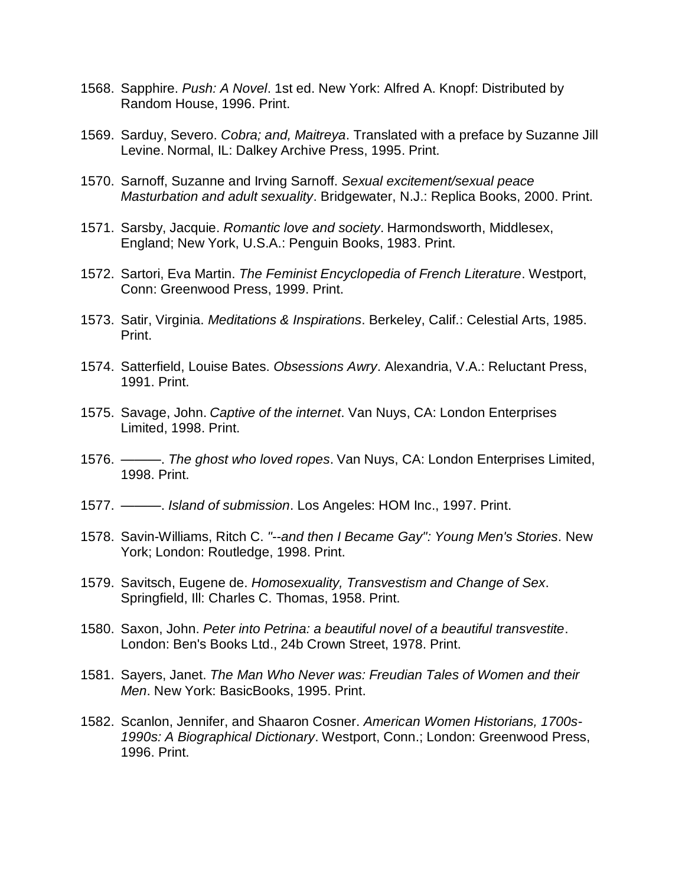- 1568. Sapphire. *Push: A Novel*. 1st ed. New York: Alfred A. Knopf: Distributed by Random House, 1996. Print.
- 1569. Sarduy, Severo. *Cobra; and, Maitreya*. Translated with a preface by Suzanne Jill Levine. Normal, IL: Dalkey Archive Press, 1995. Print.
- 1570. Sarnoff, Suzanne and Irving Sarnoff. *Sexual excitement/sexual peace Masturbation and adult sexuality*. Bridgewater, N.J.: Replica Books, 2000. Print.
- 1571. Sarsby, Jacquie. *Romantic love and society*. Harmondsworth, Middlesex, England; New York, U.S.A.: Penguin Books, 1983. Print.
- 1572. Sartori, Eva Martin. *The Feminist Encyclopedia of French Literature*. Westport, Conn: Greenwood Press, 1999. Print.
- 1573. Satir, Virginia. *Meditations & Inspirations*. Berkeley, Calif.: Celestial Arts, 1985. Print.
- 1574. Satterfield, Louise Bates. *Obsessions Awry*. Alexandria, V.A.: Reluctant Press, 1991. Print.
- 1575. Savage, John. *Captive of the internet*. Van Nuys, CA: London Enterprises Limited, 1998. Print.
- 1576. ———. *The ghost who loved ropes*. Van Nuys, CA: London Enterprises Limited, 1998. Print.
- 1577. ———. *Island of submission*. Los Angeles: HOM Inc., 1997. Print.
- 1578. Savin-Williams, Ritch C. *"--and then I Became Gay": Young Men's Stories*. New York; London: Routledge, 1998. Print.
- 1579. Savitsch, Eugene de. *Homosexuality, Transvestism and Change of Sex*. Springfield, Ill: Charles C. Thomas, 1958. Print.
- 1580. Saxon, John. *Peter into Petrina: a beautiful novel of a beautiful transvestite*. London: Ben's Books Ltd., 24b Crown Street, 1978. Print.
- 1581. Sayers, Janet. *The Man Who Never was: Freudian Tales of Women and their Men*. New York: BasicBooks, 1995. Print.
- 1582. Scanlon, Jennifer, and Shaaron Cosner. *American Women Historians, 1700s-1990s: A Biographical Dictionary*. Westport, Conn.; London: Greenwood Press, 1996. Print.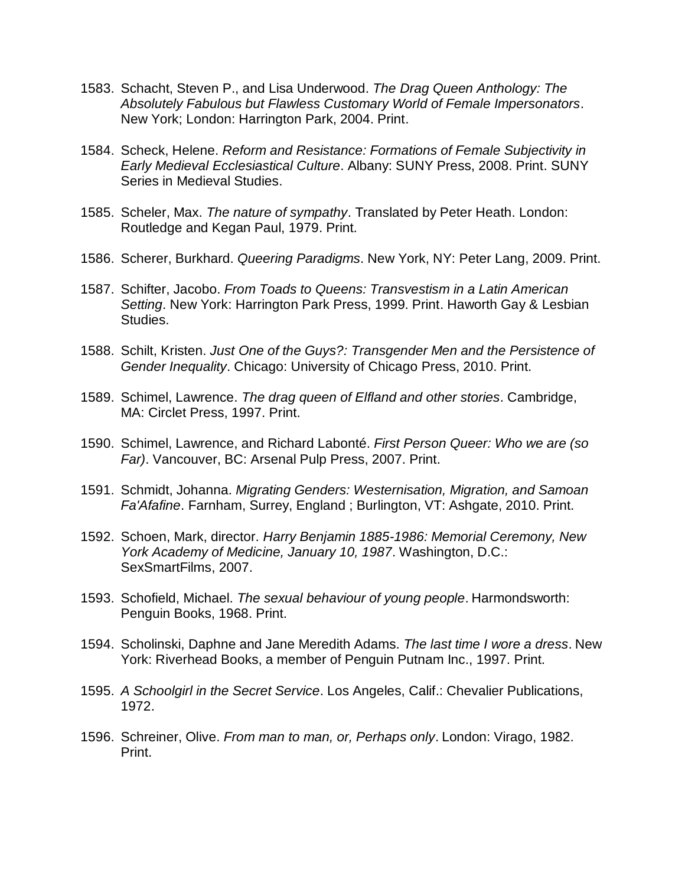- 1583. Schacht, Steven P., and Lisa Underwood. *The Drag Queen Anthology: The Absolutely Fabulous but Flawless Customary World of Female Impersonators*. New York; London: Harrington Park, 2004. Print.
- 1584. Scheck, Helene. *Reform and Resistance: Formations of Female Subjectivity in Early Medieval Ecclesiastical Culture*. Albany: SUNY Press, 2008. Print. SUNY Series in Medieval Studies.
- 1585. Scheler, Max. *The nature of sympathy*. Translated by Peter Heath. London: Routledge and Kegan Paul, 1979. Print.
- 1586. Scherer, Burkhard. *Queering Paradigms*. New York, NY: Peter Lang, 2009. Print.
- 1587. Schifter, Jacobo. *From Toads to Queens: Transvestism in a Latin American Setting*. New York: Harrington Park Press, 1999. Print. Haworth Gay & Lesbian Studies.
- 1588. Schilt, Kristen. *Just One of the Guys?: Transgender Men and the Persistence of Gender Inequality*. Chicago: University of Chicago Press, 2010. Print.
- 1589. Schimel, Lawrence. *The drag queen of Elfland and other stories*. Cambridge, MA: Circlet Press, 1997. Print.
- 1590. Schimel, Lawrence, and Richard Labonté. *First Person Queer: Who we are (so Far)*. Vancouver, BC: Arsenal Pulp Press, 2007. Print.
- 1591. Schmidt, Johanna. *Migrating Genders: Westernisation, Migration, and Samoan Fa'Afafine*. Farnham, Surrey, England ; Burlington, VT: Ashgate, 2010. Print.
- 1592. Schoen, Mark, director. *Harry Benjamin 1885-1986: Memorial Ceremony, New York Academy of Medicine, January 10, 1987*. Washington, D.C.: SexSmartFilms, 2007.
- 1593. Schofield, Michael. *The sexual behaviour of young people*. Harmondsworth: Penguin Books, 1968. Print.
- 1594. Scholinski, Daphne and Jane Meredith Adams. *The last time I wore a dress*. New York: Riverhead Books, a member of Penguin Putnam Inc., 1997. Print.
- 1595. *A Schoolgirl in the Secret Service*. Los Angeles, Calif.: Chevalier Publications, 1972.
- 1596. Schreiner, Olive. *From man to man, or, Perhaps only*. London: Virago, 1982. Print.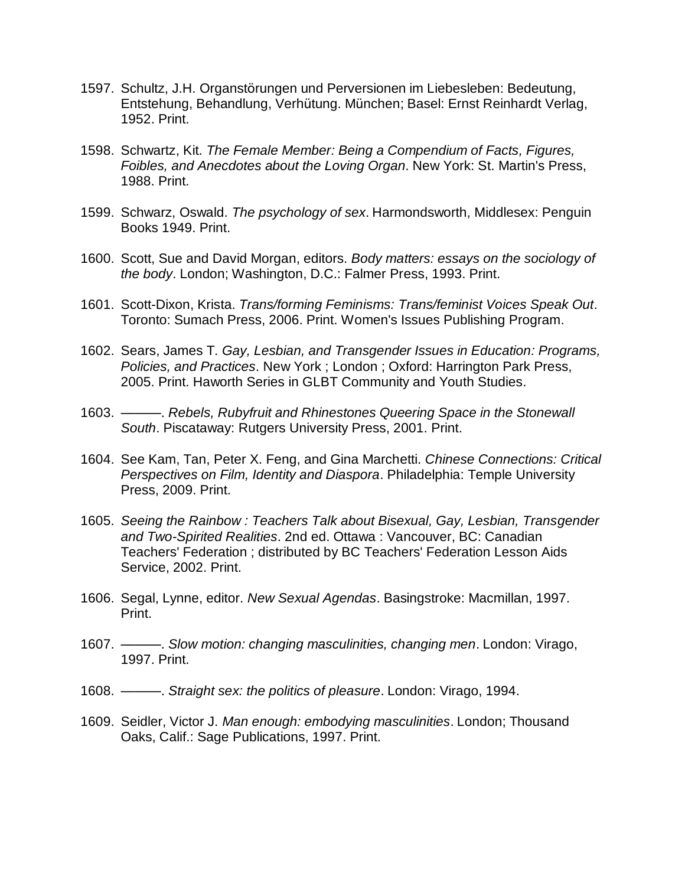- 1597. Schultz, J.H. Organstörungen und Perversionen im Liebesleben: Bedeutung, Entstehung, Behandlung, Verhütung. München; Basel: Ernst Reinhardt Verlag, 1952. Print.
- 1598. Schwartz, Kit. *The Female Member: Being a Compendium of Facts, Figures, Foibles, and Anecdotes about the Loving Organ*. New York: St. Martin's Press, 1988. Print.
- 1599. Schwarz, Oswald. *The psychology of sex*. Harmondsworth, Middlesex: Penguin Books 1949. Print.
- 1600. Scott, Sue and David Morgan, editors. *Body matters: essays on the sociology of the body*. London; Washington, D.C.: Falmer Press, 1993. Print.
- 1601. Scott-Dixon, Krista. *Trans/forming Feminisms: Trans/feminist Voices Speak Out*. Toronto: Sumach Press, 2006. Print. Women's Issues Publishing Program.
- 1602. Sears, James T. *Gay, Lesbian, and Transgender Issues in Education: Programs, Policies, and Practices*. New York ; London ; Oxford: Harrington Park Press, 2005. Print. Haworth Series in GLBT Community and Youth Studies.
- 1603. ———. *Rebels, Rubyfruit and Rhinestones Queering Space in the Stonewall South*. Piscataway: Rutgers University Press, 2001. Print.
- 1604. See Kam, Tan, Peter X. Feng, and Gina Marchetti. *Chinese Connections: Critical Perspectives on Film, Identity and Diaspora*. Philadelphia: Temple University Press, 2009. Print.
- 1605. *Seeing the Rainbow : Teachers Talk about Bisexual, Gay, Lesbian, Transgender and Two-Spirited Realities*. 2nd ed. Ottawa : Vancouver, BC: Canadian Teachers' Federation ; distributed by BC Teachers' Federation Lesson Aids Service, 2002. Print.
- 1606. Segal, Lynne, editor. *New Sexual Agendas*. Basingstroke: Macmillan, 1997. Print.
- 1607. ———. *Slow motion: changing masculinities, changing men*. London: Virago, 1997. Print.
- 1608. ———. *Straight sex: the politics of pleasure*. London: Virago, 1994.
- 1609. Seidler, Victor J. *Man enough: embodying masculinities*. London; Thousand Oaks, Calif.: Sage Publications, 1997. Print.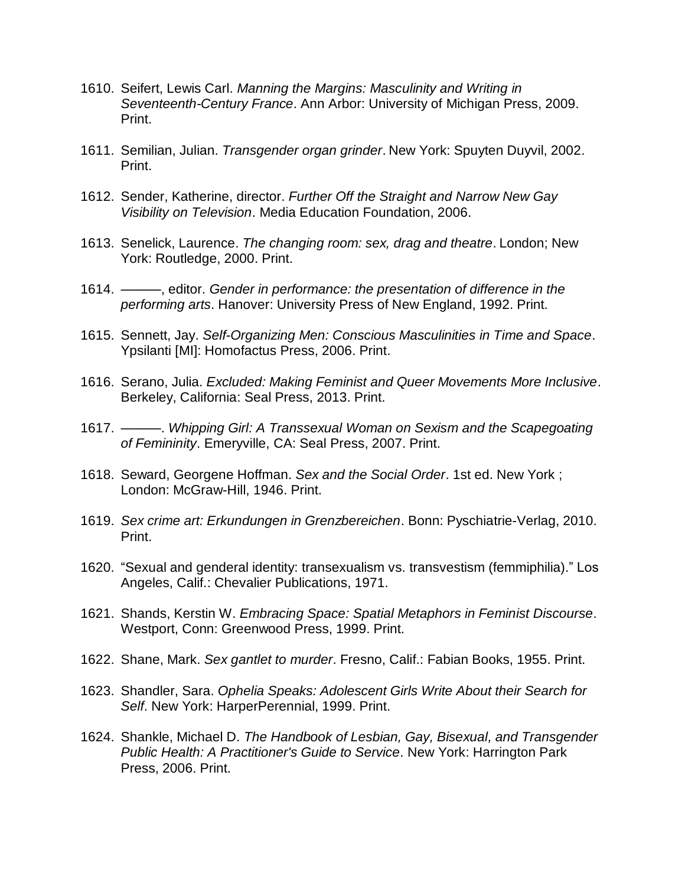- 1610. Seifert, Lewis Carl. *Manning the Margins: Masculinity and Writing in Seventeenth-Century France*. Ann Arbor: University of Michigan Press, 2009. Print.
- 1611. Semilian, Julian. *Transgender organ grinder*. New York: Spuyten Duyvil, 2002. Print.
- 1612. Sender, Katherine, director. *Further Off the Straight and Narrow New Gay Visibility on Television*. Media Education Foundation, 2006.
- 1613. Senelick, Laurence. *The changing room: sex, drag and theatre*. London; New York: Routledge, 2000. Print.
- 1614. ———, editor. *Gender in performance: the presentation of difference in the performing arts*. Hanover: University Press of New England, 1992. Print.
- 1615. Sennett, Jay. *Self-Organizing Men: Conscious Masculinities in Time and Space*. Ypsilanti [MI]: Homofactus Press, 2006. Print.
- 1616. Serano, Julia. *Excluded: Making Feminist and Queer Movements More Inclusive*. Berkeley, California: Seal Press, 2013. Print.
- 1617. ———. *Whipping Girl: A Transsexual Woman on Sexism and the Scapegoating of Femininity*. Emeryville, CA: Seal Press, 2007. Print.
- 1618. Seward, Georgene Hoffman. *Sex and the Social Order*. 1st ed. New York ; London: McGraw-Hill, 1946. Print.
- 1619. *Sex crime art: Erkundungen in Grenzbereichen*. Bonn: Pyschiatrie-Verlag, 2010. Print.
- 1620. "Sexual and genderal identity: transexualism vs. transvestism (femmiphilia)." Los Angeles, Calif.: Chevalier Publications, 1971.
- 1621. Shands, Kerstin W. *Embracing Space: Spatial Metaphors in Feminist Discourse*. Westport, Conn: Greenwood Press, 1999. Print.
- 1622. Shane, Mark. *Sex gantlet to murder*. Fresno, Calif.: Fabian Books, 1955. Print.
- 1623. Shandler, Sara. *Ophelia Speaks: Adolescent Girls Write About their Search for Self*. New York: HarperPerennial, 1999. Print.
- 1624. Shankle, Michael D. *The Handbook of Lesbian, Gay, Bisexual, and Transgender Public Health: A Practitioner's Guide to Service*. New York: Harrington Park Press, 2006. Print.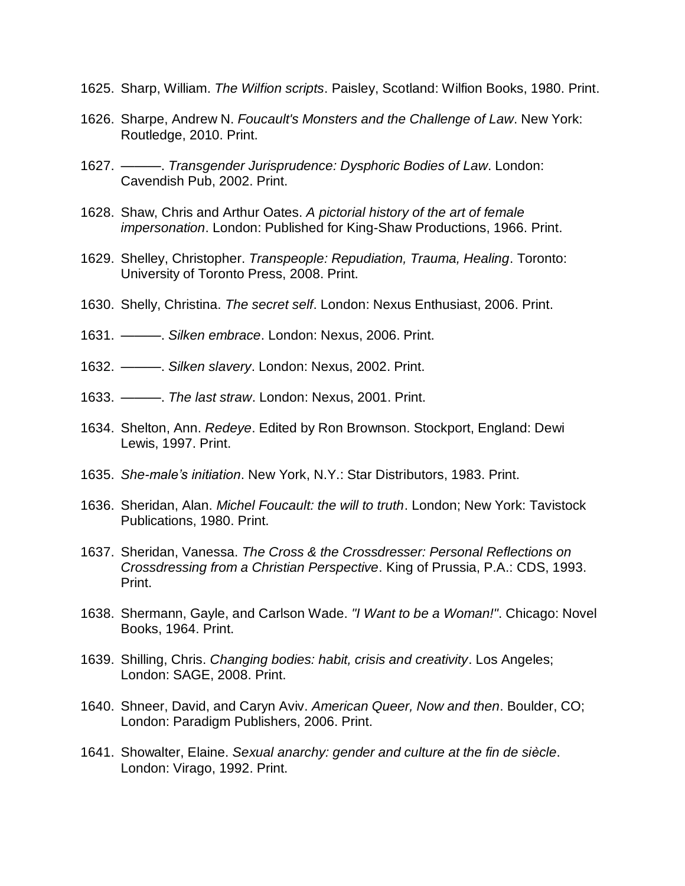- 1625. Sharp, William. *The Wilfion scripts*. Paisley, Scotland: Wilfion Books, 1980. Print.
- 1626. Sharpe, Andrew N. *Foucault's Monsters and the Challenge of Law*. New York: Routledge, 2010. Print.
- 1627. ———. *Transgender Jurisprudence: Dysphoric Bodies of Law*. London: Cavendish Pub, 2002. Print.
- 1628. Shaw, Chris and Arthur Oates. *A pictorial history of the art of female impersonation*. London: Published for King-Shaw Productions, 1966. Print.
- 1629. Shelley, Christopher. *Transpeople: Repudiation, Trauma, Healing*. Toronto: University of Toronto Press, 2008. Print.
- 1630. Shelly, Christina. *The secret self*. London: Nexus Enthusiast, 2006. Print.
- 1631. ———. *Silken embrace*. London: Nexus, 2006. Print.
- 1632. ———. *Silken slavery*. London: Nexus, 2002. Print.
- 1633. ———. *The last straw*. London: Nexus, 2001. Print.
- 1634. Shelton, Ann. *Redeye*. Edited by Ron Brownson. Stockport, England: Dewi Lewis, 1997. Print.
- 1635. *She-male's initiation*. New York, N.Y.: Star Distributors, 1983. Print.
- 1636. Sheridan, Alan. *Michel Foucault: the will to truth*. London; New York: Tavistock Publications, 1980. Print.
- 1637. Sheridan, Vanessa. *The Cross & the Crossdresser: Personal Reflections on Crossdressing from a Christian Perspective*. King of Prussia, P.A.: CDS, 1993. Print.
- 1638. Shermann, Gayle, and Carlson Wade. *"I Want to be a Woman!"*. Chicago: Novel Books, 1964. Print.
- 1639. Shilling, Chris. *Changing bodies: habit, crisis and creativity*. Los Angeles; London: SAGE, 2008. Print.
- 1640. Shneer, David, and Caryn Aviv. *American Queer, Now and then*. Boulder, CO; London: Paradigm Publishers, 2006. Print.
- 1641. Showalter, Elaine. *Sexual anarchy: gender and culture at the fin de siècle*. London: Virago, 1992. Print.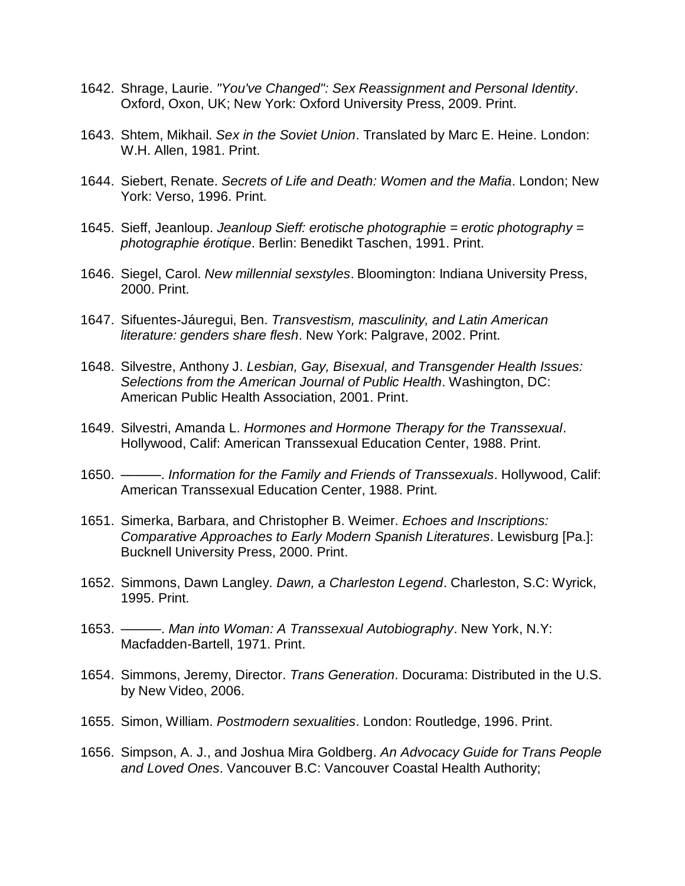- 1642. Shrage, Laurie. *"You've Changed": Sex Reassignment and Personal Identity*. Oxford, Oxon, UK; New York: Oxford University Press, 2009. Print.
- 1643. Shtem, Mikhail. *Sex in the Soviet Union*. Translated by Marc E. Heine. London: W.H. Allen, 1981. Print.
- 1644. Siebert, Renate. *Secrets of Life and Death: Women and the Mafia*. London; New York: Verso, 1996. Print.
- 1645. Sieff, Jeanloup. *Jeanloup Sieff: erotische photographie = erotic photography = photographie érotique*. Berlin: Benedikt Taschen, 1991. Print.
- 1646. Siegel, Carol. *New millennial sexstyles*. Bloomington: Indiana University Press, 2000. Print.
- 1647. Sifuentes-Jáuregui, Ben. *Transvestism, masculinity, and Latin American literature: genders share flesh*. New York: Palgrave, 2002. Print.
- 1648. Silvestre, Anthony J. *Lesbian, Gay, Bisexual, and Transgender Health Issues: Selections from the American Journal of Public Health*. Washington, DC: American Public Health Association, 2001. Print.
- 1649. Silvestri, Amanda L. *Hormones and Hormone Therapy for the Transsexual*. Hollywood, Calif: American Transsexual Education Center, 1988. Print.
- 1650. ———. *Information for the Family and Friends of Transsexuals*. Hollywood, Calif: American Transsexual Education Center, 1988. Print.
- 1651. Simerka, Barbara, and Christopher B. Weimer. *Echoes and Inscriptions: Comparative Approaches to Early Modern Spanish Literatures*. Lewisburg [Pa.]: Bucknell University Press, 2000. Print.
- 1652. Simmons, Dawn Langley. *Dawn, a Charleston Legend*. Charleston, S.C: Wyrick, 1995. Print.
- 1653. ———. *Man into Woman: A Transsexual Autobiography*. New York, N.Y: Macfadden-Bartell, 1971. Print.
- 1654. Simmons, Jeremy, Director. *Trans Generation*. Docurama: Distributed in the U.S. by New Video, 2006.
- 1655. Simon, William. *Postmodern sexualities*. London: Routledge, 1996. Print.
- 1656. Simpson, A. J., and Joshua Mira Goldberg. *An Advocacy Guide for Trans People and Loved Ones*. Vancouver B.C: Vancouver Coastal Health Authority;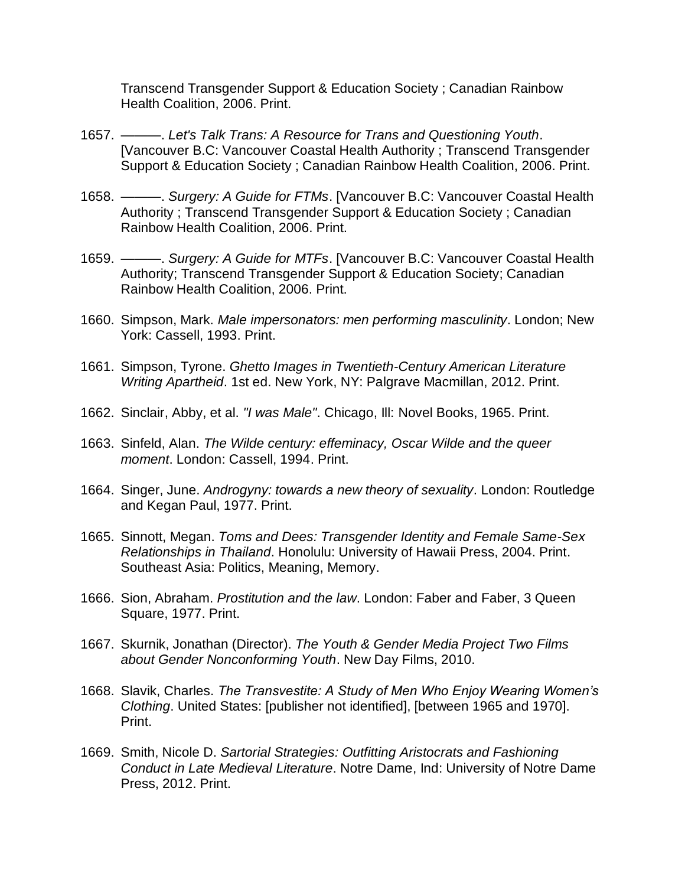Transcend Transgender Support & Education Society ; Canadian Rainbow Health Coalition, 2006. Print.

- 1657. ———. *Let's Talk Trans: A Resource for Trans and Questioning Youth*. [Vancouver B.C: Vancouver Coastal Health Authority ; Transcend Transgender Support & Education Society ; Canadian Rainbow Health Coalition, 2006. Print.
- 1658. ———. *Surgery: A Guide for FTMs*. [Vancouver B.C: Vancouver Coastal Health Authority ; Transcend Transgender Support & Education Society ; Canadian Rainbow Health Coalition, 2006. Print.
- 1659. ———. *Surgery: A Guide for MTFs*. [Vancouver B.C: Vancouver Coastal Health Authority; Transcend Transgender Support & Education Society; Canadian Rainbow Health Coalition, 2006. Print.
- 1660. Simpson, Mark. *Male impersonators: men performing masculinity*. London; New York: Cassell, 1993. Print.
- 1661. Simpson, Tyrone. *Ghetto Images in Twentieth-Century American Literature Writing Apartheid*. 1st ed. New York, NY: Palgrave Macmillan, 2012. Print.
- 1662. Sinclair, Abby, et al. *"I was Male"*. Chicago, Ill: Novel Books, 1965. Print.
- 1663. Sinfeld, Alan. *The Wilde century: effeminacy, Oscar Wilde and the queer moment*. London: Cassell, 1994. Print.
- 1664. Singer, June. *Androgyny: towards a new theory of sexuality*. London: Routledge and Kegan Paul, 1977. Print.
- 1665. Sinnott, Megan. *Toms and Dees: Transgender Identity and Female Same-Sex Relationships in Thailand*. Honolulu: University of Hawaii Press, 2004. Print. Southeast Asia: Politics, Meaning, Memory.
- 1666. Sion, Abraham. *Prostitution and the law*. London: Faber and Faber, 3 Queen Square, 1977. Print.
- 1667. Skurnik, Jonathan (Director). *The Youth & Gender Media Project Two Films about Gender Nonconforming Youth*. New Day Films, 2010.
- 1668. Slavik, Charles. *The Transvestite: A Study of Men Who Enjoy Wearing Women's Clothing*. United States: [publisher not identified], [between 1965 and 1970]. Print.
- 1669. Smith, Nicole D. *Sartorial Strategies: Outfitting Aristocrats and Fashioning Conduct in Late Medieval Literature*. Notre Dame, Ind: University of Notre Dame Press, 2012. Print.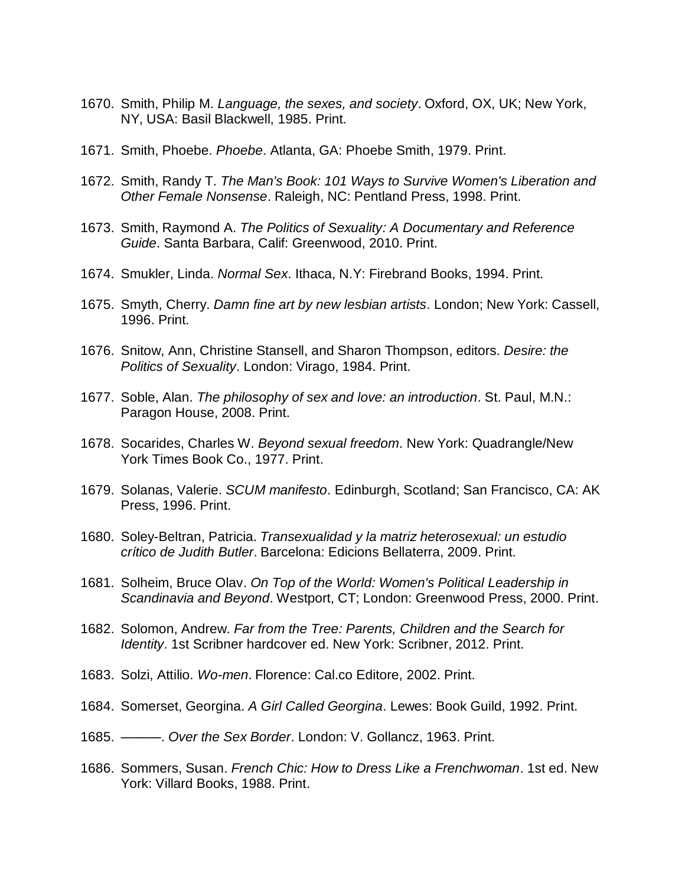- 1670. Smith, Philip M. *Language, the sexes, and society*. Oxford, OX, UK; New York, NY, USA: Basil Blackwell, 1985. Print.
- 1671. Smith, Phoebe. *Phoebe*. Atlanta, GA: Phoebe Smith, 1979. Print.
- 1672. Smith, Randy T. *The Man's Book: 101 Ways to Survive Women's Liberation and Other Female Nonsense*. Raleigh, NC: Pentland Press, 1998. Print.
- 1673. Smith, Raymond A. *The Politics of Sexuality: A Documentary and Reference Guide*. Santa Barbara, Calif: Greenwood, 2010. Print.
- 1674. Smukler, Linda. *Normal Sex*. Ithaca, N.Y: Firebrand Books, 1994. Print.
- 1675. Smyth, Cherry. *Damn fine art by new lesbian artists*. London; New York: Cassell, 1996. Print.
- 1676. Snitow, Ann, Christine Stansell, and Sharon Thompson, editors. *Desire: the Politics of Sexuality*. London: Virago, 1984. Print.
- 1677. Soble, Alan. *The philosophy of sex and love: an introduction*. St. Paul, M.N.: Paragon House, 2008. Print.
- 1678. Socarides, Charles W. *Beyond sexual freedom*. New York: Quadrangle/New York Times Book Co., 1977. Print.
- 1679. Solanas, Valerie. *SCUM manifesto*. Edinburgh, Scotland; San Francisco, CA: AK Press, 1996. Print.
- 1680. Soley-Beltran, Patricia. *Transexualidad y la matriz heterosexual: un estudio crítico de Judith Butler*. Barcelona: Edicions Bellaterra, 2009. Print.
- 1681. Solheim, Bruce Olav. *On Top of the World: Women's Political Leadership in Scandinavia and Beyond*. Westport, CT; London: Greenwood Press, 2000. Print.
- 1682. Solomon, Andrew. *Far from the Tree: Parents, Children and the Search for Identity*. 1st Scribner hardcover ed. New York: Scribner, 2012. Print.
- 1683. Solzi, Attilio. *Wo-men*. Florence: Cal.co Editore, 2002. Print.
- 1684. Somerset, Georgina. *A Girl Called Georgina*. Lewes: Book Guild, 1992. Print.
- 1685. ———. *Over the Sex Border*. London: V. Gollancz, 1963. Print.
- 1686. Sommers, Susan. *French Chic: How to Dress Like a Frenchwoman*. 1st ed. New York: Villard Books, 1988. Print.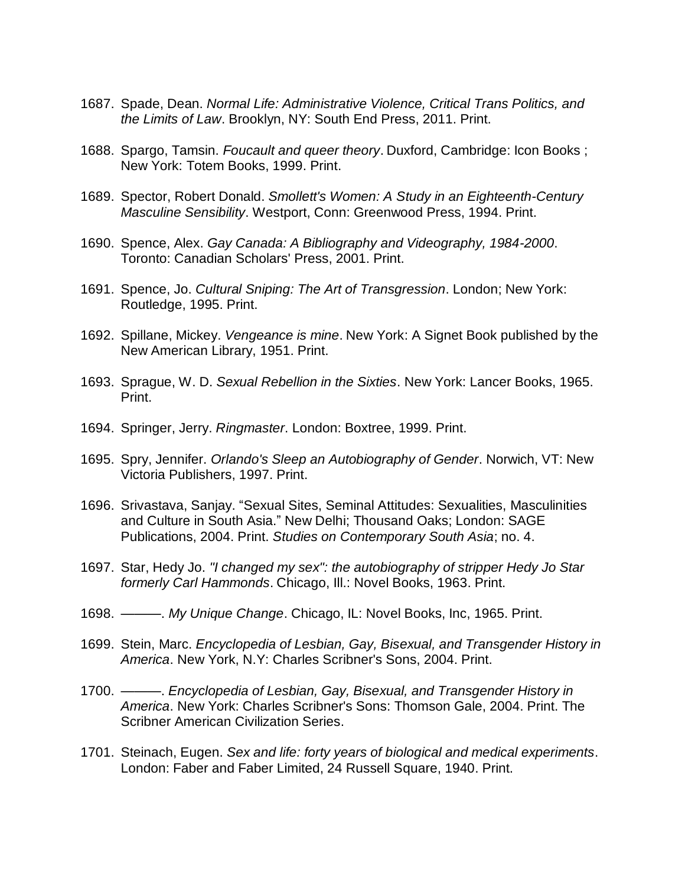- 1687. Spade, Dean. *Normal Life: Administrative Violence, Critical Trans Politics, and the Limits of Law*. Brooklyn, NY: South End Press, 2011. Print.
- 1688. Spargo, Tamsin. *Foucault and queer theory*. Duxford, Cambridge: Icon Books ; New York: Totem Books, 1999. Print.
- 1689. Spector, Robert Donald. *Smollett's Women: A Study in an Eighteenth-Century Masculine Sensibility*. Westport, Conn: Greenwood Press, 1994. Print.
- 1690. Spence, Alex. *Gay Canada: A Bibliography and Videography, 1984-2000*. Toronto: Canadian Scholars' Press, 2001. Print.
- 1691. Spence, Jo. *Cultural Sniping: The Art of Transgression*. London; New York: Routledge, 1995. Print.
- 1692. Spillane, Mickey. *Vengeance is mine*. New York: A Signet Book published by the New American Library, 1951. Print.
- 1693. Sprague, W. D. *Sexual Rebellion in the Sixties*. New York: Lancer Books, 1965. Print.
- 1694. Springer, Jerry. *Ringmaster*. London: Boxtree, 1999. Print.
- 1695. Spry, Jennifer. *Orlando's Sleep an Autobiography of Gender*. Norwich, VT: New Victoria Publishers, 1997. Print.
- 1696. Srivastava, Sanjay. "Sexual Sites, Seminal Attitudes: Sexualities, Masculinities and Culture in South Asia." New Delhi; Thousand Oaks; London: SAGE Publications, 2004. Print. *Studies on Contemporary South Asia*; no. 4.
- 1697. Star, Hedy Jo. *"I changed my sex": the autobiography of stripper Hedy Jo Star formerly Carl Hammonds*. Chicago, Ill.: Novel Books, 1963. Print.
- 1698. ———. *My Unique Change*. Chicago, IL: Novel Books, Inc, 1965. Print.
- 1699. Stein, Marc. *Encyclopedia of Lesbian, Gay, Bisexual, and Transgender History in America*. New York, N.Y: Charles Scribner's Sons, 2004. Print.
- 1700. ———. *Encyclopedia of Lesbian, Gay, Bisexual, and Transgender History in America*. New York: Charles Scribner's Sons: Thomson Gale, 2004. Print. The Scribner American Civilization Series.
- 1701. Steinach, Eugen. *Sex and life: forty years of biological and medical experiments*. London: Faber and Faber Limited, 24 Russell Square, 1940. Print.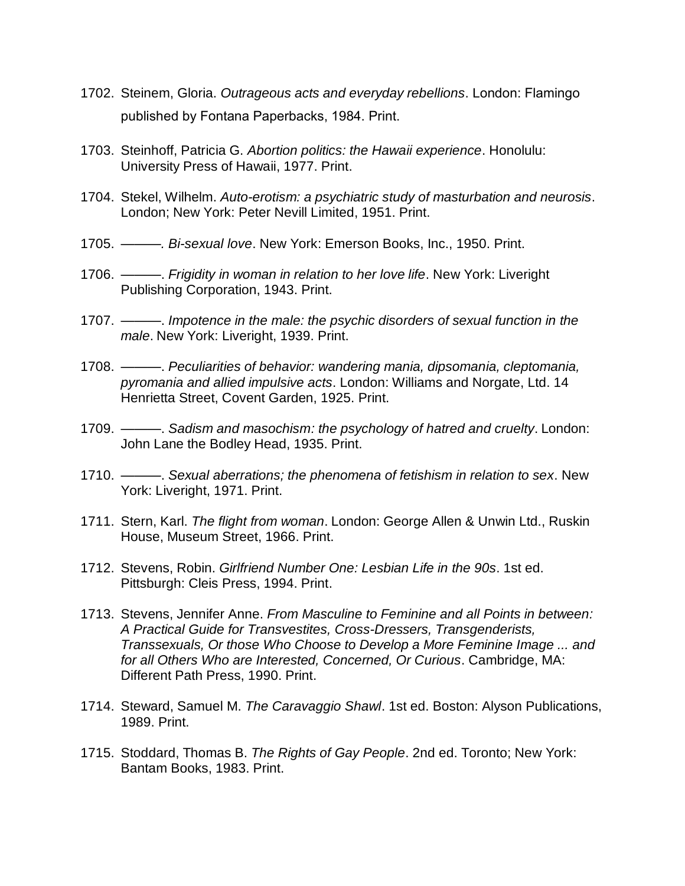- 1702. Steinem, Gloria. *Outrageous acts and everyday rebellions*. London: Flamingo published by Fontana Paperbacks, 1984. Print.
- 1703. Steinhoff, Patricia G. *Abortion politics: the Hawaii experience*. Honolulu: University Press of Hawaii, 1977. Print.
- 1704. Stekel, Wilhelm. *Auto-erotism: a psychiatric study of masturbation and neurosis*. London; New York: Peter Nevill Limited, 1951. Print.
- 1705. *———. Bi-sexual love*. New York: Emerson Books, Inc., 1950. Print.
- 1706. ———. *Frigidity in woman in relation to her love life*. New York: Liveright Publishing Corporation, 1943. Print.
- 1707. ———. *Impotence in the male: the psychic disorders of sexual function in the male*. New York: Liveright, 1939. Print.
- 1708. ———. *Peculiarities of behavior: wandering mania, dipsomania, cleptomania, pyromania and allied impulsive acts*. London: Williams and Norgate, Ltd. 14 Henrietta Street, Covent Garden, 1925. Print.
- 1709. ———. *Sadism and masochism: the psychology of hatred and cruelty*. London: John Lane the Bodley Head, 1935. Print.
- 1710. ———. *Sexual aberrations; the phenomena of fetishism in relation to sex*. New York: Liveright, 1971. Print.
- 1711. Stern, Karl. *The flight from woman*. London: George Allen & Unwin Ltd., Ruskin House, Museum Street, 1966. Print.
- 1712. Stevens, Robin. *Girlfriend Number One: Lesbian Life in the 90s*. 1st ed. Pittsburgh: Cleis Press, 1994. Print.
- 1713. Stevens, Jennifer Anne. *From Masculine to Feminine and all Points in between: A Practical Guide for Transvestites, Cross-Dressers, Transgenderists, Transsexuals, Or those Who Choose to Develop a More Feminine Image ... and for all Others Who are Interested, Concerned, Or Curious*. Cambridge, MA: Different Path Press, 1990. Print.
- 1714. Steward, Samuel M. *The Caravaggio Shawl*. 1st ed. Boston: Alyson Publications, 1989. Print.
- 1715. Stoddard, Thomas B. *The Rights of Gay People*. 2nd ed. Toronto; New York: Bantam Books, 1983. Print.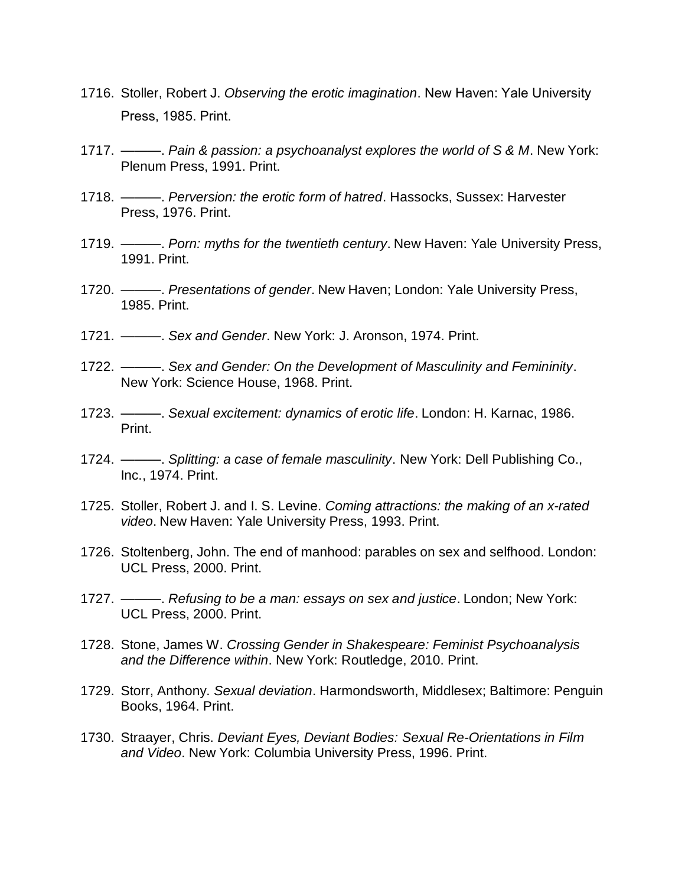- 1716. Stoller, Robert J. *Observing the erotic imagination*. New Haven: Yale University Press, 1985. Print.
- 1717. ———. *Pain & passion: a psychoanalyst explores the world of S & M*. New York: Plenum Press, 1991. Print.
- 1718. ———. *Perversion: the erotic form of hatred*. Hassocks, Sussex: Harvester Press, 1976. Print.
- 1719. ———. *Porn: myths for the twentieth century*. New Haven: Yale University Press, 1991. Print.
- 1720. ———. *Presentations of gender*. New Haven; London: Yale University Press, 1985. Print.
- 1721. ———. *Sex and Gender*. New York: J. Aronson, 1974. Print.
- 1722. ———. *Sex and Gender: On the Development of Masculinity and Femininity*. New York: Science House, 1968. Print.
- 1723. ———. *Sexual excitement: dynamics of erotic life*. London: H. Karnac, 1986. Print.
- 1724. ———. *Splitting: a case of female masculinity*. New York: Dell Publishing Co., Inc., 1974. Print.
- 1725. Stoller, Robert J. and I. S. Levine. *Coming attractions: the making of an x-rated video*. New Haven: Yale University Press, 1993. Print.
- 1726. Stoltenberg, John. The end of manhood: parables on sex and selfhood. London: UCL Press, 2000. Print.
- 1727. ———. *Refusing to be a man: essays on sex and justice*. London; New York: UCL Press, 2000. Print.
- 1728. Stone, James W. *Crossing Gender in Shakespeare: Feminist Psychoanalysis and the Difference within*. New York: Routledge, 2010. Print.
- 1729. Storr, Anthony. *Sexual deviation*. Harmondsworth, Middlesex; Baltimore: Penguin Books, 1964. Print.
- 1730. Straayer, Chris. *Deviant Eyes, Deviant Bodies: Sexual Re-Orientations in Film and Video*. New York: Columbia University Press, 1996. Print.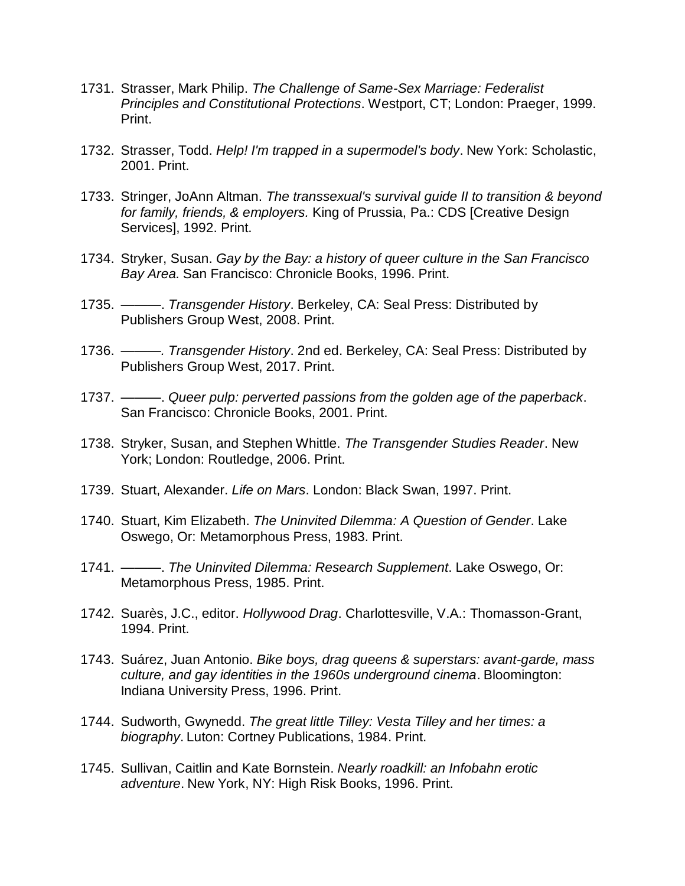- 1731. Strasser, Mark Philip. *The Challenge of Same-Sex Marriage: Federalist Principles and Constitutional Protections*. Westport, CT; London: Praeger, 1999. Print.
- 1732. Strasser, Todd. *Help! I'm trapped in a supermodel's body*. New York: Scholastic, 2001. Print.
- 1733. Stringer, JoAnn Altman. *The transsexual's survival guide II to transition & beyond for family, friends, & employers.* King of Prussia, Pa.: CDS [Creative Design Services], 1992. Print.
- 1734. Stryker, Susan. *Gay by the Bay: a history of queer culture in the San Francisco Bay Area.* San Francisco: Chronicle Books, 1996. Print.
- 1735. ———. *Transgender History*. Berkeley, CA: Seal Press: Distributed by Publishers Group West, 2008. Print.
- 1736. *———. Transgender History*. 2nd ed. Berkeley, CA: Seal Press: Distributed by Publishers Group West, 2017. Print.
- 1737. ———. *Queer pulp: perverted passions from the golden age of the paperback*. San Francisco: Chronicle Books, 2001. Print.
- 1738. Stryker, Susan, and Stephen Whittle. *The Transgender Studies Reader*. New York; London: Routledge, 2006. Print.
- 1739. Stuart, Alexander. *Life on Mars*. London: Black Swan, 1997. Print.
- 1740. Stuart, Kim Elizabeth. *The Uninvited Dilemma: A Question of Gender*. Lake Oswego, Or: Metamorphous Press, 1983. Print.
- 1741. ———. *The Uninvited Dilemma: Research Supplement*. Lake Oswego, Or: Metamorphous Press, 1985. Print.
- 1742. Suarès, J.C., editor. *Hollywood Drag*. Charlottesville, V.A.: Thomasson-Grant, 1994. Print.
- 1743. Suárez, Juan Antonio. *Bike boys, drag queens & superstars: avant-garde, mass culture, and gay identities in the 1960s underground cinema*. Bloomington: Indiana University Press, 1996. Print.
- 1744. Sudworth, Gwynedd. *The great little Tilley: Vesta Tilley and her times: a biography*. Luton: Cortney Publications, 1984. Print.
- 1745. Sullivan, Caitlin and Kate Bornstein. *Nearly roadkill: an Infobahn erotic adventure*. New York, NY: High Risk Books, 1996. Print.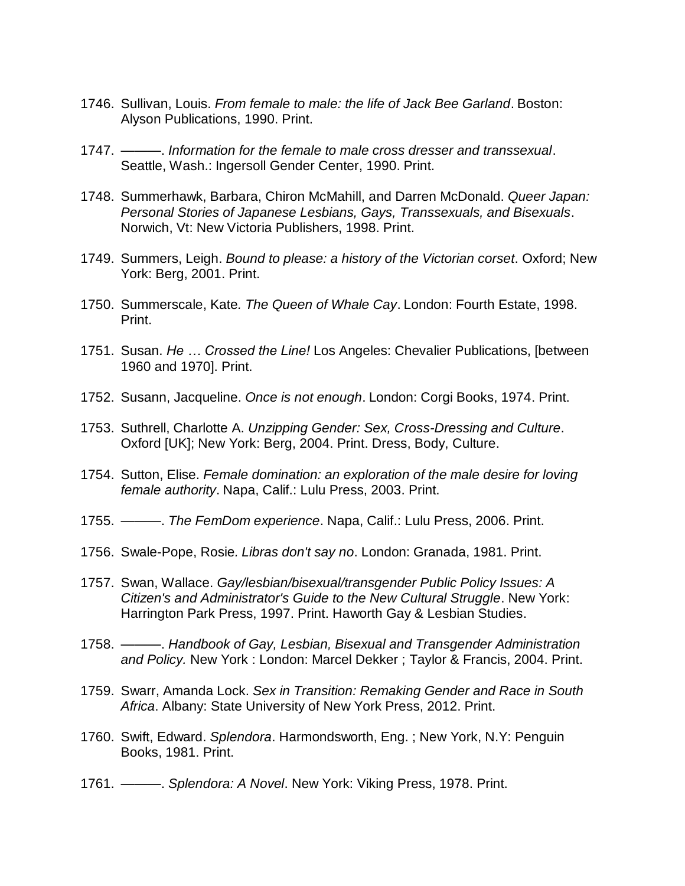- 1746. Sullivan, Louis. *From female to male: the life of Jack Bee Garland*. Boston: Alyson Publications, 1990. Print.
- 1747. ———. *Information for the female to male cross dresser and transsexual*. Seattle, Wash.: Ingersoll Gender Center, 1990. Print.
- 1748. Summerhawk, Barbara, Chiron McMahill, and Darren McDonald. *Queer Japan: Personal Stories of Japanese Lesbians, Gays, Transsexuals, and Bisexuals*. Norwich, Vt: New Victoria Publishers, 1998. Print.
- 1749. Summers, Leigh. *Bound to please: a history of the Victorian corset*. Oxford; New York: Berg, 2001. Print.
- 1750. Summerscale, Kate*. The Queen of Whale Cay*. London: Fourth Estate, 1998. Print.
- 1751. Susan. *He … Crossed the Line!* Los Angeles: Chevalier Publications, [between 1960 and 1970]. Print.
- 1752. Susann, Jacqueline. *Once is not enough*. London: Corgi Books, 1974. Print.
- 1753. Suthrell, Charlotte A. *Unzipping Gender: Sex, Cross-Dressing and Culture*. Oxford [UK]; New York: Berg, 2004. Print. Dress, Body, Culture.
- 1754. Sutton, Elise. *Female domination: an exploration of the male desire for loving female authority*. Napa, Calif.: Lulu Press, 2003. Print.
- 1755. ———. *The FemDom experience*. Napa, Calif.: Lulu Press, 2006. Print.
- 1756. Swale-Pope, Rosie*. Libras don't say no*. London: Granada, 1981. Print.
- 1757. Swan, Wallace. *Gay/lesbian/bisexual/transgender Public Policy Issues: A Citizen's and Administrator's Guide to the New Cultural Struggle*. New York: Harrington Park Press, 1997. Print. Haworth Gay & Lesbian Studies.
- 1758. ———. *Handbook of Gay, Lesbian, Bisexual and Transgender Administration and Policy.* New York : London: Marcel Dekker ; Taylor & Francis, 2004. Print.
- 1759. Swarr, Amanda Lock. *Sex in Transition: Remaking Gender and Race in South Africa*. Albany: State University of New York Press, 2012. Print.
- 1760. Swift, Edward. *Splendora*. Harmondsworth, Eng. ; New York, N.Y: Penguin Books, 1981. Print.
- 1761. ———. *Splendora: A Novel*. New York: Viking Press, 1978. Print.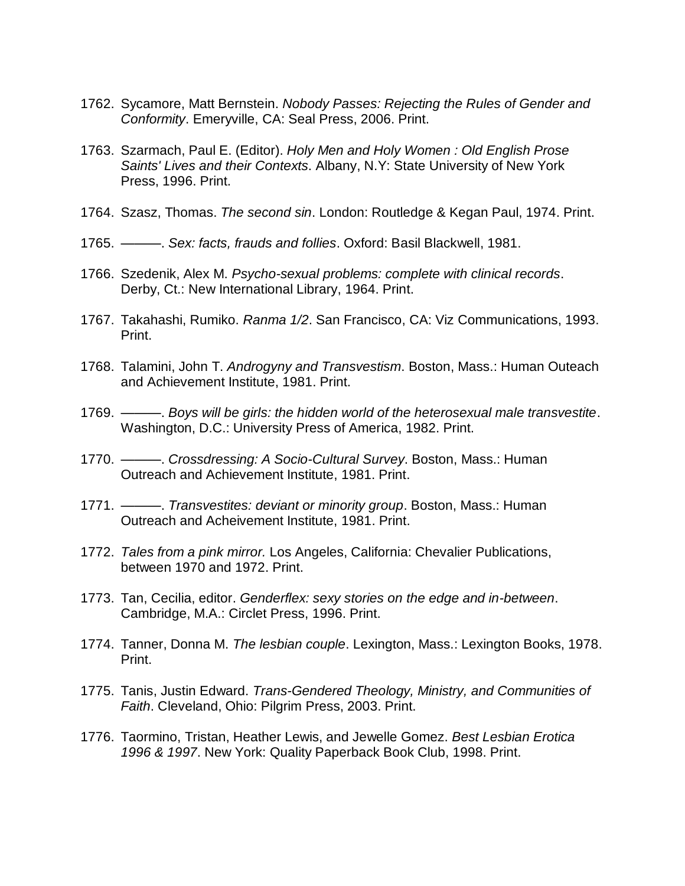- 1762. Sycamore, Matt Bernstein. *Nobody Passes: Rejecting the Rules of Gender and Conformity*. Emeryville, CA: Seal Press, 2006. Print.
- 1763. Szarmach, Paul E. (Editor). *Holy Men and Holy Women : Old English Prose Saints' Lives and their Contexts*. Albany, N.Y: State University of New York Press, 1996. Print.
- 1764. Szasz, Thomas. *The second sin*. London: Routledge & Kegan Paul, 1974. Print.
- 1765. ———. *Sex: facts, frauds and follies*. Oxford: Basil Blackwell, 1981.
- 1766. Szedenik, Alex M. *Psycho-sexual problems: complete with clinical records*. Derby, Ct.: New International Library, 1964. Print.
- 1767. Takahashi, Rumiko. *Ranma 1/2*. San Francisco, CA: Viz Communications, 1993. Print.
- 1768. Talamini, John T. *Androgyny and Transvestism*. Boston, Mass.: Human Outeach and Achievement Institute, 1981. Print.
- 1769. ———. *Boys will be girls: the hidden world of the heterosexual male transvestite*. Washington, D.C.: University Press of America, 1982. Print.
- 1770. ———. *Crossdressing: A Socio-Cultural Survey*. Boston, Mass.: Human Outreach and Achievement Institute, 1981. Print.
- 1771. ———. *Transvestites: deviant or minority group*. Boston, Mass.: Human Outreach and Acheivement Institute, 1981. Print.
- 1772. *Tales from a pink mirror.* Los Angeles, California: Chevalier Publications, between 1970 and 1972. Print.
- 1773. Tan, Cecilia, editor. *Genderflex: sexy stories on the edge and in-between*. Cambridge, M.A.: Circlet Press, 1996. Print.
- 1774. Tanner, Donna M. *The lesbian couple*. Lexington, Mass.: Lexington Books, 1978. Print.
- 1775. Tanis, Justin Edward. *Trans-Gendered Theology, Ministry, and Communities of Faith*. Cleveland, Ohio: Pilgrim Press, 2003. Print.
- 1776. Taormino, Tristan, Heather Lewis, and Jewelle Gomez. *Best Lesbian Erotica 1996 & 1997*. New York: Quality Paperback Book Club, 1998. Print.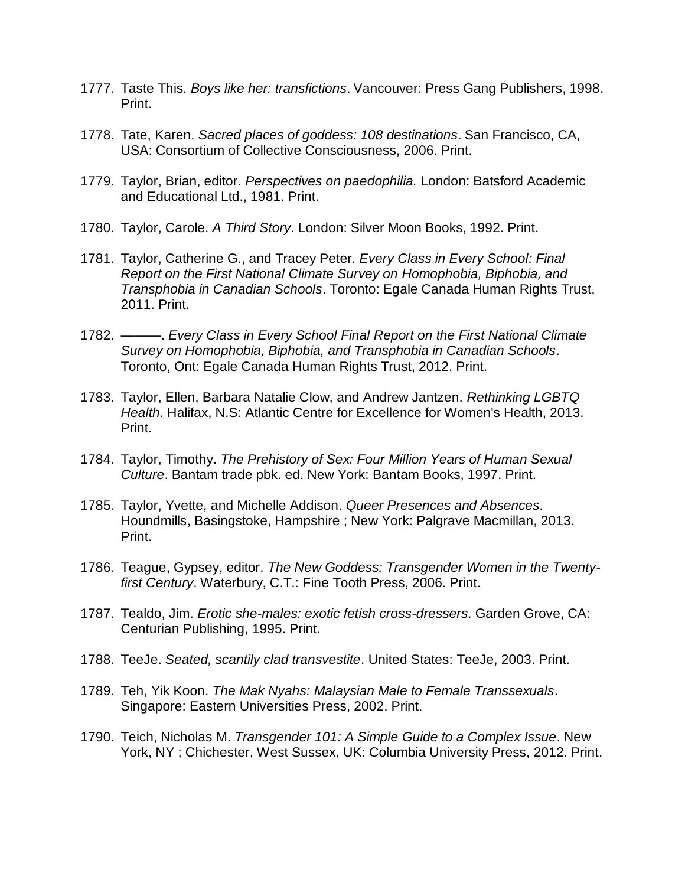- 1777. Taste This. *Boys like her: transfictions*. Vancouver: Press Gang Publishers, 1998. Print.
- 1778. Tate, Karen. *Sacred places of goddess: 108 destinations*. San Francisco, CA, USA: Consortium of Collective Consciousness, 2006. Print.
- 1779. Taylor, Brian, editor. *Perspectives on paedophilia.* London: Batsford Academic and Educational Ltd., 1981. Print.
- 1780. Taylor, Carole. *A Third Story*. London: Silver Moon Books, 1992. Print.
- 1781. Taylor, Catherine G., and Tracey Peter. *Every Class in Every School: Final Report on the First National Climate Survey on Homophobia, Biphobia, and Transphobia in Canadian Schools*. Toronto: Egale Canada Human Rights Trust, 2011. Print.
- 1782. ———. *Every Class in Every School Final Report on the First National Climate Survey on Homophobia, Biphobia, and Transphobia in Canadian Schools*. Toronto, Ont: Egale Canada Human Rights Trust, 2012. Print.
- 1783. Taylor, Ellen, Barbara Natalie Clow, and Andrew Jantzen. *Rethinking LGBTQ Health*. Halifax, N.S: Atlantic Centre for Excellence for Women's Health, 2013. Print.
- 1784. Taylor, Timothy. *The Prehistory of Sex: Four Million Years of Human Sexual Culture*. Bantam trade pbk. ed. New York: Bantam Books, 1997. Print.
- 1785. Taylor, Yvette, and Michelle Addison. *Queer Presences and Absences*. Houndmills, Basingstoke, Hampshire ; New York: Palgrave Macmillan, 2013. Print.
- 1786. Teague, Gypsey, editor. *The New Goddess: Transgender Women in the Twentyfirst Century*. Waterbury, C.T.: Fine Tooth Press, 2006. Print.
- 1787. Tealdo, Jim. *Erotic she-males: exotic fetish cross-dressers*. Garden Grove, CA: Centurian Publishing, 1995. Print.
- 1788. TeeJe. *Seated, scantily clad transvestite*. United States: TeeJe, 2003. Print.
- 1789. Teh, Yik Koon. *The Mak Nyahs: Malaysian Male to Female Transsexuals*. Singapore: Eastern Universities Press, 2002. Print.
- 1790. Teich, Nicholas M. *Transgender 101: A Simple Guide to a Complex Issue*. New York, NY ; Chichester, West Sussex, UK: Columbia University Press, 2012. Print.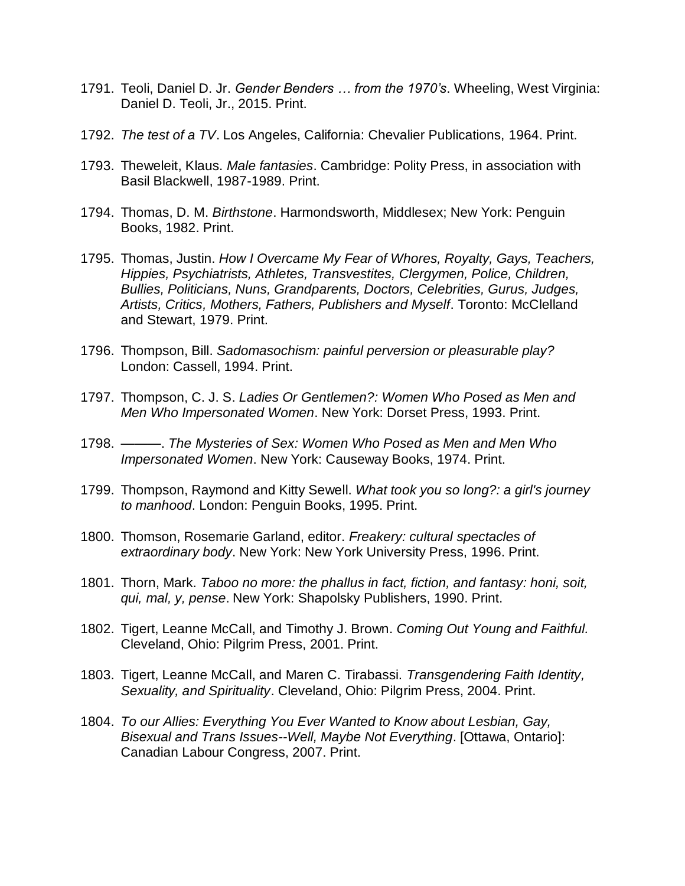- 1791. Teoli, Daniel D. Jr. *Gender Benders … from the 1970's*. Wheeling, West Virginia: Daniel D. Teoli, Jr., 2015. Print.
- 1792. *The test of a TV*. Los Angeles, California: Chevalier Publications, 1964. Print.
- 1793. Theweleit, Klaus. *Male fantasies*. Cambridge: Polity Press, in association with Basil Blackwell, 1987-1989. Print.
- 1794. Thomas, D. M. *Birthstone*. Harmondsworth, Middlesex; New York: Penguin Books, 1982. Print.
- 1795. Thomas, Justin. *How I Overcame My Fear of Whores, Royalty, Gays, Teachers, Hippies, Psychiatrists, Athletes, Transvestites, Clergymen, Police, Children, Bullies, Politicians, Nuns, Grandparents, Doctors, Celebrities, Gurus, Judges, Artists, Critics, Mothers, Fathers, Publishers and Myself*. Toronto: McClelland and Stewart, 1979. Print.
- 1796. Thompson, Bill. *Sadomasochism: painful perversion or pleasurable play?* London: Cassell, 1994. Print.
- 1797. Thompson, C. J. S. *Ladies Or Gentlemen?: Women Who Posed as Men and Men Who Impersonated Women*. New York: Dorset Press, 1993. Print.
- 1798. ———. *The Mysteries of Sex: Women Who Posed as Men and Men Who Impersonated Women*. New York: Causeway Books, 1974. Print.
- 1799. Thompson, Raymond and Kitty Sewell. *What took you so long?: a girl's journey to manhood*. London: Penguin Books, 1995. Print.
- 1800. Thomson, Rosemarie Garland, editor. *Freakery: cultural spectacles of extraordinary body*. New York: New York University Press, 1996. Print.
- 1801. Thorn, Mark. *Taboo no more: the phallus in fact, fiction, and fantasy: honi, soit, qui, mal, y, pense*. New York: Shapolsky Publishers, 1990. Print.
- 1802. Tigert, Leanne McCall, and Timothy J. Brown. *Coming Out Young and Faithful.* Cleveland, Ohio: Pilgrim Press, 2001. Print.
- 1803. Tigert, Leanne McCall, and Maren C. Tirabassi. *Transgendering Faith Identity, Sexuality, and Spirituality*. Cleveland, Ohio: Pilgrim Press, 2004. Print.
- 1804. *To our Allies: Everything You Ever Wanted to Know about Lesbian, Gay, Bisexual and Trans Issues--Well, Maybe Not Everything*. [Ottawa, Ontario]: Canadian Labour Congress, 2007. Print.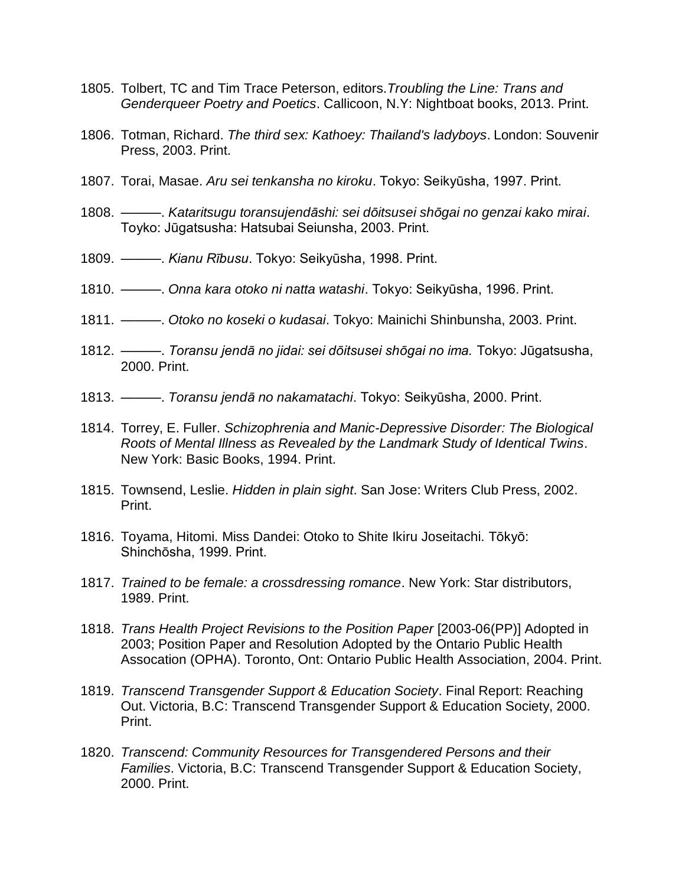- 1805. Tolbert, TC and Tim Trace Peterson, editors.*Troubling the Line: Trans and Genderqueer Poetry and Poetics*. Callicoon, N.Y: Nightboat books, 2013. Print.
- 1806. Totman, Richard. *The third sex: Kathoey: Thailand's ladyboys*. London: Souvenir Press, 2003. Print.
- 1807. Torai, Masae. *Aru sei tenkansha no kiroku*. Tokyo: Seikyūsha, 1997. Print.
- 1808. ———. *Kataritsugu toransujendāshi: sei dōitsusei shōgai no genzai kako mirai*. Toyko: Jūgatsusha: Hatsubai Seiunsha, 2003. Print.
- 1809. ———. *Kianu Rībusu*. Tokyo: Seikyūsha, 1998. Print.
- 1810. ———. *Onna kara otoko ni natta watashi*. Tokyo: Seikyūsha, 1996. Print.
- 1811. ———. *Otoko no koseki o kudasai*. Tokyo: Mainichi Shinbunsha, 2003. Print.
- 1812. ———. *Toransu jendā no jidai: sei dōitsusei shōgai no ima.* Tokyo: Jūgatsusha, 2000. Print.
- 1813. ———. *Toransu jendā no nakamatachi*. Tokyo: Seikyūsha, 2000. Print.
- 1814. Torrey, E. Fuller. *Schizophrenia and Manic-Depressive Disorder: The Biological Roots of Mental Illness as Revealed by the Landmark Study of Identical Twins*. New York: Basic Books, 1994. Print.
- 1815. Townsend, Leslie. *Hidden in plain sight*. San Jose: Writers Club Press, 2002. Print.
- 1816. Toyama, Hitomi. Miss Dandei: Otoko to Shite Ikiru Joseitachi. Tōkyō: Shinchōsha, 1999. Print.
- 1817. *Trained to be female: a crossdressing romance*. New York: Star distributors, 1989. Print.
- 1818. *Trans Health Project Revisions to the Position Paper* [2003-06(PP)] Adopted in 2003; Position Paper and Resolution Adopted by the Ontario Public Health Assocation (OPHA). Toronto, Ont: Ontario Public Health Association, 2004. Print.
- 1819. *Transcend Transgender Support & Education Society*. Final Report: Reaching Out. Victoria, B.C: Transcend Transgender Support & Education Society, 2000. Print.
- 1820. *Transcend: Community Resources for Transgendered Persons and their Families*. Victoria, B.C: Transcend Transgender Support & Education Society, 2000. Print.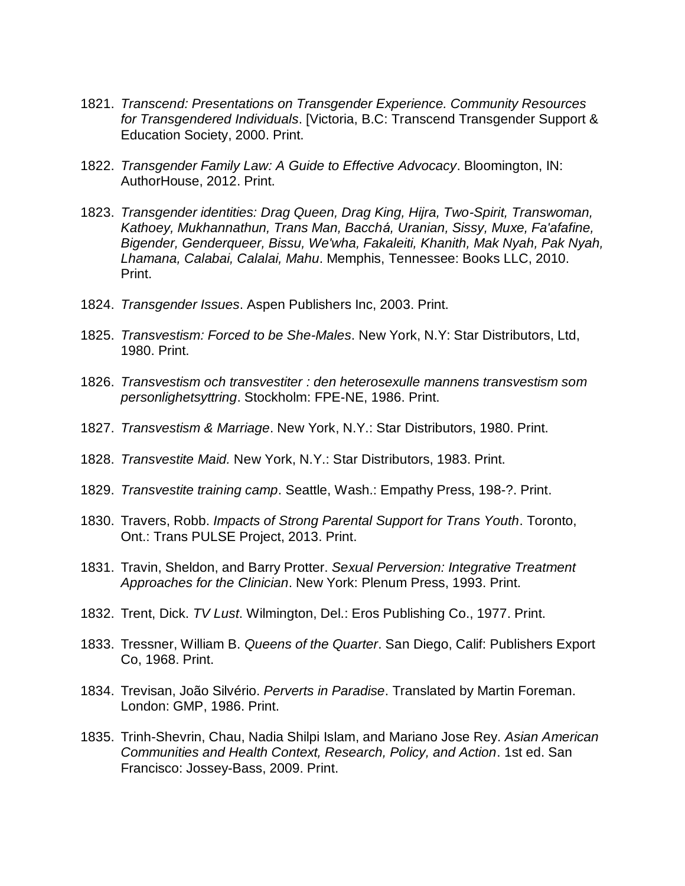- 1821. *Transcend: Presentations on Transgender Experience. Community Resources for Transgendered Individuals*. [Victoria, B.C: Transcend Transgender Support & Education Society, 2000. Print.
- 1822. *Transgender Family Law: A Guide to Effective Advocacy*. Bloomington, IN: AuthorHouse, 2012. Print.
- 1823. *Transgender identities: Drag Queen, Drag King, Hijra, Two-Spirit, Transwoman, Kathoey, Mukhannathun, Trans Man, Bacchá, Uranian, Sissy, Muxe, Fa'afafine, Bigender, Genderqueer, Bissu, We'wha, Fakaleiti, Khanith, Mak Nyah, Pak Nyah, Lhamana, Calabai, Calalai, Mahu*. Memphis, Tennessee: Books LLC, 2010. Print.
- 1824. *Transgender Issues*. Aspen Publishers Inc, 2003. Print.
- 1825. *Transvestism: Forced to be She-Males*. New York, N.Y: Star Distributors, Ltd, 1980. Print.
- 1826. *Transvestism och transvestiter : den heterosexulle mannens transvestism som personlighetsyttring*. Stockholm: FPE-NE, 1986. Print.
- 1827. *Transvestism & Marriage*. New York, N.Y.: Star Distributors, 1980. Print.
- 1828. *Transvestite Maid.* New York, N.Y.: Star Distributors, 1983. Print.
- 1829. *Transvestite training camp*. Seattle, Wash.: Empathy Press, 198-?. Print.
- 1830. Travers, Robb. *Impacts of Strong Parental Support for Trans Youth*. Toronto, Ont.: Trans PULSE Project, 2013. Print.
- 1831. Travin, Sheldon, and Barry Protter. *Sexual Perversion: Integrative Treatment Approaches for the Clinician*. New York: Plenum Press, 1993. Print.
- 1832. Trent, Dick. *TV Lust*. Wilmington, Del.: Eros Publishing Co., 1977. Print.
- 1833. Tressner, William B. *Queens of the Quarter*. San Diego, Calif: Publishers Export Co, 1968. Print.
- 1834. Trevisan, João Silvério. *Perverts in Paradise*. Translated by Martin Foreman. London: GMP, 1986. Print.
- 1835. Trinh-Shevrin, Chau, Nadia Shilpi Islam, and Mariano Jose Rey. *Asian American Communities and Health Context, Research, Policy, and Action*. 1st ed. San Francisco: Jossey-Bass, 2009. Print.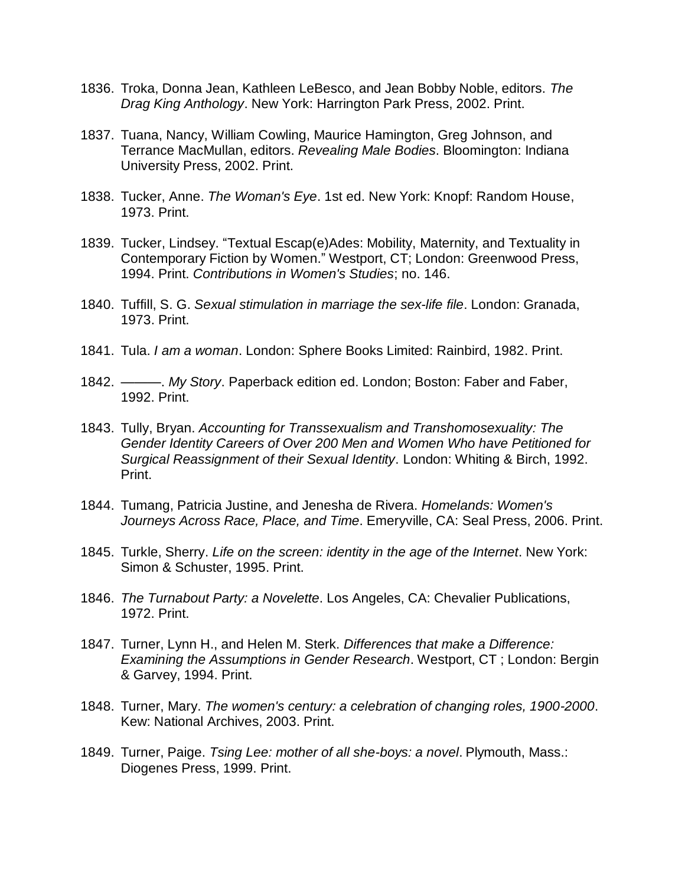- 1836. Troka, Donna Jean, Kathleen LeBesco, and Jean Bobby Noble, editors. *The Drag King Anthology*. New York: Harrington Park Press, 2002. Print.
- 1837. Tuana, Nancy, William Cowling, Maurice Hamington, Greg Johnson, and Terrance MacMullan, editors. *Revealing Male Bodies*. Bloomington: Indiana University Press, 2002. Print.
- 1838. Tucker, Anne. *The Woman's Eye*. 1st ed. New York: Knopf: Random House, 1973. Print.
- 1839. Tucker, Lindsey. "Textual Escap(e)Ades: Mobility, Maternity, and Textuality in Contemporary Fiction by Women." Westport, CT; London: Greenwood Press, 1994. Print. *Contributions in Women's Studies*; no. 146.
- 1840. Tuffill, S. G. *Sexual stimulation in marriage the sex-life file*. London: Granada, 1973. Print.
- 1841. Tula. *I am a woman*. London: Sphere Books Limited: Rainbird, 1982. Print.
- 1842. ———. *My Story*. Paperback edition ed. London; Boston: Faber and Faber, 1992. Print.
- 1843. Tully, Bryan. *Accounting for Transsexualism and Transhomosexuality: The Gender Identity Careers of Over 200 Men and Women Who have Petitioned for Surgical Reassignment of their Sexual Identity*. London: Whiting & Birch, 1992. Print.
- 1844. Tumang, Patricia Justine, and Jenesha de Rivera. *Homelands: Women's Journeys Across Race, Place, and Time*. Emeryville, CA: Seal Press, 2006. Print.
- 1845. Turkle, Sherry. *Life on the screen: identity in the age of the Internet*. New York: Simon & Schuster, 1995. Print.
- 1846. *The Turnabout Party: a Novelette*. Los Angeles, CA: Chevalier Publications, 1972. Print.
- 1847. Turner, Lynn H., and Helen M. Sterk. *Differences that make a Difference: Examining the Assumptions in Gender Research*. Westport, CT ; London: Bergin & Garvey, 1994. Print.
- 1848. Turner, Mary. *The women's century: a celebration of changing roles, 1900-2000*. Kew: National Archives, 2003. Print.
- 1849. Turner, Paige. *Tsing Lee: mother of all she-boys: a novel*. Plymouth, Mass.: Diogenes Press, 1999. Print.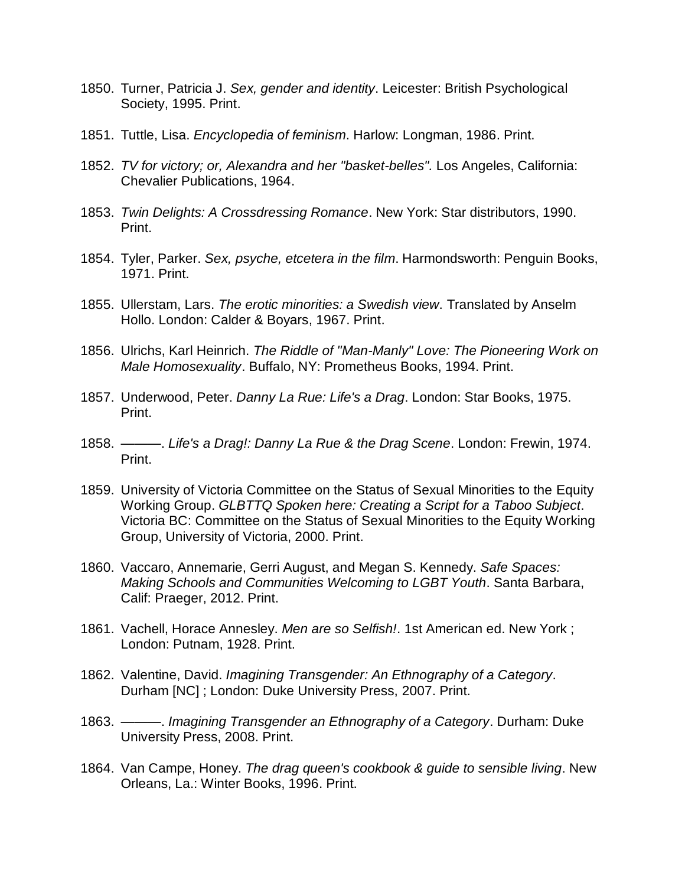- 1850. Turner, Patricia J. *Sex, gender and identity*. Leicester: British Psychological Society, 1995. Print.
- 1851. Tuttle, Lisa. *Encyclopedia of feminism*. Harlow: Longman, 1986. Print.
- 1852. *TV for victory; or, Alexandra and her "basket-belles".* Los Angeles, California: Chevalier Publications, 1964.
- 1853. *Twin Delights: A Crossdressing Romance*. New York: Star distributors, 1990. Print.
- 1854. Tyler, Parker. *Sex, psyche, etcetera in the film*. Harmondsworth: Penguin Books, 1971. Print.
- 1855. Ullerstam, Lars. *The erotic minorities: a Swedish view*. Translated by Anselm Hollo. London: Calder & Boyars, 1967. Print.
- 1856. Ulrichs, Karl Heinrich. *The Riddle of "Man-Manly" Love: The Pioneering Work on Male Homosexuality*. Buffalo, NY: Prometheus Books, 1994. Print.
- 1857. Underwood, Peter. *Danny La Rue: Life's a Drag*. London: Star Books, 1975. Print.
- 1858. ———. *Life's a Drag!: Danny La Rue & the Drag Scene*. London: Frewin, 1974. Print.
- 1859. University of Victoria Committee on the Status of Sexual Minorities to the Equity Working Group. *GLBTTQ Spoken here: Creating a Script for a Taboo Subject*. Victoria BC: Committee on the Status of Sexual Minorities to the Equity Working Group, University of Victoria, 2000. Print.
- 1860. Vaccaro, Annemarie, Gerri August, and Megan S. Kennedy. *Safe Spaces: Making Schools and Communities Welcoming to LGBT Youth*. Santa Barbara, Calif: Praeger, 2012. Print.
- 1861. Vachell, Horace Annesley. *Men are so Selfish!*. 1st American ed. New York ; London: Putnam, 1928. Print.
- 1862. Valentine, David. *Imagining Transgender: An Ethnography of a Category*. Durham [NC] ; London: Duke University Press, 2007. Print.
- 1863. ———. *Imagining Transgender an Ethnography of a Category*. Durham: Duke University Press, 2008. Print.
- 1864. Van Campe, Honey. *The drag queen's cookbook & guide to sensible living*. New Orleans, La.: Winter Books, 1996. Print.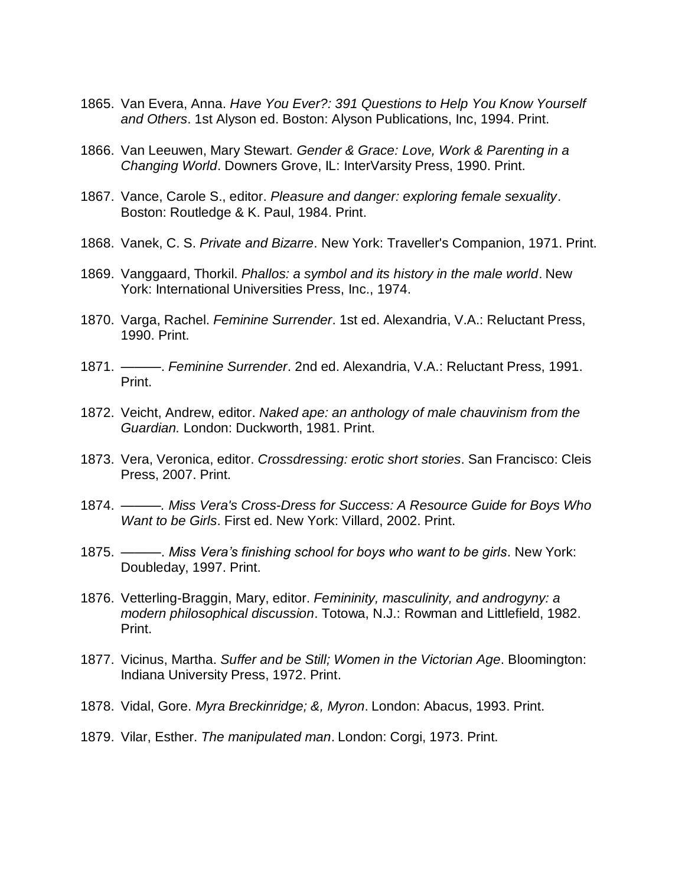- 1865. Van Evera, Anna. *Have You Ever?: 391 Questions to Help You Know Yourself and Others*. 1st Alyson ed. Boston: Alyson Publications, Inc, 1994. Print.
- 1866. Van Leeuwen, Mary Stewart. *Gender & Grace: Love, Work & Parenting in a Changing World*. Downers Grove, IL: InterVarsity Press, 1990. Print.
- 1867. Vance, Carole S., editor. *Pleasure and danger: exploring female sexuality*. Boston: Routledge & K. Paul, 1984. Print.
- 1868. Vanek, C. S. *Private and Bizarre*. New York: Traveller's Companion, 1971. Print.
- 1869. Vanggaard, Thorkil. *Phallos: a symbol and its history in the male world*. New York: International Universities Press, Inc., 1974.
- 1870. Varga, Rachel. *Feminine Surrender*. 1st ed. Alexandria, V.A.: Reluctant Press, 1990. Print.
- 1871. ———. *Feminine Surrender*. 2nd ed. Alexandria, V.A.: Reluctant Press, 1991. Print.
- 1872. Veicht, Andrew, editor. *Naked ape: an anthology of male chauvinism from the Guardian.* London: Duckworth, 1981. Print.
- 1873. Vera, Veronica, editor. *Crossdressing: erotic short stories*. San Francisco: Cleis Press, 2007. Print.
- 1874. *———. Miss Vera's Cross-Dress for Success: A Resource Guide for Boys Who Want to be Girls*. First ed. New York: Villard, 2002. Print.
- 1875. ———. *Miss Vera's finishing school for boys who want to be girls*. New York: Doubleday, 1997. Print.
- 1876. Vetterling-Braggin, Mary, editor. *Femininity, masculinity, and androgyny: a modern philosophical discussion*. Totowa, N.J.: Rowman and Littlefield, 1982. Print.
- 1877. Vicinus, Martha. *Suffer and be Still; Women in the Victorian Age*. Bloomington: Indiana University Press, 1972. Print.
- 1878. Vidal, Gore. *Myra Breckinridge; &, Myron*. London: Abacus, 1993. Print.
- 1879. Vilar, Esther. *The manipulated man*. London: Corgi, 1973. Print.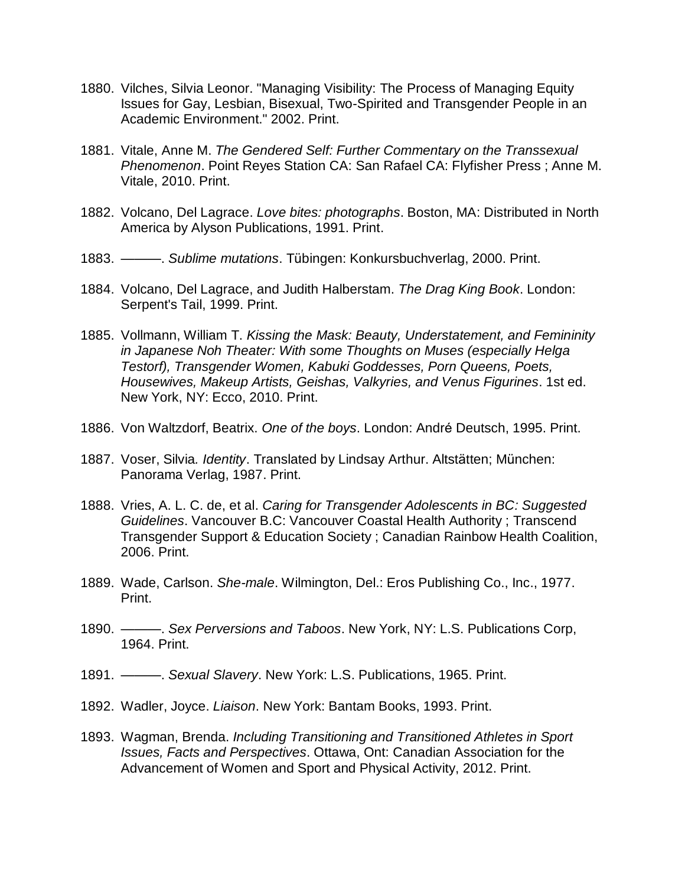- 1880. Vilches, Silvia Leonor. "Managing Visibility: The Process of Managing Equity Issues for Gay, Lesbian, Bisexual, Two-Spirited and Transgender People in an Academic Environment." 2002. Print.
- 1881. Vitale, Anne M. *The Gendered Self: Further Commentary on the Transsexual Phenomenon*. Point Reyes Station CA: San Rafael CA: Flyfisher Press ; Anne M. Vitale, 2010. Print.
- 1882. Volcano, Del Lagrace. *Love bites: photographs*. Boston, MA: Distributed in North America by Alyson Publications, 1991. Print.
- 1883. ———. *Sublime mutations*. Tübingen: Konkursbuchverlag, 2000. Print.
- 1884. Volcano, Del Lagrace, and Judith Halberstam. *The Drag King Book*. London: Serpent's Tail, 1999. Print.
- 1885. Vollmann, William T. *Kissing the Mask: Beauty, Understatement, and Femininity in Japanese Noh Theater: With some Thoughts on Muses (especially Helga Testorf), Transgender Women, Kabuki Goddesses, Porn Queens, Poets, Housewives, Makeup Artists, Geishas, Valkyries, and Venus Figurines*. 1st ed. New York, NY: Ecco, 2010. Print.
- 1886. Von Waltzdorf, Beatrix. *One of the boys*. London: André Deutsch, 1995. Print.
- 1887. Voser, Silvia*. Identity*. Translated by Lindsay Arthur. Altstätten; München: Panorama Verlag, 1987. Print.
- 1888. Vries, A. L. C. de, et al. *Caring for Transgender Adolescents in BC: Suggested Guidelines*. Vancouver B.C: Vancouver Coastal Health Authority ; Transcend Transgender Support & Education Society ; Canadian Rainbow Health Coalition, 2006. Print.
- 1889. Wade, Carlson. *She-male*. Wilmington, Del.: Eros Publishing Co., Inc., 1977. Print.
- 1890. ———. *Sex Perversions and Taboos*. New York, NY: L.S. Publications Corp, 1964. Print.
- 1891. ———. *Sexual Slavery*. New York: L.S. Publications, 1965. Print.
- 1892. Wadler, Joyce. *Liaison*. New York: Bantam Books, 1993. Print.
- 1893. Wagman, Brenda. *Including Transitioning and Transitioned Athletes in Sport Issues, Facts and Perspectives*. Ottawa, Ont: Canadian Association for the Advancement of Women and Sport and Physical Activity, 2012. Print.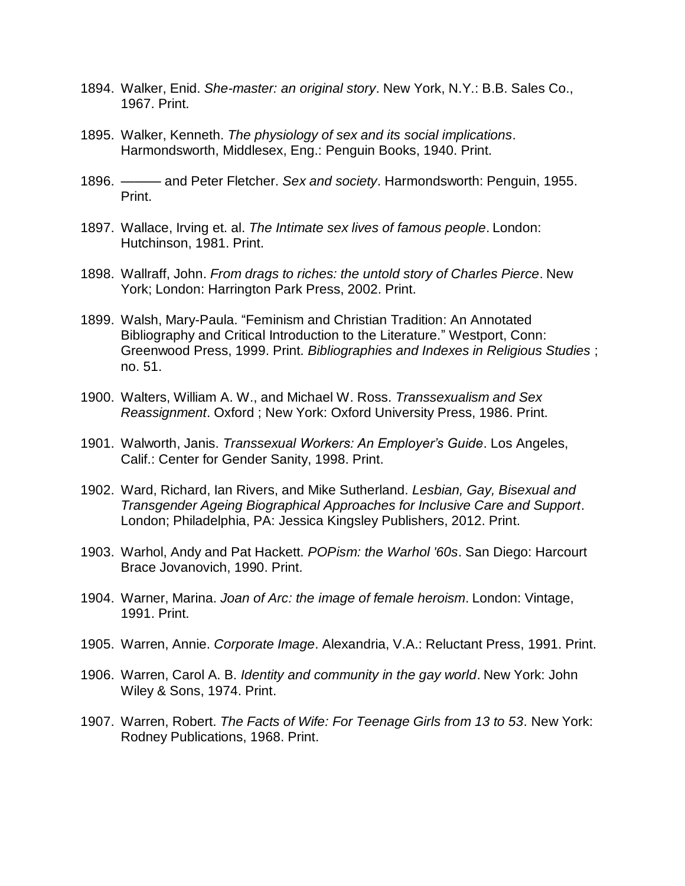- 1894. Walker, Enid. *She-master: an original story*. New York, N.Y.: B.B. Sales Co., 1967. Print.
- 1895. Walker, Kenneth. *The physiology of sex and its social implications*. Harmondsworth, Middlesex, Eng.: Penguin Books, 1940. Print.
- 1896. ——— and Peter Fletcher. *Sex and society*. Harmondsworth: Penguin, 1955. Print.
- 1897. Wallace, Irving et. al. *The Intimate sex lives of famous people*. London: Hutchinson, 1981. Print.
- 1898. Wallraff, John. *From drags to riches: the untold story of Charles Pierce*. New York; London: Harrington Park Press, 2002. Print.
- 1899. Walsh, Mary-Paula. "Feminism and Christian Tradition: An Annotated Bibliography and Critical Introduction to the Literature." Westport, Conn: Greenwood Press, 1999. Print. *Bibliographies and Indexes in Religious Studies* ; no. 51.
- 1900. Walters, William A. W., and Michael W. Ross. *Transsexualism and Sex Reassignment*. Oxford ; New York: Oxford University Press, 1986. Print.
- 1901. Walworth, Janis. *Transsexual Workers: An Employer's Guide*. Los Angeles, Calif.: Center for Gender Sanity, 1998. Print.
- 1902. Ward, Richard, Ian Rivers, and Mike Sutherland. *Lesbian, Gay, Bisexual and Transgender Ageing Biographical Approaches for Inclusive Care and Support*. London; Philadelphia, PA: Jessica Kingsley Publishers, 2012. Print.
- 1903. Warhol, Andy and Pat Hackett. *POPism: the Warhol '60s*. San Diego: Harcourt Brace Jovanovich, 1990. Print.
- 1904. Warner, Marina. *Joan of Arc: the image of female heroism*. London: Vintage, 1991. Print.
- 1905. Warren, Annie. *Corporate Image*. Alexandria, V.A.: Reluctant Press, 1991. Print.
- 1906. Warren, Carol A. B. *Identity and community in the gay world*. New York: John Wiley & Sons, 1974. Print.
- 1907. Warren, Robert. *The Facts of Wife: For Teenage Girls from 13 to 53*. New York: Rodney Publications, 1968. Print.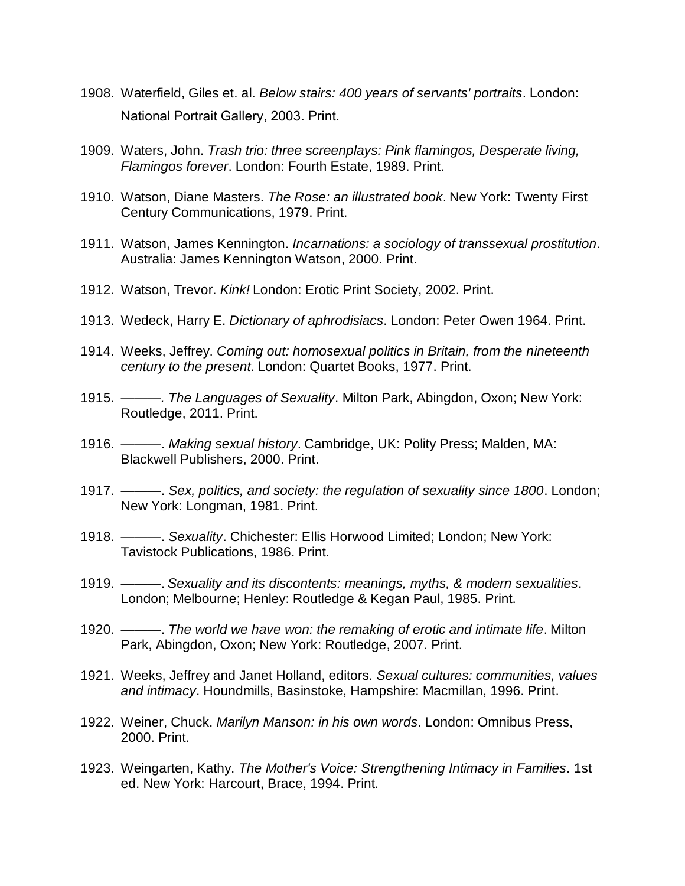- 1908. Waterfield, Giles et. al. *Below stairs: 400 years of servants' portraits*. London: National Portrait Gallery, 2003. Print.
- 1909. Waters, John. *Trash trio: three screenplays: Pink flamingos, Desperate living, Flamingos forever*. London: Fourth Estate, 1989. Print.
- 1910. Watson, Diane Masters. *The Rose: an illustrated book*. New York: Twenty First Century Communications, 1979. Print.
- 1911. Watson, James Kennington. *Incarnations: a sociology of transsexual prostitution*. Australia: James Kennington Watson, 2000. Print.
- 1912. Watson, Trevor. *Kink!* London: Erotic Print Society, 2002. Print.
- 1913. Wedeck, Harry E. *Dictionary of aphrodisiacs*. London: Peter Owen 1964. Print.
- 1914. Weeks, Jeffrey. *Coming out: homosexual politics in Britain, from the nineteenth century to the present*. London: Quartet Books, 1977. Print.
- 1915. *———. The Languages of Sexuality*. Milton Park, Abingdon, Oxon; New York: Routledge, 2011. Print.
- 1916. ———. *Making sexual history*. Cambridge, UK: Polity Press; Malden, MA: Blackwell Publishers, 2000. Print.
- 1917. ———. *Sex, politics, and society: the regulation of sexuality since 1800*. London; New York: Longman, 1981. Print.
- 1918. ———. *Sexuality*. Chichester: Ellis Horwood Limited; London; New York: Tavistock Publications, 1986. Print.
- 1919. ———. *Sexuality and its discontents: meanings, myths, & modern sexualities*. London; Melbourne; Henley: Routledge & Kegan Paul, 1985. Print.
- 1920. ———. *The world we have won: the remaking of erotic and intimate life*. Milton Park, Abingdon, Oxon; New York: Routledge, 2007. Print.
- 1921. Weeks, Jeffrey and Janet Holland, editors. *Sexual cultures: communities, values and intimacy*. Houndmills, Basinstoke, Hampshire: Macmillan, 1996. Print.
- 1922. Weiner, Chuck. *Marilyn Manson: in his own words*. London: Omnibus Press, 2000. Print.
- 1923. Weingarten, Kathy. *The Mother's Voice: Strengthening Intimacy in Families*. 1st ed. New York: Harcourt, Brace, 1994. Print.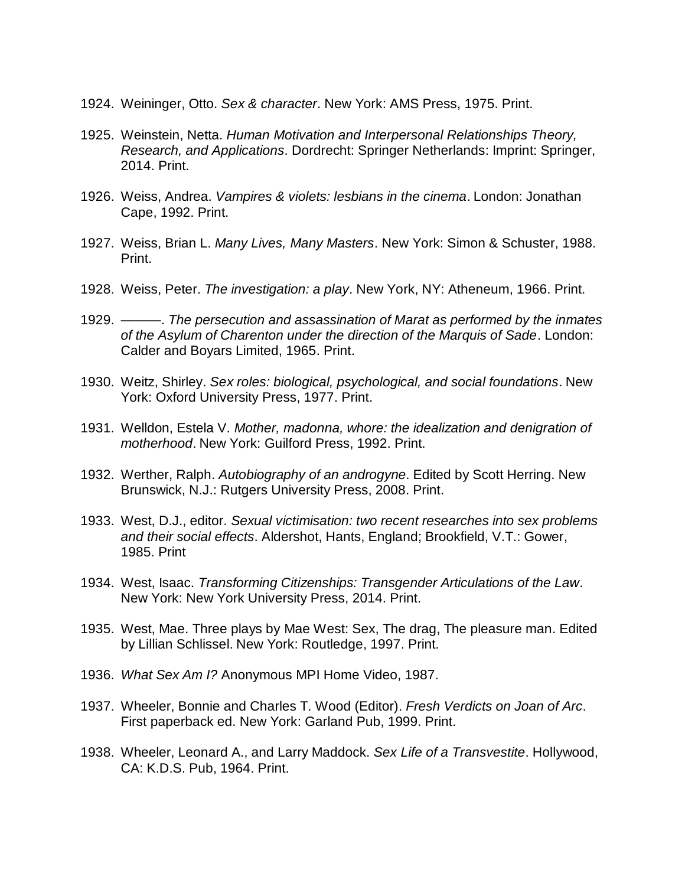- 1924. Weininger, Otto. *Sex & character*. New York: AMS Press, 1975. Print.
- 1925. Weinstein, Netta. *Human Motivation and Interpersonal Relationships Theory, Research, and Applications*. Dordrecht: Springer Netherlands: Imprint: Springer, 2014. Print.
- 1926. Weiss, Andrea. *Vampires & violets: lesbians in the cinema*. London: Jonathan Cape, 1992. Print.
- 1927. Weiss, Brian L. *Many Lives, Many Masters*. New York: Simon & Schuster, 1988. Print.
- 1928. Weiss, Peter. *The investigation: a play*. New York, NY: Atheneum, 1966. Print.
- 1929. ———. *The persecution and assassination of Marat as performed by the inmates of the Asylum of Charenton under the direction of the Marquis of Sade*. London: Calder and Boyars Limited, 1965. Print.
- 1930. Weitz, Shirley. *Sex roles: biological, psychological, and social foundations*. New York: Oxford University Press, 1977. Print.
- 1931. Welldon, Estela V. *Mother, madonna, whore: the idealization and denigration of motherhood*. New York: Guilford Press, 1992. Print.
- 1932. Werther, Ralph. *Autobiography of an androgyne*. Edited by Scott Herring. New Brunswick, N.J.: Rutgers University Press, 2008. Print.
- 1933. West, D.J., editor. *Sexual victimisation: two recent researches into sex problems and their social effects*. Aldershot, Hants, England; Brookfield, V.T.: Gower, 1985. Print
- 1934. West, Isaac. *Transforming Citizenships: Transgender Articulations of the Law*. New York: New York University Press, 2014. Print.
- 1935. West, Mae. Three plays by Mae West: Sex, The drag, The pleasure man. Edited by Lillian Schlissel. New York: Routledge, 1997. Print.
- 1936. *What Sex Am I?* Anonymous MPI Home Video, 1987.
- 1937. Wheeler, Bonnie and Charles T. Wood (Editor). *Fresh Verdicts on Joan of Arc*. First paperback ed. New York: Garland Pub, 1999. Print.
- 1938. Wheeler, Leonard A., and Larry Maddock. *Sex Life of a Transvestite*. Hollywood, CA: K.D.S. Pub, 1964. Print.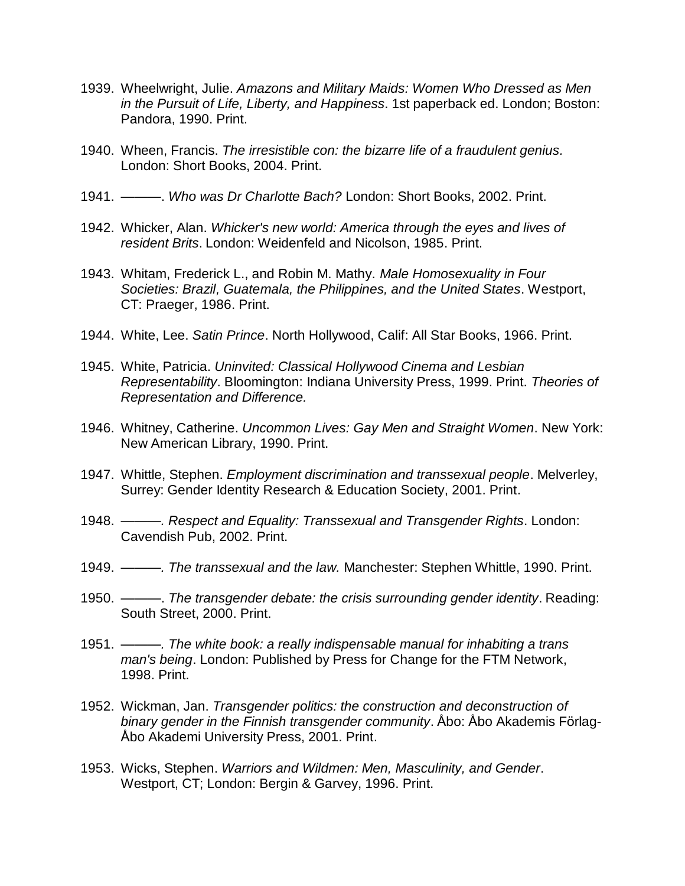- 1939. Wheelwright, Julie. *Amazons and Military Maids: Women Who Dressed as Men in the Pursuit of Life, Liberty, and Happiness*. 1st paperback ed. London; Boston: Pandora, 1990. Print.
- 1940. Wheen, Francis. *The irresistible con: the bizarre life of a fraudulent genius.* London: Short Books, 2004. Print.
- 1941. ———. *Who was Dr Charlotte Bach?* London: Short Books, 2002. Print.
- 1942. Whicker, Alan. *Whicker's new world: America through the eyes and lives of resident Brits*. London: Weidenfeld and Nicolson, 1985. Print.
- 1943. Whitam, Frederick L., and Robin M. Mathy. *Male Homosexuality in Four Societies: Brazil, Guatemala, the Philippines, and the United States*. Westport, CT: Praeger, 1986. Print.
- 1944. White, Lee. *Satin Prince*. North Hollywood, Calif: All Star Books, 1966. Print.
- 1945. White, Patricia. *Uninvited: Classical Hollywood Cinema and Lesbian Representability*. Bloomington: Indiana University Press, 1999. Print. *Theories of Representation and Difference.*
- 1946. Whitney, Catherine. *Uncommon Lives: Gay Men and Straight Women*. New York: New American Library, 1990. Print.
- 1947. Whittle, Stephen. *Employment discrimination and transsexual people*. Melverley, Surrey: Gender Identity Research & Education Society, 2001. Print.
- 1948. *———. Respect and Equality: Transsexual and Transgender Rights*. London: Cavendish Pub, 2002. Print.
- 1949. *———. The transsexual and the law.* Manchester: Stephen Whittle, 1990. Print.
- 1950. ———. *The transgender debate: the crisis surrounding gender identity*. Reading: South Street, 2000. Print.
- 1951. *———. The white book: a really indispensable manual for inhabiting a trans man's being*. London: Published by Press for Change for the FTM Network, 1998. Print.
- 1952. Wickman, Jan. *Transgender politics: the construction and deconstruction of binary gender in the Finnish transgender community*. Åbo: Åbo Akademis Förlag-Åbo Akademi University Press, 2001. Print.
- 1953. Wicks, Stephen. *Warriors and Wildmen: Men, Masculinity, and Gender*. Westport, CT; London: Bergin & Garvey, 1996. Print.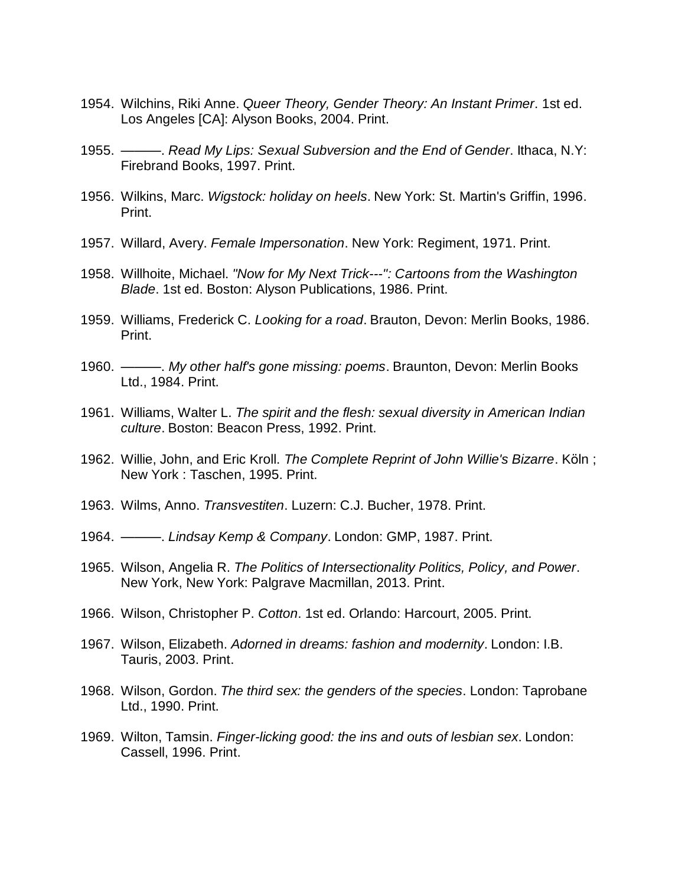- 1954. Wilchins, Riki Anne. *Queer Theory, Gender Theory: An Instant Primer*. 1st ed. Los Angeles [CA]: Alyson Books, 2004. Print.
- 1955. ———. *Read My Lips: Sexual Subversion and the End of Gender*. Ithaca, N.Y: Firebrand Books, 1997. Print.
- 1956. Wilkins, Marc. *Wigstock: holiday on heels*. New York: St. Martin's Griffin, 1996. Print.
- 1957. Willard, Avery. *Female Impersonation*. New York: Regiment, 1971. Print.
- 1958. Willhoite, Michael. *"Now for My Next Trick---": Cartoons from the Washington Blade*. 1st ed. Boston: Alyson Publications, 1986. Print.
- 1959. Williams, Frederick C. *Looking for a road*. Brauton, Devon: Merlin Books, 1986. Print.
- 1960. ———. *My other half's gone missing: poems*. Braunton, Devon: Merlin Books Ltd., 1984. Print.
- 1961. Williams, Walter L. *The spirit and the flesh: sexual diversity in American Indian culture*. Boston: Beacon Press, 1992. Print.
- 1962. Willie, John, and Eric Kroll. *The Complete Reprint of John Willie's Bizarre*. Köln ; New York : Taschen, 1995. Print.
- 1963. Wilms, Anno. *Transvestiten*. Luzern: C.J. Bucher, 1978. Print.
- 1964. ———. *Lindsay Kemp & Company*. London: GMP, 1987. Print.
- 1965. Wilson, Angelia R. *The Politics of Intersectionality Politics, Policy, and Power*. New York, New York: Palgrave Macmillan, 2013. Print.
- 1966. Wilson, Christopher P. *Cotton*. 1st ed. Orlando: Harcourt, 2005. Print.
- 1967. Wilson, Elizabeth. *Adorned in dreams: fashion and modernity*. London: I.B. Tauris, 2003. Print.
- 1968. Wilson, Gordon. *The third sex: the genders of the species*. London: Taprobane Ltd., 1990. Print.
- 1969. Wilton, Tamsin. *Finger-licking good: the ins and outs of lesbian sex*. London: Cassell, 1996. Print.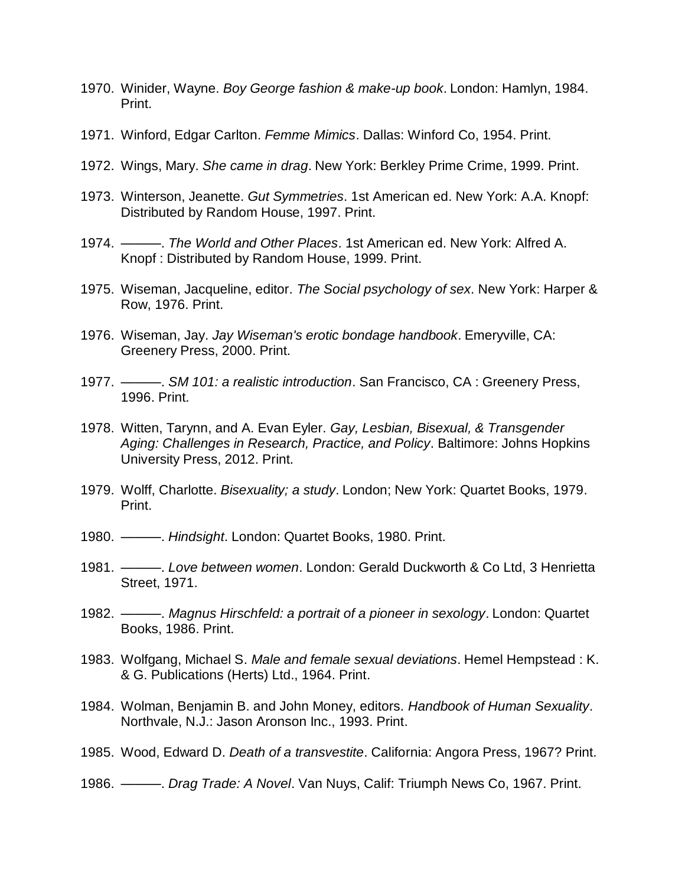- 1970. Winider, Wayne. *Boy George fashion & make-up book*. London: Hamlyn, 1984. Print.
- 1971. Winford, Edgar Carlton. *Femme Mimics*. Dallas: Winford Co, 1954. Print.
- 1972. Wings, Mary. *She came in drag*. New York: Berkley Prime Crime, 1999. Print.
- 1973. Winterson, Jeanette. *Gut Symmetries*. 1st American ed. New York: A.A. Knopf: Distributed by Random House, 1997. Print.
- 1974. ———. *The World and Other Places*. 1st American ed. New York: Alfred A. Knopf : Distributed by Random House, 1999. Print.
- 1975. Wiseman, Jacqueline, editor. *The Social psychology of sex*. New York: Harper & Row, 1976. Print.
- 1976. Wiseman, Jay. *Jay Wiseman's erotic bondage handbook*. Emeryville, CA: Greenery Press, 2000. Print.
- 1977. ———. *SM 101: a realistic introduction*. San Francisco, CA : Greenery Press, 1996. Print.
- 1978. Witten, Tarynn, and A. Evan Eyler. *Gay, Lesbian, Bisexual, & Transgender Aging: Challenges in Research, Practice, and Policy*. Baltimore: Johns Hopkins University Press, 2012. Print.
- 1979. Wolff, Charlotte. *Bisexuality; a study*. London; New York: Quartet Books, 1979. Print.
- 1980. ———. *Hindsight*. London: Quartet Books, 1980. Print.
- 1981. ———. *Love between women*. London: Gerald Duckworth & Co Ltd, 3 Henrietta Street, 1971.
- 1982. ———. *Magnus Hirschfeld: a portrait of a pioneer in sexology*. London: Quartet Books, 1986. Print.
- 1983. Wolfgang, Michael S. *Male and female sexual deviations*. Hemel Hempstead : K. & G. Publications (Herts) Ltd., 1964. Print.
- 1984. Wolman, Benjamin B. and John Money, editors. *Handbook of Human Sexuality*. Northvale, N.J.: Jason Aronson Inc., 1993. Print.
- 1985. Wood, Edward D. *Death of a transvestite*. California: Angora Press, 1967? Print.
- 1986. ———. *Drag Trade: A Novel*. Van Nuys, Calif: Triumph News Co, 1967. Print.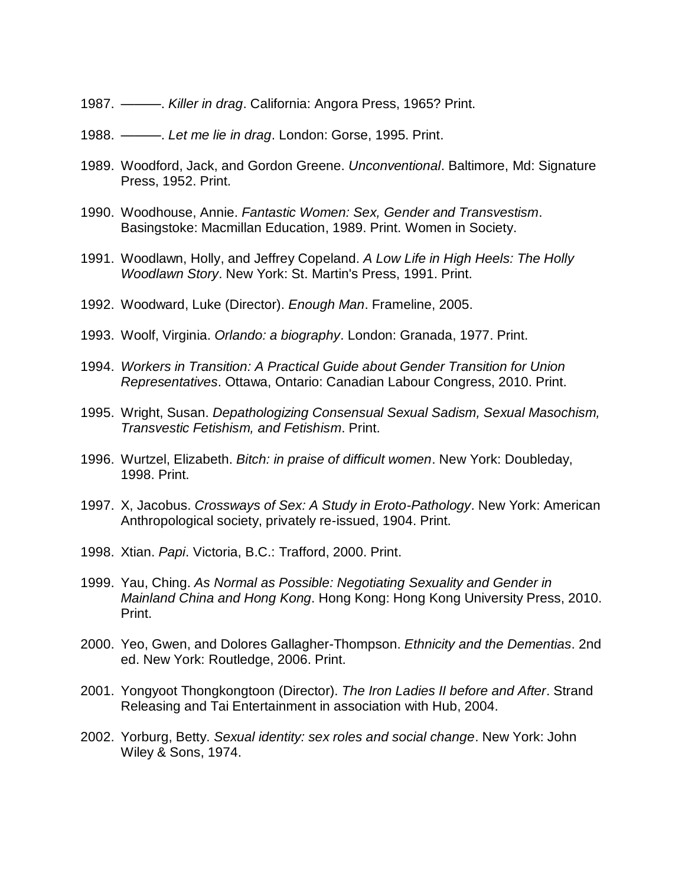- 1987. ———. *Killer in drag*. California: Angora Press, 1965? Print.
- 1988. ———. *Let me lie in drag*. London: Gorse, 1995. Print.
- 1989. Woodford, Jack, and Gordon Greene. *Unconventional*. Baltimore, Md: Signature Press, 1952. Print.
- 1990. Woodhouse, Annie. *Fantastic Women: Sex, Gender and Transvestism*. Basingstoke: Macmillan Education, 1989. Print. Women in Society.
- 1991. Woodlawn, Holly, and Jeffrey Copeland. *A Low Life in High Heels: The Holly Woodlawn Story*. New York: St. Martin's Press, 1991. Print.
- 1992. Woodward, Luke (Director). *Enough Man*. Frameline, 2005.
- 1993. Woolf, Virginia. *Orlando: a biography*. London: Granada, 1977. Print.
- 1994. *Workers in Transition: A Practical Guide about Gender Transition for Union Representatives*. Ottawa, Ontario: Canadian Labour Congress, 2010. Print.
- 1995. Wright, Susan. *Depathologizing Consensual Sexual Sadism, Sexual Masochism, Transvestic Fetishism, and Fetishism*. Print.
- 1996. Wurtzel, Elizabeth. *Bitch: in praise of difficult women*. New York: Doubleday, 1998. Print.
- 1997. X, Jacobus. *Crossways of Sex: A Study in Eroto-Pathology*. New York: American Anthropological society, privately re-issued, 1904. Print.
- 1998. Xtian. *Papi*. Victoria, B.C.: Trafford, 2000. Print.
- 1999. Yau, Ching. *As Normal as Possible: Negotiating Sexuality and Gender in Mainland China and Hong Kong*. Hong Kong: Hong Kong University Press, 2010. Print.
- 2000. Yeo, Gwen, and Dolores Gallagher-Thompson. *Ethnicity and the Dementias*. 2nd ed. New York: Routledge, 2006. Print.
- 2001. Yongyoot Thongkongtoon (Director). *The Iron Ladies II before and After*. Strand Releasing and Tai Entertainment in association with Hub, 2004.
- 2002. Yorburg, Betty. *Sexual identity: sex roles and social change*. New York: John Wiley & Sons, 1974.